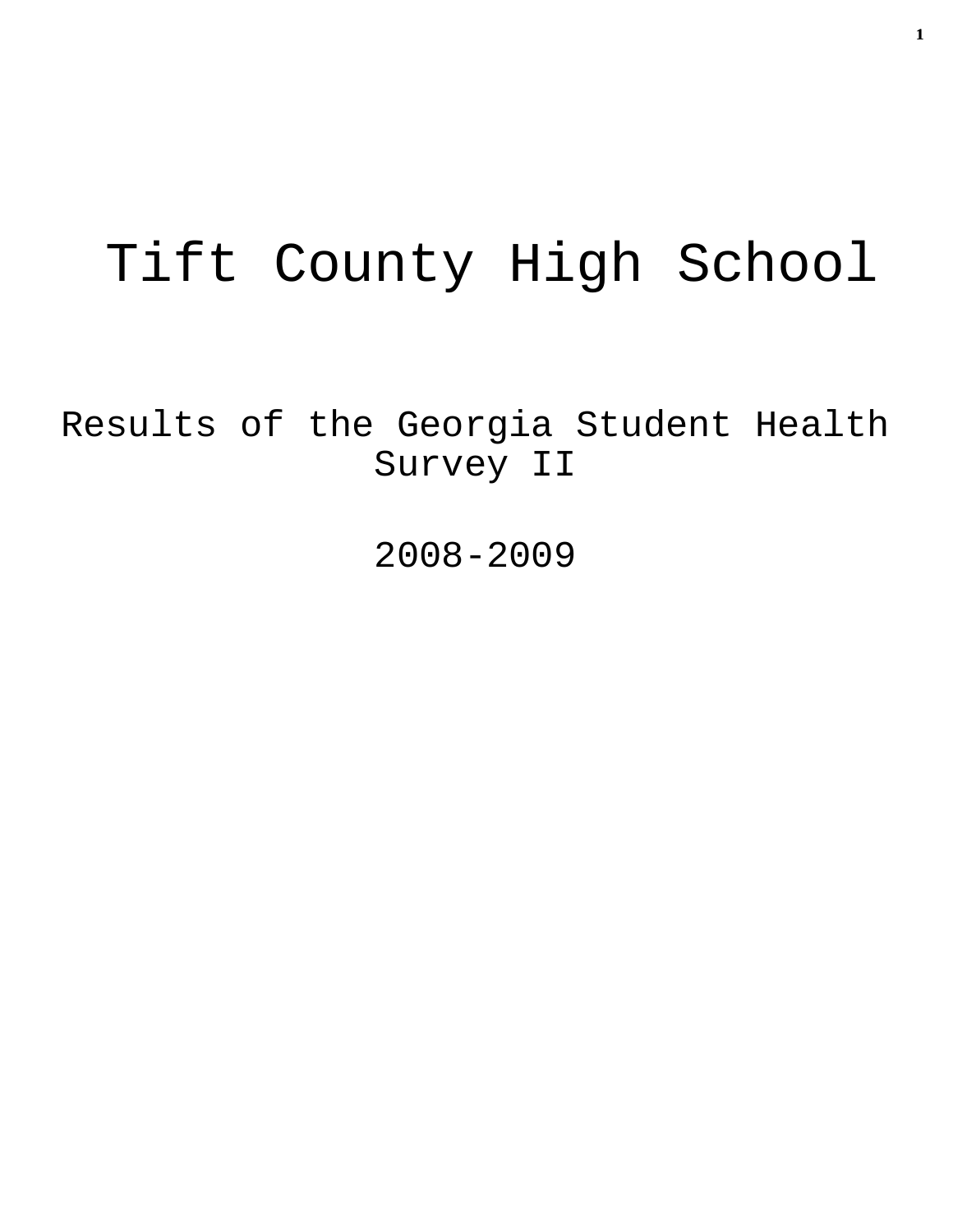# Tift County High School

Results of the Georgia Student Health Survey II

2008-2009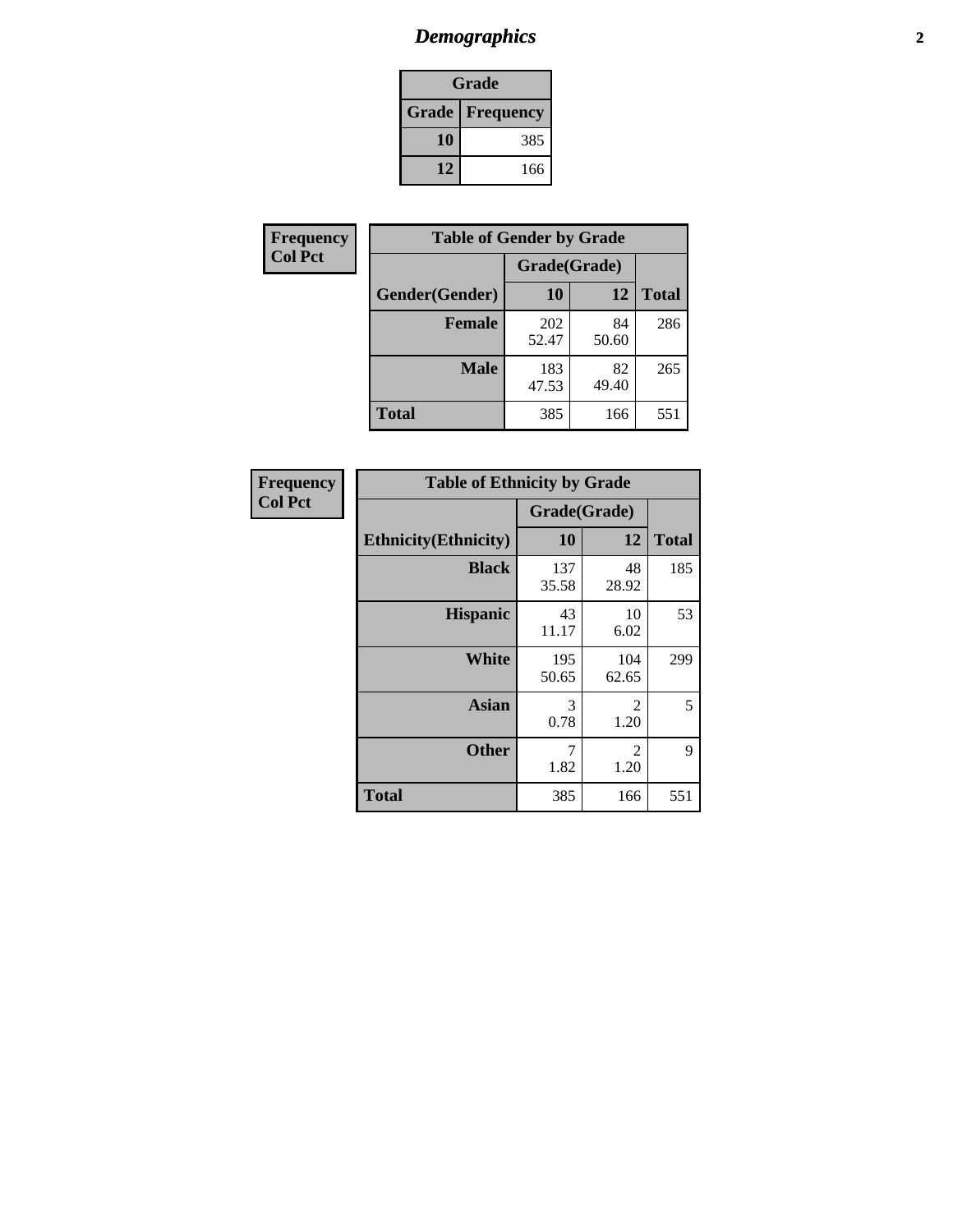# *Demographics* **2**

| Grade                    |     |  |  |  |
|--------------------------|-----|--|--|--|
| <b>Grade   Frequency</b> |     |  |  |  |
| 10                       | 385 |  |  |  |
| 12                       | 166 |  |  |  |

| <b>Frequency</b> | <b>Table of Gender by Grade</b> |              |             |              |  |  |
|------------------|---------------------------------|--------------|-------------|--------------|--|--|
| <b>Col Pct</b>   |                                 | Grade(Grade) |             |              |  |  |
|                  | Gender(Gender)                  | 10           | 12          | <b>Total</b> |  |  |
|                  | <b>Female</b>                   | 202<br>52.47 | 84<br>50.60 | 286          |  |  |
|                  | <b>Male</b>                     | 183<br>47.53 | 82<br>49.40 | 265          |  |  |
|                  | <b>Total</b>                    | 385          | 166         | 551          |  |  |

| <b>Frequency</b><br>Col Pct |
|-----------------------------|
|                             |

| <b>Table of Ethnicity by Grade</b> |              |              |              |  |  |  |
|------------------------------------|--------------|--------------|--------------|--|--|--|
|                                    | Grade(Grade) |              |              |  |  |  |
| <b>Ethnicity</b> (Ethnicity)       | 10           | 12           | <b>Total</b> |  |  |  |
| <b>Black</b>                       | 137<br>35.58 | 48<br>28.92  | 185          |  |  |  |
| <b>Hispanic</b>                    | 43<br>11.17  | 10<br>6.02   | 53           |  |  |  |
| White                              | 195<br>50.65 | 104<br>62.65 | 299          |  |  |  |
| <b>Asian</b>                       | 3<br>0.78    | 2<br>1.20    | 5            |  |  |  |
| <b>Other</b>                       | 7<br>1.82    | 2<br>1.20    | 9            |  |  |  |
| <b>Total</b>                       | 385          | 166          | 551          |  |  |  |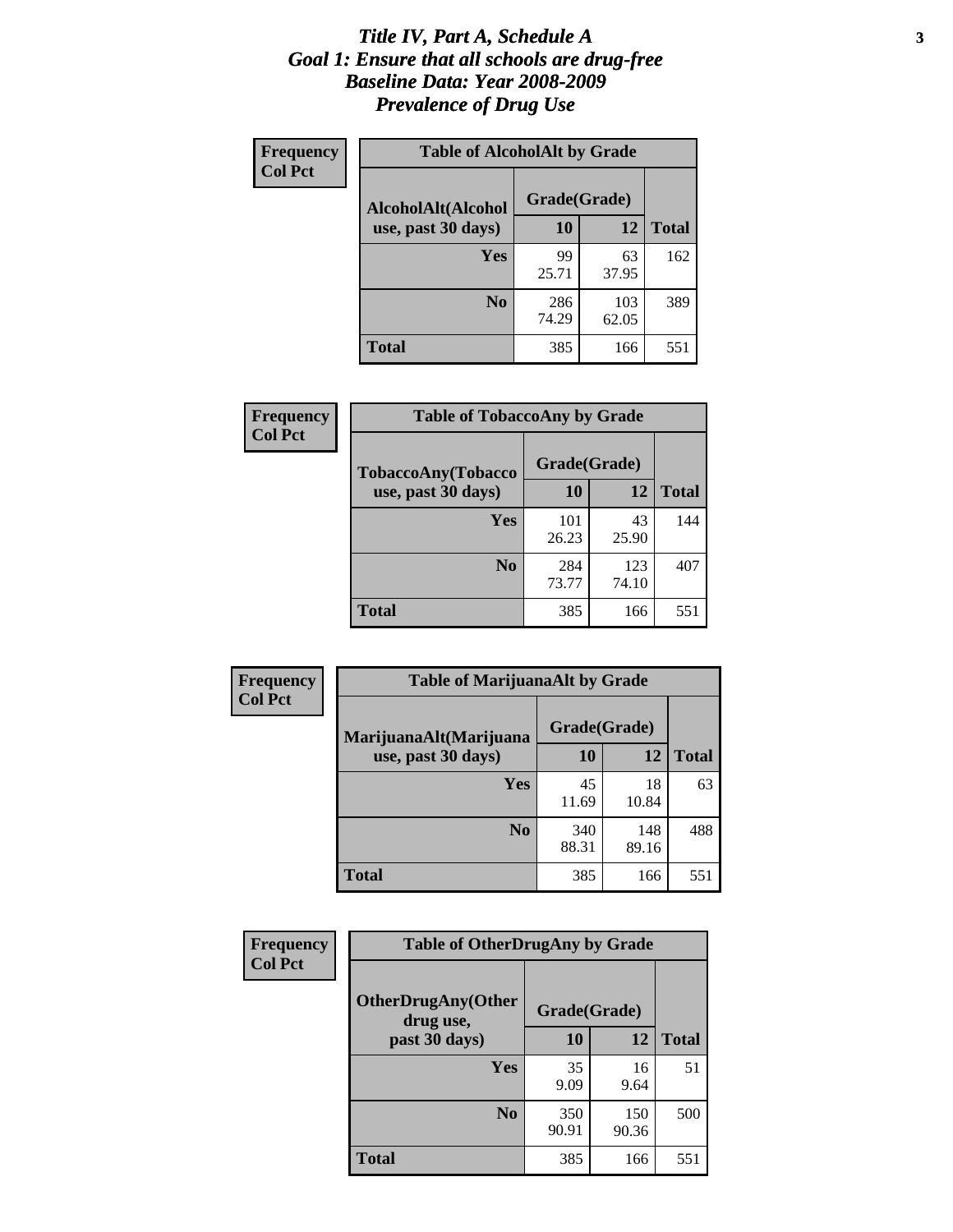### *Title IV, Part A, Schedule A* **3** *Goal 1: Ensure that all schools are drug-free Baseline Data: Year 2008-2009 Prevalence of Drug Use*

| Frequency<br><b>Col Pct</b> | <b>Table of AlcoholAlt by Grade</b> |              |              |              |  |  |
|-----------------------------|-------------------------------------|--------------|--------------|--------------|--|--|
|                             | AlcoholAlt(Alcohol                  | Grade(Grade) |              |              |  |  |
|                             | use, past 30 days)                  | <b>10</b>    | 12           | <b>Total</b> |  |  |
|                             | Yes                                 | 99<br>25.71  | 63<br>37.95  | 162          |  |  |
|                             | N <sub>0</sub>                      | 286<br>74.29 | 103<br>62.05 | 389          |  |  |
|                             | Total                               | 385          | 166          | 551          |  |  |

| Frequency      | <b>Table of TobaccoAny by Grade</b> |              |              |              |  |
|----------------|-------------------------------------|--------------|--------------|--------------|--|
| <b>Col Pct</b> | TobaccoAny(Tobacco                  | Grade(Grade) |              |              |  |
|                | use, past 30 days)                  | 10           | 12           | <b>Total</b> |  |
|                | Yes                                 | 101<br>26.23 | 43<br>25.90  | 144          |  |
|                | N <sub>0</sub>                      | 284<br>73.77 | 123<br>74.10 | 407          |  |
|                | Total                               | 385          | 166          | 551          |  |

| Frequency<br><b>Col Pct</b> | <b>Table of MarijuanaAlt by Grade</b> |              |              |              |  |
|-----------------------------|---------------------------------------|--------------|--------------|--------------|--|
|                             | MarijuanaAlt(Marijuana                | Grade(Grade) |              |              |  |
|                             | use, past 30 days)                    | 10           | 12           | <b>Total</b> |  |
|                             | <b>Yes</b>                            | 45<br>11.69  | 18<br>10.84  | 63           |  |
|                             | N <sub>0</sub>                        | 340<br>88.31 | 148<br>89.16 | 488          |  |
|                             | <b>Total</b>                          | 385          | 166          | 551          |  |

| Frequency<br><b>Col Pct</b> | <b>Table of OtherDrugAny by Grade</b>                  |              |              |              |  |
|-----------------------------|--------------------------------------------------------|--------------|--------------|--------------|--|
|                             | <b>OtherDrugAny(Other</b><br>Grade(Grade)<br>drug use, |              |              |              |  |
|                             | past 30 days)                                          | 10           | 12           | <b>Total</b> |  |
|                             | Yes                                                    | 35<br>9.09   | 16<br>9.64   | 51           |  |
|                             | N <sub>0</sub>                                         | 350<br>90.91 | 150<br>90.36 | 500          |  |
|                             | <b>Total</b>                                           | 385          | 166          | 551          |  |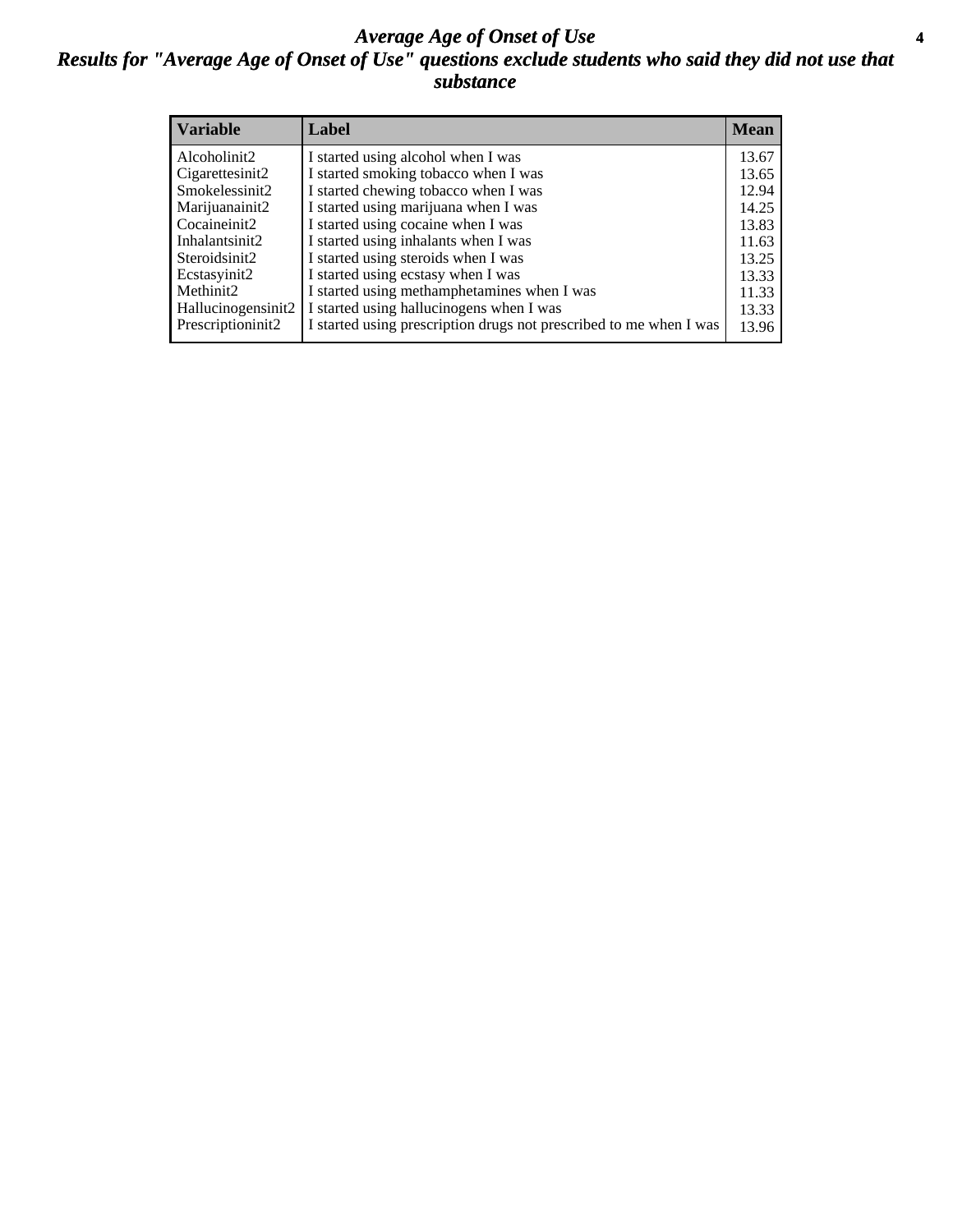### *Average Age of Onset of Use* **4** *Results for "Average Age of Onset of Use" questions exclude students who said they did not use that substance*

| <b>Variable</b>    | Label                                                              | Mean  |
|--------------------|--------------------------------------------------------------------|-------|
| Alcoholinit2       | I started using alcohol when I was                                 | 13.67 |
| Cigarettesinit2    | I started smoking tobacco when I was                               | 13.65 |
| Smokelessinit2     | I started chewing tobacco when I was                               | 12.94 |
| Marijuanainit2     | I started using marijuana when I was                               | 14.25 |
| Cocaineinit2       | I started using cocaine when I was                                 | 13.83 |
| Inhalantsinit2     | I started using inhalants when I was                               | 11.63 |
| Steroidsinit2      | I started using steroids when I was                                | 13.25 |
| Ecstasyinit2       | I started using ecstasy when I was                                 | 13.33 |
| Methinit2          | I started using methamphetamines when I was                        | 11.33 |
| Hallucinogensinit2 | I started using hallucinogens when I was                           | 13.33 |
| Prescriptioninit2  | I started using prescription drugs not prescribed to me when I was | 13.96 |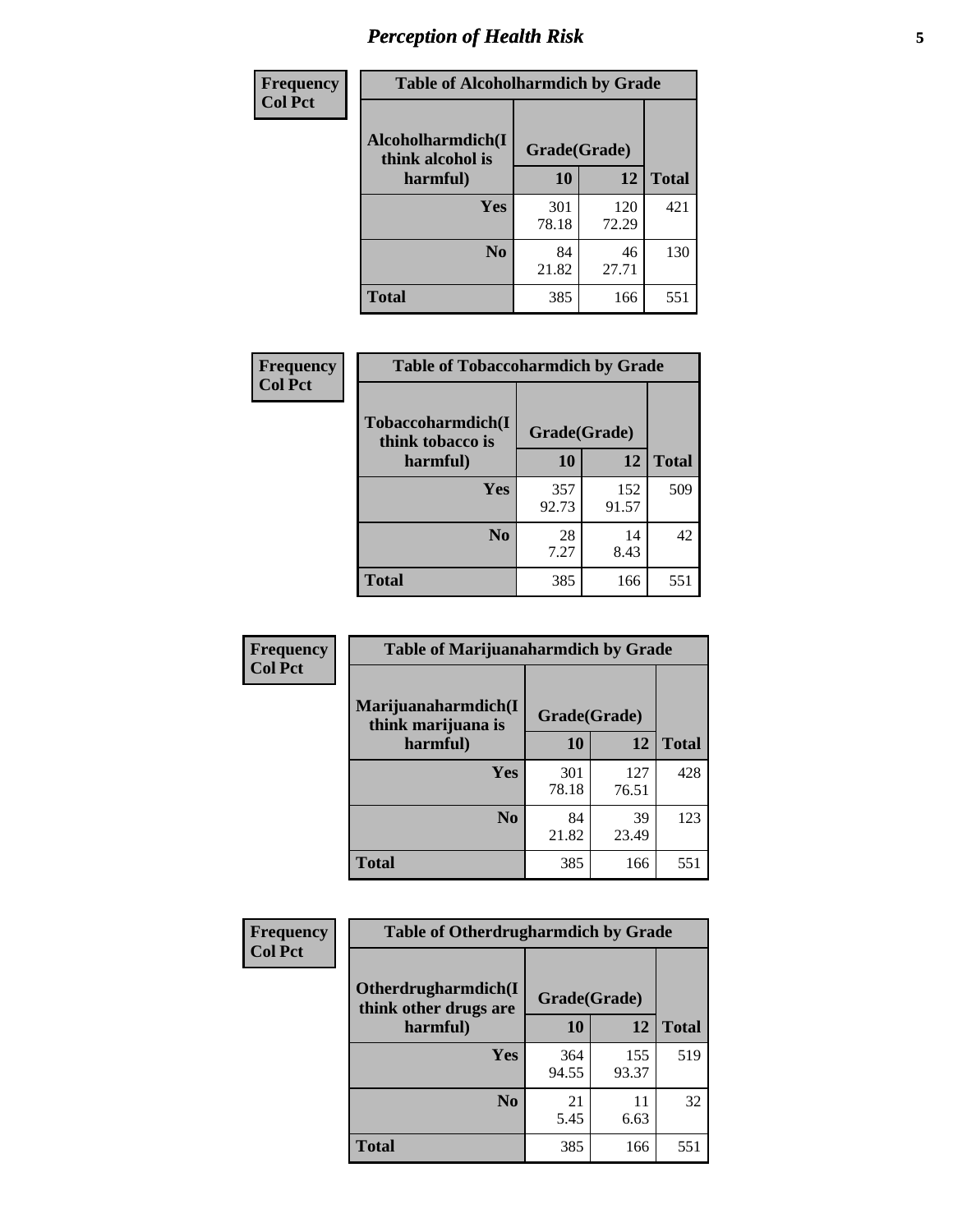# *Perception of Health Risk* **5**

| Frequency      | <b>Table of Alcoholharmdich by Grade</b> |              |              |              |  |
|----------------|------------------------------------------|--------------|--------------|--------------|--|
| <b>Col Pct</b> | Alcoholharmdich(I<br>think alcohol is    | Grade(Grade) |              |              |  |
|                | harmful)                                 | 10           | 12           | <b>Total</b> |  |
|                | Yes                                      | 301<br>78.18 | 120<br>72.29 | 421          |  |
|                | N <sub>0</sub>                           | 84<br>21.82  | 46<br>27.71  | 130          |  |
|                | <b>Total</b>                             | 385          | 166          | 551          |  |

| Frequency      | <b>Table of Tobaccoharmdich by Grade</b> |              |              |              |  |
|----------------|------------------------------------------|--------------|--------------|--------------|--|
| <b>Col Pct</b> | Tobaccoharmdich(I<br>think tobacco is    | Grade(Grade) |              |              |  |
|                | harmful)                                 | 10           | 12           | <b>Total</b> |  |
|                | Yes                                      | 357<br>92.73 | 152<br>91.57 | 509          |  |
|                | N <sub>0</sub>                           | 28<br>7.27   | 14<br>8.43   | 42           |  |
|                | <b>Total</b>                             | 385          | 166          | 551          |  |

| <b>Frequency</b> | <b>Table of Marijuanaharmdich by Grade</b>                |              |              |              |  |  |
|------------------|-----------------------------------------------------------|--------------|--------------|--------------|--|--|
| <b>Col Pct</b>   | Marijuanaharmdich(I<br>Grade(Grade)<br>think marijuana is |              |              |              |  |  |
|                  | harmful)                                                  | 10           | 12           | <b>Total</b> |  |  |
|                  | Yes                                                       | 301<br>78.18 | 127<br>76.51 | 428          |  |  |
|                  | N <sub>0</sub>                                            | 84<br>21.82  | 39<br>23.49  | 123          |  |  |
|                  | <b>Total</b>                                              | 385          | 166          | 551          |  |  |

| Frequency      | <b>Table of Otherdrugharmdich by Grade</b>   |              |              |              |  |  |  |  |
|----------------|----------------------------------------------|--------------|--------------|--------------|--|--|--|--|
| <b>Col Pct</b> | Otherdrugharmdich(I<br>think other drugs are | Grade(Grade) |              |              |  |  |  |  |
|                | harmful)                                     | <b>10</b>    | 12           | <b>Total</b> |  |  |  |  |
|                | Yes                                          | 364<br>94.55 | 155<br>93.37 | 519          |  |  |  |  |
|                | N <sub>0</sub>                               | 21<br>5.45   | 11<br>6.63   | 32           |  |  |  |  |
|                | <b>Total</b>                                 | 385          | 166          | 551          |  |  |  |  |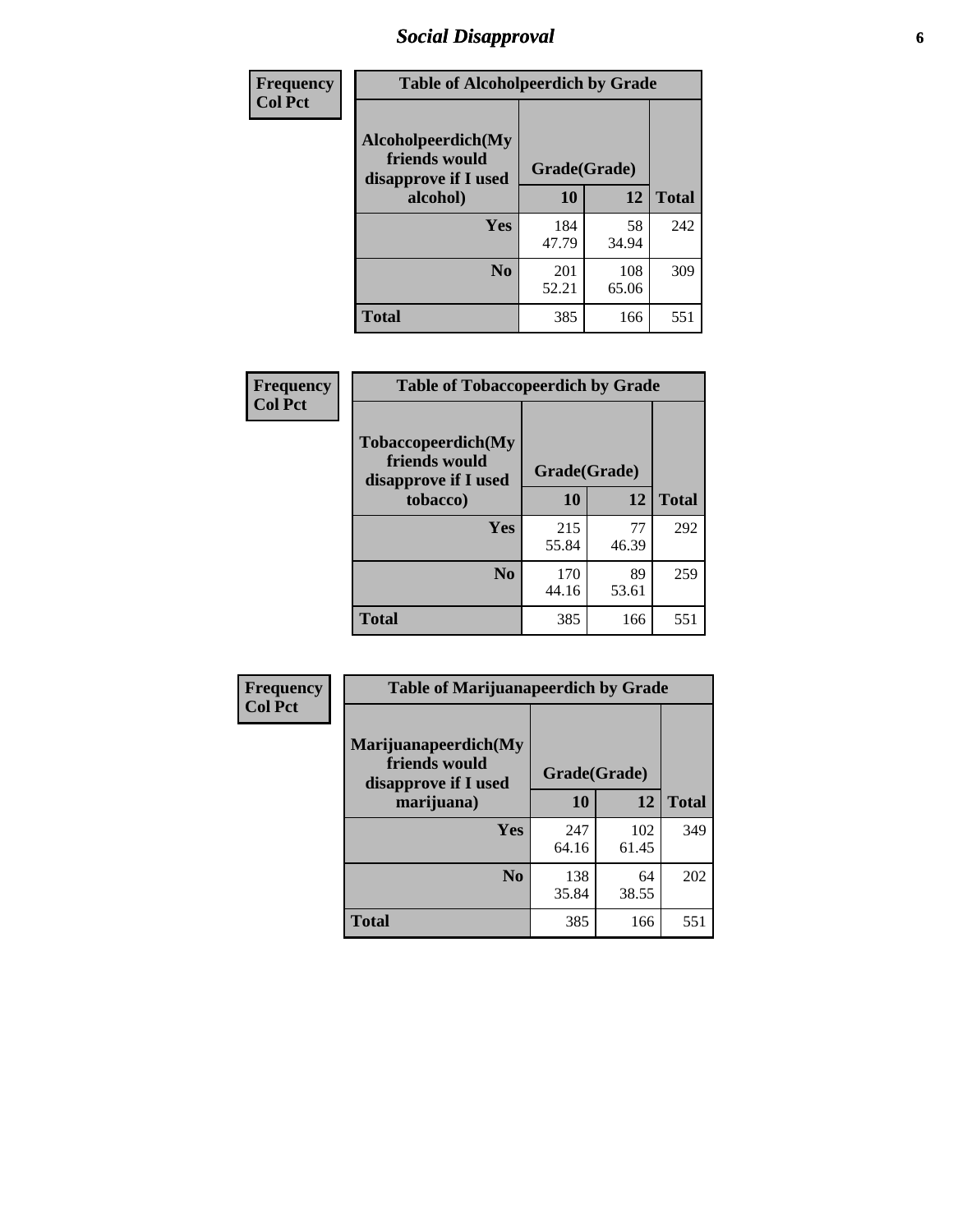# *Social Disapproval* **6**

| Frequency      | <b>Table of Alcoholpeerdich by Grade</b>                    |              |              |              |
|----------------|-------------------------------------------------------------|--------------|--------------|--------------|
| <b>Col Pct</b> | Alcoholpeerdich(My<br>friends would<br>disapprove if I used | Grade(Grade) |              |              |
|                | alcohol)                                                    | 10           | 12           | <b>Total</b> |
|                | <b>Yes</b>                                                  | 184<br>47.79 | 58<br>34.94  | 242          |
|                | N <sub>0</sub>                                              | 201<br>52.21 | 108<br>65.06 | 309          |
|                | <b>Total</b>                                                | 385          | 166          | 551          |

| <b>Frequency</b> |
|------------------|
| <b>Col Pct</b>   |

| <b>Table of Tobaccopeerdich by Grade</b>                    |              |             |              |  |  |  |
|-------------------------------------------------------------|--------------|-------------|--------------|--|--|--|
| Tobaccopeerdich(My<br>friends would<br>disapprove if I used | Grade(Grade) |             |              |  |  |  |
| tobacco)                                                    | 10           | 12          | <b>Total</b> |  |  |  |
| Yes                                                         | 215<br>55.84 | 77<br>46.39 | 292          |  |  |  |
| N <sub>0</sub>                                              | 170<br>44.16 | 89<br>53.61 | 259          |  |  |  |
| Total                                                       | 385          | 166         | 551          |  |  |  |

| Frequency      | <b>Table of Marijuanapeerdich by Grade</b>                    |              |              |              |  |  |  |  |
|----------------|---------------------------------------------------------------|--------------|--------------|--------------|--|--|--|--|
| <b>Col Pct</b> | Marijuanapeerdich(My<br>friends would<br>disapprove if I used | Grade(Grade) |              |              |  |  |  |  |
|                | marijuana)                                                    | 10           | 12           | <b>Total</b> |  |  |  |  |
|                | <b>Yes</b>                                                    | 247<br>64.16 | 102<br>61.45 | 349          |  |  |  |  |
|                | N <sub>0</sub>                                                | 138<br>35.84 | 64<br>38.55  | 202          |  |  |  |  |
|                | <b>Total</b>                                                  | 385          | 166          | 551          |  |  |  |  |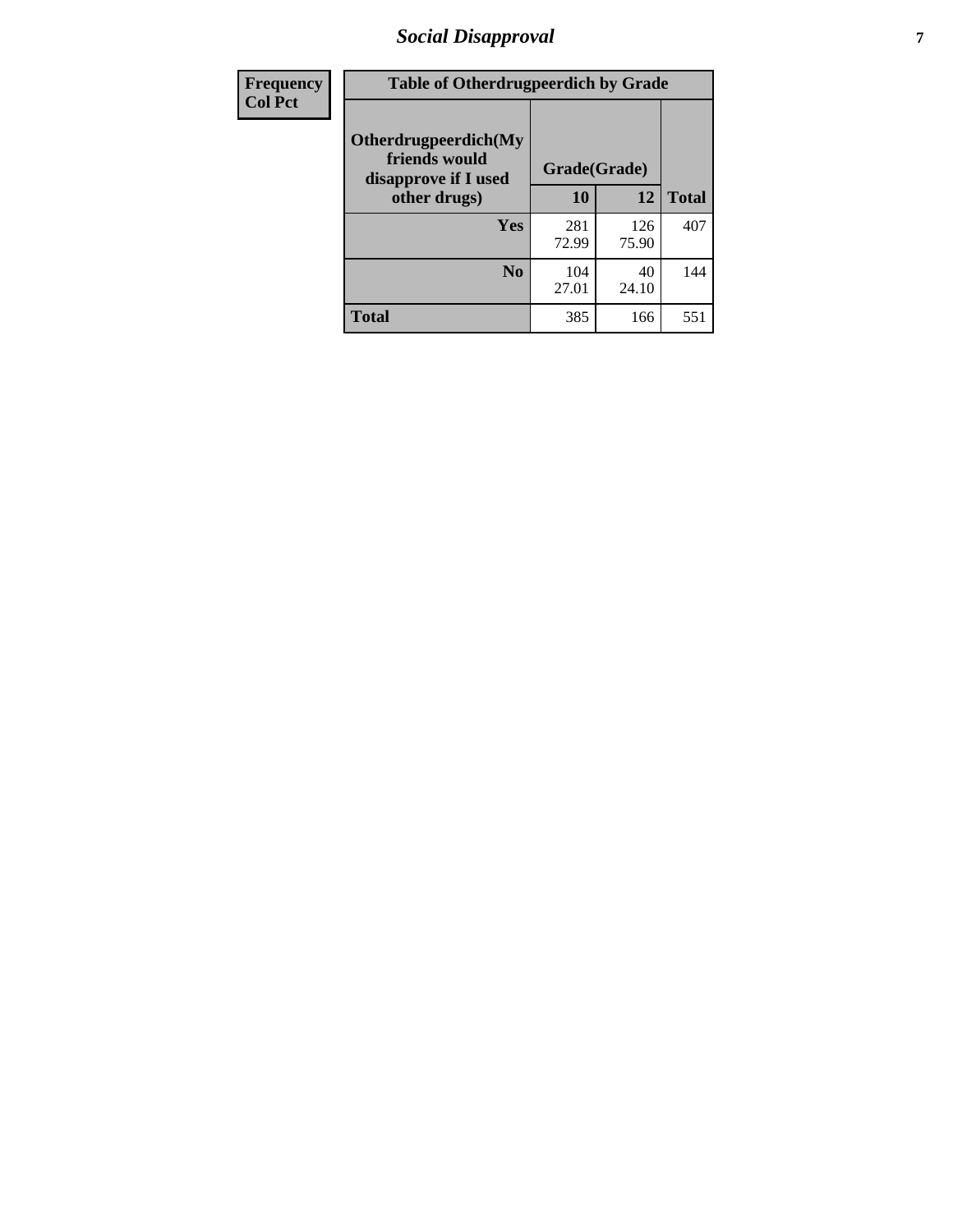# *Social Disapproval* **7**

| Frequency      | <b>Table of Otherdrugpeerdich by Grade</b>                    |              |              |              |  |  |  |  |
|----------------|---------------------------------------------------------------|--------------|--------------|--------------|--|--|--|--|
| <b>Col Pct</b> | Otherdrugpeerdich(My<br>friends would<br>disapprove if I used | Grade(Grade) |              |              |  |  |  |  |
|                | other drugs)                                                  | 10           | 12           | <b>Total</b> |  |  |  |  |
|                | Yes                                                           | 281<br>72.99 | 126<br>75.90 | 407          |  |  |  |  |
|                | N <sub>0</sub>                                                | 104<br>27.01 | 40<br>24.10  | 144          |  |  |  |  |
|                | <b>Total</b>                                                  | 385          | 166          | 551          |  |  |  |  |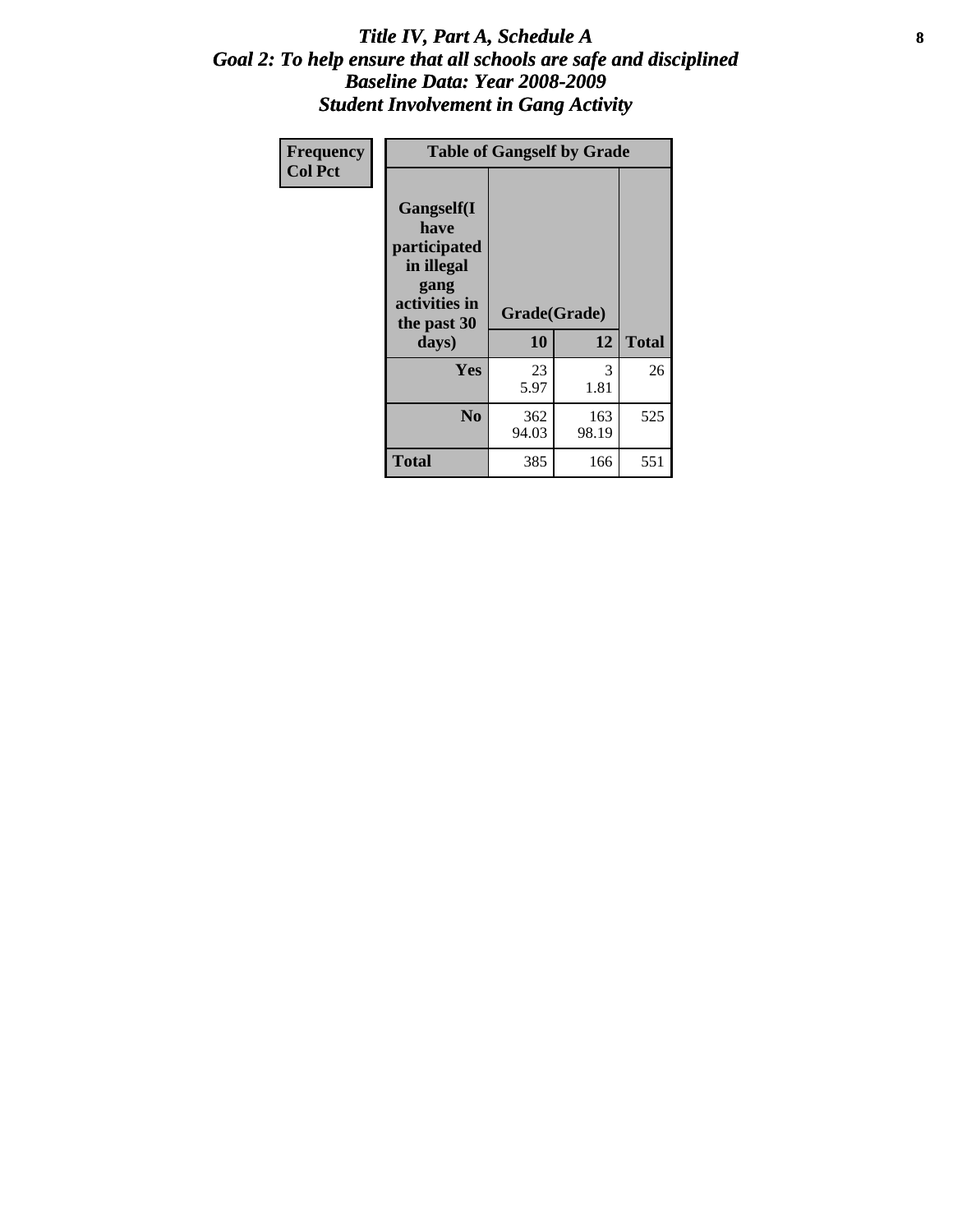### Title IV, Part A, Schedule A **8** *Goal 2: To help ensure that all schools are safe and disciplined Baseline Data: Year 2008-2009 Student Involvement in Gang Activity*

| Frequency      | <b>Table of Gangself by Grade</b>                                                                         |                    |              |              |
|----------------|-----------------------------------------------------------------------------------------------------------|--------------------|--------------|--------------|
| <b>Col Pct</b> | <b>Gangself</b> (I<br>have<br>participated<br>in illegal<br>gang<br>activities in<br>the past 30<br>days) | Grade(Grade)<br>10 | 12           | <b>Total</b> |
|                | Yes                                                                                                       | 23<br>5.97         | 3<br>1.81    | 26           |
|                | N <sub>0</sub>                                                                                            | 362<br>94.03       | 163<br>98.19 | 525          |
|                | <b>Total</b>                                                                                              | 385                | 166          | 551          |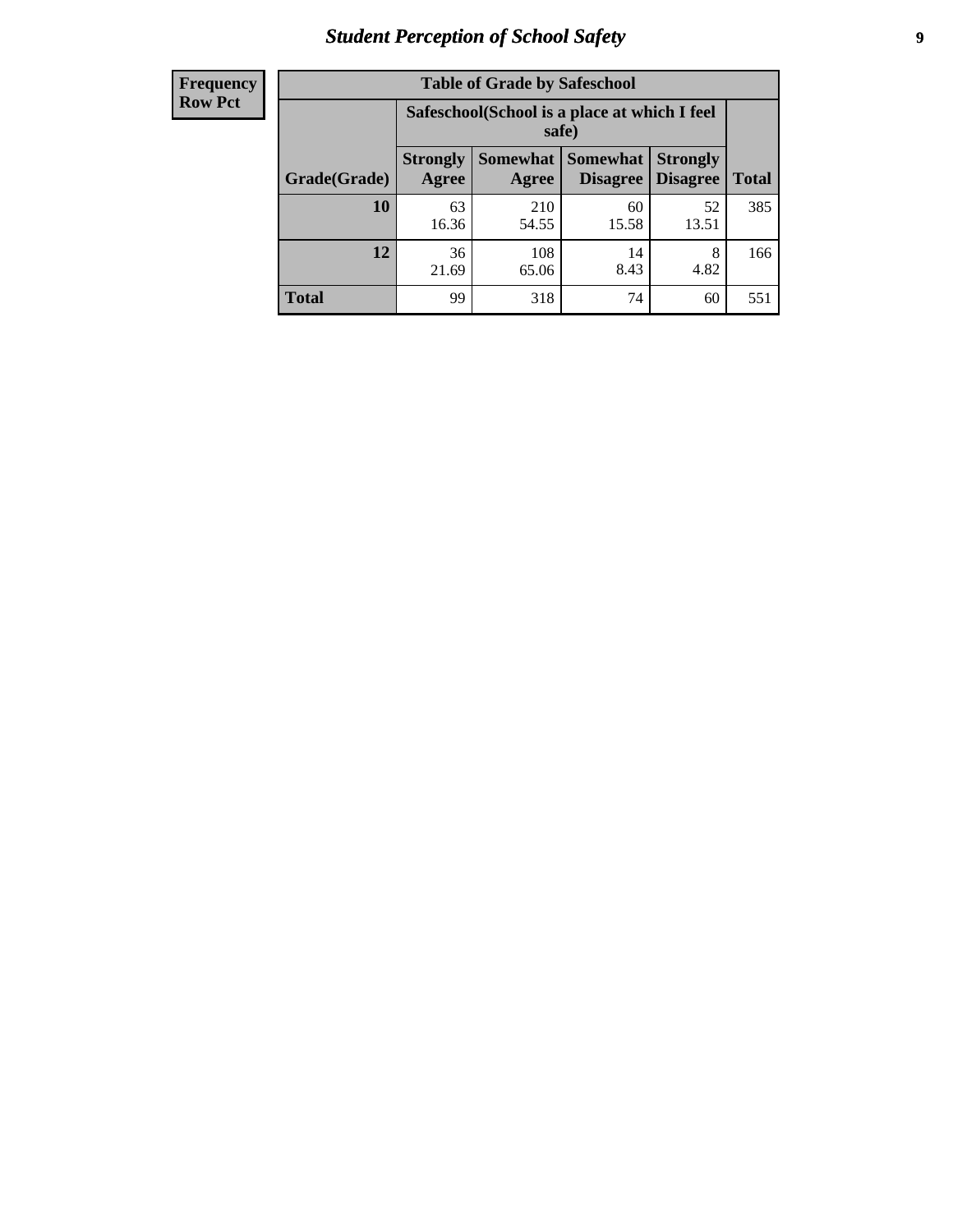# *Student Perception of School Safety* **9**

| <b>Frequency</b><br>Row Pct |
|-----------------------------|
|                             |

| <b>Table of Grade by Safeschool</b> |                                                        |                          |                             |                                    |              |  |  |
|-------------------------------------|--------------------------------------------------------|--------------------------|-----------------------------|------------------------------------|--------------|--|--|
|                                     | Safeschool (School is a place at which I feel<br>safe) |                          |                             |                                    |              |  |  |
| Grade(Grade)                        | <b>Strongly</b><br>Agree                               | <b>Somewhat</b><br>Agree | <b>Somewhat</b><br>Disagree | <b>Strongly</b><br><b>Disagree</b> | <b>Total</b> |  |  |
| 10                                  | 63<br>16.36                                            | 210<br>54.55             | 60<br>15.58                 | 52<br>13.51                        | 385          |  |  |
| 12                                  | 36<br>21.69                                            | 108<br>65.06             | 14<br>8.43                  | 8<br>4.82                          | 166          |  |  |
| <b>Total</b>                        | 99                                                     | 318                      | 74                          | 60                                 | 551          |  |  |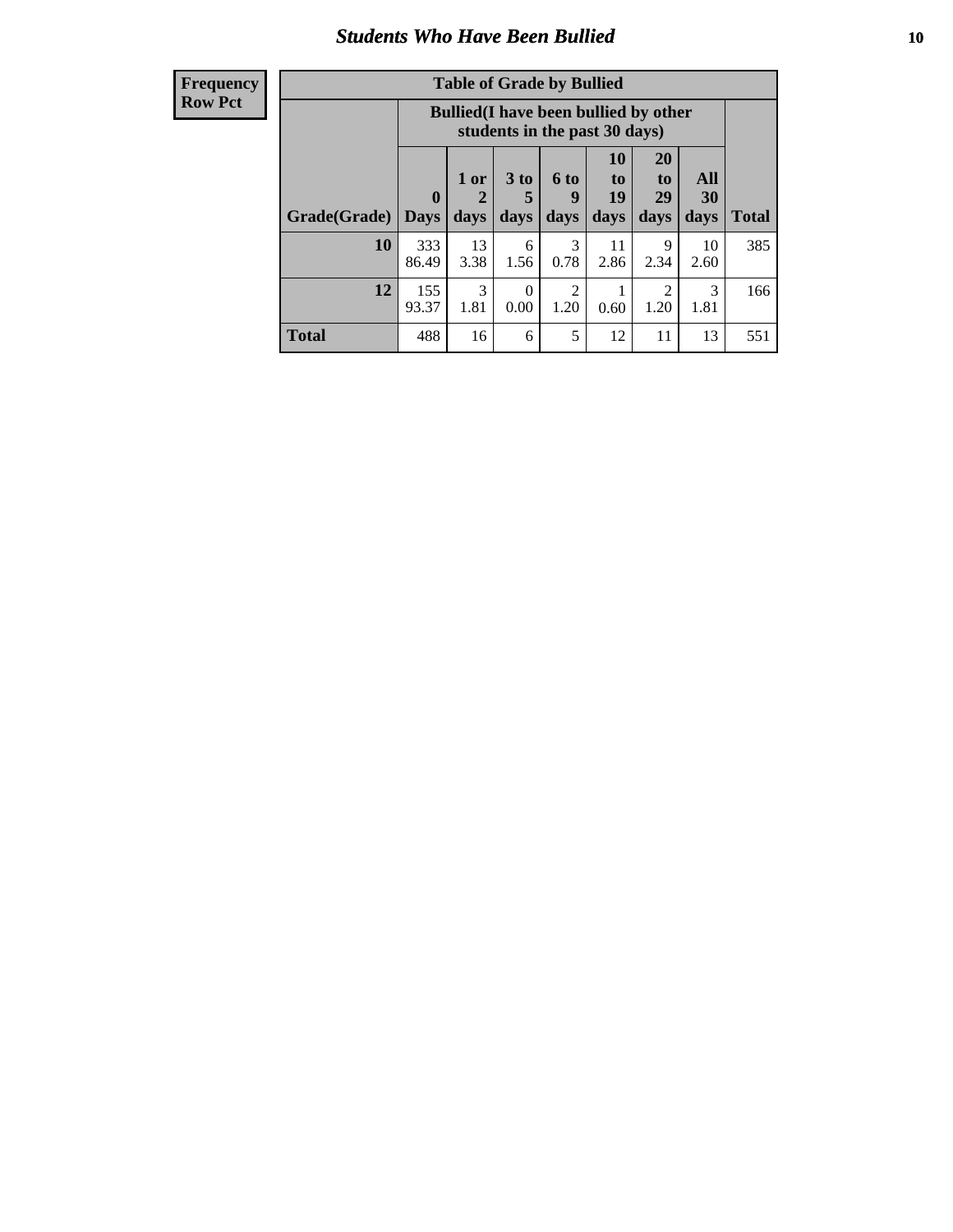### *Students Who Have Been Bullied* **10**

| <b>Frequency</b> |
|------------------|
| Row Pct          |

| <b>Table of Grade by Bullied</b> |                         |                                                                               |                              |                   |                        |                        |                   |              |
|----------------------------------|-------------------------|-------------------------------------------------------------------------------|------------------------------|-------------------|------------------------|------------------------|-------------------|--------------|
|                                  |                         | <b>Bullied</b> (I have been bullied by other<br>students in the past 30 days) |                              |                   |                        |                        |                   |              |
| Grade(Grade)                     | $\bf{0}$<br><b>Days</b> | 1 or<br>days                                                                  | 3 <sub>to</sub><br>5<br>days | 6 to<br>9<br>days | 10<br>to<br>19<br>days | 20<br>to<br>29<br>days | All<br>30<br>days | <b>Total</b> |
| 10                               | 333<br>86.49            | 13<br>3.38                                                                    | 6<br>1.56                    | 3<br>0.78         | 11<br>2.86             | 9<br>2.34              | 10<br>2.60        | 385          |
| 12                               | 155<br>93.37            | 3<br>1.81                                                                     | 0<br>0.00                    | 2<br>1.20         | 0.60                   | 2<br>1.20              | 3<br>1.81         | 166          |
| <b>Total</b>                     | 488                     | 16                                                                            | 6                            | 5                 | 12                     | 11                     | 13                | 551          |

 $\blacksquare$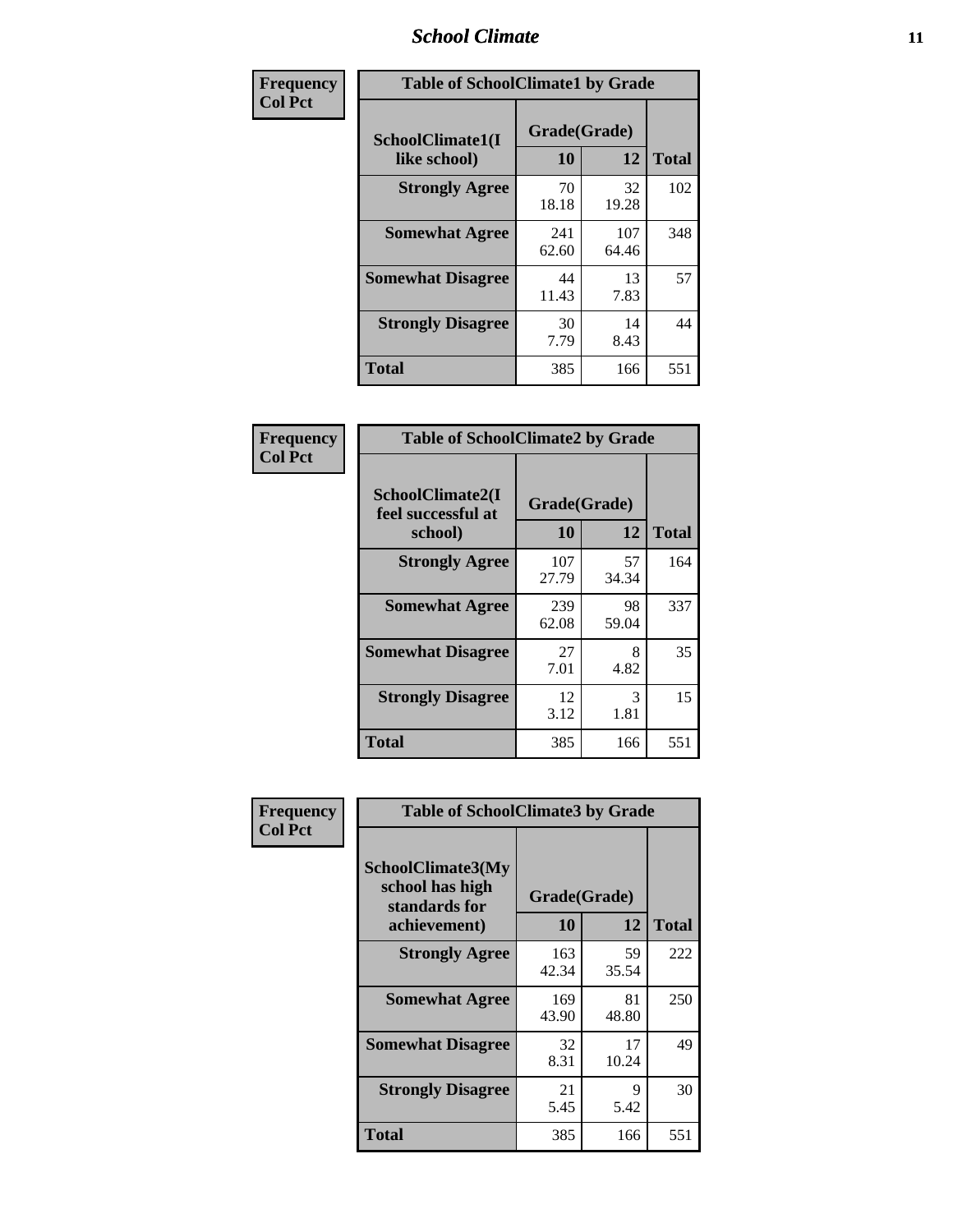### *School Climate* **11**

| <b>Frequency</b> | <b>Table of SchoolClimate1 by Grade</b> |                    |              |              |  |  |
|------------------|-----------------------------------------|--------------------|--------------|--------------|--|--|
| <b>Col Pct</b>   | SchoolClimate1(I<br>like school)        | Grade(Grade)<br>10 | 12           | <b>Total</b> |  |  |
|                  | <b>Strongly Agree</b>                   | 70<br>18.18        | 32<br>19.28  | 102          |  |  |
|                  | <b>Somewhat Agree</b>                   | 241<br>62.60       | 107<br>64.46 | 348          |  |  |
|                  | <b>Somewhat Disagree</b>                | 44<br>11.43        | 13<br>7.83   | 57           |  |  |
|                  | <b>Strongly Disagree</b>                | 30<br>7.79         | 14<br>8.43   | 44           |  |  |
|                  | <b>Total</b>                            | 385                | 166          | 551          |  |  |

| <b>Table of SchoolClimate2 by Grade</b>           |              |             |     |  |  |
|---------------------------------------------------|--------------|-------------|-----|--|--|
| SchoolClimate2(I<br>feel successful at<br>school) | <b>Total</b> |             |     |  |  |
| <b>Strongly Agree</b>                             | 107<br>27.79 | 57<br>34.34 | 164 |  |  |
| <b>Somewhat Agree</b>                             | 239<br>62.08 | 98<br>59.04 | 337 |  |  |
| <b>Somewhat Disagree</b>                          | 27<br>7.01   | 8<br>4.82   | 35  |  |  |
| <b>Strongly Disagree</b>                          | 12<br>3.12   | 3<br>1.81   | 15  |  |  |
| <b>Total</b>                                      | 385          | 166         | 551 |  |  |

| Frequency      | <b>Table of SchoolClimate3 by Grade</b>                               |                           |             |              |
|----------------|-----------------------------------------------------------------------|---------------------------|-------------|--------------|
| <b>Col Pct</b> | SchoolClimate3(My<br>school has high<br>standards for<br>achievement) | Grade(Grade)<br><b>10</b> | 12          | <b>Total</b> |
|                |                                                                       |                           |             |              |
|                | <b>Strongly Agree</b>                                                 | 163<br>42.34              | 59<br>35.54 | 222          |
|                | <b>Somewhat Agree</b>                                                 | 169<br>43.90              | 81<br>48.80 | 250          |
|                | <b>Somewhat Disagree</b>                                              | 32<br>8.31                | 17<br>10.24 | 49           |
|                | <b>Strongly Disagree</b>                                              | 21<br>5.45                | 9<br>5.42   | 30           |
|                | Total                                                                 | 385                       | 166         | 551          |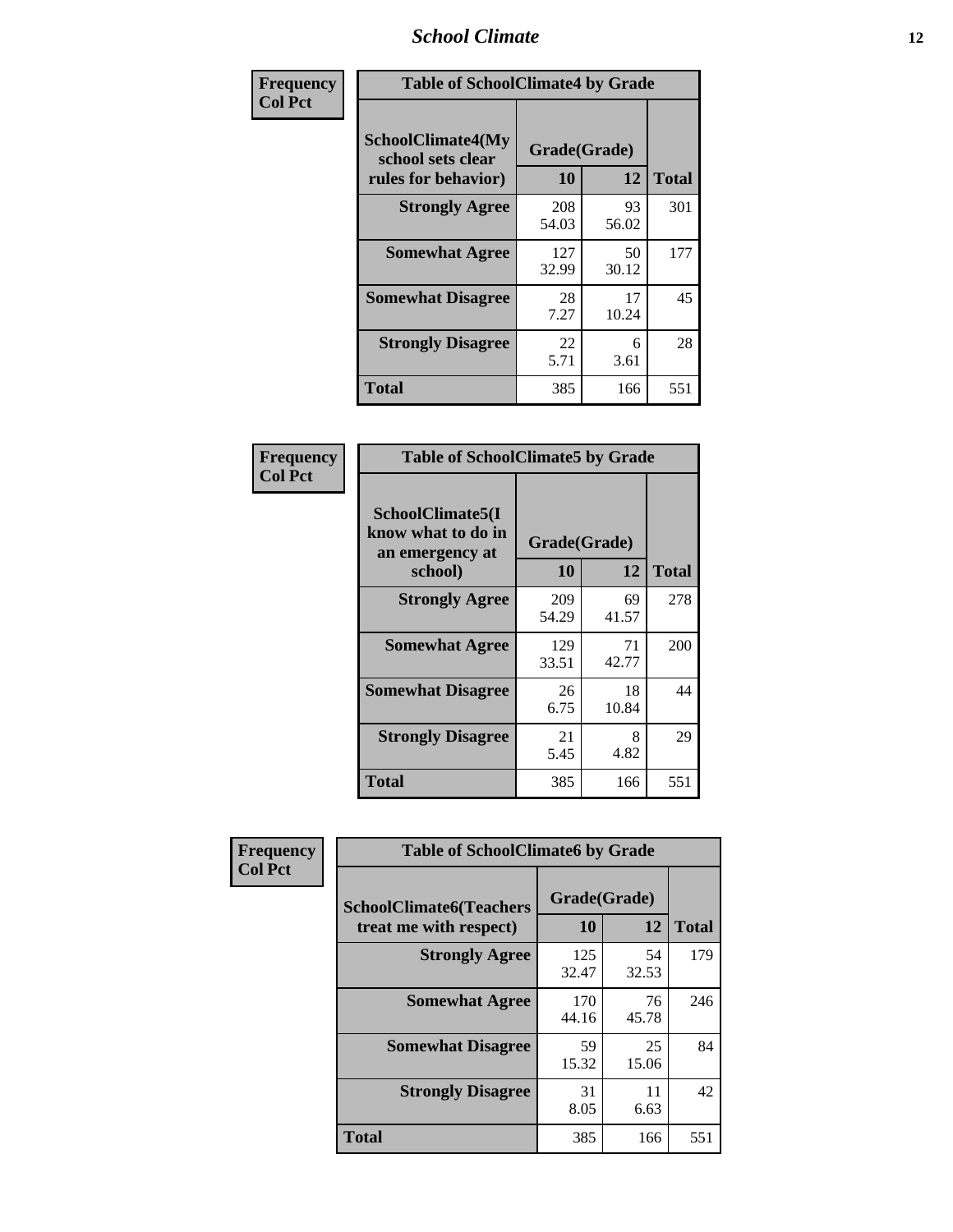### *School Climate* **12**

| Frequency      |                                                                      | <b>Table of SchoolClimate4 by Grade</b> |             |              |  |
|----------------|----------------------------------------------------------------------|-----------------------------------------|-------------|--------------|--|
| <b>Col Pct</b> | <b>SchoolClimate4(My</b><br>school sets clear<br>rules for behavior) | Grade(Grade)<br>10                      | 12          | <b>Total</b> |  |
|                | <b>Strongly Agree</b>                                                | 208<br>54.03                            | 93<br>56.02 | 301          |  |
|                | <b>Somewhat Agree</b>                                                | 127<br>32.99                            | 50<br>30.12 | 177          |  |
|                | <b>Somewhat Disagree</b>                                             | 28<br>7.27                              | 17<br>10.24 | 45           |  |
|                | <b>Strongly Disagree</b>                                             | 22<br>5.71                              | 6<br>3.61   | 28           |  |
|                | <b>Total</b>                                                         | 385                                     | 166         | 551          |  |

| <b>Table of SchoolClimate5 by Grade</b>                   |              |             |              |  |
|-----------------------------------------------------------|--------------|-------------|--------------|--|
| SchoolClimate5(I<br>know what to do in<br>an emergency at | Grade(Grade) |             |              |  |
| school)                                                   | 10           | 12          | <b>Total</b> |  |
| <b>Strongly Agree</b>                                     | 209<br>54.29 | 69<br>41.57 | 278          |  |
| <b>Somewhat Agree</b>                                     | 129<br>33.51 | 71<br>42.77 | 200          |  |
| <b>Somewhat Disagree</b>                                  | 26<br>6.75   | 18<br>10.84 | 44           |  |
| <b>Strongly Disagree</b>                                  | 21<br>5.45   | 8<br>4.82   | 29           |  |
| Total                                                     | 385          | 166         | 551          |  |

| Frequency      | <b>Table of SchoolClimate6 by Grade</b>                  |                    |             |              |
|----------------|----------------------------------------------------------|--------------------|-------------|--------------|
| <b>Col Pct</b> | <b>SchoolClimate6(Teachers</b><br>treat me with respect) | Grade(Grade)<br>10 | 12          | <b>Total</b> |
|                | <b>Strongly Agree</b>                                    | 125<br>32.47       | 54<br>32.53 | 179          |
|                | <b>Somewhat Agree</b>                                    | 170<br>44.16       | 76<br>45.78 | 246          |
|                | <b>Somewhat Disagree</b>                                 | 59<br>15.32        | 25<br>15.06 | 84           |
|                | <b>Strongly Disagree</b>                                 | 31<br>8.05         | 11<br>6.63  | 42           |
|                | <b>Total</b>                                             | 385                | 166         | 551          |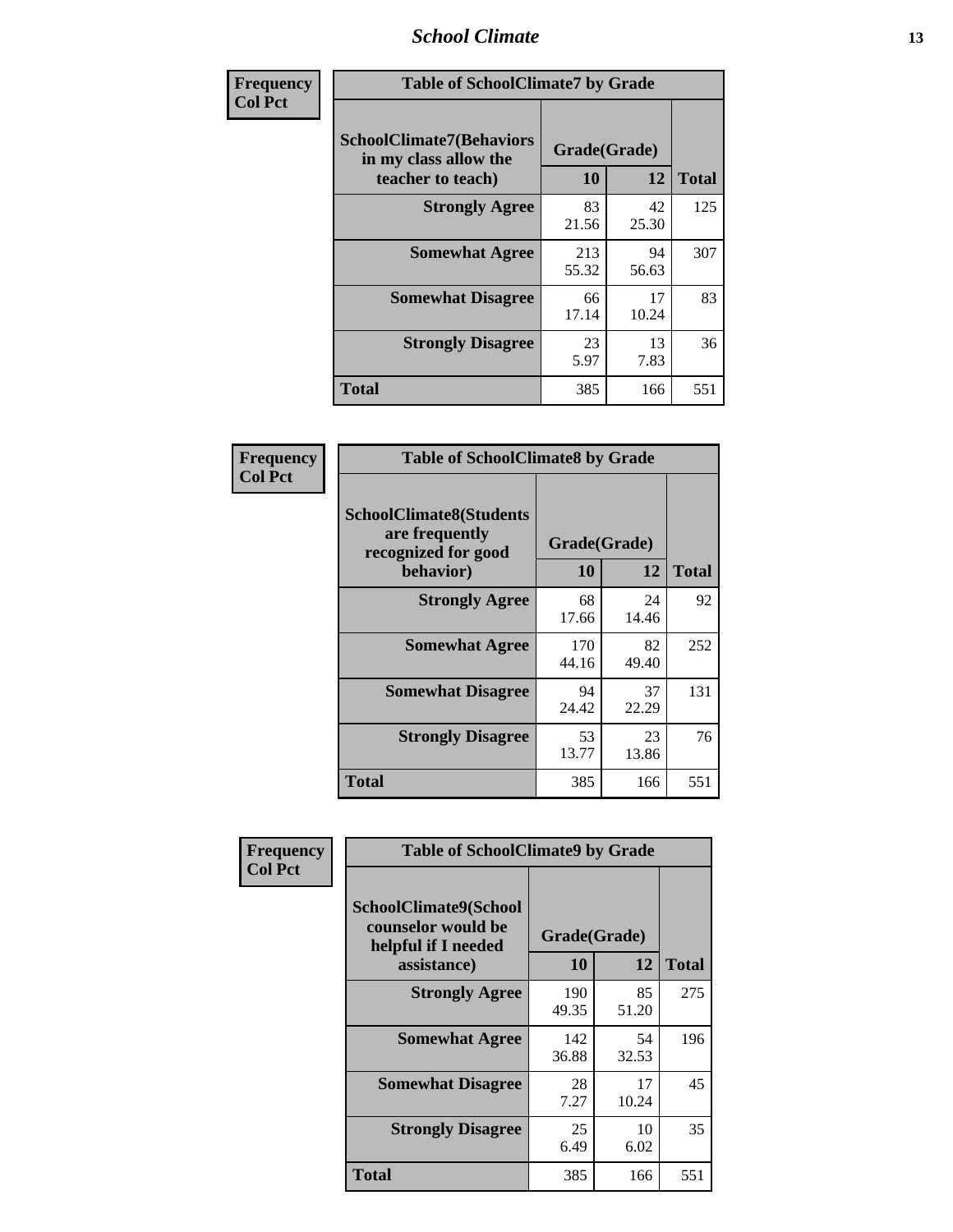### *School Climate* **13**

| Frequency      | <b>Table of SchoolClimate7 by Grade</b>                                       |                           |             |              |
|----------------|-------------------------------------------------------------------------------|---------------------------|-------------|--------------|
| <b>Col Pct</b> | <b>SchoolClimate7(Behaviors</b><br>in my class allow the<br>teacher to teach) | Grade(Grade)<br><b>10</b> | 12          | <b>Total</b> |
|                | <b>Strongly Agree</b>                                                         | 83<br>21.56               | 42<br>25.30 | 125          |
|                | <b>Somewhat Agree</b>                                                         | 213<br>55.32              | 94<br>56.63 | 307          |
|                | <b>Somewhat Disagree</b>                                                      | 66<br>17.14               | 17<br>10.24 | 83           |
|                | <b>Strongly Disagree</b>                                                      | 23<br>5.97                | 13<br>7.83  | 36           |
|                | <b>Total</b>                                                                  | 385                       | 166         | 551          |

| Frequency      | <b>Table of SchoolClimate8 by Grade</b>                                              |                    |             |              |
|----------------|--------------------------------------------------------------------------------------|--------------------|-------------|--------------|
| <b>Col Pct</b> | <b>SchoolClimate8(Students</b><br>are frequently<br>recognized for good<br>behavior) | Grade(Grade)<br>10 | 12          | <b>Total</b> |
|                | <b>Strongly Agree</b>                                                                | 68<br>17.66        | 24<br>14.46 | 92           |
|                | <b>Somewhat Agree</b>                                                                | 170<br>44.16       | 82<br>49.40 | 252          |
|                | <b>Somewhat Disagree</b>                                                             | 94<br>24.42        | 37<br>22.29 | 131          |
|                | <b>Strongly Disagree</b>                                                             | 53<br>13.77        | 23<br>13.86 | 76           |
|                | <b>Total</b>                                                                         | 385                | 166         | 551          |

| Frequency      | <b>Table of SchoolClimate9 by Grade</b>                                           |                    |             |              |
|----------------|-----------------------------------------------------------------------------------|--------------------|-------------|--------------|
| <b>Col Pct</b> | SchoolClimate9(School<br>counselor would be<br>helpful if I needed<br>assistance) | Grade(Grade)<br>10 | 12          | <b>Total</b> |
|                | <b>Strongly Agree</b>                                                             | 190<br>49.35       | 85<br>51.20 | 275          |
|                | <b>Somewhat Agree</b>                                                             | 142<br>36.88       | 54<br>32.53 | 196          |
|                | <b>Somewhat Disagree</b>                                                          | 28<br>7.27         | 17<br>10.24 | 45           |
|                | <b>Strongly Disagree</b>                                                          | 25<br>6.49         | 10<br>6.02  | 35           |
|                | Total                                                                             | 385                | 166         | 551          |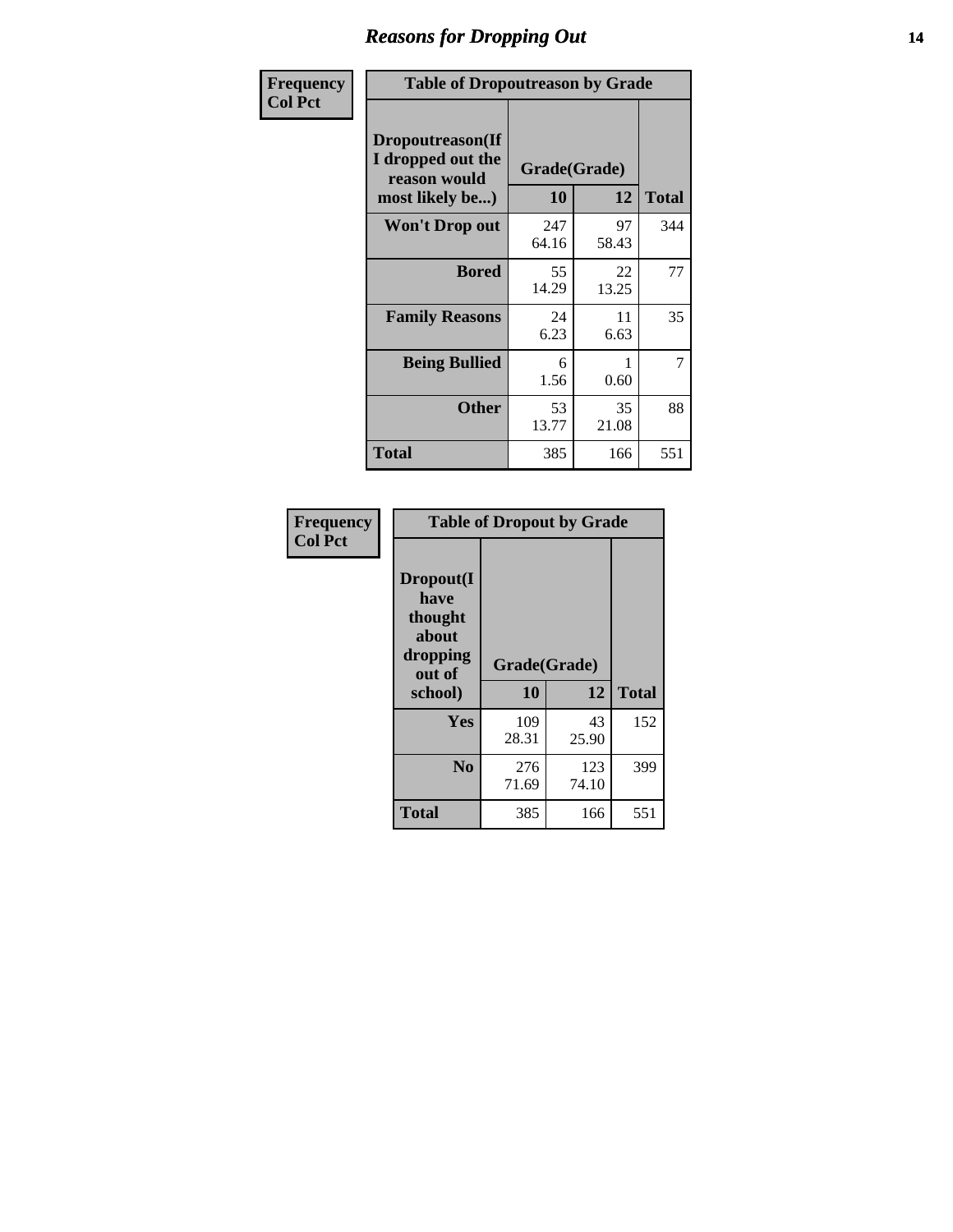### *Reasons for Dropping Out* **14**

| Frequency      |                                                                          | <b>Table of Dropoutreason by Grade</b> |                    |              |  |
|----------------|--------------------------------------------------------------------------|----------------------------------------|--------------------|--------------|--|
| <b>Col Pct</b> | Dropoutreason(If<br>I dropped out the<br>reason would<br>most likely be) | 10                                     | Grade(Grade)<br>12 | <b>Total</b> |  |
|                | <b>Won't Drop out</b>                                                    | 247<br>64.16                           | 97<br>58.43        | 344          |  |
|                | <b>Bored</b>                                                             | 55<br>14.29                            | 22<br>13.25        | 77           |  |
|                | <b>Family Reasons</b>                                                    | 24<br>6.23                             | 11<br>6.63         | 35           |  |
|                | <b>Being Bullied</b>                                                     | 6<br>1.56                              | 1<br>0.60          | 7            |  |
|                | <b>Other</b>                                                             | 53<br>13.77                            | 35<br>21.08        | 88           |  |
|                | <b>Total</b>                                                             | 385                                    | 166                | 551          |  |

| Frequency<br><b>Col Pct</b> | <b>Table of Dropout by Grade</b>                                       |                    |              |     |  |
|-----------------------------|------------------------------------------------------------------------|--------------------|--------------|-----|--|
|                             | Dropout(I<br>have<br>thought<br>about<br>dropping<br>out of<br>school) | Grade(Grade)<br>10 | <b>Total</b> |     |  |
|                             |                                                                        |                    | 12           |     |  |
|                             | Yes                                                                    | 109<br>28.31       | 43<br>25.90  | 152 |  |
|                             | N <sub>0</sub>                                                         | 276<br>71.69       | 123<br>74.10 | 399 |  |
|                             | <b>Total</b>                                                           | 385                | 166          | 551 |  |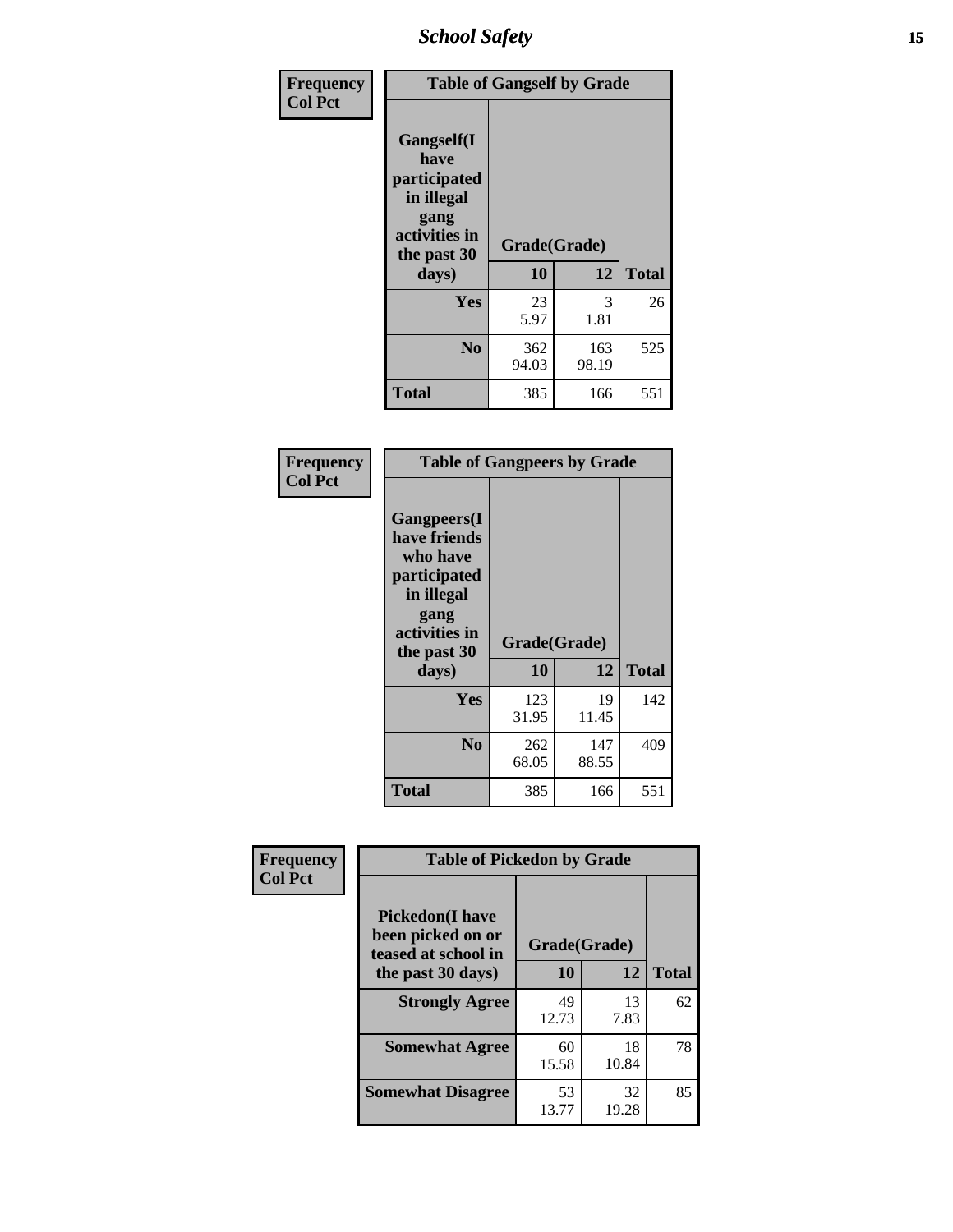*School Safety* **15**

| Frequency      | <b>Table of Gangself by Grade</b>                                                                 |                          |              |              |
|----------------|---------------------------------------------------------------------------------------------------|--------------------------|--------------|--------------|
| <b>Col Pct</b> | Gangself(I<br>have<br>participated<br>in illegal<br>gang<br>activities in<br>the past 30<br>days) | Grade(Grade)<br>10<br>12 |              | <b>Total</b> |
|                | Yes                                                                                               | 23<br>5.97               | 3<br>1.81    | 26           |
|                | N <sub>0</sub>                                                                                    | 362<br>94.03             | 163<br>98.19 | 525          |
|                | Total                                                                                             | 385                      | 166          | 551          |

| Frequency<br><b>Col Pct</b> | <b>Table of Gangpeers by Grade</b>                                                                                     |                    |              |              |  |
|-----------------------------|------------------------------------------------------------------------------------------------------------------------|--------------------|--------------|--------------|--|
|                             | Gangpeers(I<br>have friends<br>who have<br>participated<br>in illegal<br>gang<br>activities in<br>the past 30<br>days) | Grade(Grade)<br>10 | 12           | <b>Total</b> |  |
|                             | <b>Yes</b>                                                                                                             | 123<br>31.95       | 19<br>11.45  | 142          |  |
|                             | N <sub>0</sub>                                                                                                         | 262<br>68.05       | 147<br>88.55 | 409          |  |
|                             | Total                                                                                                                  | 385                | 166          | 551          |  |

| Frequency      | <b>Table of Pickedon by Grade</b>                                  |              |             |              |
|----------------|--------------------------------------------------------------------|--------------|-------------|--------------|
| <b>Col Pct</b> | <b>Pickedon(I have</b><br>been picked on or<br>teased at school in | Grade(Grade) |             |              |
|                | the past 30 days)                                                  | 10           | 12          | <b>Total</b> |
|                | <b>Strongly Agree</b>                                              | 49<br>12.73  | 13<br>7.83  | 62           |
|                | <b>Somewhat Agree</b>                                              | 60<br>15.58  | 18<br>10.84 | 78           |
|                | <b>Somewhat Disagree</b>                                           | 53<br>13.77  | 32<br>19.28 | 85           |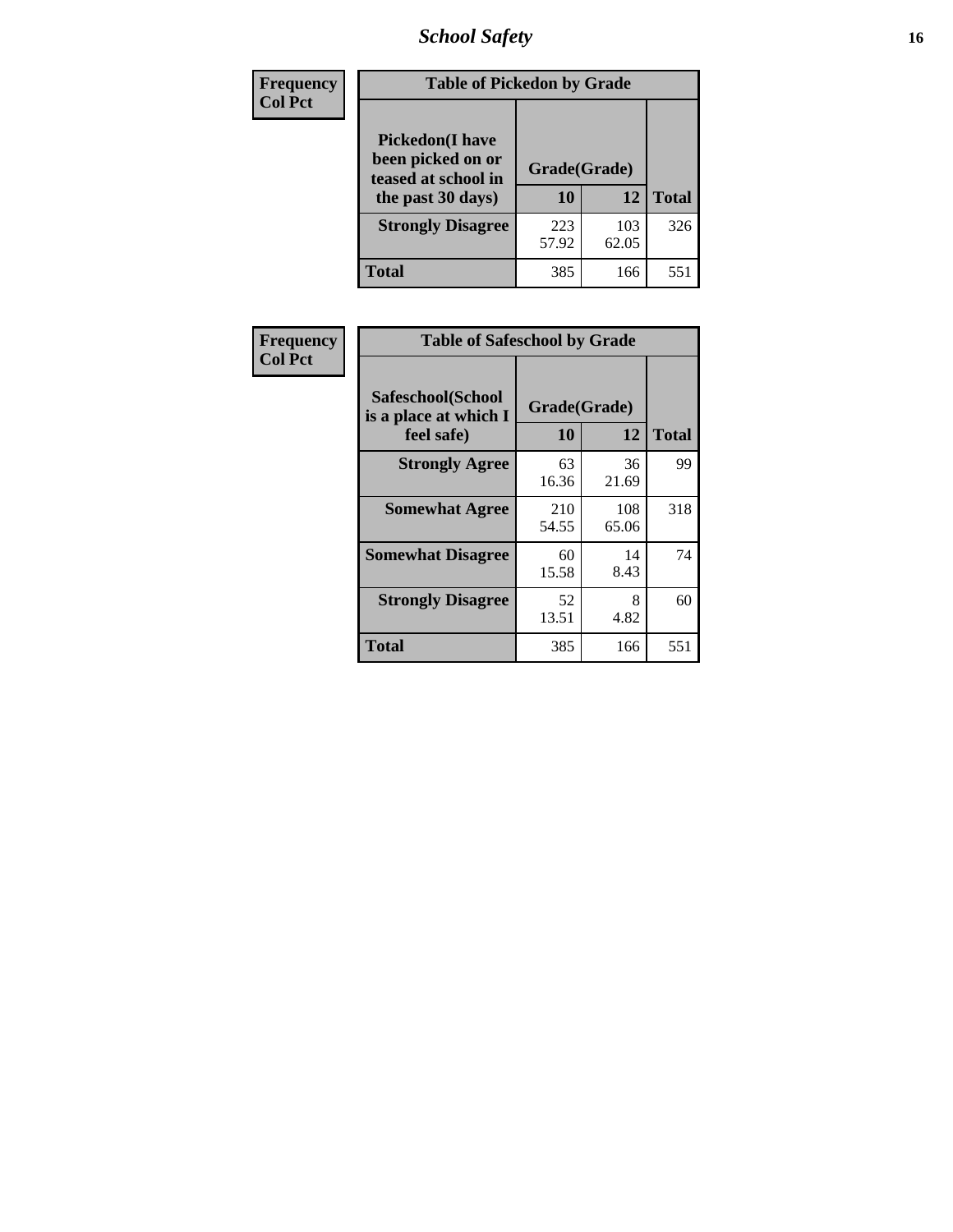# *School Safety* **16**

| <b>Frequency</b> | <b>Table of Pickedon by Grade</b>                                                        |                    |              |              |
|------------------|------------------------------------------------------------------------------------------|--------------------|--------------|--------------|
| <b>Col Pct</b>   | <b>Pickedon</b> (I have<br>been picked on or<br>teased at school in<br>the past 30 days) | Grade(Grade)<br>10 | 12           | <b>Total</b> |
|                  | <b>Strongly Disagree</b>                                                                 | 223<br>57.92       | 103<br>62.05 | 326          |
|                  | <b>Total</b>                                                                             | 385                | 166          | 551          |

| Frequency      | <b>Table of Safeschool by Grade</b>                      |                    |              |              |
|----------------|----------------------------------------------------------|--------------------|--------------|--------------|
| <b>Col Pct</b> | Safeschool(School<br>is a place at which I<br>feel safe) | Grade(Grade)<br>10 | 12           | <b>Total</b> |
|                | <b>Strongly Agree</b>                                    | 63<br>16.36        | 36<br>21.69  | 99           |
|                | <b>Somewhat Agree</b>                                    | 210<br>54.55       | 108<br>65.06 | 318          |
|                | <b>Somewhat Disagree</b>                                 | 60<br>15.58        | 14<br>8.43   | 74           |
|                | <b>Strongly Disagree</b>                                 | 52<br>13.51        | 8<br>4.82    | 60           |
|                | <b>Total</b>                                             | 385                | 166          | 551          |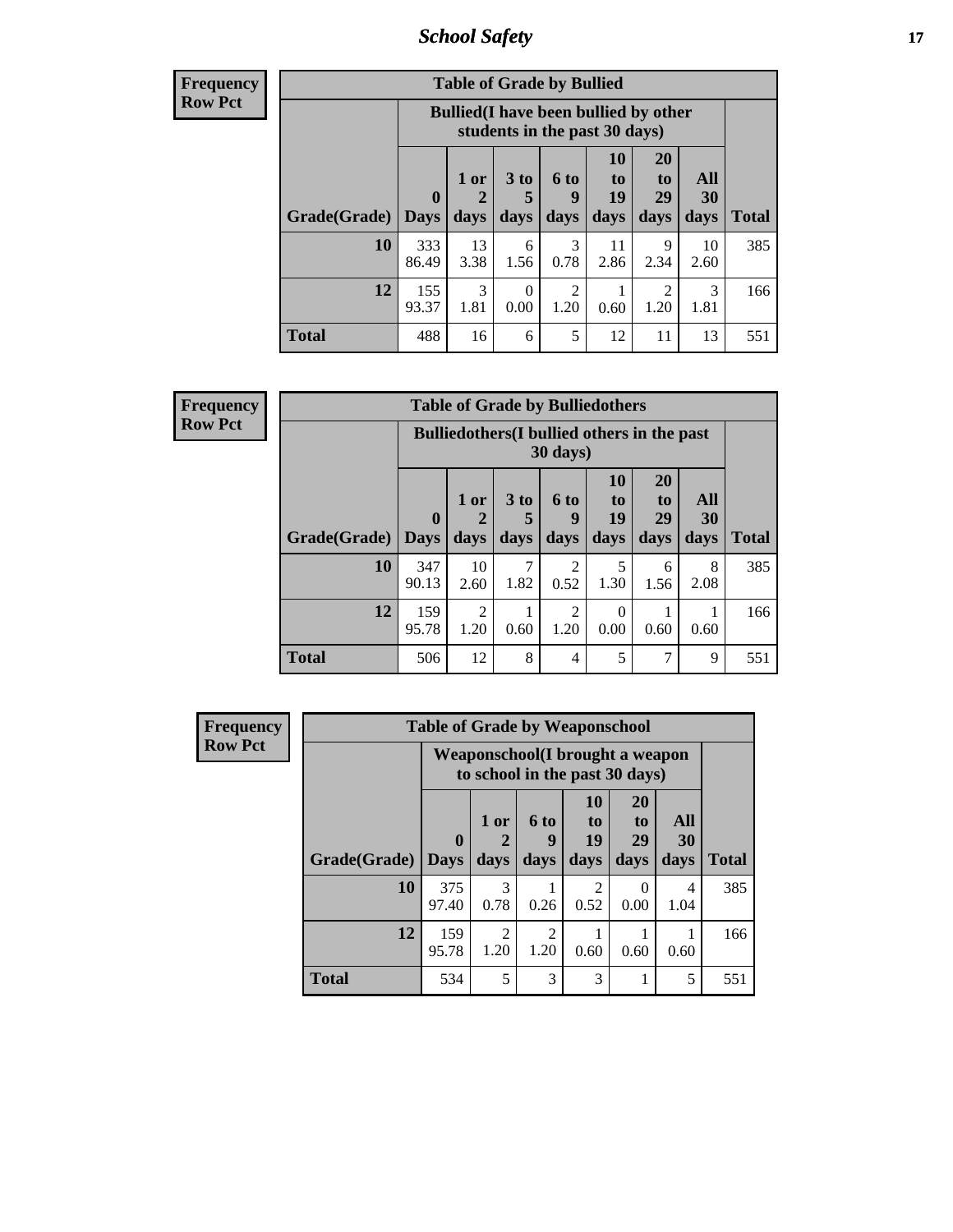*School Safety* **17**

| <b>Frequency</b> |
|------------------|
| Row Pct          |

| <b>Table of Grade by Bullied</b> |              |                                                                               |                      |           |                |                |            |              |  |  |  |  |
|----------------------------------|--------------|-------------------------------------------------------------------------------|----------------------|-----------|----------------|----------------|------------|--------------|--|--|--|--|
|                                  |              | <b>Bullied</b> (I have been bullied by other<br>students in the past 30 days) |                      |           |                |                |            |              |  |  |  |  |
|                                  | $\mathbf 0$  | $1$ or<br>2                                                                   | 3 <sub>to</sub><br>5 | 6 to<br>9 | 10<br>to<br>19 | 20<br>to<br>29 | All<br>30  |              |  |  |  |  |
| <b>Grade</b> (Grade)   Days      |              | days                                                                          | days                 | days      | days           | days           | days       | <b>Total</b> |  |  |  |  |
| 10                               | 333<br>86.49 | 13<br>3.38                                                                    | 6<br>1.56            | 3<br>0.78 | 11<br>2.86     | 9<br>2.34      | 10<br>2.60 | 385          |  |  |  |  |
| 12                               | 155<br>93.37 | 3<br>1.81                                                                     | $\Omega$<br>0.00     | 2<br>1.20 | 0.60           | 2<br>1.20      | 3<br>1.81  | 166          |  |  |  |  |
| <b>Total</b>                     | 488          | 16                                                                            | 6                    | 5         | 12             | 11             | 13         | 551          |  |  |  |  |

| Frequency      | <b>Table of Grade by Bulliedothers</b> |                                                                         |              |                         |                        |                               |                               |                   |              |  |  |  |  |
|----------------|----------------------------------------|-------------------------------------------------------------------------|--------------|-------------------------|------------------------|-------------------------------|-------------------------------|-------------------|--------------|--|--|--|--|
| <b>Row Pct</b> |                                        | <b>Bulliedothers</b> (I bullied others in the past<br>$30 \text{ days}$ |              |                         |                        |                               |                               |                   |              |  |  |  |  |
|                | Grade(Grade)   Days                    | $\mathbf{0}$                                                            | 1 or<br>days | 3 <sub>to</sub><br>days | <b>6 to</b><br>days    | <b>10</b><br>to<br>19<br>days | <b>20</b><br>to<br>29<br>days | All<br>30<br>days | <b>Total</b> |  |  |  |  |
|                | 10                                     | 347<br>90.13                                                            | 10<br>2.60   | 1.82                    | $\mathfrak{D}$<br>0.52 | 5<br>1.30                     | 6<br>1.56                     | 8<br>2.08         | 385          |  |  |  |  |
|                | 12                                     | 159<br>95.78                                                            | 2<br>1.20    | 0.60                    | $\mathfrak{D}$<br>1.20 | $\Omega$<br>0.00              | 0.60                          | 0.60              | 166          |  |  |  |  |
|                | <b>Total</b>                           | 506                                                                     | 12           | 8                       | $\overline{4}$         | 5                             | ┑                             | 9                 | 551          |  |  |  |  |

| <b>Frequency</b> |              | <b>Table of Grade by Weaponschool</b> |                                                                           |                                     |                                     |                                           |                   |              |  |  |  |  |
|------------------|--------------|---------------------------------------|---------------------------------------------------------------------------|-------------------------------------|-------------------------------------|-------------------------------------------|-------------------|--------------|--|--|--|--|
| <b>Row Pct</b>   |              |                                       | <b>Weaponschool</b> (I brought a weapon<br>to school in the past 30 days) |                                     |                                     |                                           |                   |              |  |  |  |  |
|                  | Grade(Grade) | $\bf{0}$<br><b>Days</b>               | 1 or<br>days                                                              | 6 to<br>9<br>days                   | <b>10</b><br>to<br>19<br>days       | <b>20</b><br>t <sub>0</sub><br>29<br>days | All<br>30<br>days | <b>Total</b> |  |  |  |  |
|                  | 10           | 375<br>97.40                          | 3<br>0.78                                                                 | 0.26                                | $\mathcal{D}_{\mathcal{L}}$<br>0.52 | 0<br>0.00                                 | 4<br>1.04         | 385          |  |  |  |  |
|                  | 12           | 159<br>95.78                          | $\mathfrak{D}$<br>1.20                                                    | $\mathcal{D}_{\mathcal{A}}$<br>1.20 | 0.60                                | 0.60                                      | 0.60              | 166          |  |  |  |  |
|                  | <b>Total</b> | 534                                   | 5                                                                         | 3                                   | 3                                   |                                           | 5                 | 551          |  |  |  |  |

ï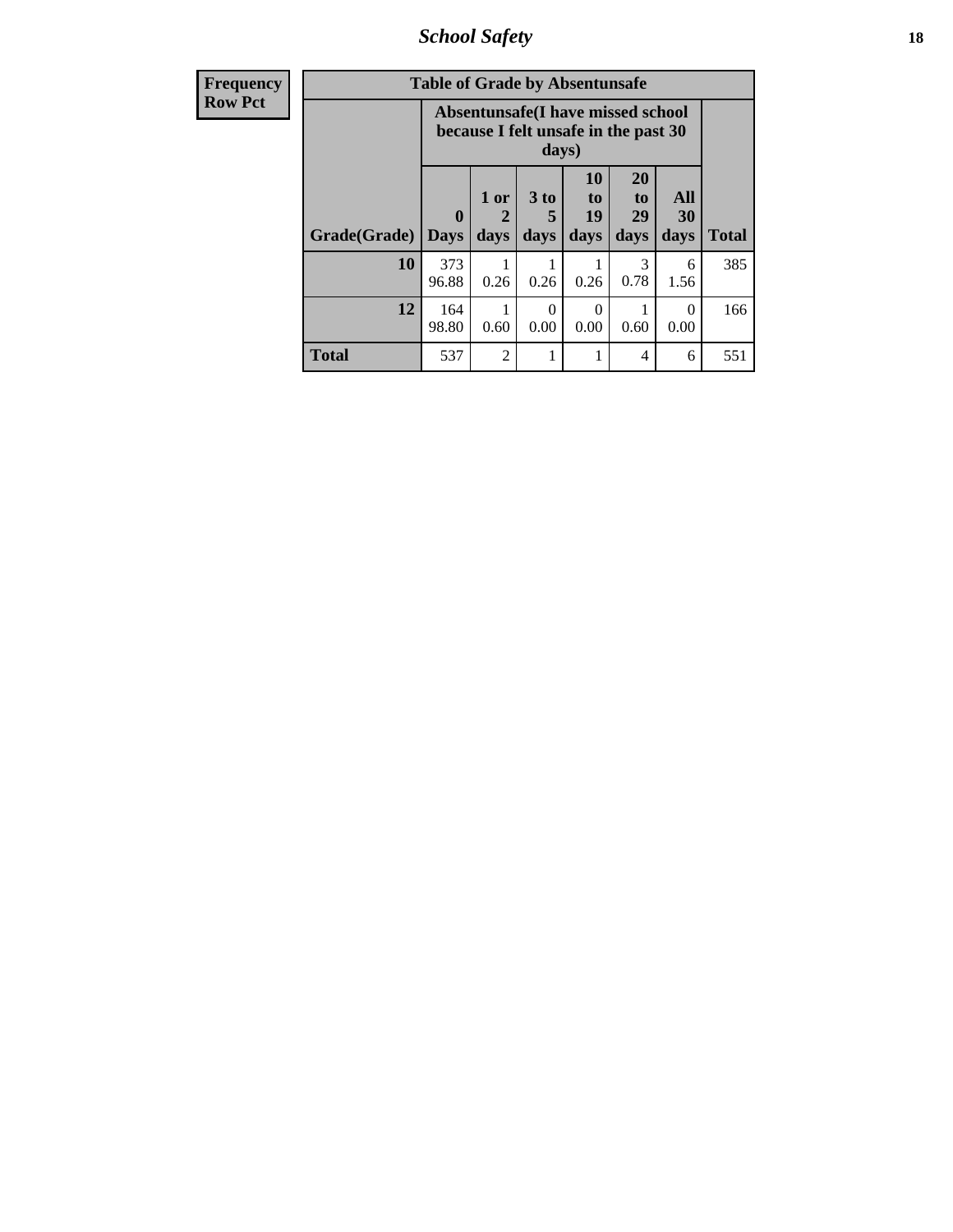*School Safety* **18**

| <b>Frequency</b> | <b>Table of Grade by Absentunsafe</b> |                            |                                                                           |                              |                               |                                           |                   |              |  |  |
|------------------|---------------------------------------|----------------------------|---------------------------------------------------------------------------|------------------------------|-------------------------------|-------------------------------------------|-------------------|--------------|--|--|
| <b>Row Pct</b>   |                                       |                            | Absentunsafe(I have missed school<br>because I felt unsafe in the past 30 | days)                        |                               |                                           |                   |              |  |  |
|                  | Grade(Grade)                          | $\mathbf 0$<br><b>Days</b> | 1 or<br>$\mathbf 2$<br>days                                               | 3 <sub>to</sub><br>5<br>days | <b>10</b><br>to<br>19<br>days | <b>20</b><br>t <sub>0</sub><br>29<br>days | All<br>30<br>days | <b>Total</b> |  |  |
|                  | 10                                    | 373<br>96.88               | 0.26                                                                      | 0.26                         | 0.26                          | 0.78                                      | 6<br>1.56         | 385          |  |  |
|                  | 12                                    | 164<br>98.80               | 0.60                                                                      | 0<br>0.00                    | 0<br>0.00                     | 0.60                                      | $\Omega$<br>0.00  | 166          |  |  |
|                  | <b>Total</b>                          | 537                        | $\overline{c}$                                                            |                              |                               | 4                                         | 6                 | 551          |  |  |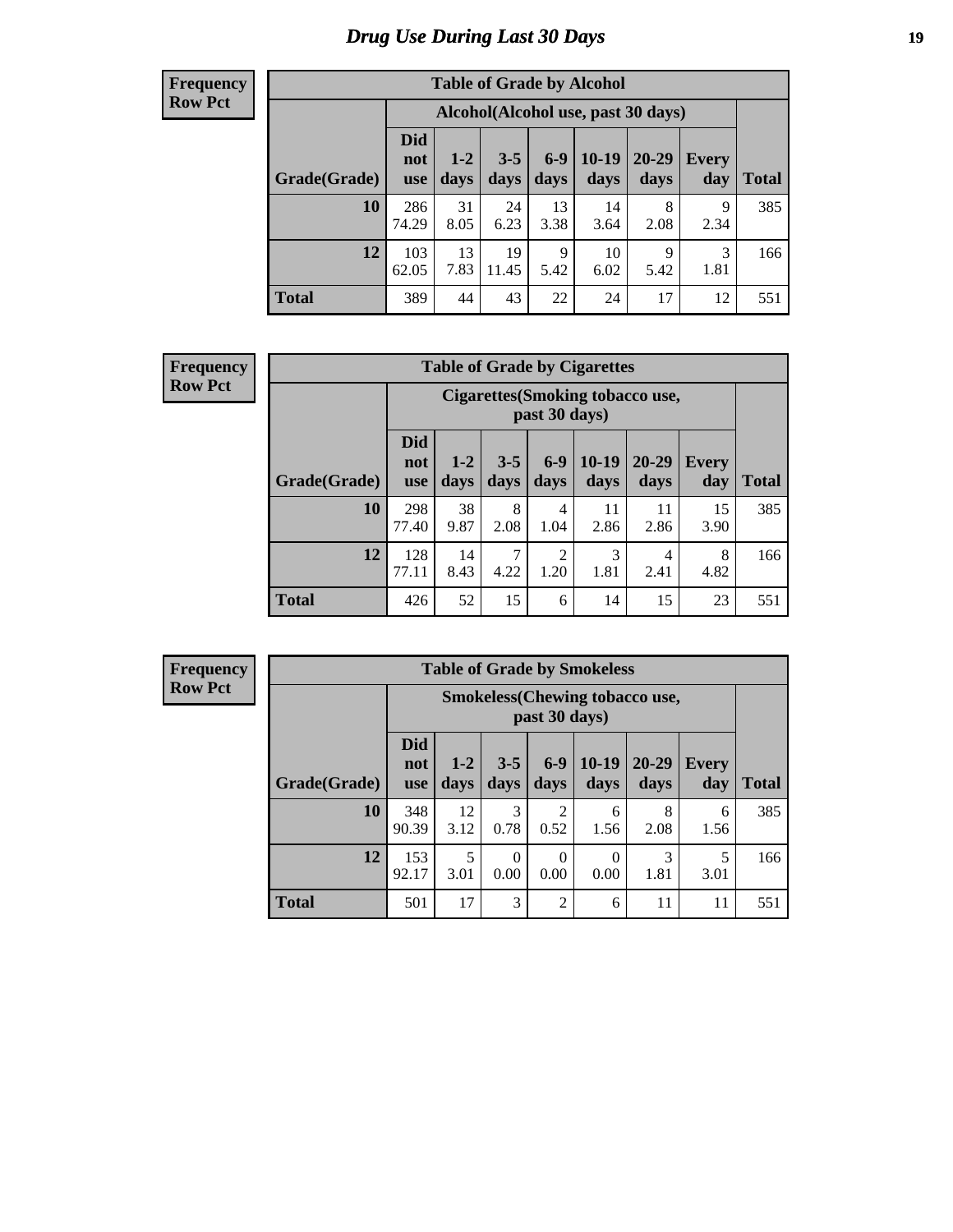# *Drug Use During Last 30 Days* **19**

#### **Frequency Row Pct**

| <b>Table of Grade by Alcohol</b> |                          |                                     |                 |               |               |               |                     |       |  |  |  |  |
|----------------------------------|--------------------------|-------------------------------------|-----------------|---------------|---------------|---------------|---------------------|-------|--|--|--|--|
|                                  |                          | Alcohol (Alcohol use, past 30 days) |                 |               |               |               |                     |       |  |  |  |  |
| Grade(Grade)                     | <b>Did</b><br>not<br>use | $1 - 2$<br>days                     | $3 - 5$<br>days | $6-9$<br>days | 10-19<br>days | 20-29<br>days | <b>Every</b><br>day | Total |  |  |  |  |
| 10                               | 286<br>74.29             | 31<br>8.05                          | 24<br>6.23      | 13<br>3.38    | 14<br>3.64    | 8<br>2.08     | 9<br>2.34           | 385   |  |  |  |  |
| 12                               | 103<br>62.05             | 13<br>7.83                          | 19<br>11.45     | 9<br>5.42     | 10<br>6.02    | 9<br>5.42     | 3<br>1.81           | 166   |  |  |  |  |
| <b>Total</b>                     | 389                      | 44                                  | 43              | 22            | 24            | 17            | 12                  | 551   |  |  |  |  |

#### **Frequency Row Pct**

| <b>Table of Grade by Cigarettes</b> |                                 |                                                   |                 |                        |                 |                   |                     |              |  |  |  |
|-------------------------------------|---------------------------------|---------------------------------------------------|-----------------|------------------------|-----------------|-------------------|---------------------|--------------|--|--|--|
|                                     |                                 | Cigarettes (Smoking tobacco use,<br>past 30 days) |                 |                        |                 |                   |                     |              |  |  |  |
| Grade(Grade)                        | <b>Did</b><br>not<br><b>use</b> | $1 - 2$<br>days                                   | $3 - 5$<br>days | $6-9$<br>days          | $10-19$<br>days | $20 - 29$<br>days | <b>Every</b><br>day | <b>Total</b> |  |  |  |
| 10                                  | 298<br>77.40                    | 38<br>9.87                                        | 8<br>2.08       | $\overline{4}$<br>1.04 | 11<br>2.86      | 11<br>2.86        | 15<br>3.90          | 385          |  |  |  |
| 12                                  | 128<br>77.11                    | 14<br>8.43                                        | 7<br>4.22       | $\overline{2}$<br>1.20 | 3<br>1.81       | 4<br>2.41         | 8<br>4.82           | 166          |  |  |  |
| <b>Total</b>                        | 426                             | 52                                                | 15              | 6                      | 14              | 15                | 23                  | 551          |  |  |  |

| <b>Table of Grade by Smokeless</b> |                                 |                                                         |                 |                       |                 |                   |              |              |  |  |  |  |
|------------------------------------|---------------------------------|---------------------------------------------------------|-----------------|-----------------------|-----------------|-------------------|--------------|--------------|--|--|--|--|
|                                    |                                 | <b>Smokeless</b> (Chewing tobacco use,<br>past 30 days) |                 |                       |                 |                   |              |              |  |  |  |  |
| Grade(Grade)                       | <b>Did</b><br>not<br><b>use</b> | $1 - 2$<br>days                                         | $3 - 5$<br>days | $6-9$<br>days         | $10-19$<br>days | $20 - 29$<br>days | Every<br>day | <b>Total</b> |  |  |  |  |
| 10                                 | 348<br>90.39                    | 12<br>3.12                                              | 3<br>0.78       | $\mathcal{D}$<br>0.52 | 6<br>1.56       | 8<br>2.08         | 6<br>1.56    | 385          |  |  |  |  |
| 12                                 | 153<br>92.17                    | 5<br>3.01                                               | 0<br>0.00       | $\Omega$<br>0.00      | 0<br>0.00       | 3<br>1.81         | 5<br>3.01    | 166          |  |  |  |  |
| <b>Total</b>                       | 501                             | 17                                                      | 3               | $\overline{2}$        | 6               | 11                | 11           | 551          |  |  |  |  |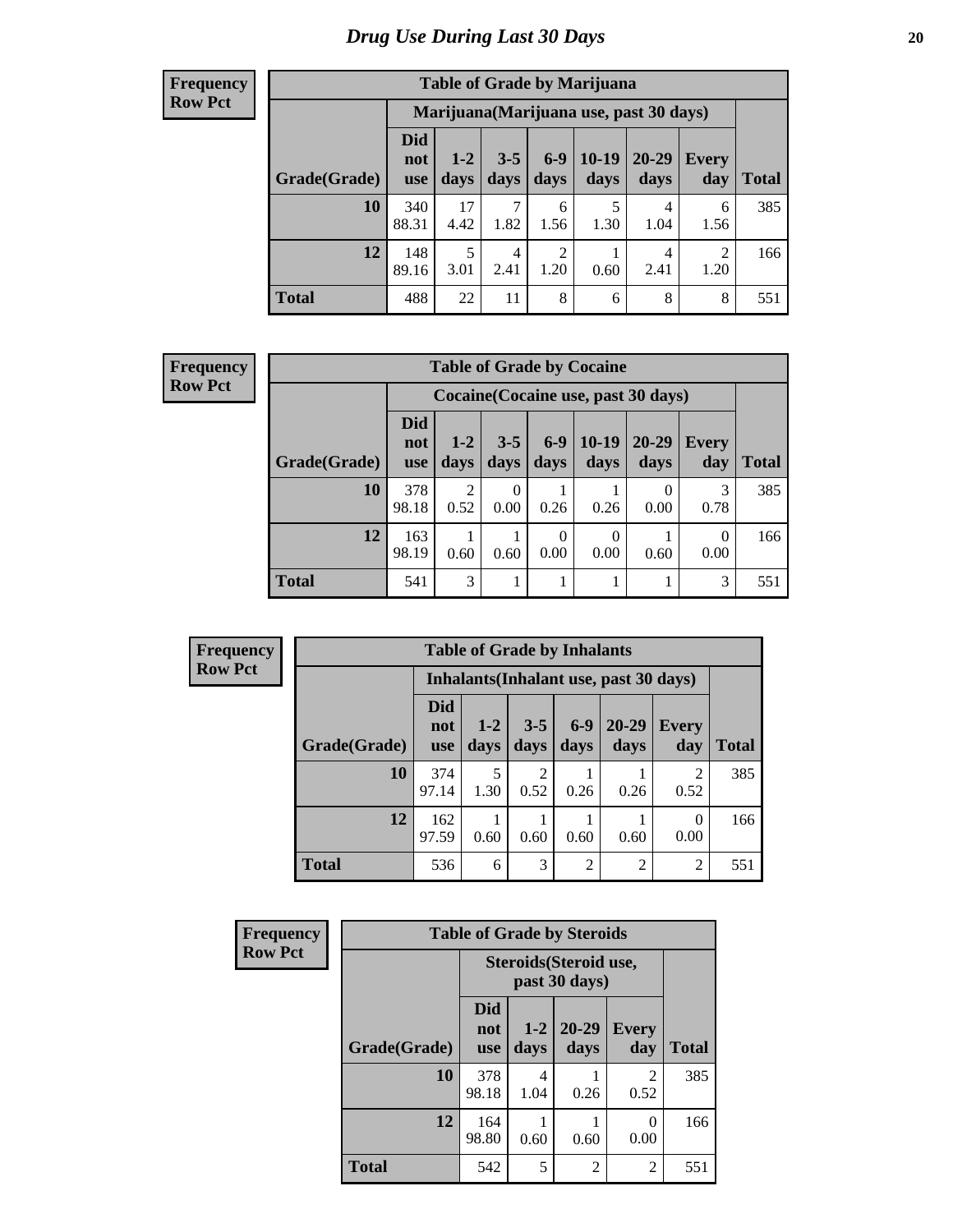#### **Frequency Row Pct**

| <b>Table of Grade by Marijuana</b> |                                 |                                         |                 |                        |                 |               |                        |       |  |  |  |  |
|------------------------------------|---------------------------------|-----------------------------------------|-----------------|------------------------|-----------------|---------------|------------------------|-------|--|--|--|--|
|                                    |                                 | Marijuana (Marijuana use, past 30 days) |                 |                        |                 |               |                        |       |  |  |  |  |
| Grade(Grade)                       | <b>Did</b><br>not<br><b>use</b> | $1 - 2$<br>days                         | $3 - 5$<br>days | $6-9$<br>days          | $10-19$<br>days | 20-29<br>days | Every<br>day           | Total |  |  |  |  |
| 10                                 | 340<br>88.31                    | 17<br>4.42                              | 1.82            | 6<br>1.56              | 5<br>1.30       | 4<br>1.04     | 6<br>1.56              | 385   |  |  |  |  |
| 12                                 | 148<br>89.16                    | 5<br>3.01                               | 4<br>2.41       | $\overline{2}$<br>1.20 | 0.60            | 4<br>2.41     | $\overline{2}$<br>1.20 | 166   |  |  |  |  |
| <b>Total</b>                       | 488                             | 22                                      | 11              | 8                      | 6               | 8             | 8                      | 551   |  |  |  |  |

| <b>Table of Grade by Cocaine</b> |                          |                                     |                 |                  |                 |                   |                     |       |  |  |
|----------------------------------|--------------------------|-------------------------------------|-----------------|------------------|-----------------|-------------------|---------------------|-------|--|--|
|                                  |                          | Cocaine (Cocaine use, past 30 days) |                 |                  |                 |                   |                     |       |  |  |
| Grade(Grade)                     | Did<br>not<br><b>use</b> | $1 - 2$<br>days                     | $3 - 5$<br>days | $6 - 9$<br>days  | $10-19$<br>days | $20 - 29$<br>days | <b>Every</b><br>day | Total |  |  |
| 10                               | 378<br>98.18             | $\overline{2}$<br>0.52              | 0<br>0.00       | 0.26             | 0.26            | 0.00              | 0.78                | 385   |  |  |
| 12                               | 163<br>98.19             | 0.60                                | 0.60            | $\Omega$<br>0.00 | 0<br>0.00       | 0.60              | $\theta$<br>0.00    | 166   |  |  |
| <b>Total</b>                     | 541                      | 3                                   |                 |                  |                 |                   | 3                   | 551   |  |  |

| Frequency      | <b>Table of Grade by Inhalants</b> |                                 |                 |                 |               |                                        |                     |              |  |  |
|----------------|------------------------------------|---------------------------------|-----------------|-----------------|---------------|----------------------------------------|---------------------|--------------|--|--|
| <b>Row Pct</b> |                                    |                                 |                 |                 |               | Inhalants (Inhalant use, past 30 days) |                     |              |  |  |
|                | Grade(Grade)                       | <b>Did</b><br>not<br><b>use</b> | $1 - 2$<br>days | $3 - 5$<br>days | $6-9$<br>days | $20 - 29$<br>days                      | <b>Every</b><br>day | <b>Total</b> |  |  |
|                | 10                                 | 374<br>97.14                    | 5<br>1.30       | C<br>0.52       | 0.26          | 0.26                                   | 2<br>0.52           | 385          |  |  |
|                | 12                                 | 162<br>97.59                    | 0.60            | 0.60            | 0.60          | 0.60                                   | $\Omega$<br>0.00    | 166          |  |  |
|                | <b>Total</b>                       | 536                             | 6               | 3               | 2             | $\overline{2}$                         | 2                   | 551          |  |  |

| Frequency      | <b>Table of Grade by Steroids</b> |                                 |                                         |                   |                     |              |  |  |  |  |
|----------------|-----------------------------------|---------------------------------|-----------------------------------------|-------------------|---------------------|--------------|--|--|--|--|
| <b>Row Pct</b> |                                   |                                 | Steroids (Steroid use,<br>past 30 days) |                   |                     |              |  |  |  |  |
|                | Grade(Grade)                      | <b>Did</b><br>not<br><b>use</b> | $1 - 2$<br>days                         | $20 - 29$<br>days | <b>Every</b><br>day | <b>Total</b> |  |  |  |  |
|                | 10                                | 378<br>98.18                    | 4<br>1.04                               | 0.26              | 2<br>0.52           | 385          |  |  |  |  |
|                | 12                                | 164<br>98.80                    | 0.60                                    | 0.60              | $\theta$<br>0.00    | 166          |  |  |  |  |
|                | <b>Total</b>                      | 542                             | 5                                       | 2                 | $\overline{2}$      | 551          |  |  |  |  |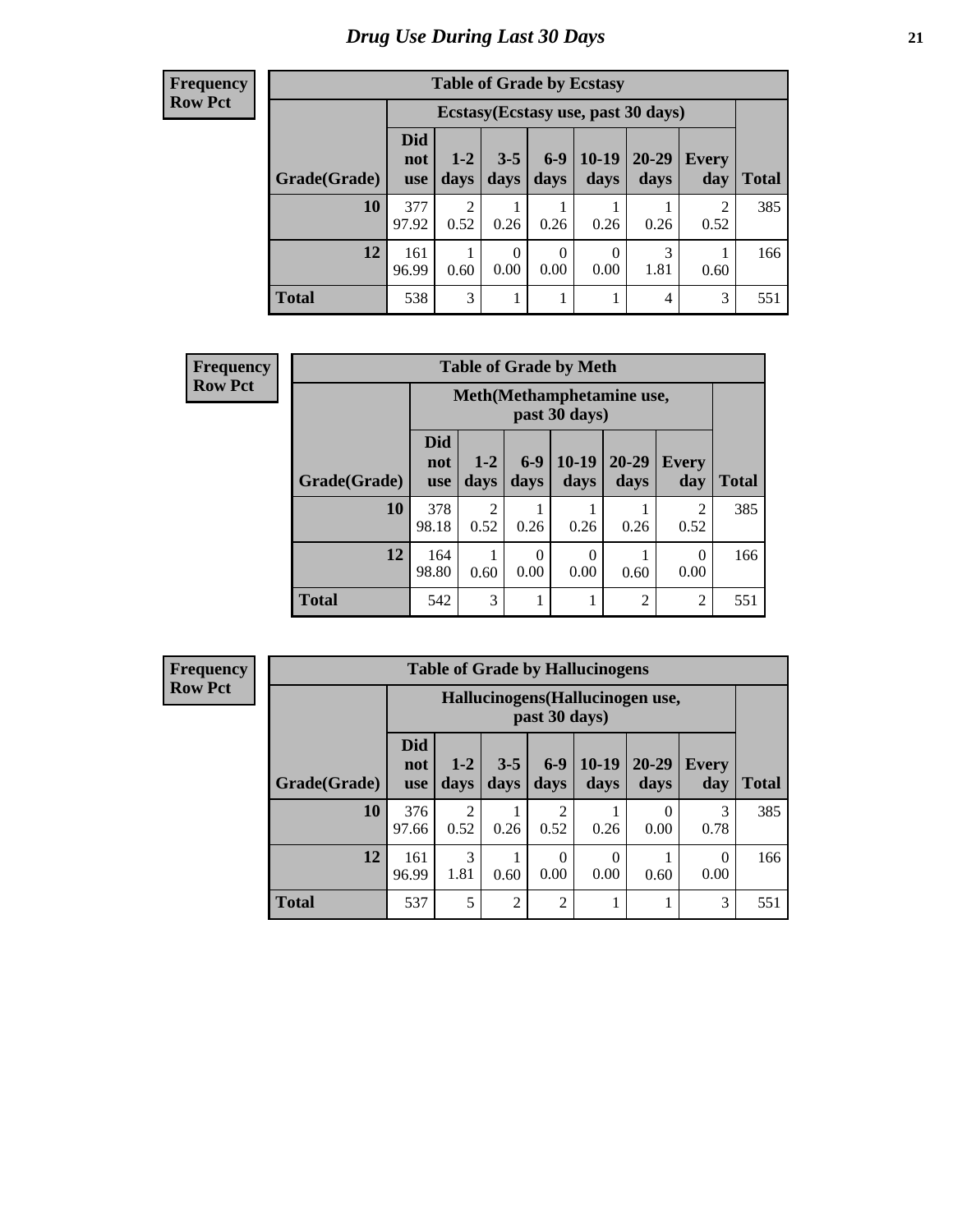#### **Frequency Row Pct**

| <b>Table of Grade by Ecstasy</b> |                          |                                     |                 |                        |                  |               |                        |       |  |
|----------------------------------|--------------------------|-------------------------------------|-----------------|------------------------|------------------|---------------|------------------------|-------|--|
|                                  |                          | Ecstasy (Ecstasy use, past 30 days) |                 |                        |                  |               |                        |       |  |
| Grade(Grade)                     | Did<br>not<br><b>use</b> | $1 - 2$<br>days                     | $3 - 5$<br>days | $6 - 9$<br>days        | $10-19$<br>days  | 20-29<br>days | Every<br>day           | Total |  |
| 10                               | 377<br>97.92             | 2<br>0.52                           | 0.26            | 0.26                   | 0.26             | 0.26          | $\overline{2}$<br>0.52 | 385   |  |
| 12                               | 161<br>96.99             | 0.60                                | 0<br>0.00       | $\overline{0}$<br>0.00 | $\theta$<br>0.00 | 3<br>1.81     | 0.60                   | 166   |  |
| <b>Total</b>                     | 538                      | 3                                   |                 | 1                      |                  | 4             | 3                      | 551   |  |

| <b>Frequency</b> |              | <b>Table of Grade by Meth</b> |                 |               |                  |                   |                     |              |  |  |
|------------------|--------------|-------------------------------|-----------------|---------------|------------------|-------------------|---------------------|--------------|--|--|
| <b>Row Pct</b>   |              | Meth (Methamphetamine use,    |                 |               |                  |                   |                     |              |  |  |
|                  | Grade(Grade) | <b>Did</b><br>not<br>use      | $1 - 2$<br>days | $6-9$<br>days | $10-19$<br>days  | $20 - 29$<br>days | <b>Every</b><br>day | <b>Total</b> |  |  |
|                  | 10           | 378<br>98.18                  | 2<br>0.52       | 0.26          | 0.26             | 0.26              | 2<br>0.52           | 385          |  |  |
|                  | 12           | 164<br>98.80                  | 0.60            | 0<br>0.00     | $\Omega$<br>0.00 | 0.60              | $\theta$<br>0.00    | 166          |  |  |
|                  | <b>Total</b> | 542                           | 3               |               |                  | $\mathfrak{D}$    | $\overline{c}$      | 551          |  |  |

| <b>Table of Grade by Hallucinogens</b> |                                 |                                                   |                 |                        |                 |                   |                     |              |  |
|----------------------------------------|---------------------------------|---------------------------------------------------|-----------------|------------------------|-----------------|-------------------|---------------------|--------------|--|
|                                        |                                 | Hallucinogens (Hallucinogen use,<br>past 30 days) |                 |                        |                 |                   |                     |              |  |
| Grade(Grade)                           | <b>Did</b><br>not<br><b>use</b> | $1-2$<br>days                                     | $3 - 5$<br>days | $6-9$<br>days          | $10-19$<br>days | $20 - 29$<br>days | <b>Every</b><br>day | <b>Total</b> |  |
| 10                                     | 376<br>97.66                    | $\mathfrak{D}$<br>0.52                            | 0.26            | $\mathfrak{D}$<br>0.52 | 0.26            | $\Omega$<br>0.00  | 3<br>0.78           | 385          |  |
| 12                                     | 161<br>96.99                    | 3<br>1.81                                         | 0.60            | $\Omega$<br>0.00       | 0<br>0.00       | 0.60              | 0<br>0.00           | 166          |  |
| <b>Total</b>                           | 537                             | 5                                                 | $\overline{2}$  | $\overline{2}$         |                 |                   | 3                   | 551          |  |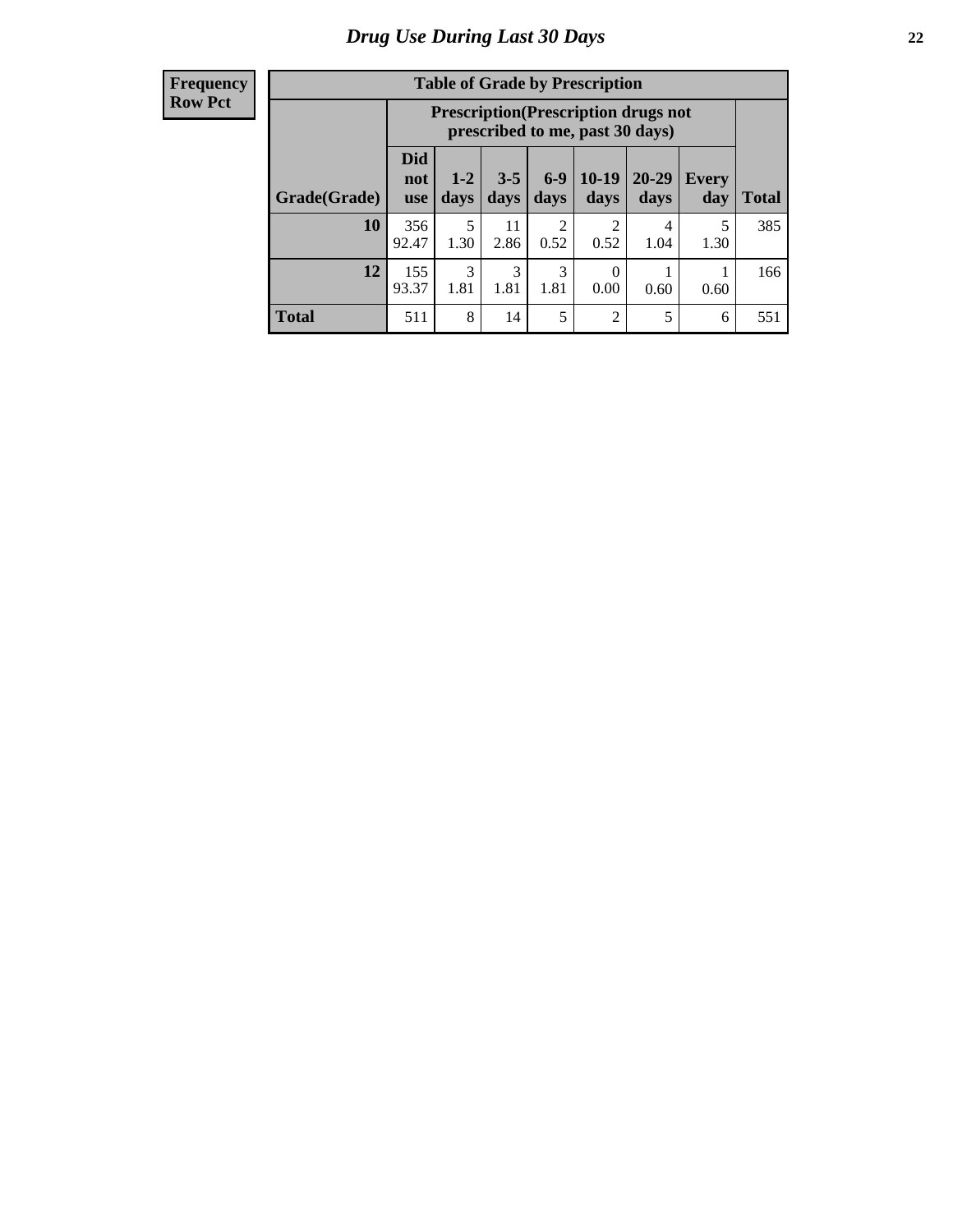| <b>Table of Grade by Prescription</b> |                                 |                                                                                |                 |                        |                 |                   |              |       |  |
|---------------------------------------|---------------------------------|--------------------------------------------------------------------------------|-----------------|------------------------|-----------------|-------------------|--------------|-------|--|
|                                       |                                 | <b>Prescription</b> (Prescription drugs not<br>prescribed to me, past 30 days) |                 |                        |                 |                   |              |       |  |
| Grade(Grade)                          | <b>Did</b><br>not<br><b>use</b> | $1 - 2$<br>days                                                                | $3 - 5$<br>days | $6-9$<br>days          | $10-19$<br>days | $20 - 29$<br>days | Every<br>day | Total |  |
| 10                                    | 356<br>92.47                    | 5<br>1.30                                                                      | 11<br>2.86      | $\overline{2}$<br>0.52 | 2<br>0.52       | 4<br>1.04         | 5<br>1.30    | 385   |  |
| 12                                    | 155<br>93.37                    | 3<br>1.81                                                                      | 3<br>1.81       | 3<br>1.81              | 0<br>0.00       | 0.60              | 0.60         | 166   |  |
| <b>Total</b>                          | 511                             | 8                                                                              | 14              | 5                      | $\overline{2}$  | 5                 | 6            | 551   |  |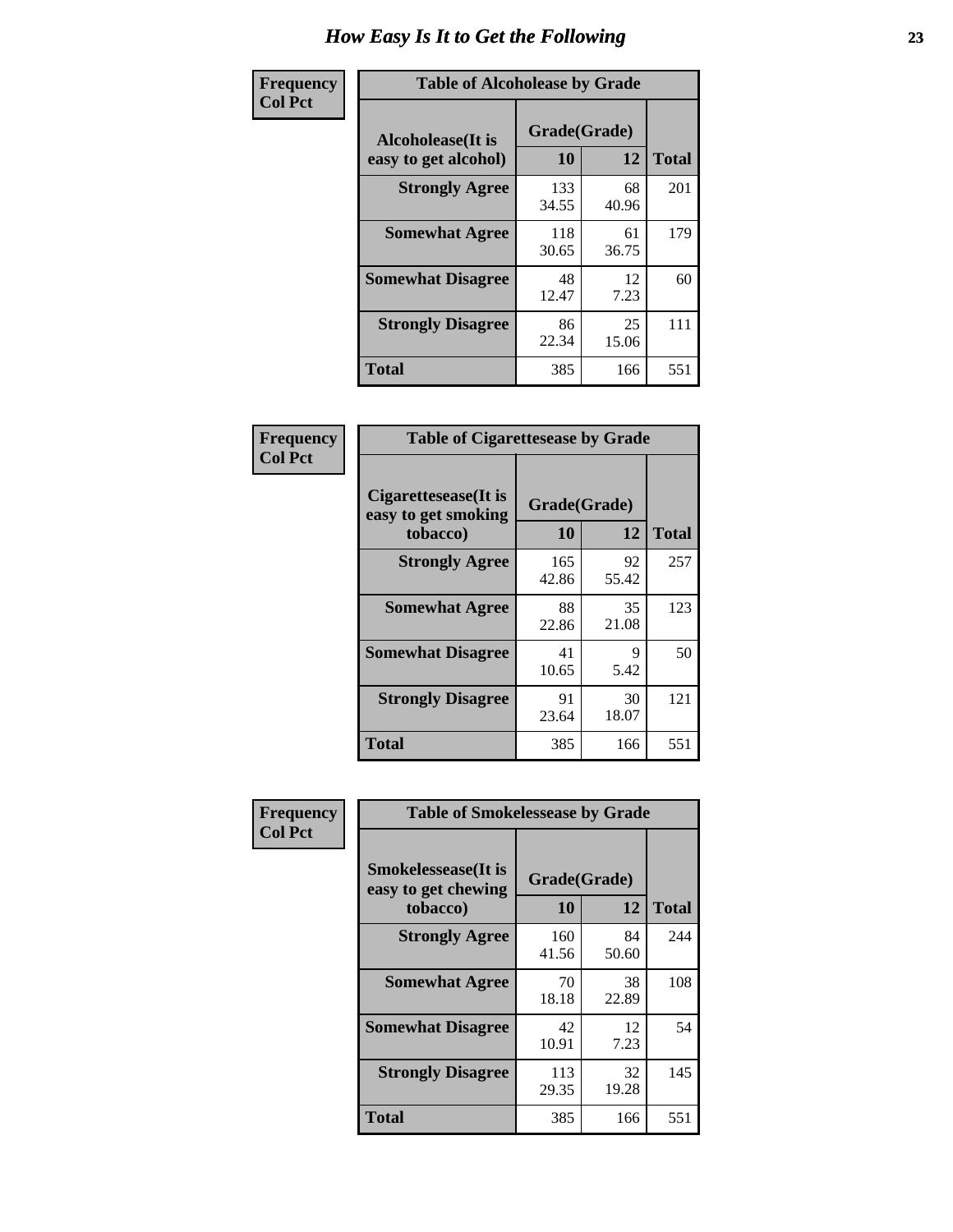| Frequency      | <b>Table of Alcoholease by Grade</b>              |                    |             |              |  |  |  |  |  |
|----------------|---------------------------------------------------|--------------------|-------------|--------------|--|--|--|--|--|
| <b>Col Pct</b> | <b>Alcoholease</b> (It is<br>easy to get alcohol) | Grade(Grade)<br>10 | 12          | <b>Total</b> |  |  |  |  |  |
|                | <b>Strongly Agree</b>                             | 133<br>34.55       | 68<br>40.96 | 201          |  |  |  |  |  |
|                | <b>Somewhat Agree</b>                             | 118<br>30.65       | 61<br>36.75 | 179          |  |  |  |  |  |
|                | <b>Somewhat Disagree</b>                          | 48<br>12.47        | 12<br>7.23  | 60           |  |  |  |  |  |
|                | <b>Strongly Disagree</b>                          | 86<br>22.34        | 25<br>15.06 | 111          |  |  |  |  |  |
|                | <b>Total</b>                                      | 385                | 166         | 551          |  |  |  |  |  |

| Frequency      | <b>Table of Cigarettesease by Grade</b>                 |                    |             |              |  |  |  |
|----------------|---------------------------------------------------------|--------------------|-------------|--------------|--|--|--|
| <b>Col Pct</b> | Cigarettesease(It is<br>easy to get smoking<br>tobacco) | Grade(Grade)<br>10 | 12          | <b>Total</b> |  |  |  |
|                | <b>Strongly Agree</b>                                   | 165<br>42.86       | 92<br>55.42 | 257          |  |  |  |
|                | <b>Somewhat Agree</b>                                   | 88<br>22.86        | 35<br>21.08 | 123          |  |  |  |
|                | <b>Somewhat Disagree</b>                                | 41<br>10.65        | 9<br>5.42   | 50           |  |  |  |
|                | <b>Strongly Disagree</b>                                | 91<br>23.64        | 30<br>18.07 | 121          |  |  |  |
|                | <b>Total</b>                                            | 385                | 166         | 551          |  |  |  |

| Frequency      | <b>Table of Smokelessease by Grade</b>                         |                    |              |     |  |  |  |  |  |
|----------------|----------------------------------------------------------------|--------------------|--------------|-----|--|--|--|--|--|
| <b>Col Pct</b> | <b>Smokelessease</b> (It is<br>easy to get chewing<br>tobacco) | Grade(Grade)<br>10 | <b>Total</b> |     |  |  |  |  |  |
|                | <b>Strongly Agree</b>                                          | 160<br>41.56       | 84<br>50.60  | 244 |  |  |  |  |  |
|                | <b>Somewhat Agree</b>                                          | 70<br>18.18        | 38<br>22.89  | 108 |  |  |  |  |  |
|                | <b>Somewhat Disagree</b>                                       | 42<br>10.91        | 12<br>7.23   | 54  |  |  |  |  |  |
|                | <b>Strongly Disagree</b>                                       | 113<br>29.35       | 32<br>19.28  | 145 |  |  |  |  |  |
|                | <b>Total</b>                                                   | 385                | 166          | 551 |  |  |  |  |  |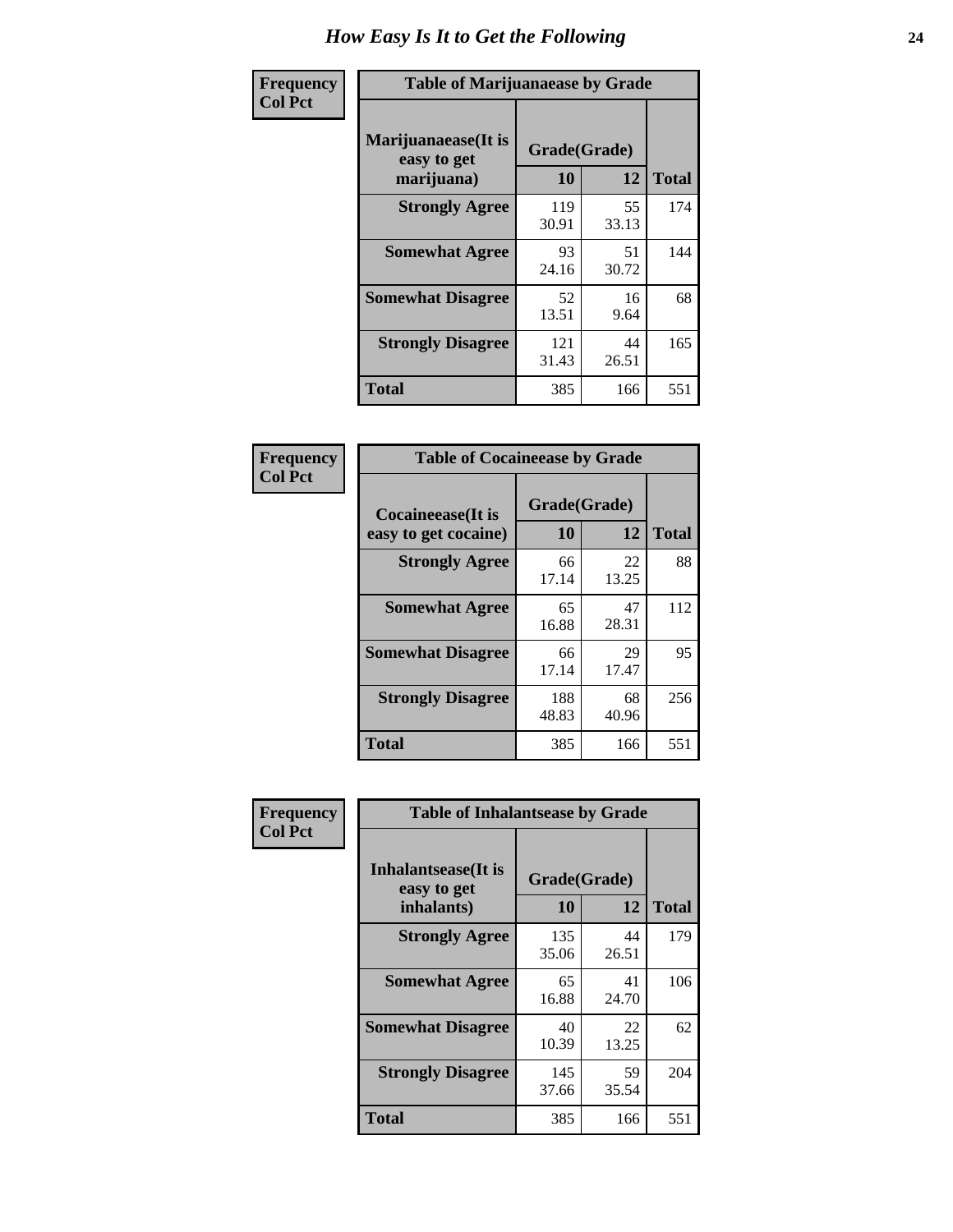| Frequency      | <b>Table of Marijuanaease by Grade</b>           |                    |             |              |  |  |  |  |
|----------------|--------------------------------------------------|--------------------|-------------|--------------|--|--|--|--|
| <b>Col Pct</b> | Marijuanaease(It is<br>easy to get<br>marijuana) | Grade(Grade)<br>10 | 12          | <b>Total</b> |  |  |  |  |
|                | <b>Strongly Agree</b>                            | 119<br>30.91       | 55<br>33.13 | 174          |  |  |  |  |
|                | <b>Somewhat Agree</b>                            | 93<br>24.16        | 51<br>30.72 | 144          |  |  |  |  |
|                | <b>Somewhat Disagree</b>                         | 52<br>13.51        | 16<br>9.64  | 68           |  |  |  |  |
|                | <b>Strongly Disagree</b>                         | 121<br>31.43       | 44<br>26.51 | 165          |  |  |  |  |
|                | <b>Total</b>                                     | 385                | 166         | 551          |  |  |  |  |

| <b>Table of Cocaineease by Grade</b>      |              |                    |     |  |  |  |  |  |
|-------------------------------------------|--------------|--------------------|-----|--|--|--|--|--|
| Cocaineease(It is<br>easy to get cocaine) | 10           | Grade(Grade)<br>12 |     |  |  |  |  |  |
| <b>Strongly Agree</b>                     | 66<br>17.14  | 22<br>13.25        | 88  |  |  |  |  |  |
| <b>Somewhat Agree</b>                     | 65<br>16.88  | 47<br>28.31        | 112 |  |  |  |  |  |
| <b>Somewhat Disagree</b>                  | 66<br>17.14  | 29<br>17.47        | 95  |  |  |  |  |  |
| <b>Strongly Disagree</b>                  | 188<br>48.83 | 68<br>40.96        | 256 |  |  |  |  |  |
| <b>Total</b>                              | 385          | 166                | 551 |  |  |  |  |  |

| Frequency      | <b>Table of Inhalantsease by Grade</b>                   |                           |             |              |
|----------------|----------------------------------------------------------|---------------------------|-------------|--------------|
| <b>Col Pct</b> | <b>Inhalantsease</b> (It is<br>easy to get<br>inhalants) | Grade(Grade)<br><b>10</b> | 12          | <b>Total</b> |
|                | <b>Strongly Agree</b>                                    | 135<br>35.06              | 44<br>26.51 | 179          |
|                | <b>Somewhat Agree</b>                                    | 65<br>16.88               | 41<br>24.70 | 106          |
|                | <b>Somewhat Disagree</b>                                 | 40<br>10.39               | 22<br>13.25 | 62           |
|                | <b>Strongly Disagree</b>                                 | 145<br>37.66              | 59<br>35.54 | 204          |
|                | <b>Total</b>                                             | 385                       | 166         | 551          |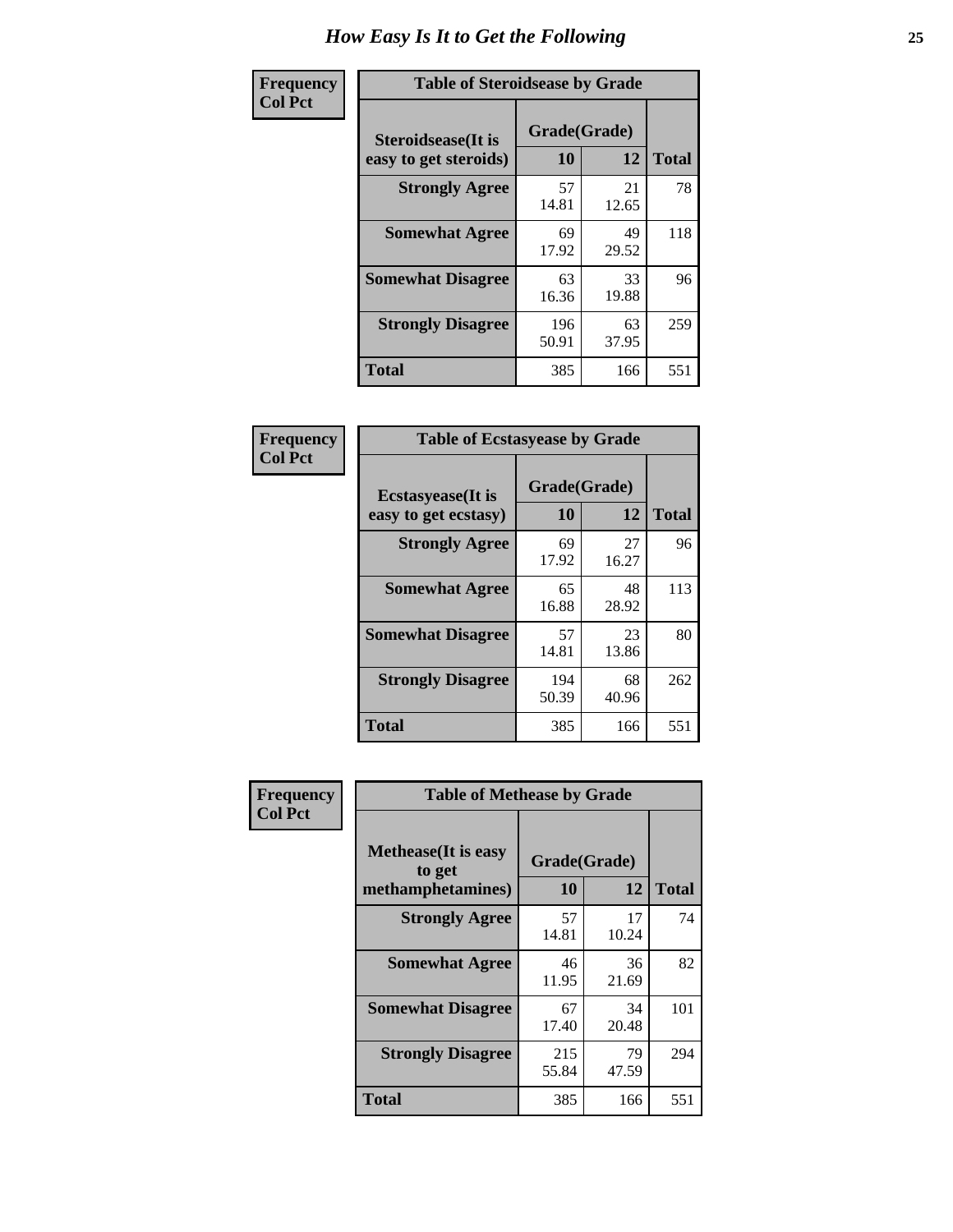| Frequency      | <b>Table of Steroidsease by Grade</b>               |                    |             |              |
|----------------|-----------------------------------------------------|--------------------|-------------|--------------|
| <b>Col Pct</b> | <b>Steroidsease</b> (It is<br>easy to get steroids) | Grade(Grade)<br>10 | 12          | <b>Total</b> |
|                | <b>Strongly Agree</b>                               | 57<br>14.81        | 21<br>12.65 | 78           |
|                | <b>Somewhat Agree</b>                               | 69<br>17.92        | 49<br>29.52 | 118          |
|                | <b>Somewhat Disagree</b>                            | 63<br>16.36        | 33<br>19.88 | 96           |
|                | <b>Strongly Disagree</b>                            | 196<br>50.91       | 63<br>37.95 | 259          |
|                | <b>Total</b>                                        | 385                | 166         | 551          |

| Frequency      | <b>Table of Ecstasyease by Grade</b>              |                    |             |              |
|----------------|---------------------------------------------------|--------------------|-------------|--------------|
| <b>Col Pct</b> | <b>Ecstasyease</b> (It is<br>easy to get ecstasy) | Grade(Grade)<br>10 | 12          | <b>Total</b> |
|                | <b>Strongly Agree</b>                             | 69<br>17.92        | 27<br>16.27 | 96           |
|                | <b>Somewhat Agree</b>                             | 65<br>16.88        | 48<br>28.92 | 113          |
|                | <b>Somewhat Disagree</b>                          | 57<br>14.81        | 23<br>13.86 | 80           |
|                | <b>Strongly Disagree</b>                          | 194<br>50.39       | 68<br>40.96 | 262          |
|                | <b>Total</b>                                      | 385                | 166         | 551          |

| Frequency      | <b>Table of Methease by Grade</b>                          |                    |             |              |
|----------------|------------------------------------------------------------|--------------------|-------------|--------------|
| <b>Col Pct</b> | <b>Methease</b> (It is easy<br>to get<br>methamphetamines) | Grade(Grade)<br>10 | 12          | <b>Total</b> |
|                | <b>Strongly Agree</b>                                      | 57<br>14.81        | 17<br>10.24 | 74           |
|                | <b>Somewhat Agree</b>                                      | 46<br>11.95        | 36<br>21.69 | 82           |
|                | <b>Somewhat Disagree</b>                                   | 67<br>17.40        | 34<br>20.48 | 101          |
|                | <b>Strongly Disagree</b>                                   | 215<br>55.84       | 79<br>47.59 | 294          |
|                | <b>Total</b>                                               | 385                | 166         | 551          |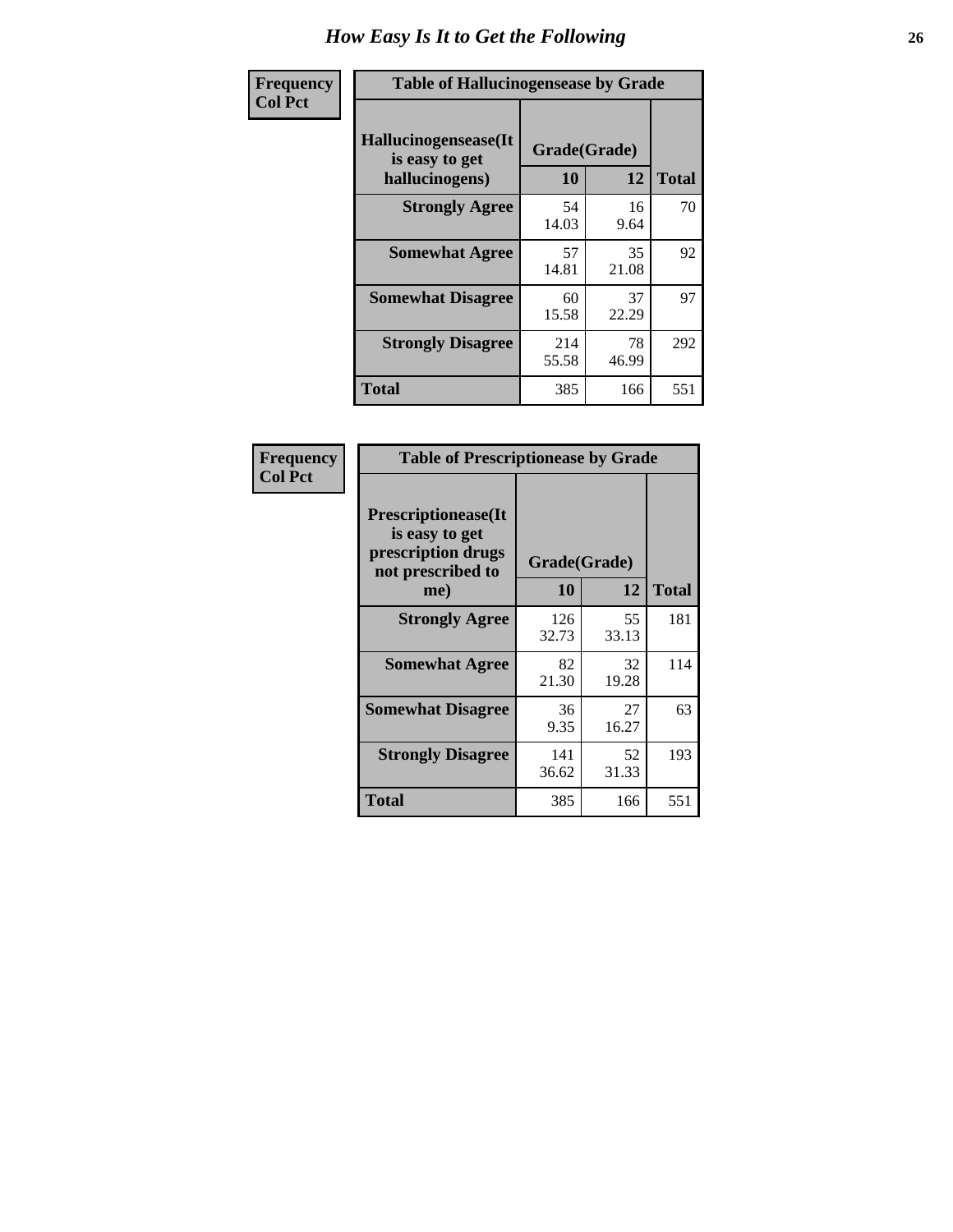| <b>Frequency</b> | <b>Table of Hallucinogensease by Grade</b>                |                    |             |              |
|------------------|-----------------------------------------------------------|--------------------|-------------|--------------|
| <b>Col Pct</b>   | Hallucinogensease(It)<br>is easy to get<br>hallucinogens) | Grade(Grade)<br>10 | 12          | <b>Total</b> |
|                  | <b>Strongly Agree</b>                                     | 54<br>14.03        | 16<br>9.64  | 70           |
|                  | <b>Somewhat Agree</b>                                     | 57<br>14.81        | 35<br>21.08 | 92           |
|                  | <b>Somewhat Disagree</b>                                  | 60<br>15.58        | 37<br>22.29 | 97           |
|                  | <b>Strongly Disagree</b>                                  | 214<br>55.58       | 78<br>46.99 | 292          |
|                  | <b>Total</b>                                              | 385                | 166         | 551          |

| Frequency<br>Col Pct |
|----------------------|
|                      |

г

| <b>Table of Prescriptionease by Grade</b>                                                |              |             |              |
|------------------------------------------------------------------------------------------|--------------|-------------|--------------|
| <b>Prescriptionease</b> (It<br>is easy to get<br>prescription drugs<br>not prescribed to | Grade(Grade) |             |              |
| me)                                                                                      | 10           | 12          | <b>Total</b> |
| <b>Strongly Agree</b>                                                                    | 126<br>32.73 | 55<br>33.13 | 181          |
| <b>Somewhat Agree</b>                                                                    | 82<br>21.30  | 32<br>19.28 | 114          |
| <b>Somewhat Disagree</b>                                                                 | 36<br>9.35   | 27<br>16.27 | 63           |
| <b>Strongly Disagree</b>                                                                 | 141<br>36.62 | 52<br>31.33 | 193          |
| <b>Total</b>                                                                             | 385          | 166         | 551          |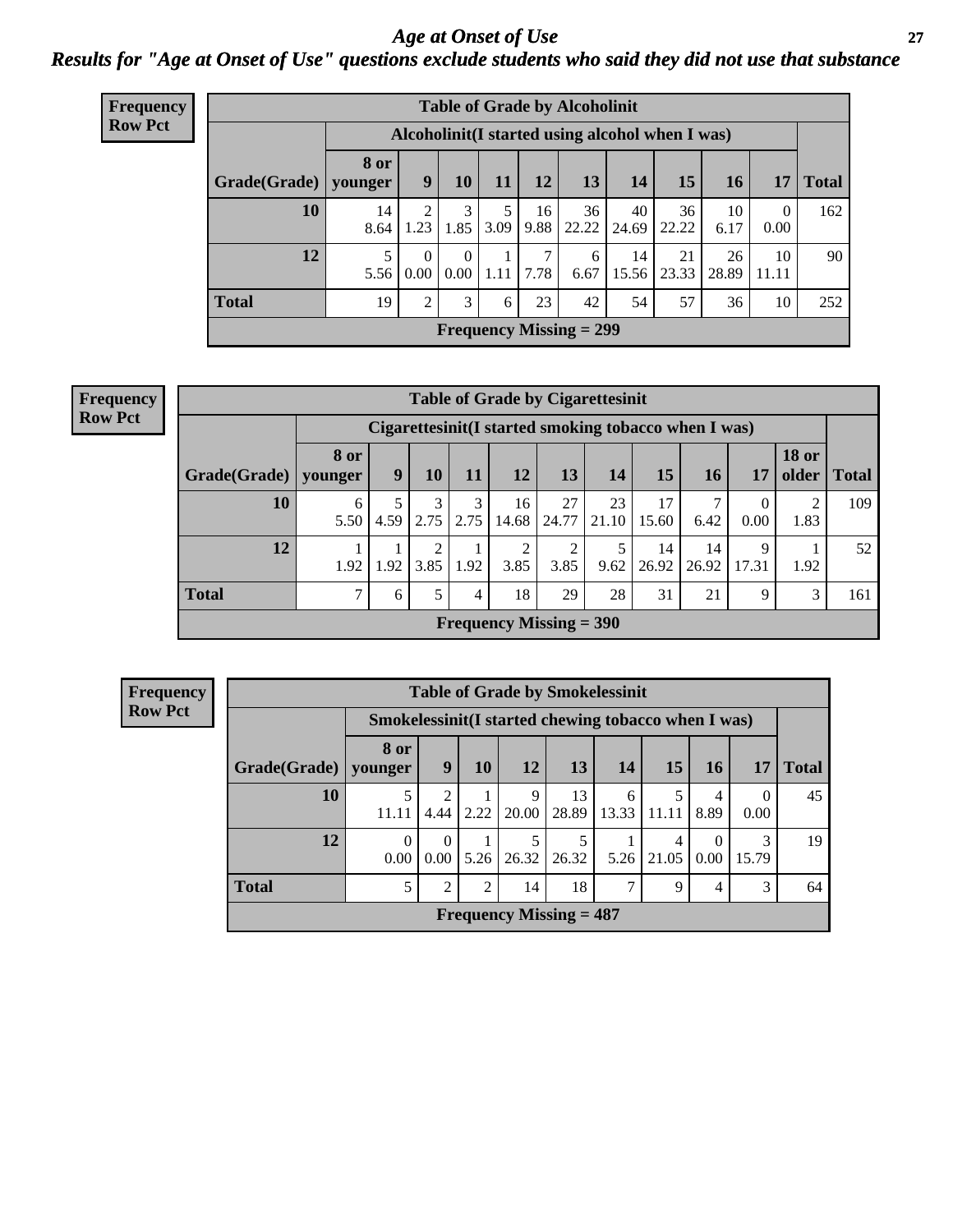### *Age at Onset of Use* **27** *Results for "Age at Onset of Use" questions exclude students who said they did not use that substance*

| Frequency      |              |                        |                                                  |                  |           |            | <b>Table of Grade by Alcoholinit</b> |             |             |             |                        |              |
|----------------|--------------|------------------------|--------------------------------------------------|------------------|-----------|------------|--------------------------------------|-------------|-------------|-------------|------------------------|--------------|
| <b>Row Pct</b> |              |                        | Alcoholinit (I started using alcohol when I was) |                  |           |            |                                      |             |             |             |                        |              |
|                | Grade(Grade) | <b>8 or</b><br>younger | 9                                                | 10 <sup>1</sup>  | 11        | 12         | 13                                   | 14          | 15          | 16          | 17                     | <b>Total</b> |
|                | 10           | 14<br>8.64             | 2<br>1.23                                        | 3<br>1.85        | 5<br>3.09 | 16<br>9.88 | 36<br>22.22                          | 40<br>24.69 | 36<br>22.22 | 10<br>6.17  | $\overline{0}$<br>0.00 | 162          |
|                | 12           | 5<br>5.56              | $\Omega$<br>0.00                                 | $\Omega$<br>0.00 | 1.11      | 7<br>7.78  | 6<br>6.67                            | 14<br>15.56 | 21<br>23.33 | 26<br>28.89 | 10<br>11.11            | 90           |
|                | <b>Total</b> | 19                     | 2                                                | 3                | 6         | 23         | 42                                   | 54          | 57          | 36          | 10                     | 252          |
|                |              |                        |                                                  |                  |           |            | Frequency Missing $= 299$            |             |             |             |                        |              |

#### **Frequency Row Pct**

| <b>Table of Grade by Cigarettesinit</b> |                 |                                                      |           |           |                           |                        |             |             |             |                          |                       |              |  |
|-----------------------------------------|-----------------|------------------------------------------------------|-----------|-----------|---------------------------|------------------------|-------------|-------------|-------------|--------------------------|-----------------------|--------------|--|
|                                         |                 | Cigarettesinit(I started smoking tobacco when I was) |           |           |                           |                        |             |             |             |                          |                       |              |  |
| Grade(Grade)                            | 8 or<br>younger | 9                                                    | 10        | 11        | 12                        | 13                     | 14          | 15          | 16          | 17                       | <b>18 or</b><br>older | <b>Total</b> |  |
| 10                                      | 6<br>5.50       | 4.59                                                 | 3<br>2.75 | 3<br>2.75 | 16<br>14.68               | 27<br>24.77            | 23<br>21.10 | 17<br>15.60 | 6.42        | $\boldsymbol{0}$<br>0.00 | 2<br>1.83             | 109          |  |
| 12                                      | 1.92            | .92                                                  | 3.85      | 1.92      | $\overline{2}$<br>3.85    | $\overline{2}$<br>3.85 | 9.62        | 14<br>26.92 | 14<br>26.92 | 9<br>17.31               | 1.92                  | 52           |  |
| <b>Total</b>                            | $\mathcal{L}$   | 6                                                    | 5         | 4         | 18                        | 29                     | 28          | 31          | 21          | 9                        | 3                     | 161          |  |
|                                         |                 |                                                      |           |           | Frequency Missing $=$ 390 |                        |             |             |             |                          |                       |              |  |

|              | <b>Table of Grade by Smokelessinit</b>              |                        |                |            |                           |            |            |                        |            |              |  |  |  |  |
|--------------|-----------------------------------------------------|------------------------|----------------|------------|---------------------------|------------|------------|------------------------|------------|--------------|--|--|--|--|
|              | Smokelessinit(I started chewing tobacco when I was) |                        |                |            |                           |            |            |                        |            |              |  |  |  |  |
| Grade(Grade) | 8 or<br>younger                                     | 9                      | 10             | 12         | 13                        | 14         | 15         | <b>16</b>              | 17         | <b>Total</b> |  |  |  |  |
| 10           | 11.11                                               | $\mathfrak{D}$<br>4.44 | 2.22           | 9<br>20.00 | 13<br>28.89               | 6<br>13.33 | 5<br>11.11 | $\overline{4}$<br>8.89 | 0.00       | 45           |  |  |  |  |
| 12           | 0<br>0.00                                           | $\Omega$<br>0.00       | 5.26           | 5<br>26.32 | 5<br>26.32                | 5.26       | 4<br>21.05 | $\Omega$<br>0.00       | 3<br>15.79 | 19           |  |  |  |  |
| <b>Total</b> | 5                                                   | $\mathfrak{D}$         | $\overline{2}$ | 14         | 18                        | 7          | 9          | 4                      | 3          | 64           |  |  |  |  |
|              |                                                     |                        |                |            | Frequency Missing $= 487$ |            |            |                        |            |              |  |  |  |  |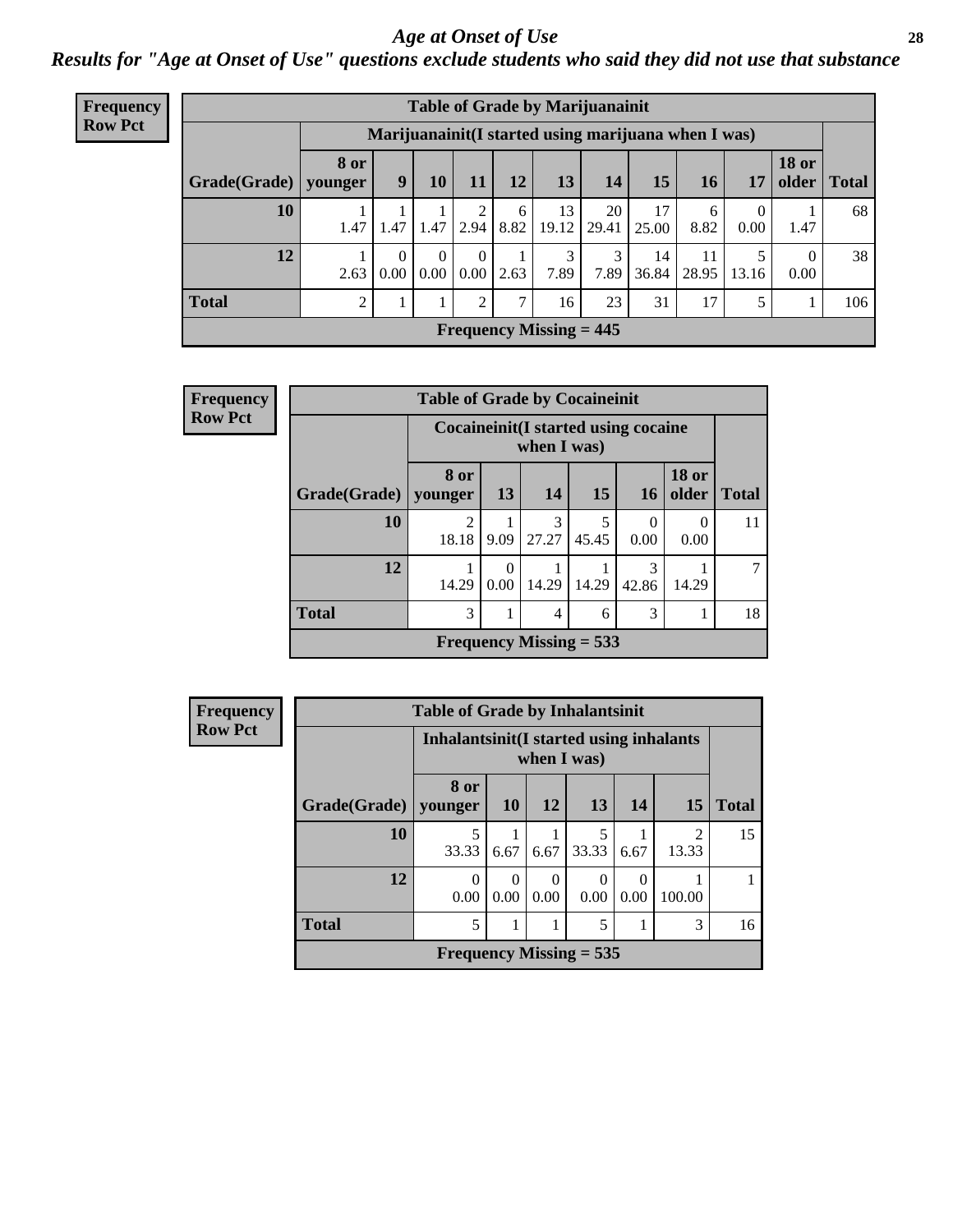#### *Age at Onset of Use* **28**

*Results for "Age at Onset of Use" questions exclude students who said they did not use that substance*

| <b>Frequency</b> |              |                                                     |                  |          |      |               |                                | <b>Table of Grade by Marijuanainit</b> |             |             |            |                                |              |
|------------------|--------------|-----------------------------------------------------|------------------|----------|------|---------------|--------------------------------|----------------------------------------|-------------|-------------|------------|--------------------------------|--------------|
| <b>Row Pct</b>   |              | Marijuanainit(I started using marijuana when I was) |                  |          |      |               |                                |                                        |             |             |            |                                |              |
|                  | Grade(Grade) | <b>8 or</b><br>younger                              | 9                | 10       | 11   | 12            | 13                             | 14                                     | 15          | 16          | 17         | <b>18 or</b><br>$\Omega$ older | <b>Total</b> |
|                  | 10           | 1.47                                                | 1.47             | 1.47     | 2.94 | 6<br>8.82     | 13<br>19.12                    | 20<br>29.41                            | 17<br>25.00 | 6<br>8.82   | 0<br>0.00  | 1.47                           | 68           |
|                  | 12           | 2.63                                                | $\Omega$<br>0.00 | $0.00\,$ | 0.00 | 2.63          | 3<br>7.89                      | 3<br>7.89                              | 14<br>36.84 | 11<br>28.95 | 5<br>13.16 | $\Omega$<br>0.00               | 38           |
|                  | <b>Total</b> | 2                                                   |                  |          | 2    | $\mathcal{I}$ | 16                             | 23                                     | 31          | 17          | 5          |                                | 106          |
|                  |              |                                                     |                  |          |      |               | <b>Frequency Missing = 445</b> |                                        |             |             |            |                                |              |

| Frequency      |                        | <b>Table of Grade by Cocaineinit</b>       |      |                |                           |                  |                          |              |
|----------------|------------------------|--------------------------------------------|------|----------------|---------------------------|------------------|--------------------------|--------------|
| <b>Row Pct</b> |                        | <b>Cocaineinit(I started using cocaine</b> |      | when I was)    |                           |                  |                          |              |
|                | Grade(Grade)   younger | 8 or                                       | 13   | <b>14</b>      | 15                        | <b>16</b>        | <b>18 or</b><br>older    | <b>Total</b> |
|                | 10                     | 2<br>18.18                                 | 9.09 | 3<br>27.27     | 45.45                     | $\theta$<br>0.00 | $\left( \right)$<br>0.00 | 11           |
|                | 12                     | 14.29                                      | 0.00 | 14.29          | 14.29                     | 3<br>42.86       | 14.29                    | 7            |
|                | <b>Total</b>           | 3                                          |      | $\overline{4}$ | 6                         | 3                |                          | 18           |
|                |                        |                                            |      |                | Frequency Missing $= 533$ |                  |                          |              |

| Frequency      |              | <b>Table of Grade by Inhalantsinit</b> |                                                         |                  |           |                  |                         |              |  |  |
|----------------|--------------|----------------------------------------|---------------------------------------------------------|------------------|-----------|------------------|-------------------------|--------------|--|--|
| <b>Row Pct</b> |              |                                        | Inhalantsinit (I started using inhalants<br>when I was) |                  |           |                  |                         |              |  |  |
|                | Grade(Grade) | 8 or<br>younger                        | <b>10</b>                                               | 12               | <b>13</b> | 14               | <b>15</b>               | <b>Total</b> |  |  |
|                | 10           | 5<br>33.33                             | 6.67                                                    | 6.67             | 33.33     | 6.67             | $\overline{2}$<br>13.33 | 15           |  |  |
|                | 12           | $\theta$<br>0.00                       | 0.00                                                    | $\theta$<br>0.00 | 0<br>0.00 | $\theta$<br>0.00 | 100.00                  |              |  |  |
|                | <b>Total</b> | 5                                      |                                                         |                  | 5         |                  | 3                       | 16           |  |  |
|                |              | Frequency Missing $= 535$              |                                                         |                  |           |                  |                         |              |  |  |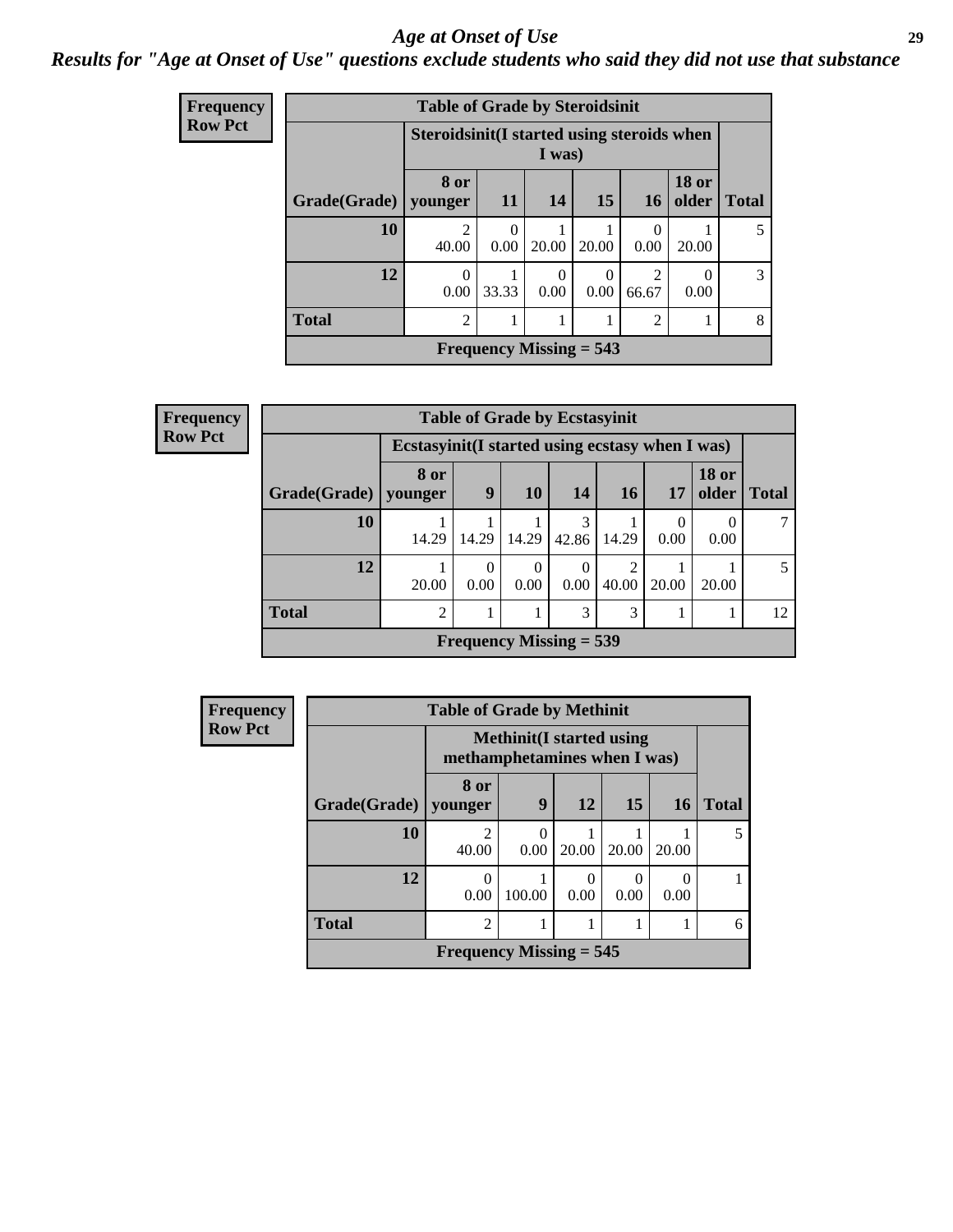#### *Age at Onset of Use* **29**

### *Results for "Age at Onset of Use" questions exclude students who said they did not use that substance*

| <b>Frequency</b> |              | <b>Table of Grade by Steroidsinit</b> |                                                      |                           |                  |                  |                       |              |  |  |
|------------------|--------------|---------------------------------------|------------------------------------------------------|---------------------------|------------------|------------------|-----------------------|--------------|--|--|
| <b>Row Pct</b>   |              |                                       | Steroidsinit(I started using steroids when<br>I was) |                           |                  |                  |                       |              |  |  |
|                  | Grade(Grade) | 8 or<br>younger                       | 11                                                   | 14                        | 15               | <b>16</b>        | <b>18 or</b><br>older | <b>Total</b> |  |  |
|                  | 10           | $\mathfrak{D}$<br>40.00               | $\Omega$<br>0.00                                     | 20.00                     | 20.00            | $\Omega$<br>0.00 | 20.00                 | 5            |  |  |
|                  | 12           | $\Omega$<br>0.00                      | 33.33                                                | 0<br>0.00                 | $\theta$<br>0.00 | 2<br>66.67       | $\Omega$<br>0.00      | 3            |  |  |
|                  | <b>Total</b> | $\overline{2}$                        |                                                      | 1                         | 1                | $\overline{c}$   |                       | 8            |  |  |
|                  |              |                                       |                                                      | Frequency Missing $= 543$ |                  |                  |                       |              |  |  |

| Frequency      | <b>Table of Grade by Ecstasyinit</b> |                                                  |                  |                           |            |       |       |                       |              |  |
|----------------|--------------------------------------|--------------------------------------------------|------------------|---------------------------|------------|-------|-------|-----------------------|--------------|--|
| <b>Row Pct</b> |                                      | Ecstasyinit (I started using ecstasy when I was) |                  |                           |            |       |       |                       |              |  |
|                | Grade(Grade)   younger               | 8 or                                             | 9                | <b>10</b>                 | 14         | 16    | 17    | <b>18 or</b><br>older | <b>Total</b> |  |
|                | 10                                   | 14.29                                            | 14.29            | 14.29                     | 3<br>42.86 | 14.29 | 0.00  | 0.00                  |              |  |
|                | 12                                   | 20.00                                            | $\Omega$<br>0.00 | $\theta$<br>0.00          | 0.00       | 40.00 | 20.00 | 20.00                 |              |  |
|                | <b>Total</b>                         | $\overline{2}$                                   |                  |                           | 3          | 3     |       |                       | 12           |  |
|                |                                      |                                                  |                  | Frequency Missing $=$ 539 |            |       |       |                       |              |  |

| <b>Frequency</b> | <b>Table of Grade by Methinit</b> |                              |                                 |                  |       |           |              |  |  |
|------------------|-----------------------------------|------------------------------|---------------------------------|------------------|-------|-----------|--------------|--|--|
| <b>Row Pct</b>   |                                   | methamphetamines when I was) | <b>Methinit(I started using</b> |                  |       |           |              |  |  |
|                  | Grade(Grade)                      | 8 or<br>vounger              | 9                               | 12               | 15    | <b>16</b> | <b>Total</b> |  |  |
|                  | 10                                | $\mathfrak{D}$<br>40.00      | $\Omega$<br>0.00                | 20.00            | 20.00 | 20.00     | 5            |  |  |
|                  | 12                                | $\theta$<br>0.00             | 100.00                          | $\Omega$<br>0.00 | 0.00  | 0<br>0.00 |              |  |  |
|                  | <b>Total</b>                      | $\overline{2}$               | 1                               |                  |       |           | 6            |  |  |
|                  |                                   | Frequency Missing $= 545$    |                                 |                  |       |           |              |  |  |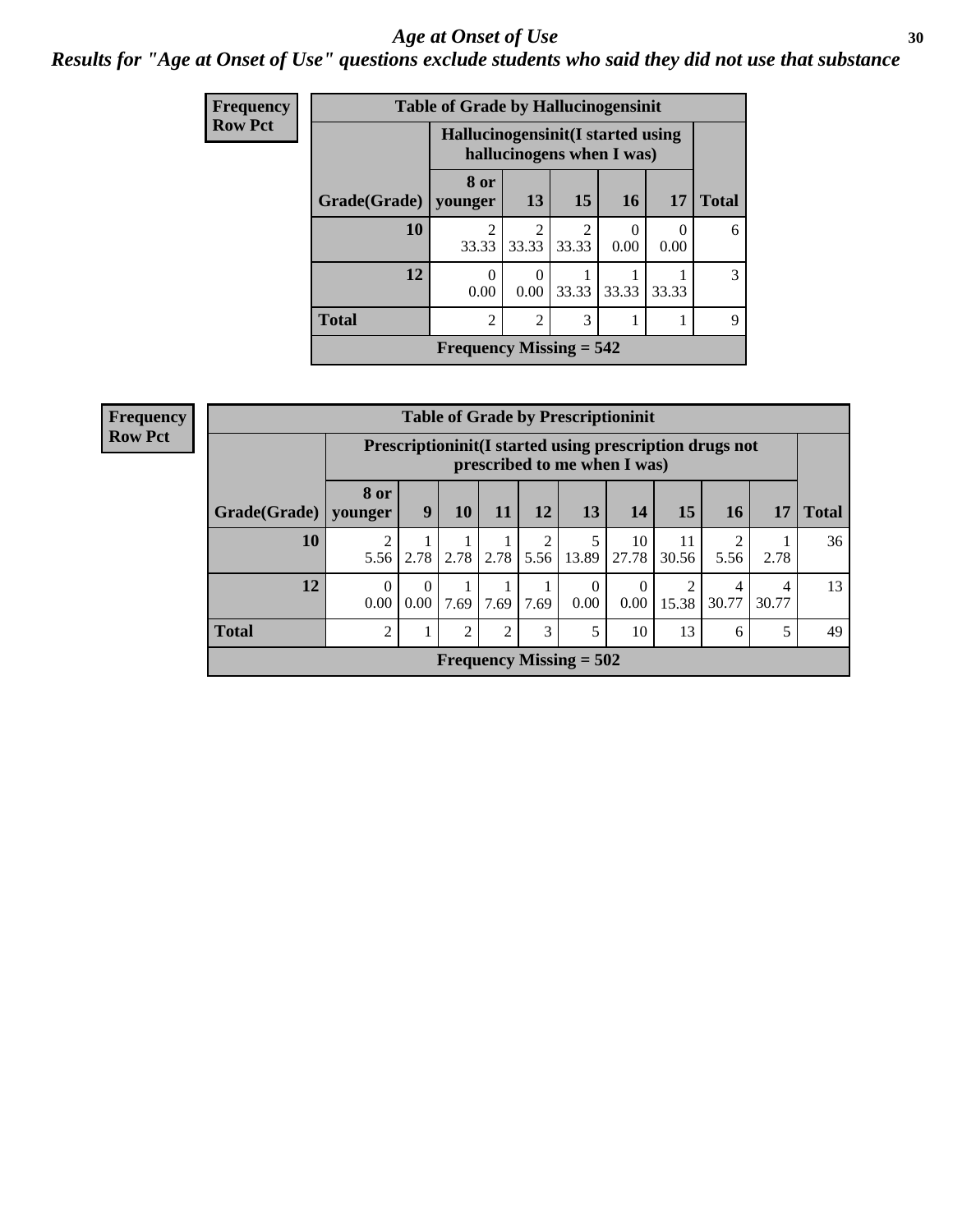#### Age at Onset of Use **30**

### *Results for "Age at Onset of Use" questions exclude students who said they did not use that substance*

| Frequency      |              | <b>Table of Grade by Hallucinogensinit</b>                      |                                      |                         |       |                  |              |  |  |
|----------------|--------------|-----------------------------------------------------------------|--------------------------------------|-------------------------|-------|------------------|--------------|--|--|
| <b>Row Pct</b> |              | Hallucinogensinit (I started using<br>hallucinogens when I was) |                                      |                         |       |                  |              |  |  |
|                | Grade(Grade) | 8 or<br>vounger                                                 | 13                                   | 15                      | 16    | 17               | <b>Total</b> |  |  |
|                | 10           | $\mathfrak{D}$<br>33.33                                         | $\mathcal{D}_{\mathcal{L}}$<br>33.33 | $\overline{2}$<br>33.33 | 0.00  | $\Omega$<br>0.00 | 6            |  |  |
|                | 12           | $\Omega$<br>0.00                                                | $\Omega$<br>0.00                     | 33.33                   | 33.33 | 33.33            | 3            |  |  |
|                | <b>Total</b> | $\mathcal{D}_{\mathcal{A}}$                                     | $\overline{2}$                       | 3                       |       |                  | 9            |  |  |
|                |              | Frequency Missing $= 542$                                       |                                      |                         |       |                  |              |  |  |

| <b>Frequency</b> |
|------------------|
| <b>Row Pct</b>   |

| <b>Table of Grade by Prescriptioninit</b> |                                                                                            |                  |                |                |                        |                  |                  |             |            |            |              |
|-------------------------------------------|--------------------------------------------------------------------------------------------|------------------|----------------|----------------|------------------------|------------------|------------------|-------------|------------|------------|--------------|
|                                           | Prescription in it (I started using prescription drugs not<br>prescribed to me when I was) |                  |                |                |                        |                  |                  |             |            |            |              |
| Grade(Grade)   younger                    | 8 or                                                                                       | 9                | 10             | 11             | <b>12</b>              | 13               | 14               | 15          | 16         | 17         | <b>Total</b> |
| 10                                        | $\overline{2}$<br>5.56                                                                     |                  | $2.78$   2.78  | 2.78           | $\mathfrak{D}$<br>5.56 | 13.89            | 10<br>27.78      | 11<br>30.56 | 5.56       | 2.78       | 36           |
| 12                                        | $\Omega$<br>0.00                                                                           | $\theta$<br>0.00 | 1<br>7.69      | 7.69           | 7.69                   | $\Omega$<br>0.00 | $\theta$<br>0.00 | 2<br>15.38  | 4<br>30.77 | 4<br>30.77 | 13           |
| <b>Total</b>                              | $\overline{2}$                                                                             |                  | $\overline{2}$ | $\overline{2}$ | 3                      | 5                | 10               | 13          | 6          | 5          | 49           |
| Frequency Missing $= 502$                 |                                                                                            |                  |                |                |                        |                  |                  |             |            |            |              |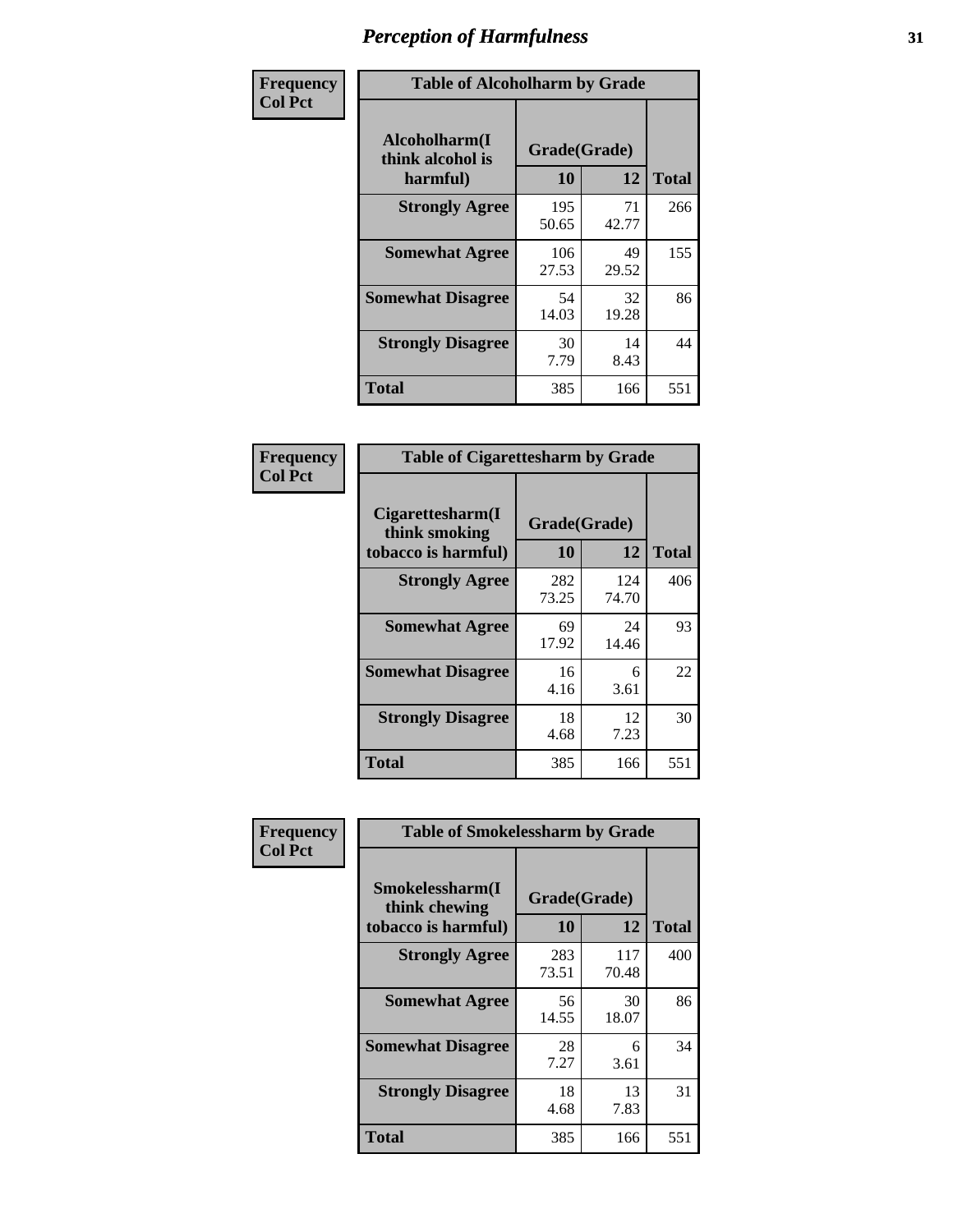| Frequency      | <b>Table of Alcoholharm by Grade</b>          |                    |             |              |  |  |  |
|----------------|-----------------------------------------------|--------------------|-------------|--------------|--|--|--|
| <b>Col Pct</b> | Alcoholharm(I<br>think alcohol is<br>harmful) | Grade(Grade)<br>10 | 12          | <b>Total</b> |  |  |  |
|                | <b>Strongly Agree</b>                         | 195<br>50.65       | 71<br>42.77 | 266          |  |  |  |
|                | <b>Somewhat Agree</b>                         | 106<br>27.53       | 49<br>29.52 | 155          |  |  |  |
|                | <b>Somewhat Disagree</b>                      | 54<br>14.03        | 32<br>19.28 | 86           |  |  |  |
|                | <b>Strongly Disagree</b>                      | 30<br>7.79         | 14<br>8.43  | 44           |  |  |  |
|                | <b>Total</b>                                  | 385                | 166         | 551          |  |  |  |

| <b>Table of Cigarettesharm by Grade</b>                  |                    |              |              |  |  |  |
|----------------------------------------------------------|--------------------|--------------|--------------|--|--|--|
| Cigarettesharm(I<br>think smoking<br>tobacco is harmful) | Grade(Grade)<br>10 | 12           | <b>Total</b> |  |  |  |
| <b>Strongly Agree</b>                                    | 282<br>73.25       | 124<br>74.70 | 406          |  |  |  |
| <b>Somewhat Agree</b>                                    | 69<br>17.92        | 24<br>14.46  | 93           |  |  |  |
| <b>Somewhat Disagree</b>                                 | 16<br>4.16         | 6<br>3.61    | 22           |  |  |  |
| <b>Strongly Disagree</b>                                 | 18<br>4.68         | 12<br>7.23   | 30           |  |  |  |
| <b>Total</b>                                             | 385                | 166          | 551          |  |  |  |

| Frequency      | <b>Table of Smokelessharm by Grade</b>                  |                           |              |              |  |  |  |  |  |
|----------------|---------------------------------------------------------|---------------------------|--------------|--------------|--|--|--|--|--|
| <b>Col Pct</b> | Smokelessharm(I<br>think chewing<br>tobacco is harmful) | Grade(Grade)<br><b>10</b> | 12           | <b>Total</b> |  |  |  |  |  |
|                | <b>Strongly Agree</b>                                   | 283<br>73.51              | 117<br>70.48 | 400          |  |  |  |  |  |
|                | <b>Somewhat Agree</b>                                   | 56<br>14.55               | 30<br>18.07  | 86           |  |  |  |  |  |
|                | <b>Somewhat Disagree</b>                                | 28<br>7.27                | 6<br>3.61    | 34           |  |  |  |  |  |
|                | <b>Strongly Disagree</b>                                | 18<br>4.68                | 13<br>7.83   | 31           |  |  |  |  |  |
|                | Total                                                   | 385                       | 166          | 551          |  |  |  |  |  |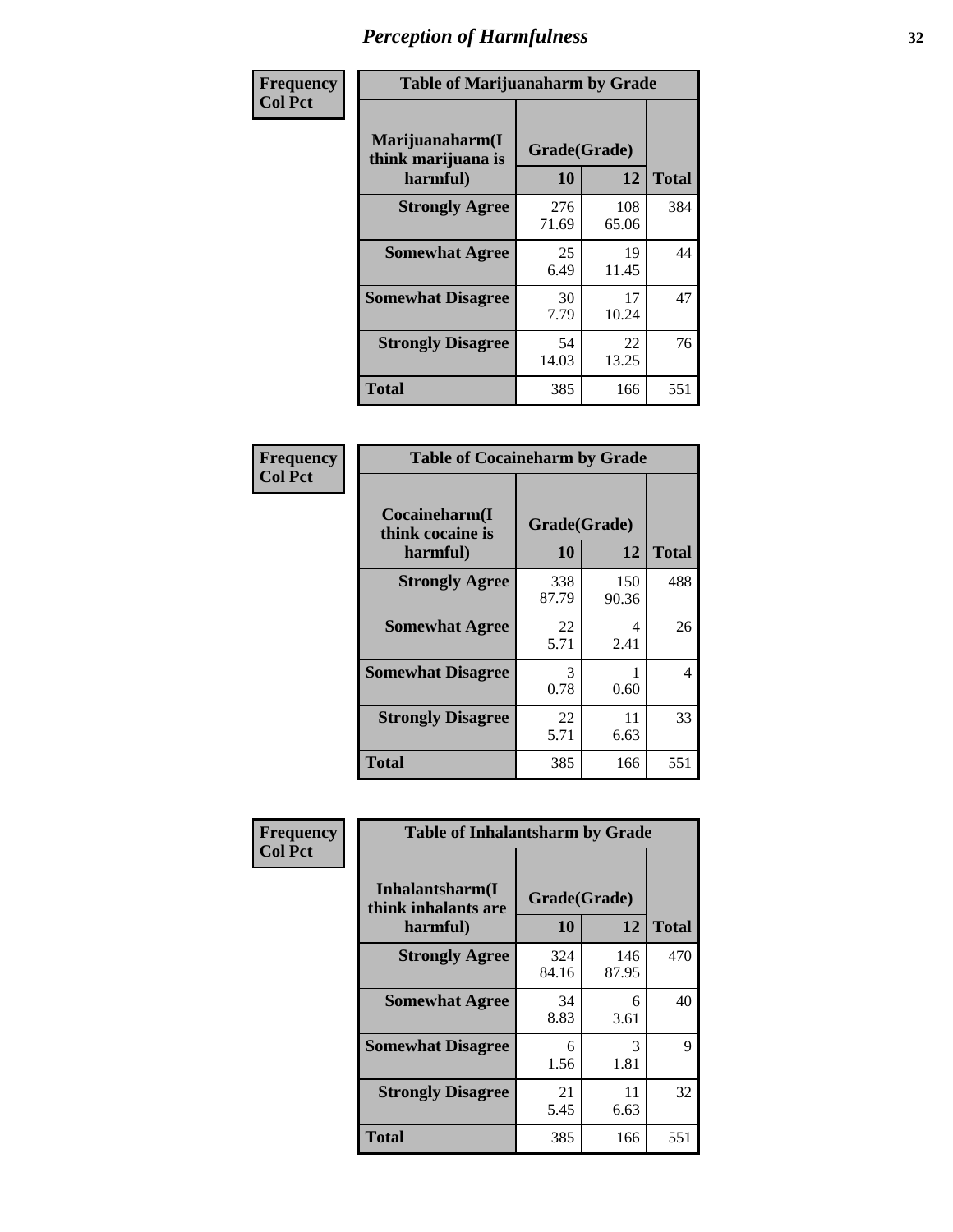| Frequency      | <b>Table of Marijuanaharm by Grade</b>            |                    |              |              |  |  |  |
|----------------|---------------------------------------------------|--------------------|--------------|--------------|--|--|--|
| <b>Col Pct</b> | Marijuanaharm(I<br>think marijuana is<br>harmful) | Grade(Grade)<br>10 | 12           | <b>Total</b> |  |  |  |
|                | <b>Strongly Agree</b>                             | 276<br>71.69       | 108<br>65.06 | 384          |  |  |  |
|                | <b>Somewhat Agree</b>                             | 25<br>6.49         | 19<br>11.45  | 44           |  |  |  |
|                | <b>Somewhat Disagree</b>                          | 30<br>7.79         | 17<br>10.24  | 47           |  |  |  |
|                | <b>Strongly Disagree</b>                          | 54<br>14.03        | 22<br>13.25  | 76           |  |  |  |
|                | <b>Total</b>                                      | 385                | 166          | 551          |  |  |  |

| <b>Table of Cocaineharm by Grade</b>          |                    |              |              |  |  |  |  |
|-----------------------------------------------|--------------------|--------------|--------------|--|--|--|--|
| Cocaineharm(I<br>think cocaine is<br>harmful) | Grade(Grade)<br>10 | 12           | <b>Total</b> |  |  |  |  |
| <b>Strongly Agree</b>                         | 338<br>87.79       | 150<br>90.36 | 488          |  |  |  |  |
| <b>Somewhat Agree</b>                         | 22<br>5.71         | 4<br>2.41    | 26           |  |  |  |  |
| <b>Somewhat Disagree</b>                      | 3<br>0.78          | 1<br>0.60    | 4            |  |  |  |  |
| <b>Strongly Disagree</b>                      | 22<br>5.71         | 11<br>6.63   | 33           |  |  |  |  |
| Total                                         | 385                | 166          | 551          |  |  |  |  |

| Frequency      | <b>Table of Inhalantsharm by Grade</b>             |                           |              |              |
|----------------|----------------------------------------------------|---------------------------|--------------|--------------|
| <b>Col Pct</b> | Inhalantsharm(I<br>think inhalants are<br>harmful) | Grade(Grade)<br><b>10</b> | 12           | <b>Total</b> |
|                | <b>Strongly Agree</b>                              | 324<br>84.16              | 146<br>87.95 | 470          |
|                | <b>Somewhat Agree</b>                              | 34<br>8.83                | 6<br>3.61    | 40           |
|                | <b>Somewhat Disagree</b>                           | 6<br>1.56                 | 3<br>1.81    | 9            |
|                | <b>Strongly Disagree</b>                           | 21<br>5.45                | 11<br>6.63   | 32           |
|                | Total                                              | 385                       | 166          | 551          |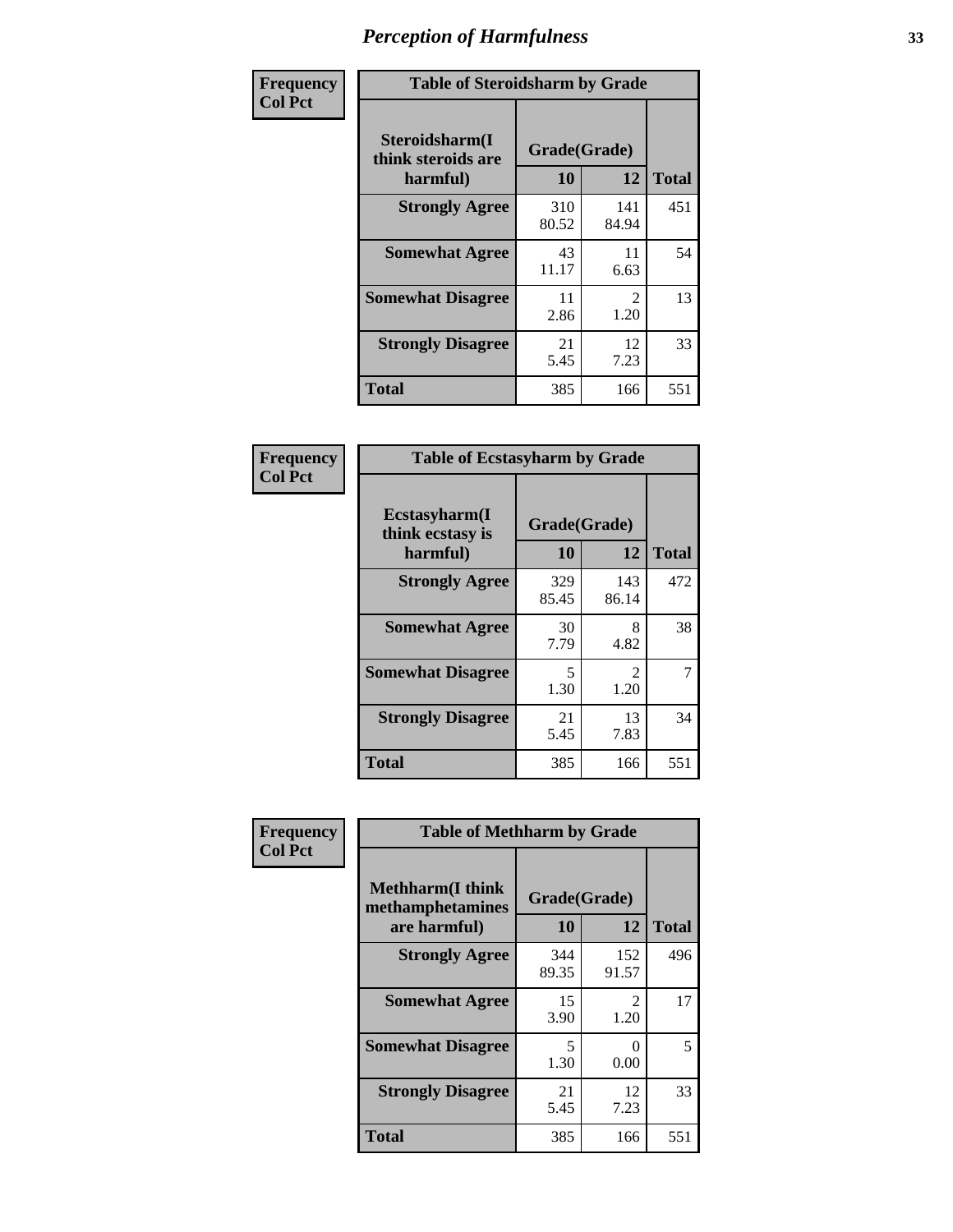| Frequency      | <b>Table of Steroidsharm by Grade</b>            |                    |                        |              |
|----------------|--------------------------------------------------|--------------------|------------------------|--------------|
| <b>Col Pct</b> | Steroidsharm(I<br>think steroids are<br>harmful) | Grade(Grade)<br>10 | 12                     | <b>Total</b> |
|                | <b>Strongly Agree</b>                            | 310<br>80.52       | 141<br>84.94           | 451          |
|                | <b>Somewhat Agree</b>                            | 43<br>11.17        | 11<br>6.63             | 54           |
|                | <b>Somewhat Disagree</b>                         | 11<br>2.86         | $\mathfrak{D}$<br>1.20 | 13           |
|                | <b>Strongly Disagree</b>                         | 21<br>5.45         | 12<br>7.23             | 33           |
|                | <b>Total</b>                                     | 385                | 166                    | 551          |

| <b>Table of Ecstasyharm by Grade</b>          |              |                        |     |  |  |
|-----------------------------------------------|--------------|------------------------|-----|--|--|
| Ecstasyharm(I<br>think ecstasy is<br>harmful) | <b>Total</b> |                        |     |  |  |
| <b>Strongly Agree</b>                         | 329<br>85.45 | 143<br>86.14           | 472 |  |  |
| <b>Somewhat Agree</b>                         | 30<br>7.79   | 8<br>4.82              | 38  |  |  |
| <b>Somewhat Disagree</b>                      | 5<br>1.30    | $\mathfrak{D}$<br>1.20 | 7   |  |  |
| <b>Strongly Disagree</b>                      | 21<br>5.45   | 13<br>7.83             | 34  |  |  |
| <b>Total</b>                                  | 385          | 166                    | 551 |  |  |

| Frequency      | <b>Table of Methharm by Grade</b>                            |              |                           |              |
|----------------|--------------------------------------------------------------|--------------|---------------------------|--------------|
| <b>Col Pct</b> | <b>Methharm</b> (I think<br>methamphetamines<br>are harmful) | <b>10</b>    | Grade(Grade)<br>12        | <b>Total</b> |
|                | <b>Strongly Agree</b>                                        | 344<br>89.35 | 152<br>91.57              | 496          |
|                | <b>Somewhat Agree</b>                                        | 15<br>3.90   | $\mathfrak{D}$<br>1.20    | 17           |
|                | <b>Somewhat Disagree</b>                                     | 5<br>1.30    | $\mathbf{\Omega}$<br>0.00 | 5            |
|                | <b>Strongly Disagree</b>                                     | 21<br>5.45   | 12<br>7.23                | 33           |
|                | <b>Total</b>                                                 | 385          | 166                       | 551          |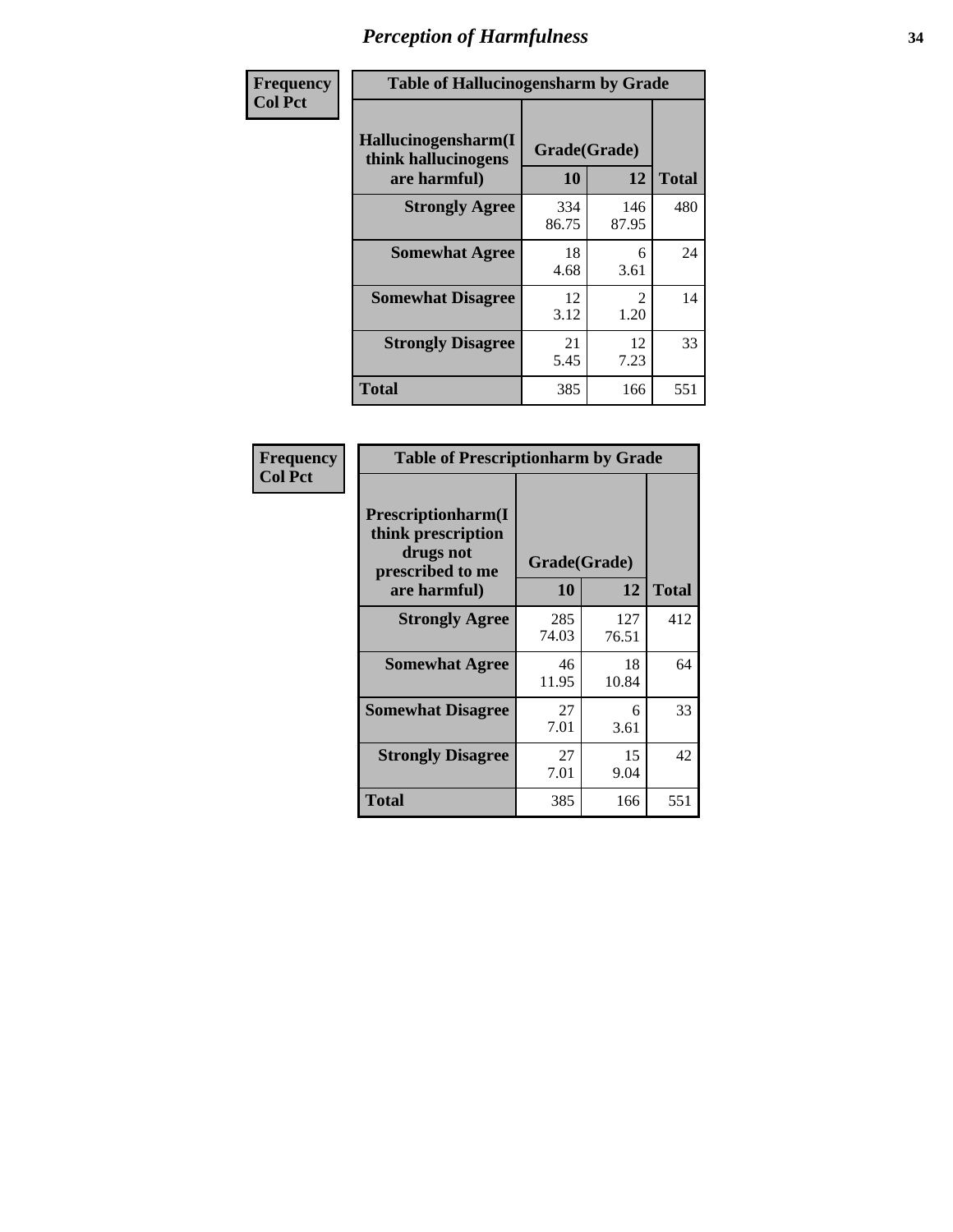| Frequency      | <b>Table of Hallucinogensharm by Grade</b>                 |                    |                       |              |
|----------------|------------------------------------------------------------|--------------------|-----------------------|--------------|
| <b>Col Pct</b> | Hallucinogensharm(I<br>think hallucinogens<br>are harmful) | Grade(Grade)<br>10 | 12                    | <b>Total</b> |
|                | <b>Strongly Agree</b>                                      | 334<br>86.75       | 146<br>87.95          | 480          |
|                | <b>Somewhat Agree</b>                                      | 18<br>4.68         | 6<br>3.61             | 24           |
|                | <b>Somewhat Disagree</b>                                   | 12<br>3.12         | $\mathcal{L}$<br>1.20 | 14           |
|                | <b>Strongly Disagree</b>                                   | 21<br>5.45         | 12<br>7.23            | 33           |
|                | <b>Total</b>                                               | 385                | 166                   | 551          |

| <b>Table of Prescriptionharm by Grade</b>                                 |              |              |              |  |  |
|---------------------------------------------------------------------------|--------------|--------------|--------------|--|--|
| Prescriptionharm(I<br>think prescription<br>drugs not<br>prescribed to me | Grade(Grade) |              |              |  |  |
| are harmful)                                                              | 10           | 12           | <b>Total</b> |  |  |
| <b>Strongly Agree</b>                                                     | 285<br>74.03 | 127<br>76.51 | 412          |  |  |
| <b>Somewhat Agree</b>                                                     | 46<br>11.95  | 18<br>10.84  | 64           |  |  |
| <b>Somewhat Disagree</b>                                                  | 27<br>7.01   | 6<br>3.61    | 33           |  |  |
| <b>Strongly Disagree</b>                                                  | 27<br>7.01   | 15<br>9.04   | 42           |  |  |
| <b>Total</b>                                                              | 385          | 166          | 551          |  |  |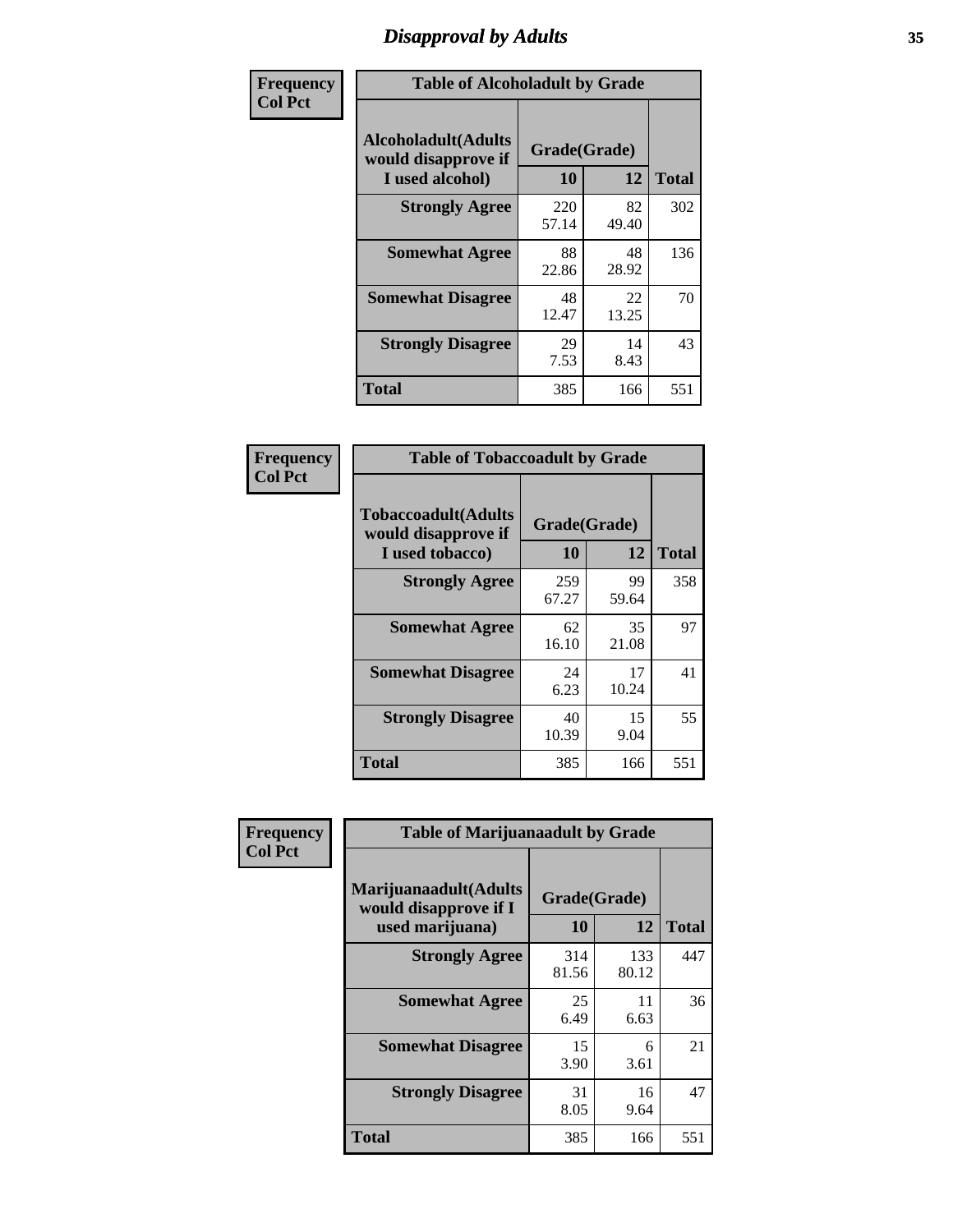# *Disapproval by Adults* **35**

| Frequency      | <b>Table of Alcoholadult by Grade</b>                                 |                    |             |              |
|----------------|-----------------------------------------------------------------------|--------------------|-------------|--------------|
| <b>Col Pct</b> | <b>Alcoholadult</b> (Adults<br>would disapprove if<br>I used alcohol) | Grade(Grade)<br>10 | 12          | <b>Total</b> |
|                | <b>Strongly Agree</b>                                                 | 220<br>57.14       | 82<br>49.40 | 302          |
|                | <b>Somewhat Agree</b>                                                 | 88<br>22.86        | 48<br>28.92 | 136          |
|                | <b>Somewhat Disagree</b>                                              | 48<br>12.47        | 22<br>13.25 | 70           |
|                | <b>Strongly Disagree</b>                                              | 29<br>7.53         | 14<br>8.43  | 43           |
|                | <b>Total</b>                                                          | 385                | 166         | 551          |

| <b>Table of Tobaccoadult by Grade</b>                                 |                    |             |              |  |
|-----------------------------------------------------------------------|--------------------|-------------|--------------|--|
| <b>Tobaccoadult</b> (Adults<br>would disapprove if<br>I used tobacco) | Grade(Grade)<br>10 | 12          | <b>Total</b> |  |
| <b>Strongly Agree</b>                                                 | 259<br>67.27       | 99<br>59.64 | 358          |  |
| <b>Somewhat Agree</b>                                                 | 62<br>16.10        | 35<br>21.08 | 97           |  |
| <b>Somewhat Disagree</b>                                              | 24<br>6.23         | 17<br>10.24 | 41           |  |
| <b>Strongly Disagree</b>                                              | 40<br>10.39        | 15<br>9.04  | 55           |  |
| Total                                                                 | 385                | 166         | 551          |  |

| Frequency      | <b>Table of Marijuanaadult by Grade</b>                           |                    |              |              |
|----------------|-------------------------------------------------------------------|--------------------|--------------|--------------|
| <b>Col Pct</b> | Marijuanaadult(Adults<br>would disapprove if I<br>used marijuana) | Grade(Grade)<br>10 | 12           | <b>Total</b> |
|                | <b>Strongly Agree</b>                                             | 314<br>81.56       | 133<br>80.12 | 447          |
|                | <b>Somewhat Agree</b>                                             | 25<br>6.49         | 11<br>6.63   | 36           |
|                | <b>Somewhat Disagree</b>                                          | 15<br>3.90         | 6<br>3.61    | 21           |
|                | <b>Strongly Disagree</b>                                          | 31<br>8.05         | 16<br>9.64   | 47           |
|                | <b>Total</b>                                                      | 385                | 166          | 551          |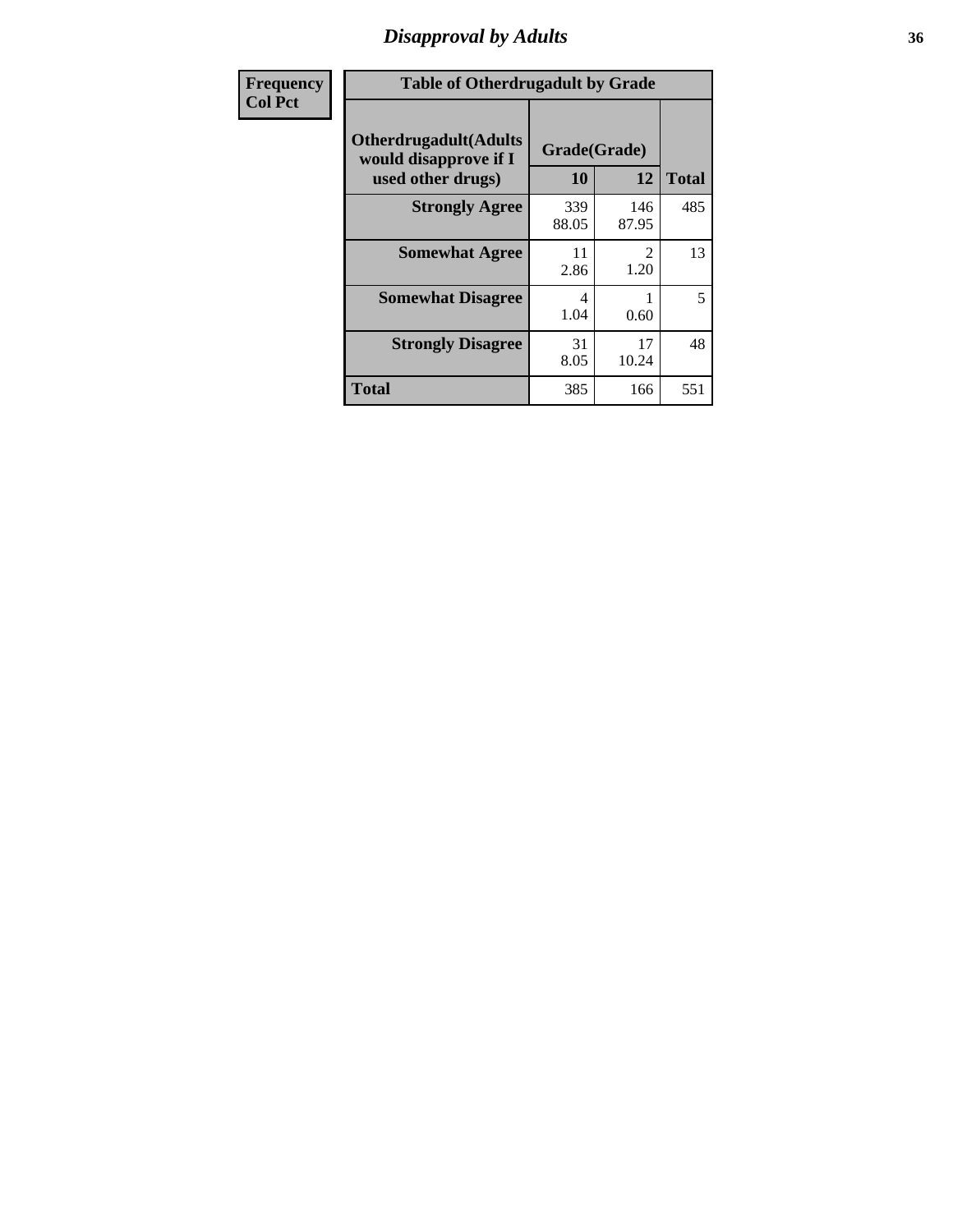# *Disapproval by Adults* **36**

| Frequency      | <b>Table of Otherdrugadult by Grade</b>                                     |                    |                       |              |
|----------------|-----------------------------------------------------------------------------|--------------------|-----------------------|--------------|
| <b>Col Pct</b> | <b>Otherdrugadult</b> (Adults<br>would disapprove if I<br>used other drugs) | Grade(Grade)<br>10 | 12                    | <b>Total</b> |
|                | <b>Strongly Agree</b>                                                       | 339<br>88.05       | 146<br>87.95          | 485          |
|                | <b>Somewhat Agree</b>                                                       | 11<br>2.86         | $\mathcal{L}$<br>1.20 | 13           |
|                | <b>Somewhat Disagree</b>                                                    | 4<br>1.04          | 0.60                  | 5            |
|                | <b>Strongly Disagree</b>                                                    | 31<br>8.05         | 17<br>10.24           | 48           |
|                | <b>Total</b>                                                                | 385                | 166                   | 551          |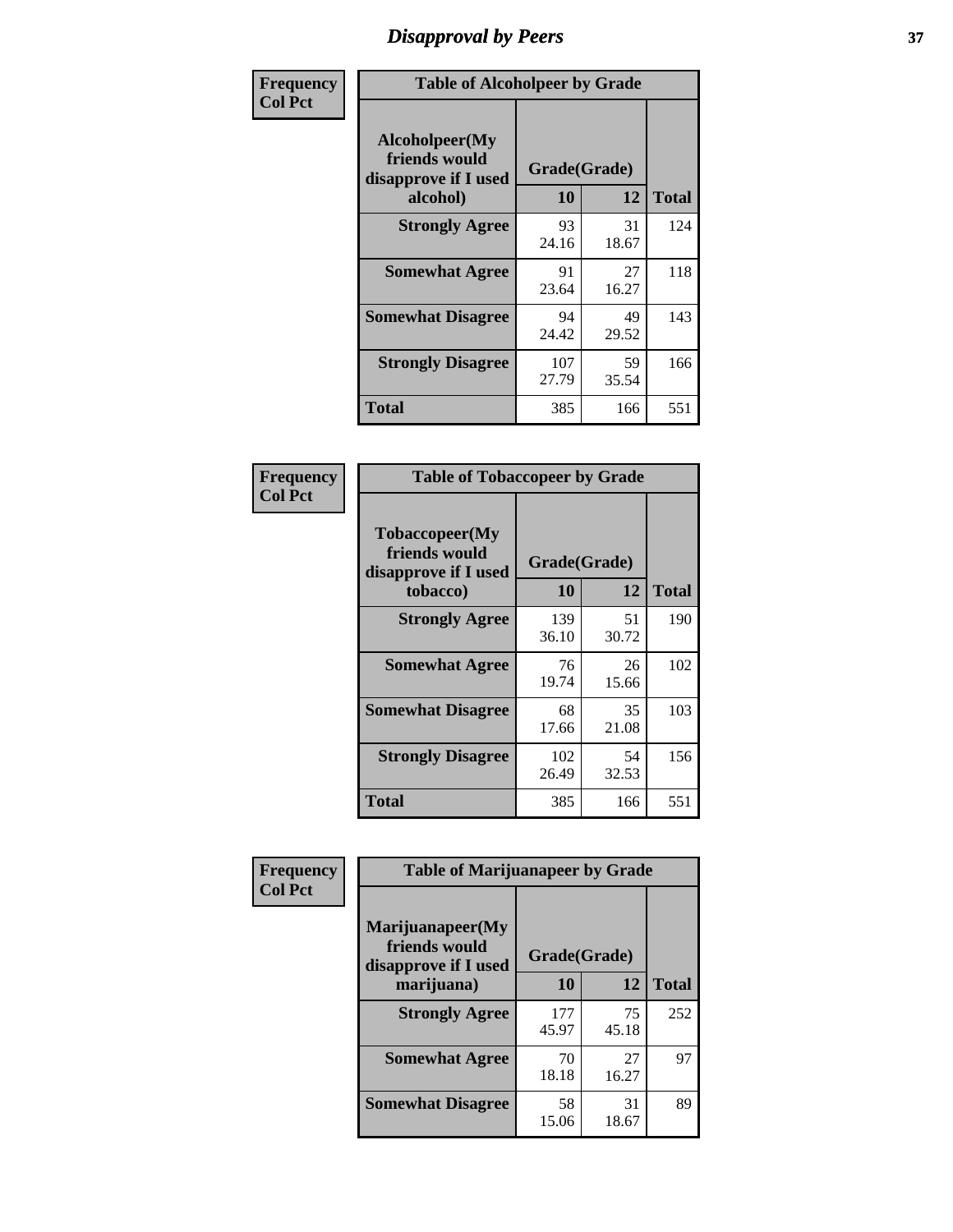# *Disapproval by Peers* **37**

| Frequency      | <b>Table of Alcoholpeer by Grade</b>                    |              |             |              |  |
|----------------|---------------------------------------------------------|--------------|-------------|--------------|--|
| <b>Col Pct</b> | Alcoholpeer(My<br>friends would<br>disapprove if I used | Grade(Grade) |             |              |  |
|                | alcohol)                                                | 10           | 12          | <b>Total</b> |  |
|                | <b>Strongly Agree</b>                                   | 93<br>24.16  | 31<br>18.67 | 124          |  |
|                | <b>Somewhat Agree</b>                                   | 91<br>23.64  | 27<br>16.27 | 118          |  |
|                | <b>Somewhat Disagree</b>                                | 94<br>24.42  | 49<br>29.52 | 143          |  |
|                | <b>Strongly Disagree</b>                                | 107<br>27.79 | 59<br>35.54 | 166          |  |
|                | Total                                                   | 385          | 166         | 551          |  |

| Frequency      | <b>Table of Tobaccopeer by Grade</b>                                |                    |             |              |  |
|----------------|---------------------------------------------------------------------|--------------------|-------------|--------------|--|
| <b>Col Pct</b> | Tobaccopeer(My<br>friends would<br>disapprove if I used<br>tobacco) | Grade(Grade)<br>10 | 12          | <b>Total</b> |  |
|                | <b>Strongly Agree</b>                                               | 139<br>36.10       | 51<br>30.72 | 190          |  |
|                | <b>Somewhat Agree</b>                                               | 76<br>19.74        | 26<br>15.66 | 102          |  |
|                | <b>Somewhat Disagree</b>                                            | 68<br>17.66        | 35<br>21.08 | 103          |  |
|                | <b>Strongly Disagree</b>                                            | 102<br>26.49       | 54<br>32.53 | 156          |  |
|                | Total                                                               | 385                | 166         | 551          |  |

| Frequency      | <b>Table of Marijuanapeer by Grade</b>                    |              |             |              |
|----------------|-----------------------------------------------------------|--------------|-------------|--------------|
| <b>Col Pct</b> | Marijuanapeer(My<br>friends would<br>disapprove if I used | Grade(Grade) |             |              |
|                | marijuana)                                                | <b>10</b>    | 12          | <b>Total</b> |
|                | <b>Strongly Agree</b>                                     | 177<br>45.97 | 75<br>45.18 | 252          |
|                | <b>Somewhat Agree</b>                                     | 70<br>18.18  | 27<br>16.27 | 97           |
|                | <b>Somewhat Disagree</b>                                  | 58<br>15.06  | 31<br>18.67 | 89           |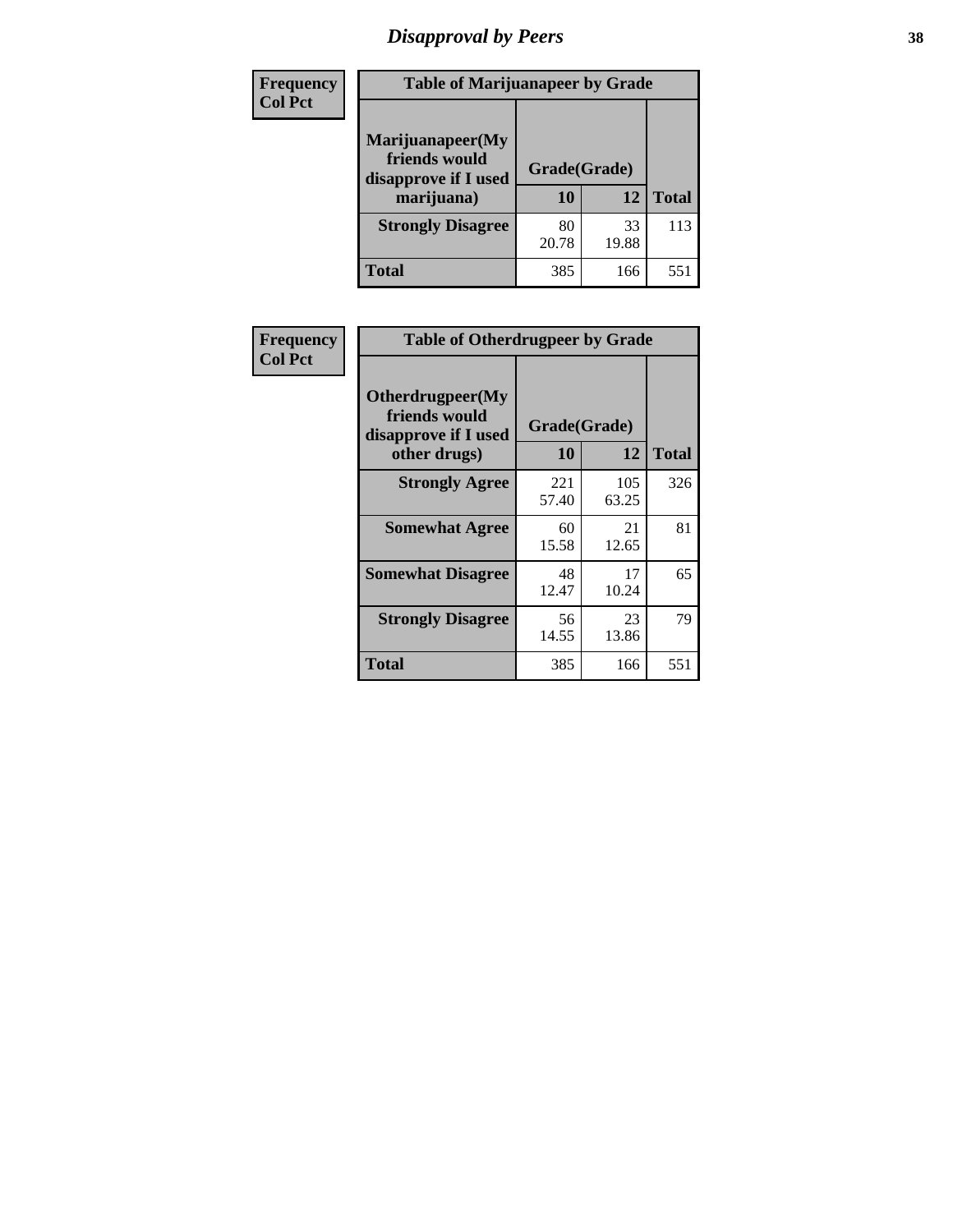# *Disapproval by Peers* **38**

| Frequency<br><b>Col Pct</b> | <b>Table of Marijuanapeer by Grade</b>                                  |                    |             |              |
|-----------------------------|-------------------------------------------------------------------------|--------------------|-------------|--------------|
|                             | Marijuanapeer(My<br>friends would<br>disapprove if I used<br>marijuana) | Grade(Grade)<br>10 | 12          | <b>Total</b> |
|                             | <b>Strongly Disagree</b>                                                | 80<br>20.78        | 33<br>19.88 | 113          |
|                             | Total                                                                   | 385                | 166         | 551          |

| Frequency      | <b>Table of Otherdrugpeer by Grade</b>                                    |                           |              |              |  |
|----------------|---------------------------------------------------------------------------|---------------------------|--------------|--------------|--|
| <b>Col Pct</b> | Otherdrugpeer(My<br>friends would<br>disapprove if I used<br>other drugs) | Grade(Grade)<br><b>10</b> | 12           | <b>Total</b> |  |
|                | <b>Strongly Agree</b>                                                     | 221<br>57.40              | 105<br>63.25 | 326          |  |
|                | <b>Somewhat Agree</b>                                                     | 60<br>15.58               | 21<br>12.65  | 81           |  |
|                | <b>Somewhat Disagree</b>                                                  | 48<br>12.47               | 17<br>10.24  | 65           |  |
|                | <b>Strongly Disagree</b>                                                  | 56<br>14.55               | 23<br>13.86  | 79           |  |
|                | Total                                                                     | 385                       | 166          | 551          |  |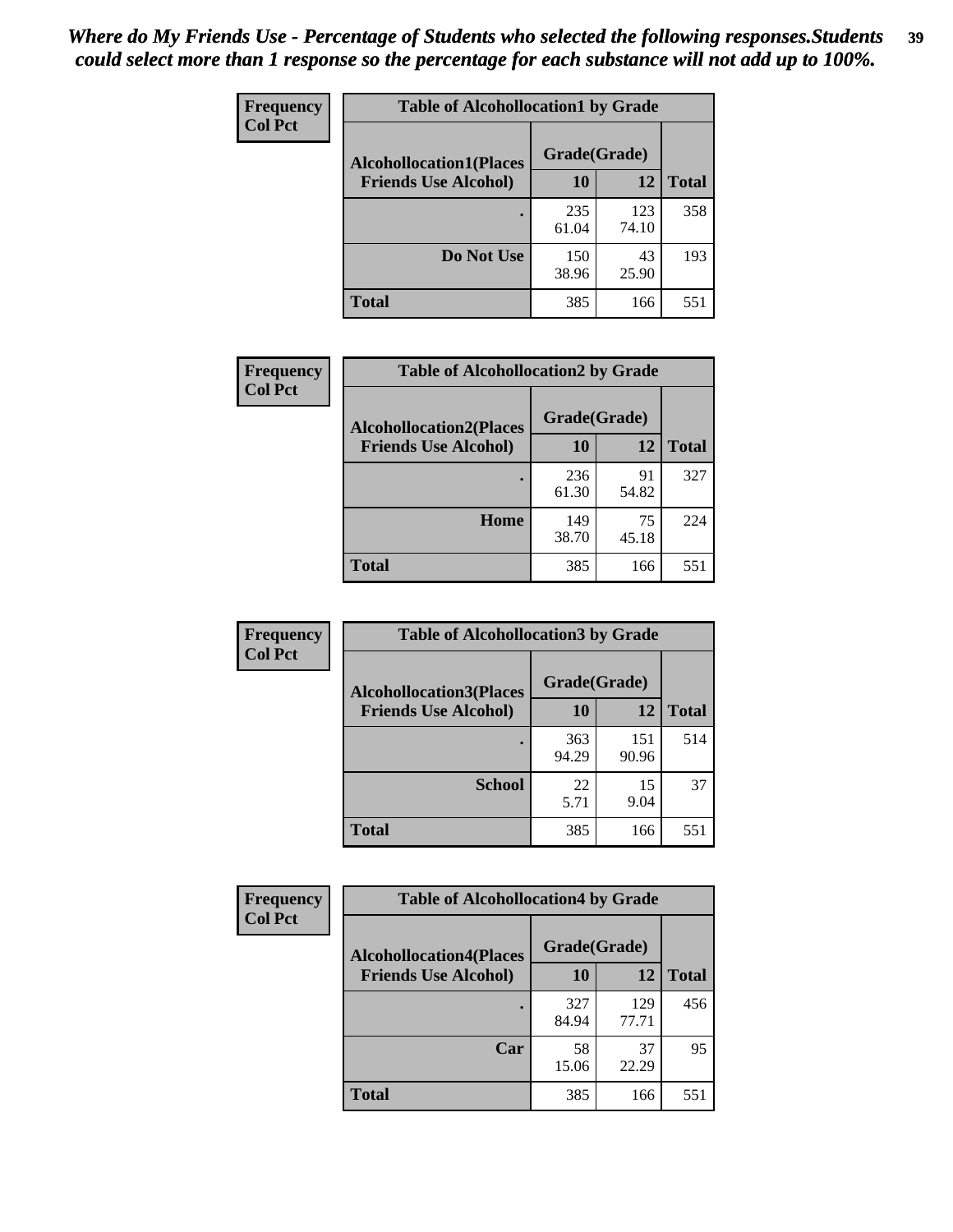| Frequency      | <b>Table of Alcohollocation1 by Grade</b> |              |              |              |  |
|----------------|-------------------------------------------|--------------|--------------|--------------|--|
| <b>Col Pct</b> | <b>Alcohollocation1(Places</b>            | Grade(Grade) |              |              |  |
|                | <b>Friends Use Alcohol)</b>               | 10           | 12           | <b>Total</b> |  |
|                |                                           | 235<br>61.04 | 123<br>74.10 | 358          |  |
|                | Do Not Use                                | 150<br>38.96 | 43<br>25.90  | 193          |  |
|                | <b>Total</b>                              | 385          | 166          | 551          |  |

| <b>Frequency</b> | <b>Table of Alcohollocation2 by Grade</b>                     |                    |             |              |
|------------------|---------------------------------------------------------------|--------------------|-------------|--------------|
| <b>Col Pct</b>   | <b>Alcohollocation2(Places</b><br><b>Friends Use Alcohol)</b> | Grade(Grade)<br>10 | 12          | <b>Total</b> |
|                  |                                                               | 236<br>61.30       | 91<br>54.82 | 327          |
|                  | Home                                                          | 149<br>38.70       | 75<br>45.18 | 224          |
|                  | <b>Total</b>                                                  | 385                | 166         | 551          |

| Frequency<br><b>Col Pct</b> | <b>Table of Alcohollocation 3 by Grade</b>                    |                    |              |              |  |
|-----------------------------|---------------------------------------------------------------|--------------------|--------------|--------------|--|
|                             | <b>Alcohollocation3(Places</b><br><b>Friends Use Alcohol)</b> | Grade(Grade)<br>10 | 12           | <b>Total</b> |  |
|                             |                                                               | 363<br>94.29       | 151<br>90.96 | 514          |  |
|                             | <b>School</b>                                                 | 22<br>5.71         | 15<br>9.04   | 37           |  |
|                             | Total                                                         | 385                | 166          | 551          |  |

| <b>Frequency</b> | <b>Table of Alcohollocation4 by Grade</b> |              |              |              |  |
|------------------|-------------------------------------------|--------------|--------------|--------------|--|
| <b>Col Pct</b>   | <b>Alcohollocation4(Places</b>            | Grade(Grade) |              |              |  |
|                  | <b>Friends Use Alcohol)</b>               | 10           | 12           | <b>Total</b> |  |
|                  |                                           | 327<br>84.94 | 129<br>77.71 | 456          |  |
|                  | Car                                       | 58<br>15.06  | 37<br>22.29  | 95           |  |
|                  | <b>Total</b>                              | 385          | 166          | 551          |  |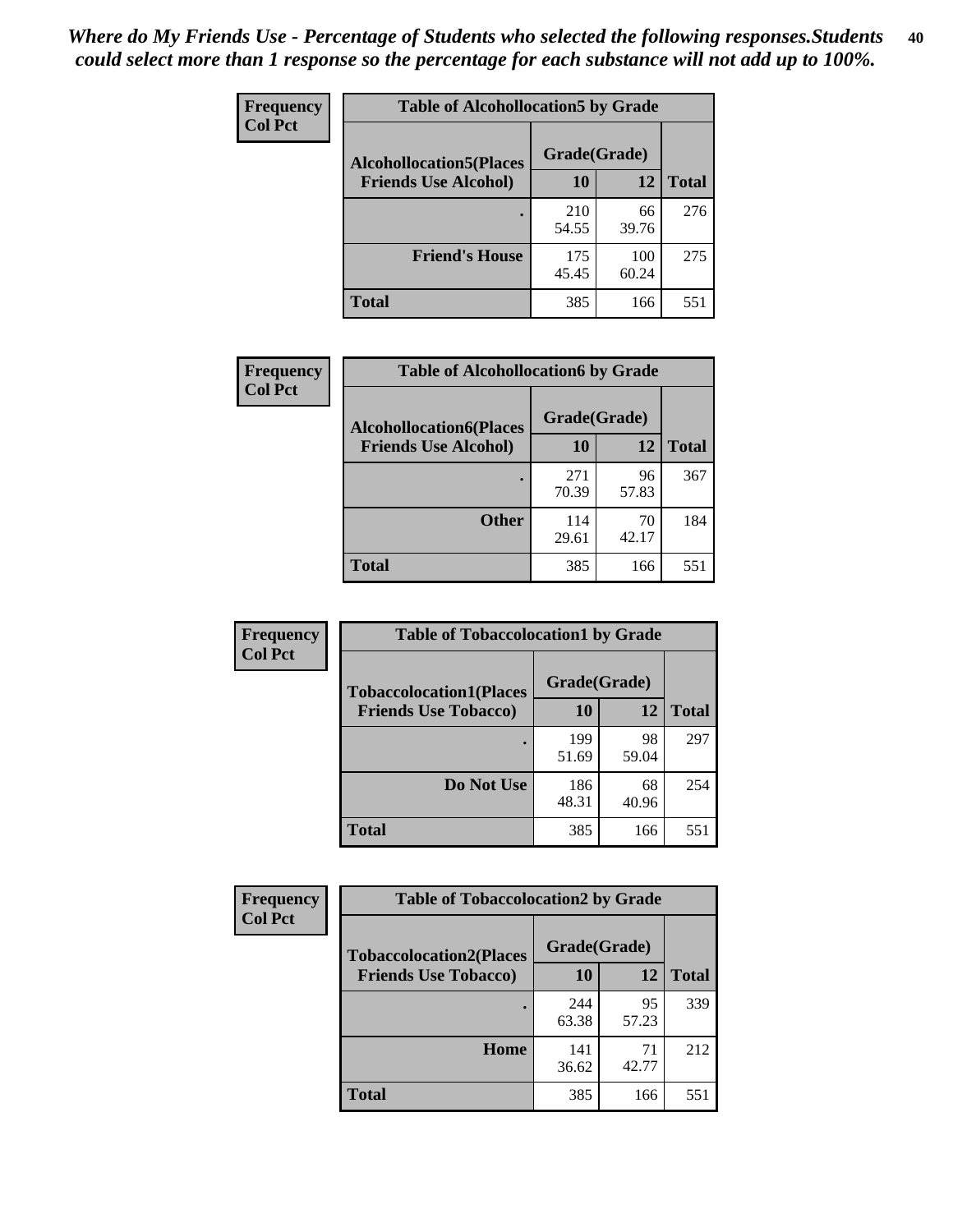| <b>Frequency</b><br><b>Col Pct</b> | <b>Table of Alcohollocation5 by Grade</b> |              |              |              |  |
|------------------------------------|-------------------------------------------|--------------|--------------|--------------|--|
|                                    | <b>Alcohollocation5(Places</b>            | Grade(Grade) |              |              |  |
|                                    | <b>Friends Use Alcohol)</b>               | 10           | 12           | <b>Total</b> |  |
|                                    |                                           | 210<br>54.55 | 66<br>39.76  | 276          |  |
|                                    | <b>Friend's House</b>                     | 175<br>45.45 | 100<br>60.24 | 275          |  |
|                                    | Total                                     | 385          | 166          | 551          |  |

| <b>Frequency</b> | <b>Table of Alcohollocation6 by Grade</b> |              |             |              |
|------------------|-------------------------------------------|--------------|-------------|--------------|
| <b>Col Pct</b>   | <b>Alcohollocation6(Places</b>            | Grade(Grade) |             |              |
|                  | <b>Friends Use Alcohol)</b>               | 10           | 12          | <b>Total</b> |
|                  |                                           | 271<br>70.39 | 96<br>57.83 | 367          |
|                  | <b>Other</b>                              | 114<br>29.61 | 70<br>42.17 | 184          |
|                  | <b>Total</b>                              | 385          | 166         | 551          |

| <b>Frequency</b> | <b>Table of Tobaccolocation1 by Grade</b> |              |             |              |
|------------------|-------------------------------------------|--------------|-------------|--------------|
| <b>Col Pct</b>   | <b>Tobaccolocation1(Places</b>            | Grade(Grade) |             |              |
|                  | <b>Friends Use Tobacco)</b>               | 10           | 12          | <b>Total</b> |
|                  |                                           | 199<br>51.69 | 98<br>59.04 | 297          |
|                  | Do Not Use                                | 186<br>48.31 | 68<br>40.96 | 254          |
|                  | <b>Total</b>                              | 385          | 166         | 551          |

| Frequency      | <b>Table of Tobaccolocation2 by Grade</b> |              |             |              |  |
|----------------|-------------------------------------------|--------------|-------------|--------------|--|
| <b>Col Pct</b> | <b>Tobaccolocation2(Places</b>            | Grade(Grade) |             |              |  |
|                | <b>Friends Use Tobacco)</b>               | 10           | 12          | <b>Total</b> |  |
|                |                                           | 244<br>63.38 | 95<br>57.23 | 339          |  |
|                | Home                                      | 141<br>36.62 | 71<br>42.77 | 212          |  |
|                | <b>Total</b>                              | 385          | 166         | 551          |  |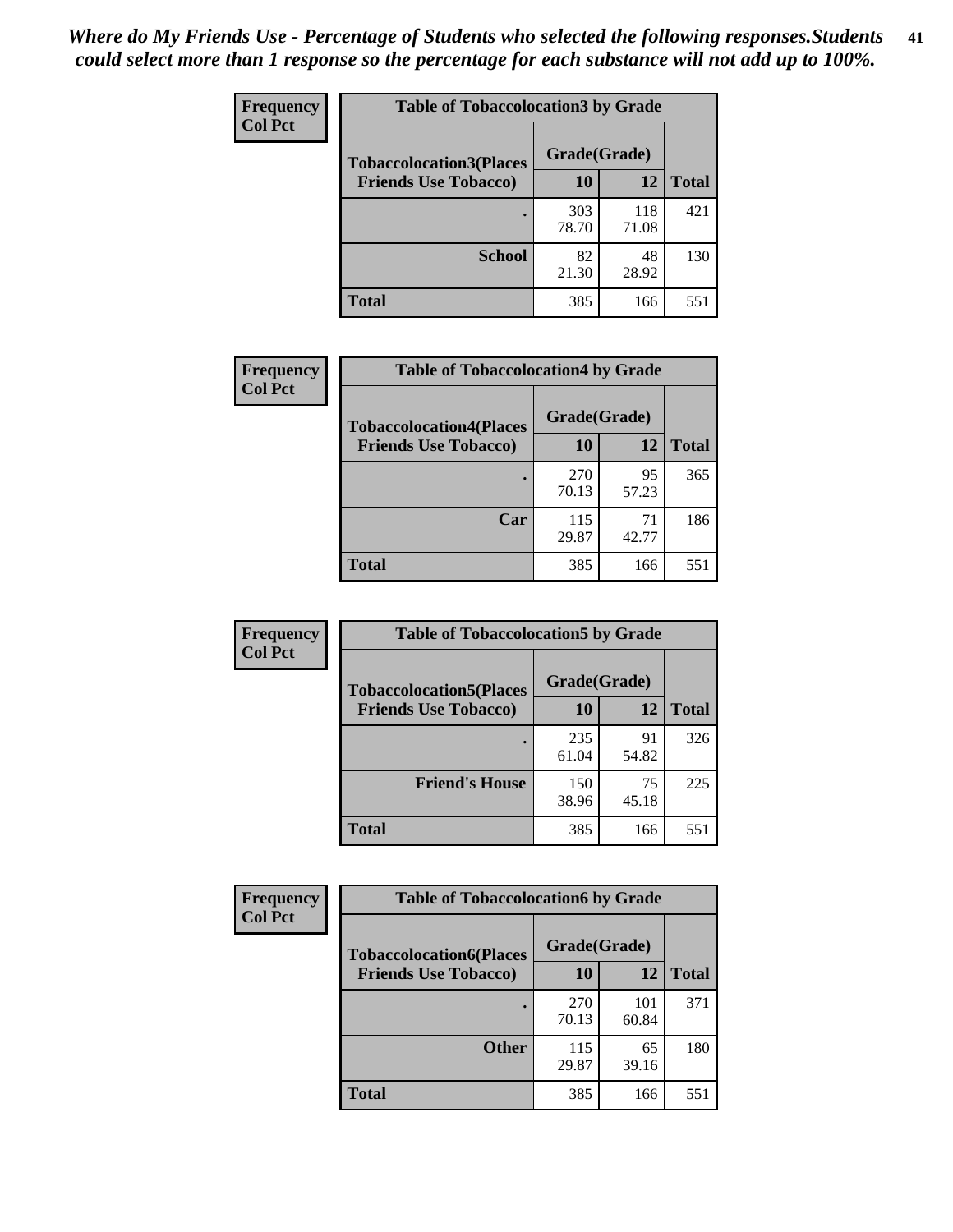| Frequency      | <b>Table of Tobaccolocation3 by Grade</b> |              |              |              |  |
|----------------|-------------------------------------------|--------------|--------------|--------------|--|
| <b>Col Pct</b> | <b>Tobaccolocation3(Places</b>            | Grade(Grade) |              |              |  |
|                | <b>Friends Use Tobacco)</b>               | 10           | 12           | <b>Total</b> |  |
|                |                                           | 303<br>78.70 | 118<br>71.08 | 421          |  |
|                | <b>School</b>                             | 82<br>21.30  | 48<br>28.92  | 130          |  |
|                | <b>Total</b>                              | 385          | 166          | 551          |  |

| Frequency      | <b>Table of Tobaccolocation4 by Grade</b> |              |             |              |
|----------------|-------------------------------------------|--------------|-------------|--------------|
| <b>Col Pct</b> | <b>Tobaccolocation4(Places</b>            | Grade(Grade) |             |              |
|                | <b>Friends Use Tobacco)</b>               | 10           | 12          | <b>Total</b> |
|                |                                           | 270<br>70.13 | 95<br>57.23 | 365          |
|                | Car                                       | 115<br>29.87 | 71<br>42.77 | 186          |
|                | <b>Total</b>                              | 385          | 166         | 551          |

| Frequency<br><b>Col Pct</b>                                   | <b>Table of Tobaccolocation5 by Grade</b> |              |             |              |
|---------------------------------------------------------------|-------------------------------------------|--------------|-------------|--------------|
| <b>Tobaccolocation5(Places</b><br><b>Friends Use Tobacco)</b> | Grade(Grade)                              |              |             |              |
|                                                               |                                           | 10           | <b>12</b>   | <b>Total</b> |
|                                                               |                                           | 235<br>61.04 | 91<br>54.82 | 326          |
|                                                               | <b>Friend's House</b>                     | 150<br>38.96 | 75<br>45.18 | 225          |
|                                                               | <b>Total</b>                              | 385          | 166         | 551          |

| <b>Frequency</b> | <b>Table of Tobaccolocation6 by Grade</b> |              |              |              |
|------------------|-------------------------------------------|--------------|--------------|--------------|
| <b>Col Pct</b>   | <b>Tobaccolocation6(Places</b>            | Grade(Grade) |              |              |
|                  | <b>Friends Use Tobacco)</b>               | 10           | 12           | <b>Total</b> |
|                  |                                           | 270<br>70.13 | 101<br>60.84 | 371          |
|                  | <b>Other</b>                              | 115<br>29.87 | 65<br>39.16  | 180          |
|                  | <b>Total</b>                              | 385          | 166          | 551          |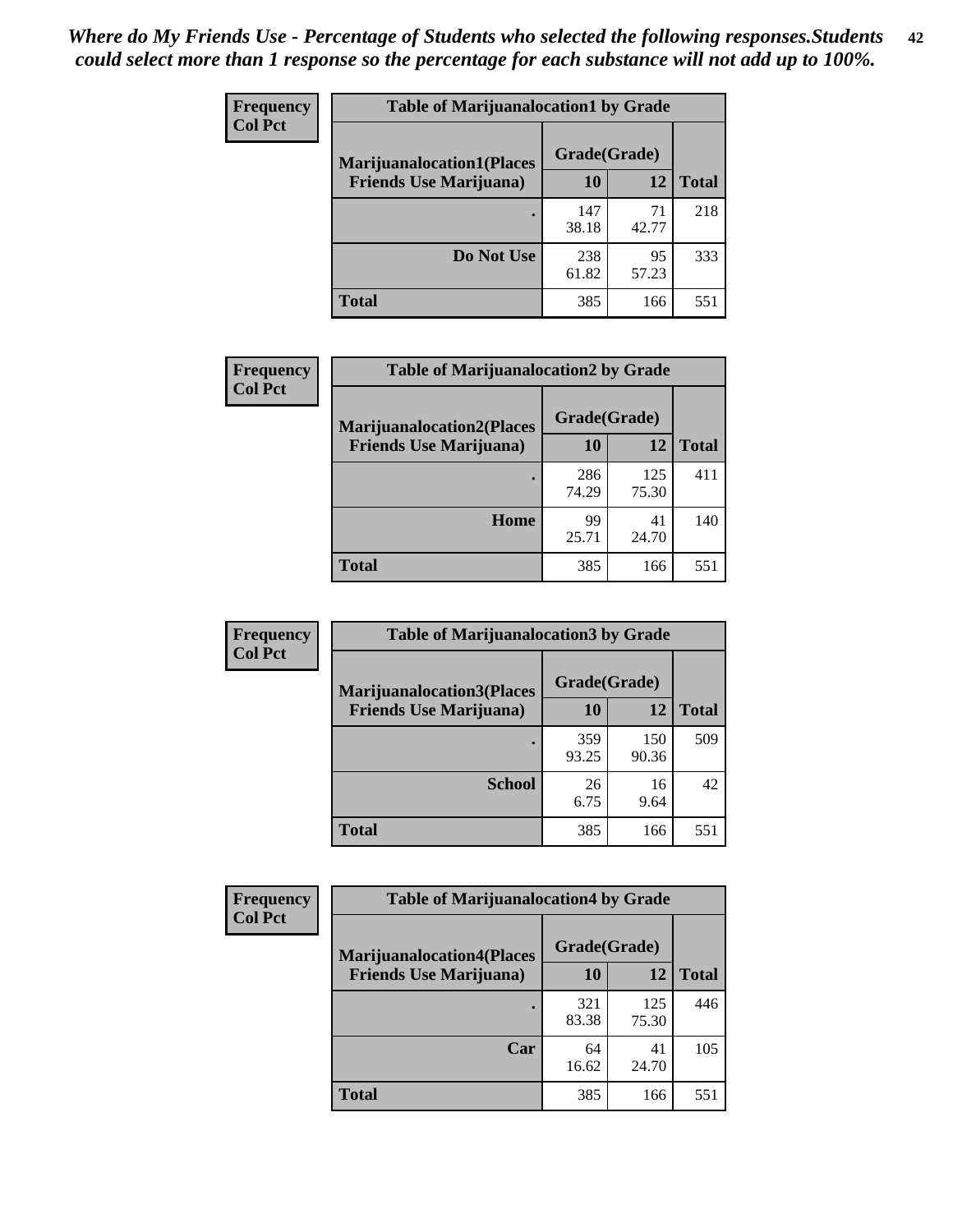| <b>Frequency</b> | <b>Table of Marijuanalocation1 by Grade</b> |              |             |              |
|------------------|---------------------------------------------|--------------|-------------|--------------|
| <b>Col Pct</b>   | <b>Marijuanalocation1(Places</b>            | Grade(Grade) |             |              |
|                  | <b>Friends Use Marijuana</b> )              | 10           | 12          | <b>Total</b> |
|                  |                                             | 147<br>38.18 | 71<br>42.77 | 218          |
|                  | Do Not Use                                  | 238<br>61.82 | 95<br>57.23 | 333          |
|                  | <b>Total</b>                                | 385          | 166         | 551          |

| <b>Frequency</b> | <b>Table of Marijuanalocation2 by Grade</b>                        |                    |              |              |
|------------------|--------------------------------------------------------------------|--------------------|--------------|--------------|
| <b>Col Pct</b>   | <b>Marijuanalocation2(Places</b><br><b>Friends Use Marijuana</b> ) | Grade(Grade)<br>10 | 12           | <b>Total</b> |
|                  |                                                                    |                    |              |              |
|                  |                                                                    | 286<br>74.29       | 125<br>75.30 | 411          |
|                  | Home                                                               | 99<br>25.71        | 41<br>24.70  | 140          |
|                  | <b>Total</b>                                                       | 385                | 166          | 551          |

| Frequency<br><b>Col Pct</b> | <b>Table of Marijuanalocation3 by Grade</b> |              |              |       |
|-----------------------------|---------------------------------------------|--------------|--------------|-------|
|                             | <b>Marijuanalocation3</b> (Places           | Grade(Grade) |              |       |
|                             | <b>Friends Use Marijuana</b> )              | 10           | 12           | Total |
|                             |                                             | 359<br>93.25 | 150<br>90.36 | 509   |
|                             | <b>School</b>                               | 26<br>6.75   | 16<br>9.64   | 42    |
|                             | <b>Total</b>                                | 385          | 166          | 551   |

| Frequency      | <b>Table of Marijuanalocation4 by Grade</b> |              |              |              |
|----------------|---------------------------------------------|--------------|--------------|--------------|
| <b>Col Pct</b> | <b>Marijuanalocation4(Places</b>            | Grade(Grade) |              |              |
|                | <b>Friends Use Marijuana</b> )              | <b>10</b>    | 12           | <b>Total</b> |
|                |                                             | 321<br>83.38 | 125<br>75.30 | 446          |
|                | Car                                         | 64<br>16.62  | 41<br>24.70  | 105          |
|                | <b>Total</b>                                | 385          | 166          | 551          |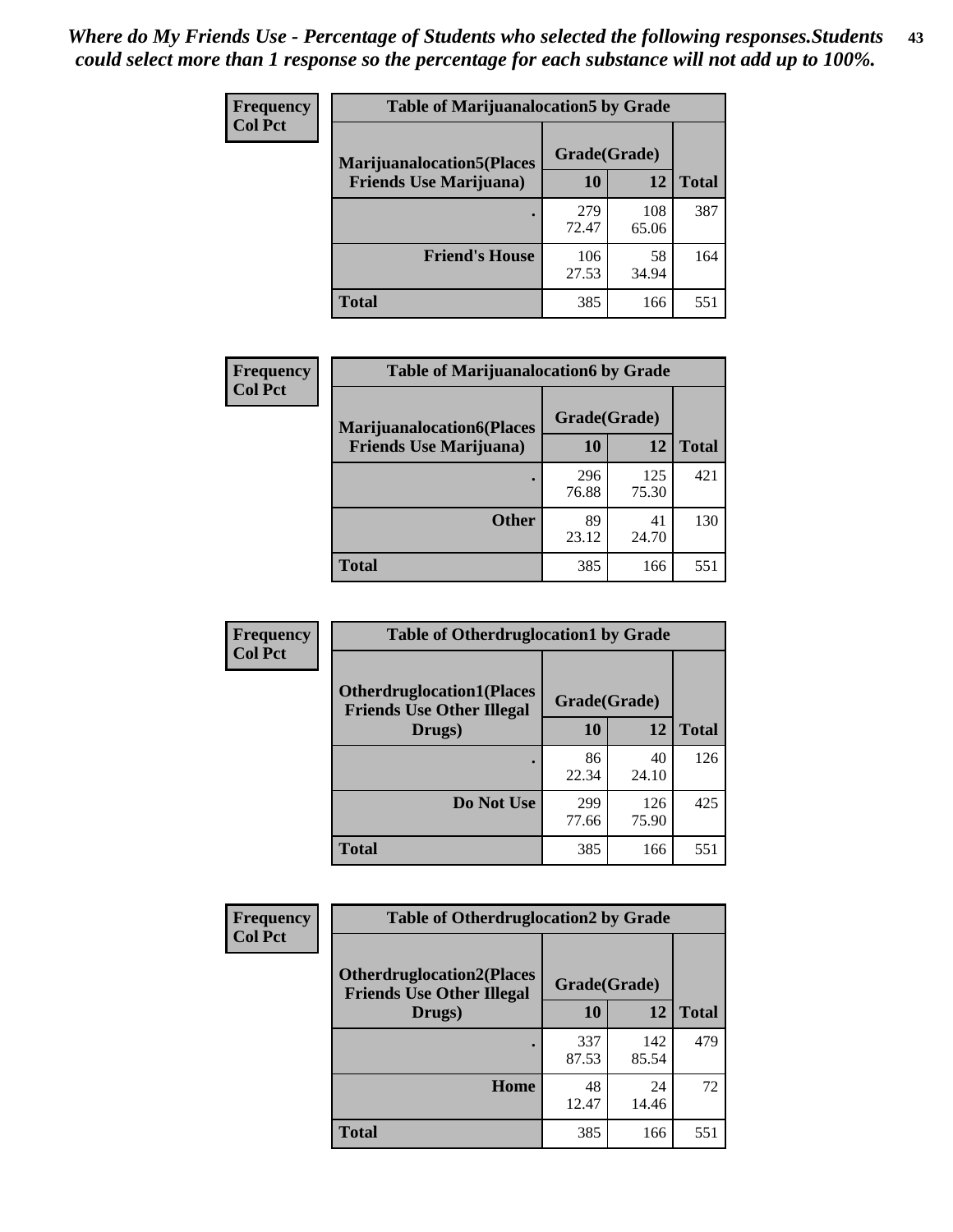| <b>Frequency</b> | <b>Table of Marijuanalocation5 by Grade</b> |              |              |              |
|------------------|---------------------------------------------|--------------|--------------|--------------|
| <b>Col Pct</b>   | <b>Marijuanalocation5</b> (Places           | Grade(Grade) |              |              |
|                  | <b>Friends Use Marijuana</b> )              | 10           | 12           | <b>Total</b> |
|                  |                                             | 279<br>72.47 | 108<br>65.06 | 387          |
|                  | <b>Friend's House</b>                       | 106<br>27.53 | 58<br>34.94  | 164          |
|                  | <b>Total</b>                                | 385          | 166          | 551          |

| <b>Frequency</b> | <b>Table of Marijuanalocation6 by Grade</b>                        |                    |              |              |
|------------------|--------------------------------------------------------------------|--------------------|--------------|--------------|
| <b>Col Pct</b>   | <b>Marijuanalocation6(Places</b><br><b>Friends Use Marijuana</b> ) | Grade(Grade)<br>10 | 12           | <b>Total</b> |
|                  |                                                                    | 296<br>76.88       | 125<br>75.30 | 421          |
|                  | <b>Other</b>                                                       | 89<br>23.12        | 41<br>24.70  | 130          |
|                  | <b>Total</b>                                                       | 385                | 166          | 551          |

| <b>Frequency</b> | <b>Table of Otherdruglocation1 by Grade</b>                          |              |              |              |
|------------------|----------------------------------------------------------------------|--------------|--------------|--------------|
| <b>Col Pct</b>   | <b>Otherdruglocation1(Places</b><br><b>Friends Use Other Illegal</b> | Grade(Grade) |              |              |
|                  | Drugs)                                                               | 10           | 12           | <b>Total</b> |
|                  |                                                                      | 86<br>22.34  | 40<br>24.10  | 126          |
|                  | Do Not Use                                                           | 299<br>77.66 | 126<br>75.90 | 425          |
|                  | <b>Total</b>                                                         | 385          | 166          | 551          |

| Frequency      | <b>Table of Otherdruglocation2 by Grade</b>                          |              |              |              |
|----------------|----------------------------------------------------------------------|--------------|--------------|--------------|
| <b>Col Pct</b> | <b>Otherdruglocation2(Places</b><br><b>Friends Use Other Illegal</b> | Grade(Grade) |              |              |
|                | Drugs)                                                               | 10           | 12           | <b>Total</b> |
|                |                                                                      | 337<br>87.53 | 142<br>85.54 | 479          |
|                | Home                                                                 | 48<br>12.47  | 24<br>14.46  | 72           |
|                | <b>Total</b>                                                         | 385          | 166          | 551          |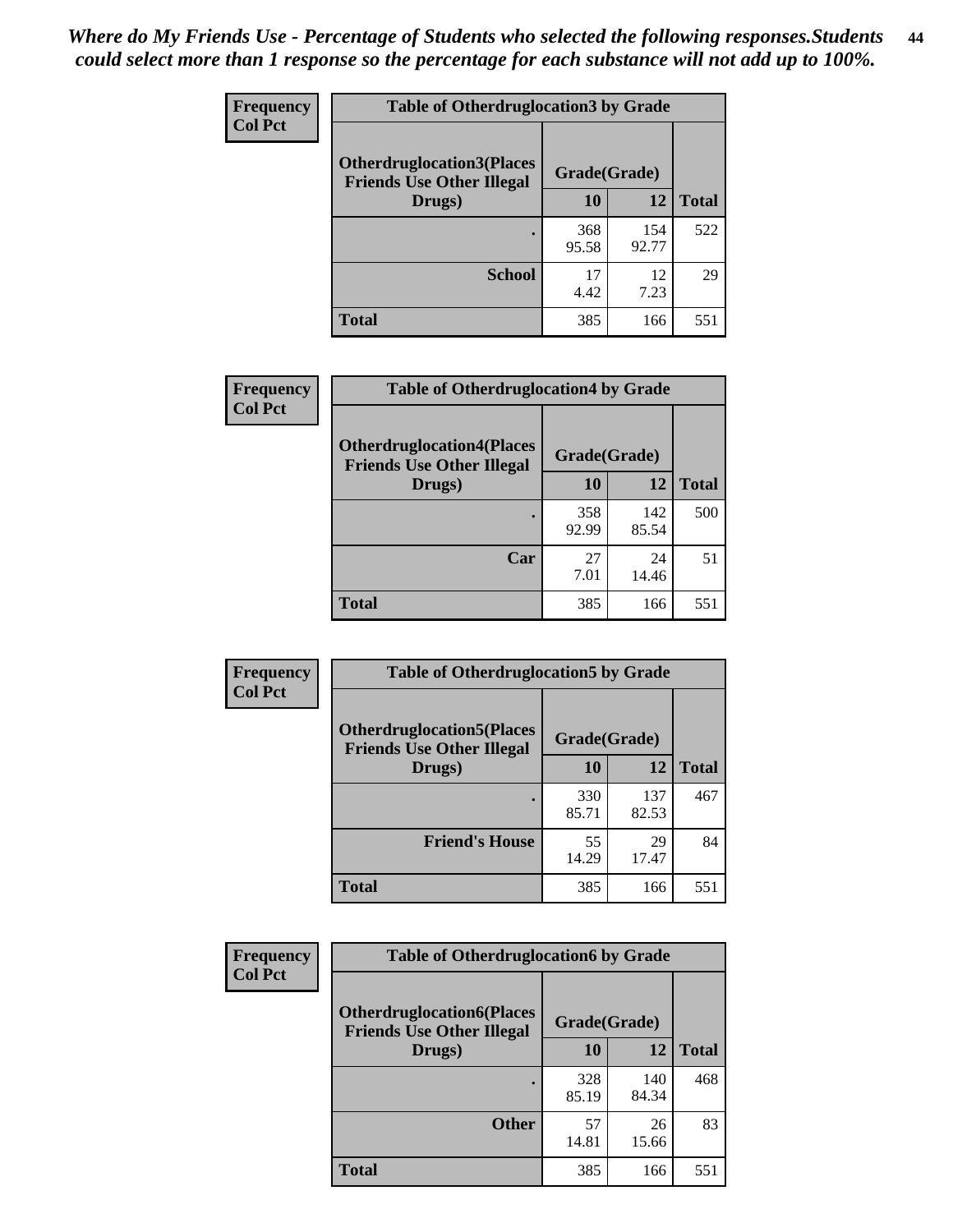| <b>Frequency</b> | <b>Table of Otherdruglocation 3 by Grade</b>                         |              |              |              |
|------------------|----------------------------------------------------------------------|--------------|--------------|--------------|
| <b>Col Pct</b>   | <b>Otherdruglocation3(Places</b><br><b>Friends Use Other Illegal</b> | Grade(Grade) |              |              |
|                  | Drugs)                                                               | 10           | 12           | <b>Total</b> |
|                  |                                                                      | 368<br>95.58 | 154<br>92.77 | 522          |
|                  | <b>School</b>                                                        | 17<br>4.42   | 12<br>7.23   | 29           |
|                  | <b>Total</b>                                                         | 385          | 166          | 551          |

| <b>Frequency</b> | <b>Table of Otherdruglocation4 by Grade</b>                          |              |              |              |
|------------------|----------------------------------------------------------------------|--------------|--------------|--------------|
| <b>Col Pct</b>   | <b>Otherdruglocation4(Places</b><br><b>Friends Use Other Illegal</b> | Grade(Grade) |              |              |
|                  | Drugs)                                                               | 10           | 12           | <b>Total</b> |
|                  |                                                                      | 358<br>92.99 | 142<br>85.54 | 500          |
|                  | Car                                                                  | 27<br>7.01   | 24<br>14.46  | 51           |
|                  | <b>Total</b>                                                         | 385          | 166          | 551          |

| Frequency      | <b>Table of Otherdruglocation5 by Grade</b>                          |              |              |              |
|----------------|----------------------------------------------------------------------|--------------|--------------|--------------|
| <b>Col Pct</b> | <b>Otherdruglocation5(Places</b><br><b>Friends Use Other Illegal</b> | Grade(Grade) |              |              |
|                | Drugs)                                                               | 10           | 12           | <b>Total</b> |
|                |                                                                      | 330<br>85.71 | 137<br>82.53 | 467          |
|                | <b>Friend's House</b>                                                | 55<br>14.29  | 29<br>17.47  | 84           |
|                | <b>Total</b>                                                         | 385          | 166          | 551          |

| <b>Frequency</b> | <b>Table of Otherdruglocation6 by Grade</b>                          |              |              |              |
|------------------|----------------------------------------------------------------------|--------------|--------------|--------------|
| <b>Col Pct</b>   | <b>Otherdruglocation6(Places</b><br><b>Friends Use Other Illegal</b> | Grade(Grade) |              |              |
|                  | Drugs)                                                               | 10           | 12           | <b>Total</b> |
|                  |                                                                      | 328<br>85.19 | 140<br>84.34 | 468          |
|                  | <b>Other</b>                                                         | 57<br>14.81  | 26<br>15.66  | 83           |
|                  | <b>Total</b>                                                         | 385          | 166          | 551          |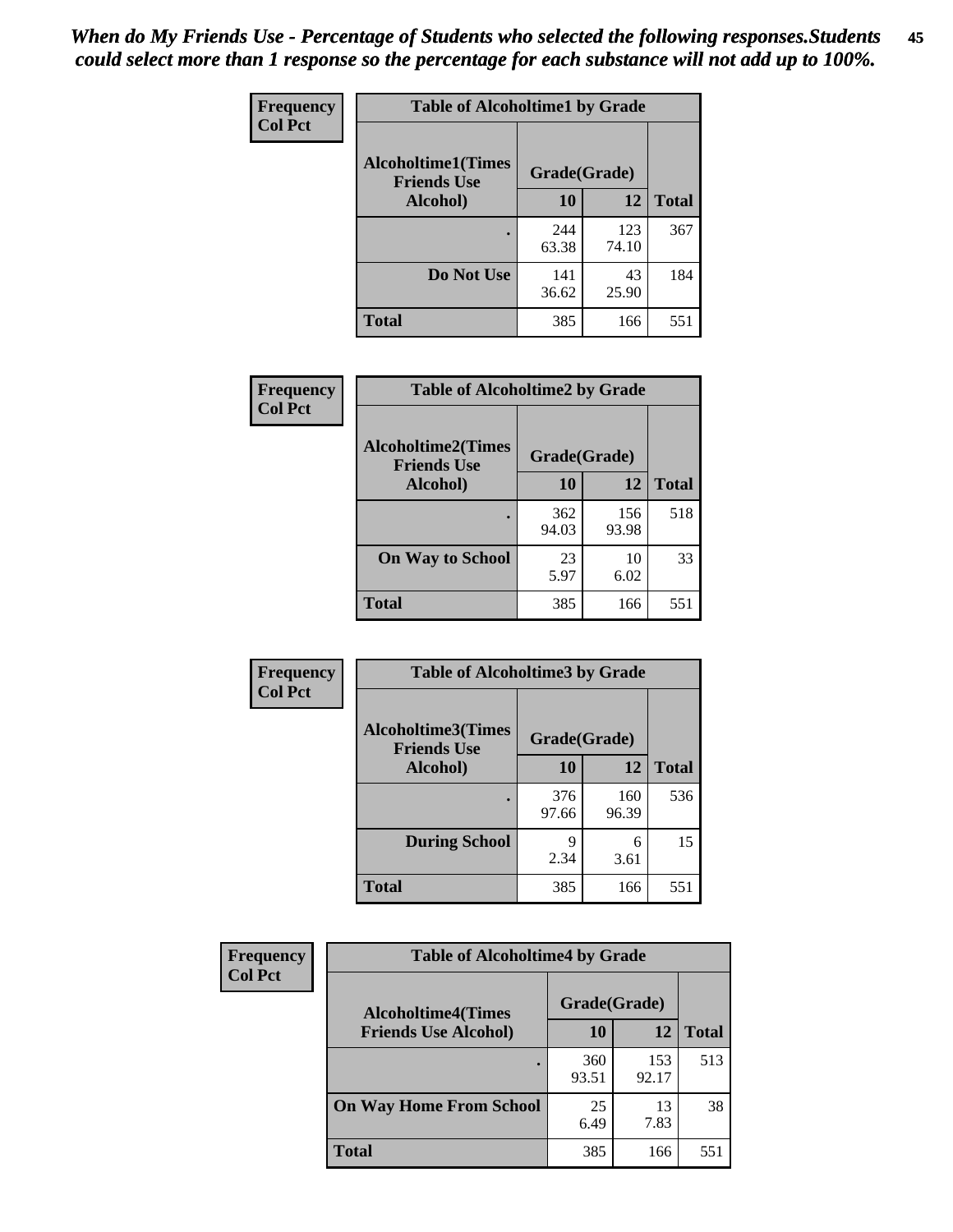| Frequency      | <b>Table of Alcoholtime1 by Grade</b>           |              |              |              |
|----------------|-------------------------------------------------|--------------|--------------|--------------|
| <b>Col Pct</b> | <b>Alcoholtime1(Times</b><br><b>Friends Use</b> | Grade(Grade) |              |              |
|                | Alcohol)                                        | 10           | 12           | <b>Total</b> |
|                |                                                 | 244<br>63.38 | 123<br>74.10 | 367          |
|                | Do Not Use                                      | 141<br>36.62 | 43<br>25.90  | 184          |
|                | <b>Total</b>                                    | 385          | 166          | 551          |

| Frequency      | <b>Table of Alcoholtime2 by Grade</b>           |              |              |              |
|----------------|-------------------------------------------------|--------------|--------------|--------------|
| <b>Col Pct</b> | <b>Alcoholtime2(Times</b><br><b>Friends Use</b> | Grade(Grade) |              |              |
|                | Alcohol)                                        | 10           | 12           | <b>Total</b> |
|                |                                                 | 362<br>94.03 | 156<br>93.98 | 518          |
|                | <b>On Way to School</b>                         | 23<br>5.97   | 10<br>6.02   | 33           |
|                | <b>Total</b>                                    | 385          | 166          | 551          |

| Frequency<br><b>Col Pct</b> | <b>Table of Alcoholtime3 by Grade</b>           |              |              |              |
|-----------------------------|-------------------------------------------------|--------------|--------------|--------------|
|                             | <b>Alcoholtime3(Times</b><br><b>Friends Use</b> | Grade(Grade) |              |              |
|                             | Alcohol)                                        | 10           | 12           | <b>Total</b> |
|                             |                                                 | 376<br>97.66 | 160<br>96.39 | 536          |
|                             | <b>During School</b>                            | 9<br>2.34    | 6<br>3.61    | 15           |
|                             | <b>Total</b>                                    | 385          | 166          | 551          |

| <b>Frequency</b> | <b>Table of Alcoholtime4 by Grade</b> |              |              |              |  |
|------------------|---------------------------------------|--------------|--------------|--------------|--|
| <b>Col Pct</b>   | <b>Alcoholtime4(Times</b>             | Grade(Grade) |              |              |  |
|                  | <b>Friends Use Alcohol)</b>           | 10           | 12           | <b>Total</b> |  |
|                  |                                       | 360<br>93.51 | 153<br>92.17 | 513          |  |
|                  | <b>On Way Home From School</b>        | 25<br>6.49   | 13<br>7.83   | 38           |  |
|                  | <b>Total</b>                          | 385          | 166          | 551          |  |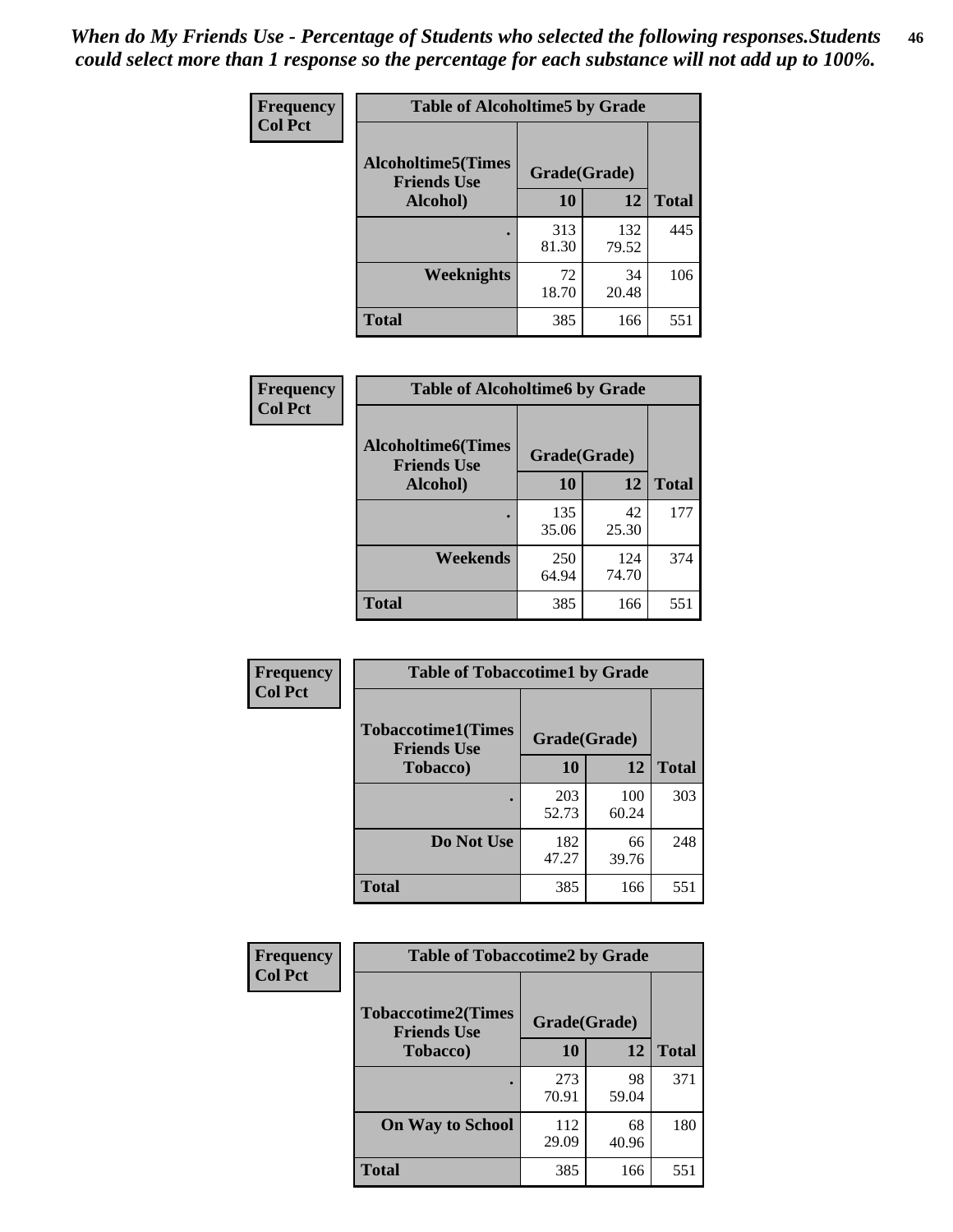*When do My Friends Use - Percentage of Students who selected the following responses.Students could select more than 1 response so the percentage for each substance will not add up to 100%.* **46**

| Frequency      | <b>Table of Alcoholtime5 by Grade</b>            |              |              |              |
|----------------|--------------------------------------------------|--------------|--------------|--------------|
| <b>Col Pct</b> | <b>Alcoholtime5</b> (Times<br><b>Friends Use</b> | Grade(Grade) |              |              |
|                | Alcohol)                                         | 10           | 12           | <b>Total</b> |
|                |                                                  | 313<br>81.30 | 132<br>79.52 | 445          |
|                | Weeknights                                       | 72<br>18.70  | 34<br>20.48  | 106          |
|                | <b>Total</b>                                     | 385          | 166          | 551          |

| Frequency      | <b>Table of Alcoholtime6 by Grade</b>           |              |              |              |
|----------------|-------------------------------------------------|--------------|--------------|--------------|
| <b>Col Pct</b> | <b>Alcoholtime6(Times</b><br><b>Friends Use</b> | Grade(Grade) |              |              |
|                | Alcohol)                                        | 10           | 12           | <b>Total</b> |
|                |                                                 | 135<br>35.06 | 42<br>25.30  | 177          |
|                | Weekends                                        | 250<br>64.94 | 124<br>74.70 | 374          |
|                | <b>Total</b>                                    | 385          | 166          | 551          |

| <b>Frequency</b> | <b>Table of Tobaccotime1 by Grade</b>           |              |              |              |
|------------------|-------------------------------------------------|--------------|--------------|--------------|
| <b>Col Pct</b>   | <b>Tobaccotime1(Times</b><br><b>Friends Use</b> | Grade(Grade) |              |              |
|                  | <b>Tobacco</b> )                                | 10           | 12           | <b>Total</b> |
|                  |                                                 | 203<br>52.73 | 100<br>60.24 | 303          |
|                  | Do Not Use                                      | 182<br>47.27 | 66<br>39.76  | 248          |
|                  | <b>Total</b>                                    | 385          | 166          | 551          |

| <b>Frequency</b> | <b>Table of Tobaccotime2 by Grade</b>           |              |             |              |  |
|------------------|-------------------------------------------------|--------------|-------------|--------------|--|
| <b>Col Pct</b>   | <b>Tobaccotime2(Times</b><br><b>Friends Use</b> | Grade(Grade) |             |              |  |
|                  | <b>Tobacco</b> )                                | 10           | 12          | <b>Total</b> |  |
|                  |                                                 | 273<br>70.91 | 98<br>59.04 | 371          |  |
|                  | <b>On Way to School</b>                         | 112<br>29.09 | 68<br>40.96 | 180          |  |
|                  | <b>Total</b>                                    | 385          | 166         | 551          |  |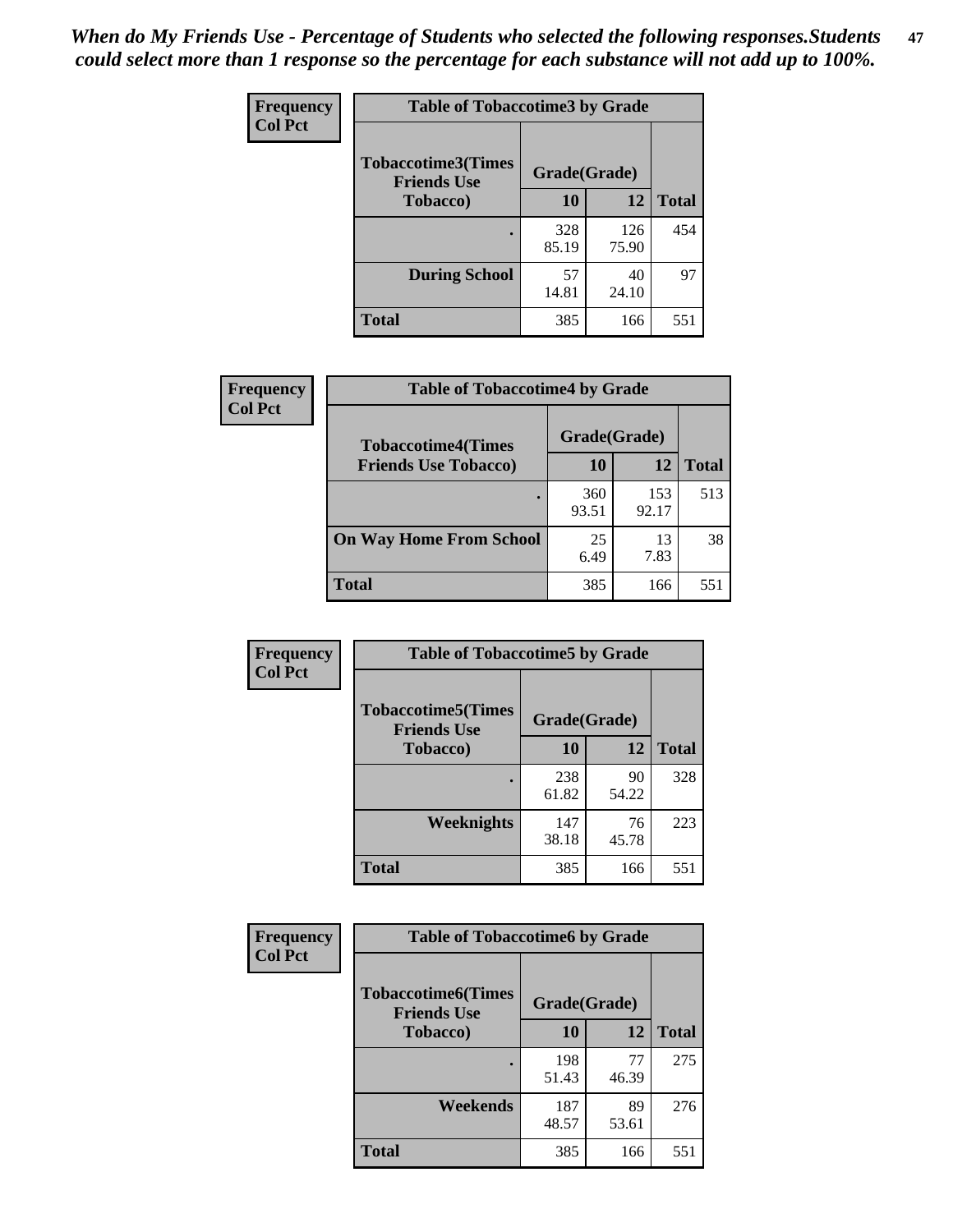*When do My Friends Use - Percentage of Students who selected the following responses.Students could select more than 1 response so the percentage for each substance will not add up to 100%.* **47**

| <b>Frequency</b> | <b>Table of Tobaccotime3 by Grade</b>           |              |              |              |  |
|------------------|-------------------------------------------------|--------------|--------------|--------------|--|
| <b>Col Pct</b>   | <b>Tobaccotime3(Times</b><br><b>Friends Use</b> | Grade(Grade) |              |              |  |
|                  | <b>Tobacco</b> )                                | 10           | 12           | <b>Total</b> |  |
|                  |                                                 | 328<br>85.19 | 126<br>75.90 | 454          |  |
|                  | <b>During School</b>                            | 57<br>14.81  | 40<br>24.10  | 97           |  |
|                  | <b>Total</b>                                    | 385          | 166          | 551          |  |

| Frequency<br><b>Col Pct</b> | <b>Table of Tobaccotime4 by Grade</b> |              |              |              |
|-----------------------------|---------------------------------------|--------------|--------------|--------------|
|                             | <b>Tobaccotime4(Times</b>             | Grade(Grade) |              |              |
|                             | <b>Friends Use Tobacco)</b>           | 10           | 12           | <b>Total</b> |
|                             |                                       | 360<br>93.51 | 153<br>92.17 | 513          |
|                             | <b>On Way Home From School</b>        | 25<br>6.49   | 13<br>7.83   | 38           |
|                             | <b>Total</b>                          | 385          | 166          | 551          |

| Frequency      | <b>Table of Tobaccotime5 by Grade</b>           |              |             |              |
|----------------|-------------------------------------------------|--------------|-------------|--------------|
| <b>Col Pct</b> | <b>Tobaccotime5(Times</b><br><b>Friends Use</b> | Grade(Grade) |             |              |
|                | <b>Tobacco</b> )                                | 10           | 12          | <b>Total</b> |
|                |                                                 | 238<br>61.82 | 90<br>54.22 | 328          |
|                | Weeknights                                      | 147<br>38.18 | 76<br>45.78 | 223          |
|                | <b>Total</b>                                    | 385          | 166         | 551          |

| <b>Frequency</b> | <b>Table of Tobaccotime6 by Grade</b>           |              |             |              |
|------------------|-------------------------------------------------|--------------|-------------|--------------|
| <b>Col Pct</b>   | <b>Tobaccotime6(Times</b><br><b>Friends Use</b> | Grade(Grade) |             |              |
|                  | <b>Tobacco</b> )                                | 10           | 12          | <b>Total</b> |
|                  |                                                 | 198<br>51.43 | 77<br>46.39 | 275          |
|                  | Weekends                                        | 187<br>48.57 | 89<br>53.61 | 276          |
|                  | <b>Total</b>                                    | 385          | 166         | 551          |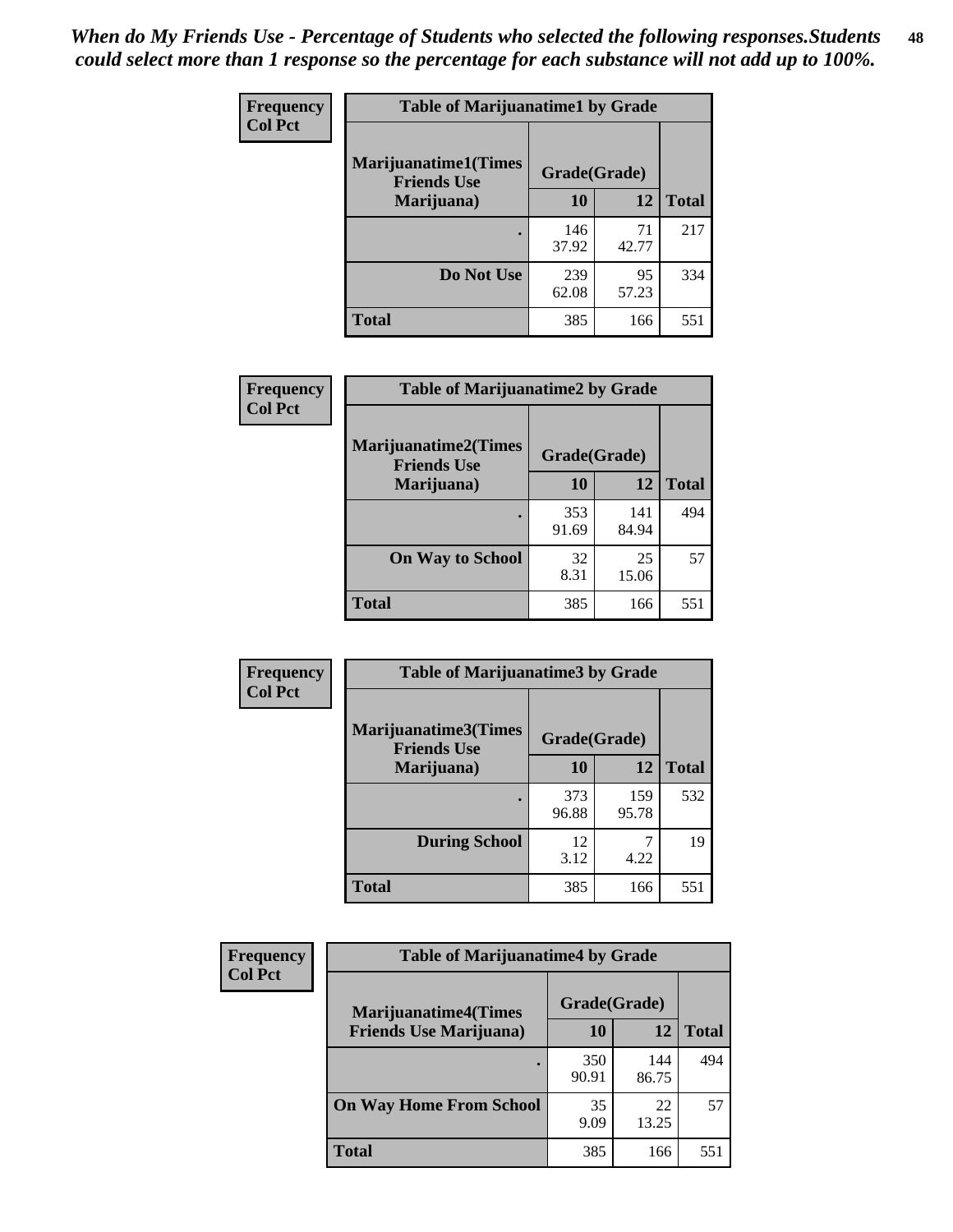| Frequency      | <b>Table of Marijuanatime1 by Grade</b>           |              |             |              |
|----------------|---------------------------------------------------|--------------|-------------|--------------|
| <b>Col Pct</b> | <b>Marijuanatime1(Times</b><br><b>Friends Use</b> | Grade(Grade) |             |              |
|                | Marijuana)                                        | 10           | 12          | <b>Total</b> |
|                |                                                   | 146<br>37.92 | 71<br>42.77 | 217          |
|                | Do Not Use                                        | 239<br>62.08 | 95<br>57.23 | 334          |
|                | <b>Total</b>                                      | 385          | 166         | 551          |

| Frequency      | <b>Table of Marijuanatime2 by Grade</b>           |              |              |              |
|----------------|---------------------------------------------------|--------------|--------------|--------------|
| <b>Col Pct</b> | <b>Marijuanatime2(Times</b><br><b>Friends Use</b> | Grade(Grade) |              |              |
|                | Marijuana)                                        | 10           | 12           | <b>Total</b> |
|                |                                                   | 353<br>91.69 | 141<br>84.94 | 494          |
|                | <b>On Way to School</b>                           | 32<br>8.31   | 25<br>15.06  | 57           |
|                | <b>Total</b>                                      | 385          | 166          | 551          |

| Frequency<br><b>Col Pct</b> | <b>Table of Marijuanatime3 by Grade</b>    |              |              |              |
|-----------------------------|--------------------------------------------|--------------|--------------|--------------|
|                             | Marijuanatime3(Times<br><b>Friends Use</b> | Grade(Grade) |              |              |
|                             | Marijuana)                                 | 10           | 12           | <b>Total</b> |
|                             |                                            | 373<br>96.88 | 159<br>95.78 | 532          |
|                             | <b>During School</b>                       | 12<br>3.12   | 4.22         | 19           |
|                             | <b>Total</b>                               | 385          | 166          | 551          |

| <b>Frequency</b><br><b>Col Pct</b> | <b>Table of Marijuanatime4 by Grade</b> |              |              |       |
|------------------------------------|-----------------------------------------|--------------|--------------|-------|
|                                    | <b>Marijuanatime4</b> (Times            | Grade(Grade) |              |       |
|                                    | <b>Friends Use Marijuana</b> )          | 10           | 12           | Total |
|                                    |                                         | 350<br>90.91 | 144<br>86.75 | 494   |
|                                    | <b>On Way Home From School</b>          | 35<br>9.09   | 22<br>13.25  | 57    |
|                                    | <b>Total</b>                            | 385          | 166          | 551   |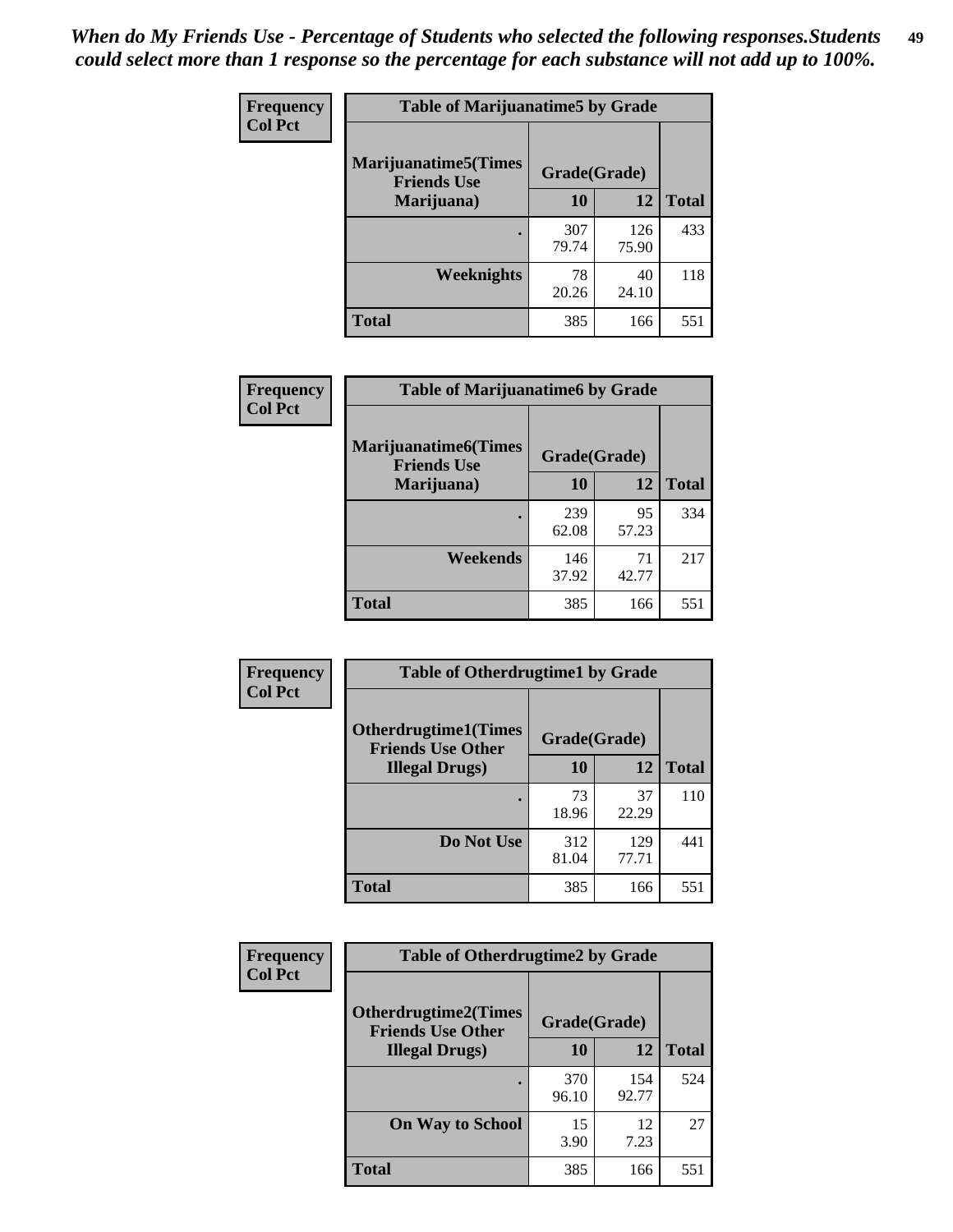| Frequency      | <b>Table of Marijuanatime5 by Grade</b>            |              |              |              |
|----------------|----------------------------------------------------|--------------|--------------|--------------|
| <b>Col Pct</b> | <b>Marijuanatime5</b> (Times<br><b>Friends Use</b> | Grade(Grade) |              |              |
|                | Marijuana)                                         | 10           | 12           | <b>Total</b> |
|                |                                                    | 307<br>79.74 | 126<br>75.90 | 433          |
|                | Weeknights                                         | 78<br>20.26  | 40<br>24.10  | 118          |
|                | <b>Total</b>                                       | 385          | 166          | 551          |

| Frequency      | <b>Table of Marijuanatime6 by Grade</b>            |              |             |              |
|----------------|----------------------------------------------------|--------------|-------------|--------------|
| <b>Col Pct</b> | <b>Marijuanatime6</b> (Times<br><b>Friends Use</b> | Grade(Grade) |             |              |
|                | Marijuana)                                         | 10           | 12          | <b>Total</b> |
|                |                                                    | 239<br>62.08 | 95<br>57.23 | 334          |
|                | Weekends                                           | 146<br>37.92 | 71<br>42.77 | 217          |
|                | <b>Total</b>                                       | 385          | 166         | 551          |

| Frequency      | <b>Table of Otherdrugtime1 by Grade</b>                 |              |              |              |
|----------------|---------------------------------------------------------|--------------|--------------|--------------|
| <b>Col Pct</b> | <b>Otherdrugtime1(Times</b><br><b>Friends Use Other</b> | Grade(Grade) |              |              |
|                | <b>Illegal Drugs</b> )                                  | 10           | 12           | <b>Total</b> |
|                |                                                         | 73<br>18.96  | 37<br>22.29  | 110          |
|                | Do Not Use                                              | 312<br>81.04 | 129<br>77.71 | 441          |
|                | Total                                                   | 385          | 166          | 551          |

| Frequency      | <b>Table of Otherdrugtime2 by Grade</b>                 |              |              |              |  |  |  |
|----------------|---------------------------------------------------------|--------------|--------------|--------------|--|--|--|
| <b>Col Pct</b> | <b>Otherdrugtime2(Times</b><br><b>Friends Use Other</b> | Grade(Grade) |              |              |  |  |  |
|                | <b>Illegal Drugs</b> )                                  | 10           | 12           | <b>Total</b> |  |  |  |
|                |                                                         | 370<br>96.10 | 154<br>92.77 | 524          |  |  |  |
|                | <b>On Way to School</b>                                 | 15<br>3.90   | 12<br>7.23   | 27           |  |  |  |
|                | Total                                                   | 385          | 166          | 551          |  |  |  |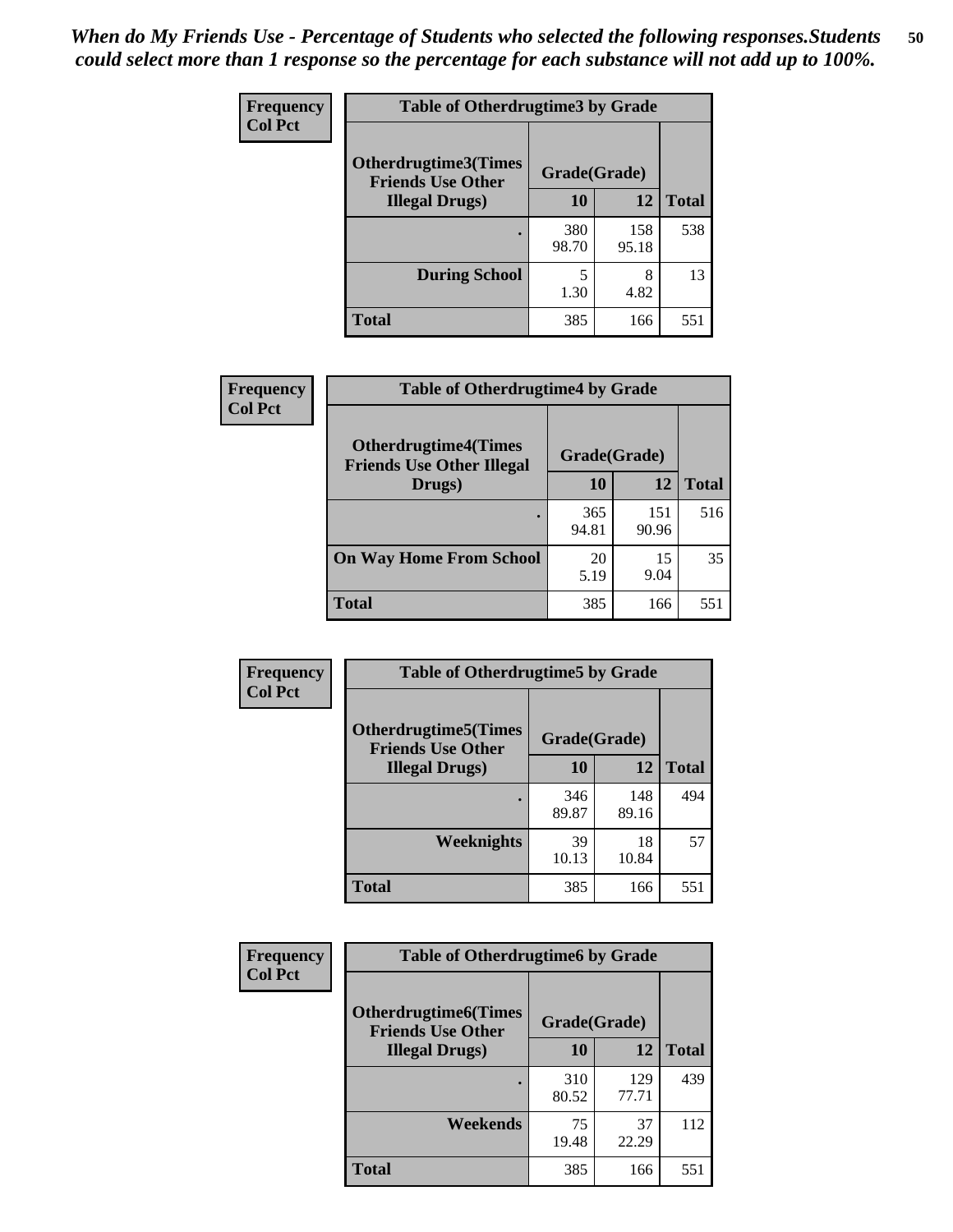| <b>Frequency</b> | <b>Table of Otherdrugtime3 by Grade</b>          |              |              |              |  |  |  |
|------------------|--------------------------------------------------|--------------|--------------|--------------|--|--|--|
| <b>Col Pct</b>   | Otherdrugtime3(Times<br><b>Friends Use Other</b> | Grade(Grade) |              |              |  |  |  |
|                  | <b>Illegal Drugs</b> )                           | 10           | 12           | <b>Total</b> |  |  |  |
|                  |                                                  | 380<br>98.70 | 158<br>95.18 | 538          |  |  |  |
|                  | <b>During School</b>                             | 5<br>1.30    | 8<br>4.82    | 13           |  |  |  |
|                  | Total                                            | 385          | 166          | 551          |  |  |  |

| Frequency      | <b>Table of Otherdrugtime4 by Grade</b>                         |              |              |              |  |  |  |
|----------------|-----------------------------------------------------------------|--------------|--------------|--------------|--|--|--|
| <b>Col Pct</b> | <b>Otherdrugtime4(Times</b><br><b>Friends Use Other Illegal</b> | Grade(Grade) |              |              |  |  |  |
|                | Drugs)                                                          | 10           | 12           | <b>Total</b> |  |  |  |
|                | ٠                                                               | 365<br>94.81 | 151<br>90.96 | 516          |  |  |  |
|                | <b>On Way Home From School</b>                                  | 20<br>5.19   | 15<br>9.04   | 35           |  |  |  |
|                | Total                                                           | 385          | 166          | 551          |  |  |  |

| <b>Frequency</b><br><b>Col Pct</b> | <b>Table of Otherdrugtime5 by Grade</b>                  |              |              |              |  |  |  |
|------------------------------------|----------------------------------------------------------|--------------|--------------|--------------|--|--|--|
|                                    | <b>Otherdrugtime5</b> (Times<br><b>Friends Use Other</b> | Grade(Grade) |              |              |  |  |  |
|                                    | <b>Illegal Drugs</b> )                                   | 10           | 12           | <b>Total</b> |  |  |  |
|                                    |                                                          | 346<br>89.87 | 148<br>89.16 | 494          |  |  |  |
|                                    | <b>Weeknights</b>                                        | 39<br>10.13  | 18<br>10.84  | 57           |  |  |  |
|                                    | Total                                                    | 385          | 166          | 551          |  |  |  |

| <b>Frequency</b> | <b>Table of Otherdrugtime6 by Grade</b>                 |              |              |              |  |  |  |
|------------------|---------------------------------------------------------|--------------|--------------|--------------|--|--|--|
| <b>Col Pct</b>   | <b>Otherdrugtime6(Times</b><br><b>Friends Use Other</b> | Grade(Grade) |              |              |  |  |  |
|                  | <b>Illegal Drugs</b> )                                  | 10           | 12           | <b>Total</b> |  |  |  |
|                  |                                                         | 310<br>80.52 | 129<br>77.71 | 439          |  |  |  |
|                  | Weekends                                                | 75<br>19.48  | 37<br>22.29  | 112          |  |  |  |
|                  | Total                                                   | 385          | 166          | 551          |  |  |  |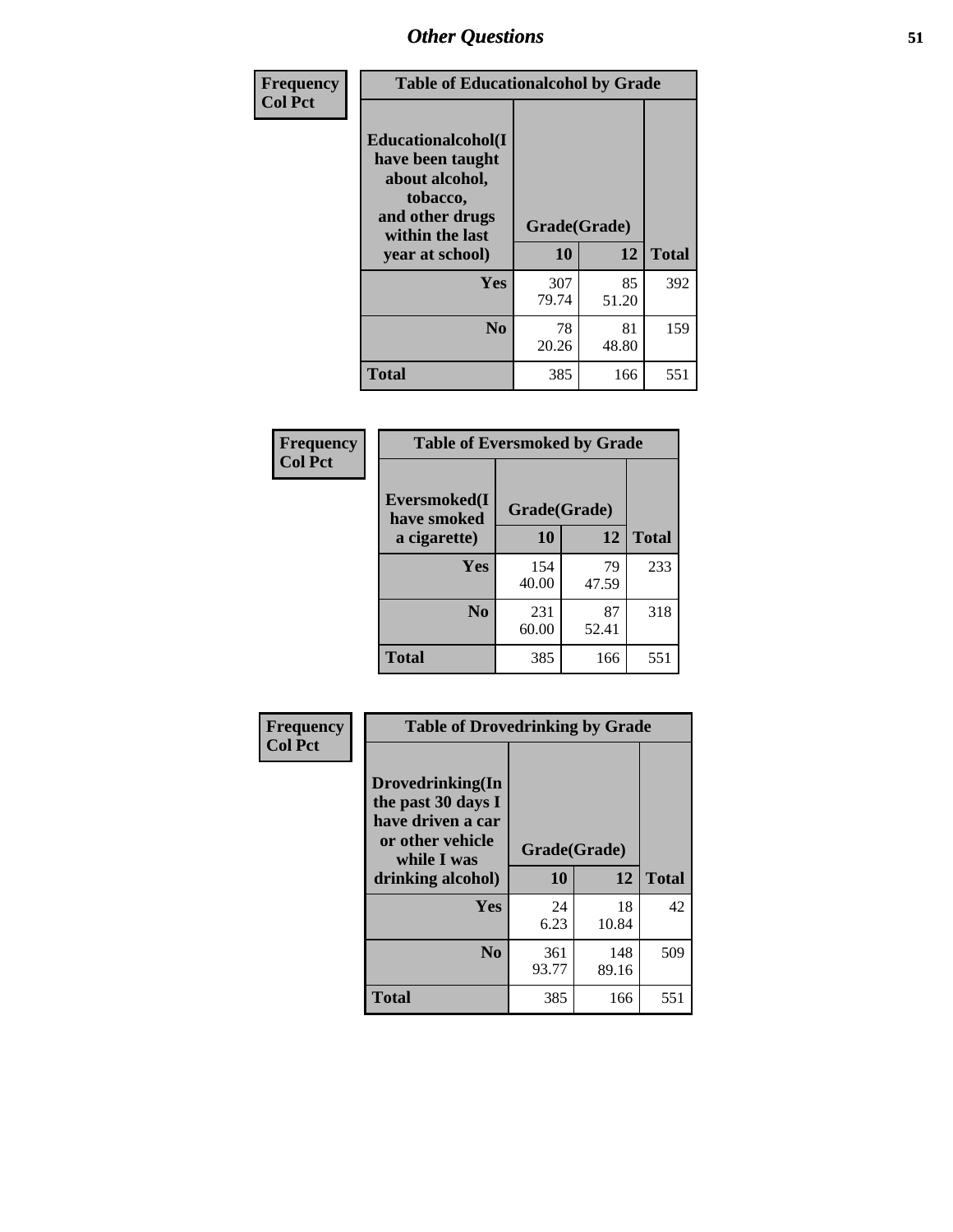| Frequency      | <b>Table of Educationalcohol by Grade</b>                                                                  |              |             |              |  |  |
|----------------|------------------------------------------------------------------------------------------------------------|--------------|-------------|--------------|--|--|
| <b>Col Pct</b> | Educationalcohol(I<br>have been taught<br>about alcohol,<br>tobacco,<br>and other drugs<br>within the last | Grade(Grade) |             |              |  |  |
|                | year at school)                                                                                            | 10           | 12          | <b>Total</b> |  |  |
|                | <b>Yes</b>                                                                                                 | 307<br>79.74 | 85<br>51.20 | 392          |  |  |
|                | N <sub>0</sub>                                                                                             | 78<br>20.26  | 81<br>48.80 | 159          |  |  |
|                | <b>Total</b>                                                                                               | 385          | 166         | 551          |  |  |

| Frequency      | <b>Table of Eversmoked by Grade</b> |              |             |              |  |  |  |
|----------------|-------------------------------------|--------------|-------------|--------------|--|--|--|
| <b>Col Pct</b> | Eversmoked(I<br>have smoked         | Grade(Grade) |             |              |  |  |  |
|                | a cigarette)                        | 10           | 12          | <b>Total</b> |  |  |  |
|                | <b>Yes</b>                          | 154<br>40.00 | 79<br>47.59 | 233          |  |  |  |
|                | N <sub>0</sub>                      | 231<br>60.00 | 87<br>52.41 | 318          |  |  |  |
|                | <b>Total</b>                        | 385          | 166         | 551          |  |  |  |

| Frequency      | <b>Table of Drovedrinking by Grade</b>                                                                              |                    |              |     |  |  |
|----------------|---------------------------------------------------------------------------------------------------------------------|--------------------|--------------|-----|--|--|
| <b>Col Pct</b> | Drovedrinking(In<br>the past 30 days I<br>have driven a car<br>or other vehicle<br>while I was<br>drinking alcohol) | Grade(Grade)<br>10 | <b>Total</b> |     |  |  |
|                |                                                                                                                     |                    | 12           |     |  |  |
|                | <b>Yes</b>                                                                                                          | 24<br>6.23         | 18<br>10.84  | 42  |  |  |
|                | N <sub>0</sub>                                                                                                      | 361<br>93.77       | 148<br>89.16 | 509 |  |  |
|                | <b>Total</b>                                                                                                        | 385                | 166          | 551 |  |  |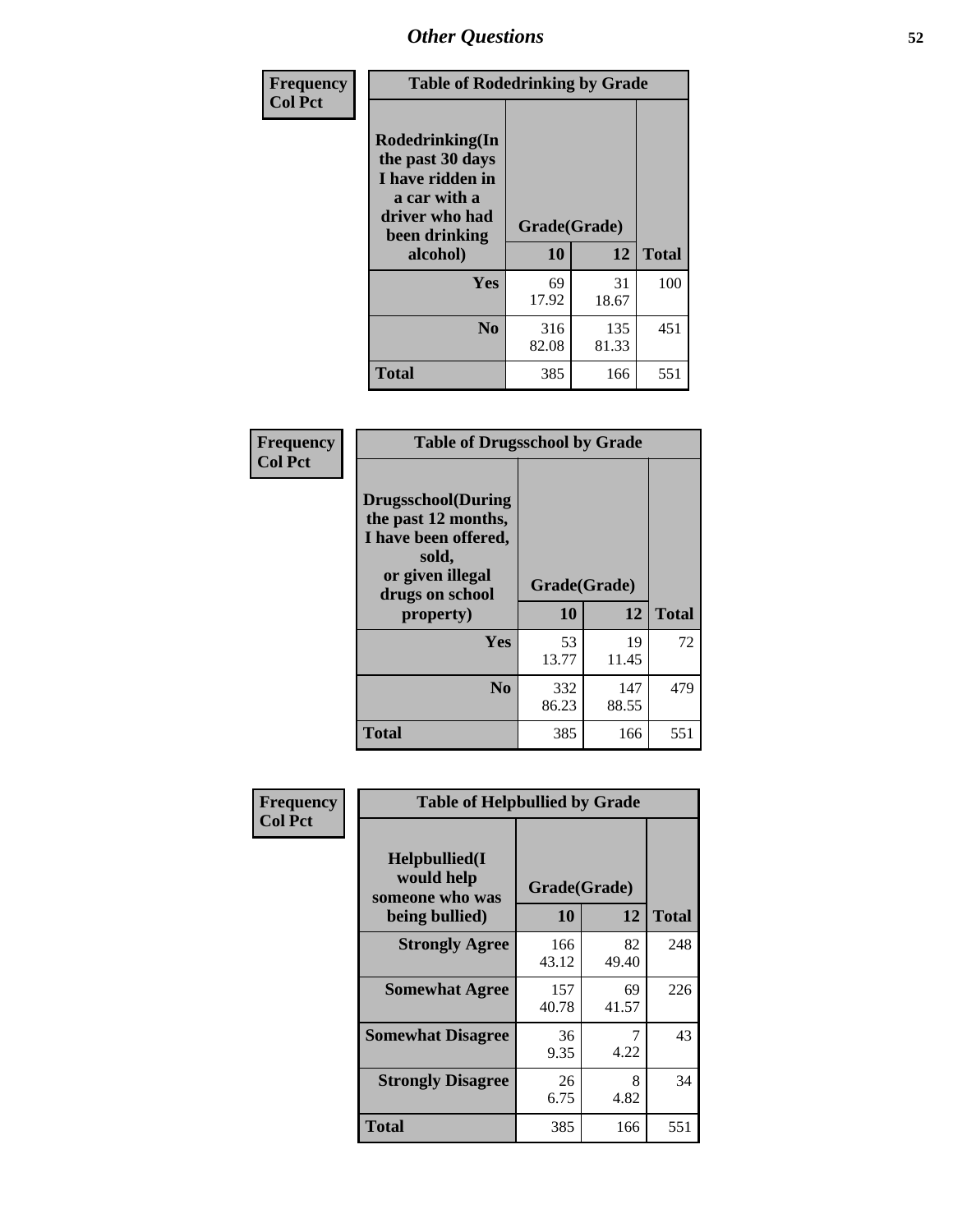| Frequency<br><b>Col Pct</b> | <b>Table of Rodedrinking by Grade</b>                                                                      |              |              |              |  |  |  |
|-----------------------------|------------------------------------------------------------------------------------------------------------|--------------|--------------|--------------|--|--|--|
|                             | Rodedrinking(In<br>the past 30 days<br>I have ridden in<br>a car with a<br>driver who had<br>been drinking | Grade(Grade) |              |              |  |  |  |
|                             | alcohol)                                                                                                   | 10           | 12           | <b>Total</b> |  |  |  |
|                             | <b>Yes</b>                                                                                                 | 69<br>17.92  | 31<br>18.67  | 100          |  |  |  |
|                             | N <sub>0</sub>                                                                                             | 316<br>82.08 | 135<br>81.33 | 451          |  |  |  |
|                             | <b>Total</b>                                                                                               | 385          | 166          | 551          |  |  |  |

#### **Frequency Col Pct**

| <b>Table of Drugsschool by Grade</b>                                                                                      |              |              |              |  |  |  |
|---------------------------------------------------------------------------------------------------------------------------|--------------|--------------|--------------|--|--|--|
| <b>Drugsschool</b> (During<br>the past 12 months,<br>I have been offered,<br>sold,<br>or given illegal<br>drugs on school | Grade(Grade) |              |              |  |  |  |
| property)                                                                                                                 | 10           | 12           | <b>Total</b> |  |  |  |
| Yes                                                                                                                       | 53<br>13.77  | 19<br>11.45  | 72           |  |  |  |
| $\bf No$                                                                                                                  | 332<br>86.23 | 147<br>88.55 | 479          |  |  |  |
| Total                                                                                                                     | 385          | 166          | 551          |  |  |  |

| Frequency      | <b>Table of Helpbullied by Grade</b>            |              |             |              |  |  |  |
|----------------|-------------------------------------------------|--------------|-------------|--------------|--|--|--|
| <b>Col Pct</b> | Helpbullied(I)<br>would help<br>someone who was | Grade(Grade) |             |              |  |  |  |
|                | being bullied)                                  | <b>10</b>    | 12          | <b>Total</b> |  |  |  |
|                | <b>Strongly Agree</b>                           | 166<br>43.12 | 82<br>49.40 | 248          |  |  |  |
|                | <b>Somewhat Agree</b>                           | 157<br>40.78 | 69<br>41.57 | 226          |  |  |  |
|                | <b>Somewhat Disagree</b>                        | 36<br>9.35   | 7<br>4.22   | 43           |  |  |  |
|                | <b>Strongly Disagree</b>                        | 26<br>6.75   | 8<br>4.82   | 34           |  |  |  |
|                | <b>Total</b>                                    | 385          | 166         | 551          |  |  |  |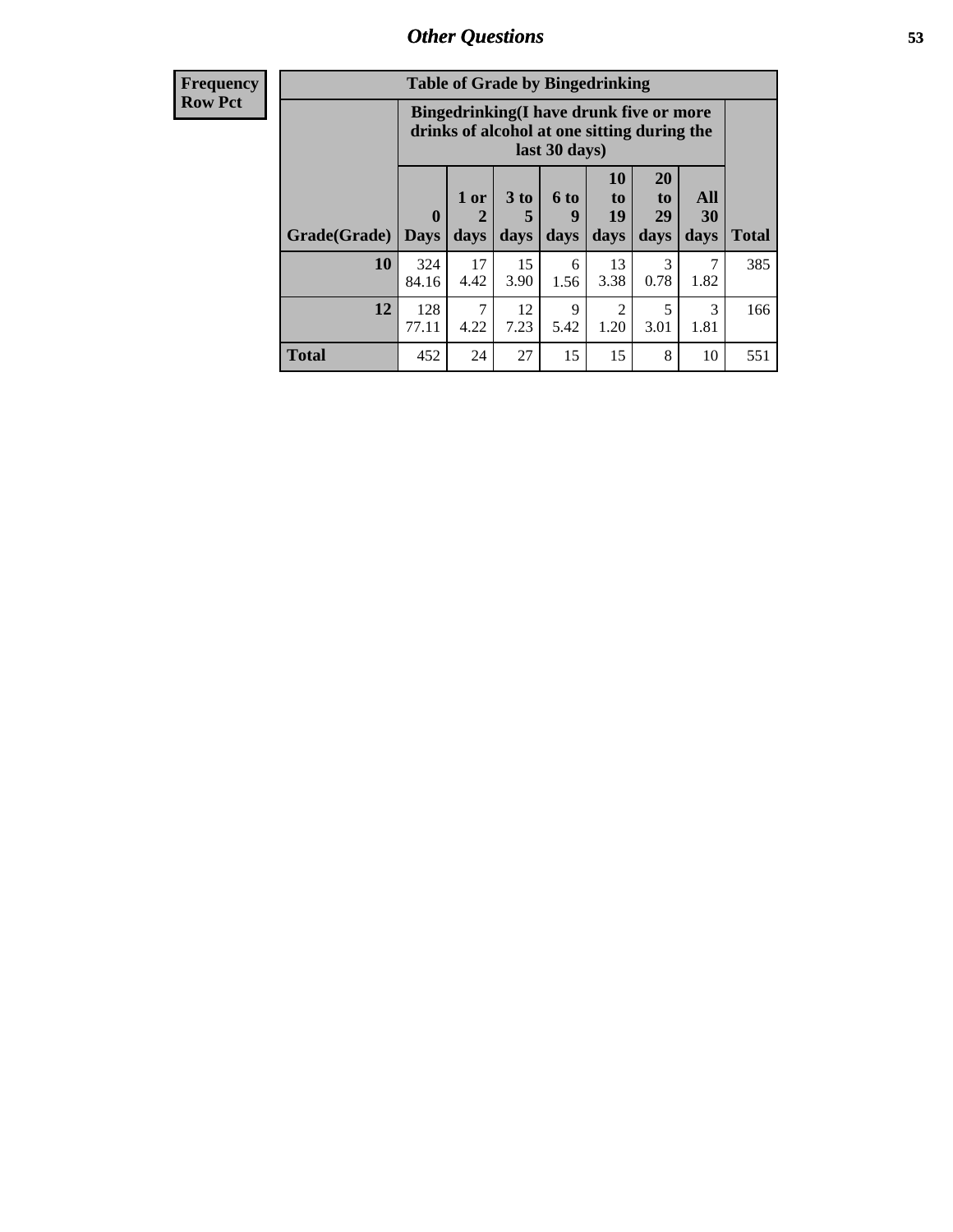| <b>Frequency</b> | <b>Table of Grade by Bingedrinking</b> |                                                                                                         |                                |                              |                          |                        |                               |                   |              |
|------------------|----------------------------------------|---------------------------------------------------------------------------------------------------------|--------------------------------|------------------------------|--------------------------|------------------------|-------------------------------|-------------------|--------------|
| <b>Row Pct</b>   |                                        | Bingedrinking(I have drunk five or more<br>drinks of alcohol at one sitting during the<br>last 30 days) |                                |                              |                          |                        |                               |                   |              |
|                  | Grade(Grade)                           | $\mathbf{0}$<br><b>Days</b>                                                                             | 1 or<br>$\overline{2}$<br>days | 3 <sub>to</sub><br>5<br>days | <b>6 to</b><br>9<br>days | 10<br>to<br>19<br>days | <b>20</b><br>to<br>29<br>days | All<br>30<br>days | <b>Total</b> |
|                  | 10                                     | 324<br>84.16                                                                                            | 17<br>4.42                     | 15<br>3.90                   | 6<br>1.56                | 13<br>3.38             | 3<br>0.78                     | 7<br>1.82         | 385          |
|                  | 12                                     | 128<br>77.11                                                                                            | 7<br>4.22                      | 12<br>7.23                   | 9<br>5.42                | 1.20                   | 3.01                          | 3<br>1.81         | 166          |
|                  | <b>Total</b>                           | 452                                                                                                     | 24                             | 27                           | 15                       | 15                     | 8                             | 10                | 551          |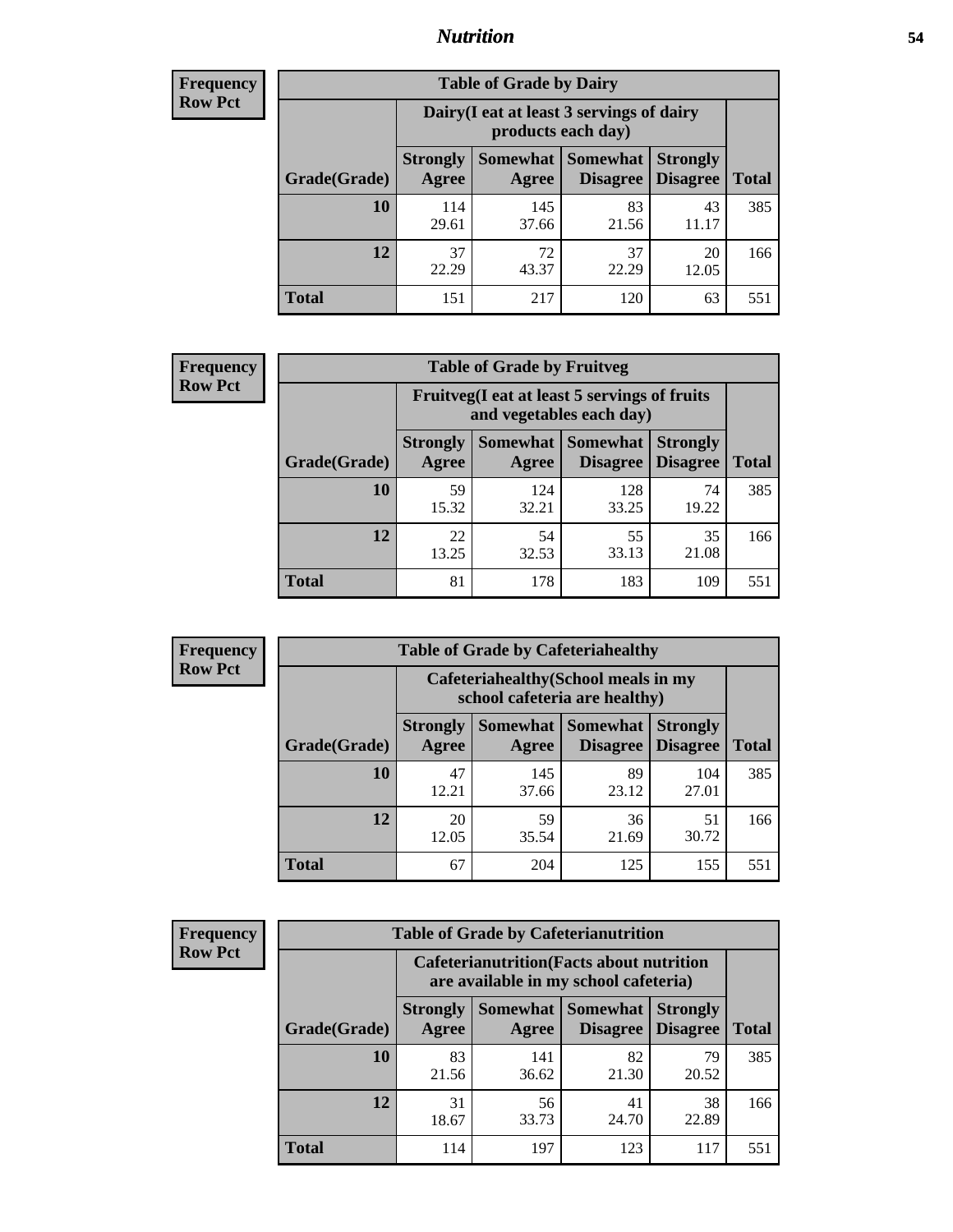#### *Nutrition* **54**

| <b>Frequency</b><br>Row Pct |
|-----------------------------|
|                             |

| <b>Table of Grade by Dairy</b> |                          |                                                                 |                             |                                    |              |  |
|--------------------------------|--------------------------|-----------------------------------------------------------------|-----------------------------|------------------------------------|--------------|--|
|                                |                          | Dairy (I eat at least 3 servings of dairy<br>products each day) |                             |                                    |              |  |
| Grade(Grade)                   | <b>Strongly</b><br>Agree | Somewhat  <br>Agree                                             | <b>Somewhat</b><br>Disagree | <b>Strongly</b><br><b>Disagree</b> | <b>Total</b> |  |
| 10                             | 114<br>29.61             | 145<br>37.66                                                    | 83<br>21.56                 | 43<br>11.17                        | 385          |  |
| 12                             | 37<br>22.29              | 72<br>43.37                                                     | 37<br>22.29                 | 20<br>12.05                        | 166          |  |
| <b>Total</b>                   | 151                      | 217                                                             | 120                         | 63                                 | 551          |  |

| <b>Frequency</b> |  |
|------------------|--|
| <b>Row Pct</b>   |  |

| <b>Table of Grade by Fruitveg</b>                                        |                          |              |                     |                                             |              |  |
|--------------------------------------------------------------------------|--------------------------|--------------|---------------------|---------------------------------------------|--------------|--|
| Fruitveg(I eat at least 5 servings of fruits<br>and vegetables each day) |                          |              |                     |                                             |              |  |
| Grade(Grade)                                                             | <b>Strongly</b><br>Agree | Agree        | Somewhat   Somewhat | <b>Strongly</b><br><b>Disagree</b> Disagree | <b>Total</b> |  |
| 10                                                                       | 59<br>15.32              | 124<br>32.21 | 128<br>33.25        | 74<br>19.22                                 | 385          |  |
| 12                                                                       | 22<br>13.25              | 54<br>32.53  | 55<br>33.13         | 35<br>21.08                                 | 166          |  |
| <b>Total</b>                                                             | 81                       | 178          | 183                 | 109                                         | 551          |  |

| <b>Frequency</b> | <b>Table of Grade by Cafeteriahealthy</b> |                                                                       |       |                                                           |              |  |
|------------------|-------------------------------------------|-----------------------------------------------------------------------|-------|-----------------------------------------------------------|--------------|--|
| <b>Row Pct</b>   |                                           | Cafeteriahealthy (School meals in my<br>school cafeteria are healthy) |       |                                                           |              |  |
|                  | Grade(Grade)                              | Agree                                                                 | Agree | <b>Strongly   Somewhat   Somewhat   Stron</b><br>Disagree | <b>Disag</b> |  |
|                  |                                           |                                                                       | 145   | 89                                                        |              |  |

| Grade(Grade) | Agree       | Agree        |             | Disagree   Disagree | <b>Total</b> |
|--------------|-------------|--------------|-------------|---------------------|--------------|
| 10           | 47<br>12.21 | 145<br>37.66 | 89<br>23.12 | 104<br>27.01        | 385          |
| 12           | 20<br>12.05 | 59<br>35.54  | 36<br>21.69 | 51<br>30.72         | 166          |
| <b>Total</b> | 67          | 204          | 125         | 155                 | 551          |

**Strongly**

| <b>Frequency</b> |
|------------------|
| Row Pct          |

| <b>Table of Grade by Cafeterianutrition</b>                                               |                          |              |                                        |                                    |              |
|-------------------------------------------------------------------------------------------|--------------------------|--------------|----------------------------------------|------------------------------------|--------------|
| <b>Cafeterianutrition</b> (Facts about nutrition<br>are available in my school cafeteria) |                          |              |                                        |                                    |              |
| Grade(Grade)                                                                              | <b>Strongly</b><br>Agree | Agree        | Somewhat   Somewhat<br><b>Disagree</b> | <b>Strongly</b><br><b>Disagree</b> | <b>Total</b> |
| 10                                                                                        | 83<br>21.56              | 141<br>36.62 | 82<br>21.30                            | 79<br>20.52                        | 385          |
| 12                                                                                        | 31<br>18.67              | 56<br>33.73  | 41<br>24.70                            | 38<br>22.89                        | 166          |
| <b>Total</b>                                                                              | 114                      | 197          | 123                                    | 117                                | 551          |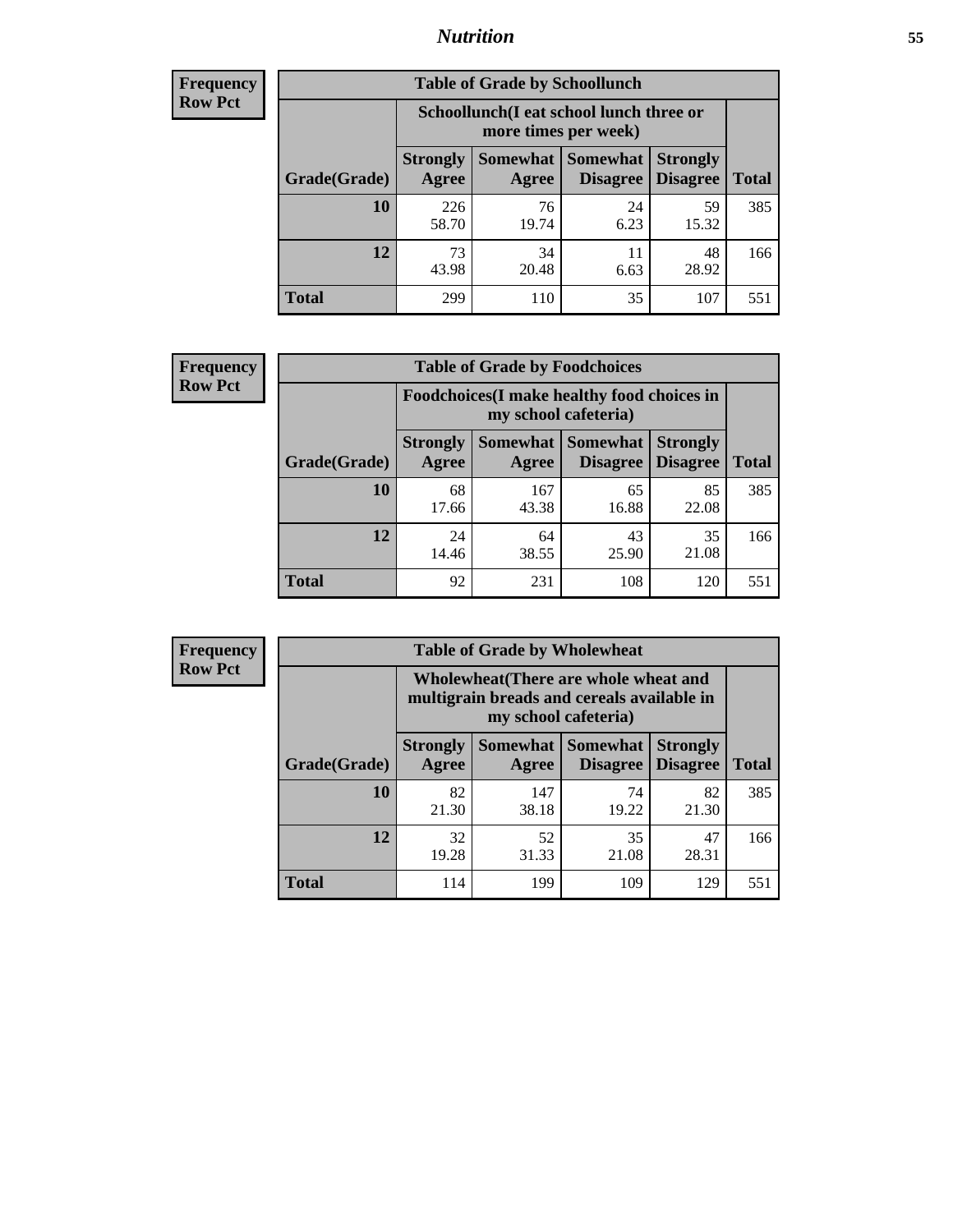### *Nutrition* **55**

| <b>Frequency</b> |
|------------------|
| <b>Row Pct</b>   |

| <b>Table of Grade by Schoollunch</b> |                          |                                                                 |                             |                                    |       |  |  |
|--------------------------------------|--------------------------|-----------------------------------------------------------------|-----------------------------|------------------------------------|-------|--|--|
|                                      |                          | Schoollunch(I eat school lunch three or<br>more times per week) |                             |                                    |       |  |  |
| Grade(Grade)                         | <b>Strongly</b><br>Agree | Somewhat  <br>Agree                                             | <b>Somewhat</b><br>Disagree | <b>Strongly</b><br><b>Disagree</b> | Total |  |  |
| 10                                   | 226<br>58.70             | 76<br>19.74                                                     | 24<br>6.23                  | 59<br>15.32                        | 385   |  |  |
| 12                                   | 73<br>43.98              | 34<br>20.48                                                     | 11<br>6.63                  | 48<br>28.92                        | 166   |  |  |
| <b>Total</b>                         | 299                      | 110                                                             | 35                          | 107                                | 551   |  |  |

| <b>Frequency</b> |  |
|------------------|--|
| <b>Row Pct</b>   |  |

| <b>Table of Grade by Foodchoices</b>                                |                          |              |                                      |                                    |              |  |
|---------------------------------------------------------------------|--------------------------|--------------|--------------------------------------|------------------------------------|--------------|--|
| Foodchoices (I make healthy food choices in<br>my school cafeteria) |                          |              |                                      |                                    |              |  |
| Grade(Grade)                                                        | <b>Strongly</b><br>Agree | Agree        | Somewhat Somewhat<br><b>Disagree</b> | <b>Strongly</b><br><b>Disagree</b> | <b>Total</b> |  |
| 10                                                                  | 68<br>17.66              | 167<br>43.38 | 65<br>16.88                          | 85<br>22.08                        | 385          |  |
| 12                                                                  | 24<br>14.46              | 64<br>38.55  | 43<br>25.90                          | 35<br>21.08                        | 166          |  |
| <b>Total</b>                                                        | 92                       | 231          | 108                                  | 120                                | 551          |  |

| Frequency      | <b>Table of Grade by Wholewheat</b> |                                                                                                             |                   |                             |                                    |              |  |
|----------------|-------------------------------------|-------------------------------------------------------------------------------------------------------------|-------------------|-----------------------------|------------------------------------|--------------|--|
| <b>Row Pct</b> |                                     | Wholewheat (There are whole wheat and<br>multigrain breads and cereals available in<br>my school cafeteria) |                   |                             |                                    |              |  |
|                | Grade(Grade)                        | <b>Strongly</b><br>Agree                                                                                    | Somewhat<br>Agree | Somewhat<br><b>Disagree</b> | <b>Strongly</b><br><b>Disagree</b> | <b>Total</b> |  |
|                | 10                                  | 82<br>21.30                                                                                                 | 147<br>38.18      | 74<br>19.22                 | 82<br>21.30                        | 385          |  |
|                | 12                                  | 32<br>19.28                                                                                                 | 52<br>31.33       | 35<br>21.08                 | 47<br>28.31                        | 166          |  |
|                | <b>Total</b>                        | 114                                                                                                         | 199               | 109                         | 129                                | 551          |  |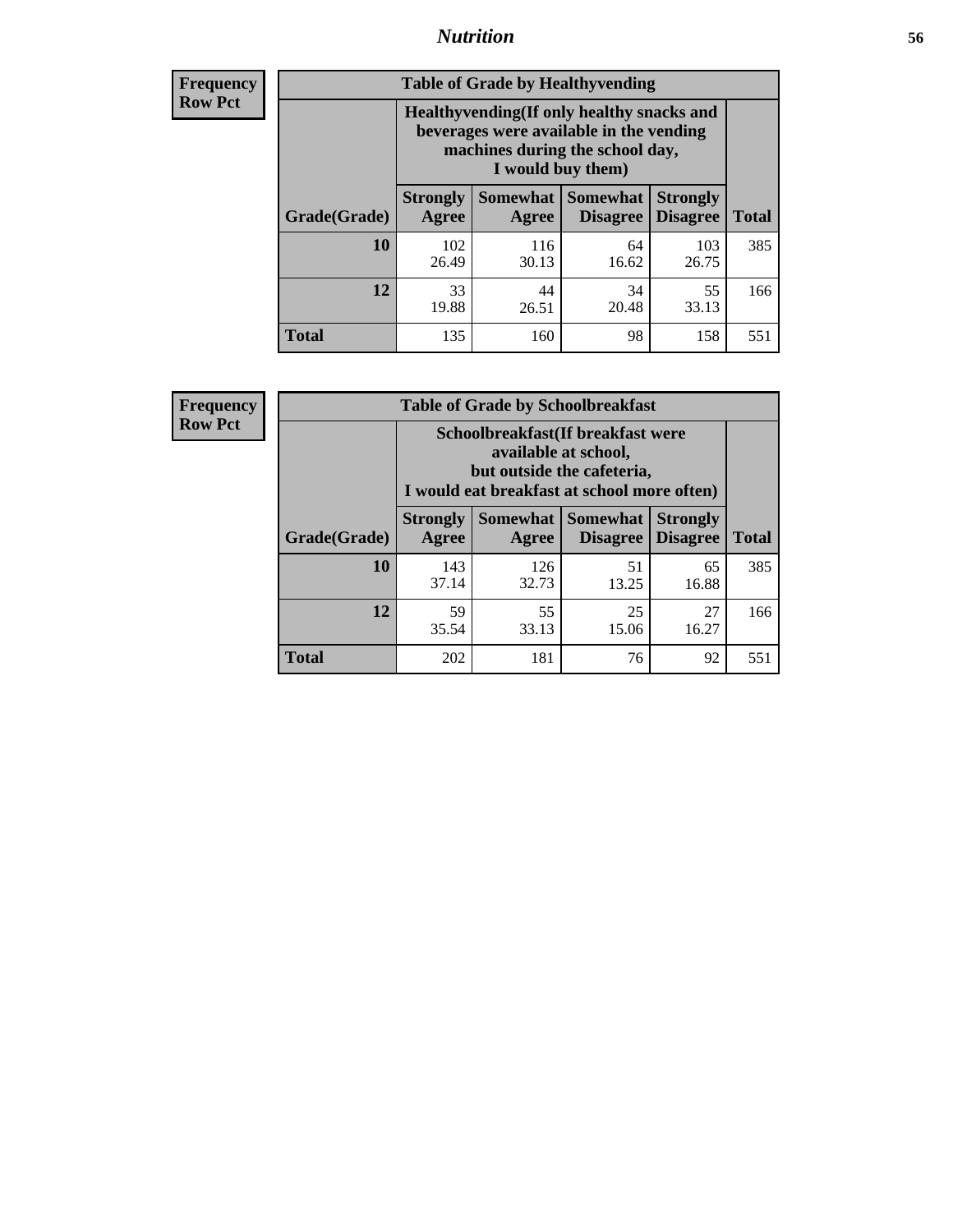### *Nutrition* **56**

**Frequency Row Pct**

| <b>Table of Grade by Healthyvending</b> |                                                                                                                                               |                          |                                    |                                    |              |  |
|-----------------------------------------|-----------------------------------------------------------------------------------------------------------------------------------------------|--------------------------|------------------------------------|------------------------------------|--------------|--|
|                                         | Healthyvending (If only healthy snacks and<br>beverages were available in the vending<br>machines during the school day,<br>I would buy them) |                          |                                    |                                    |              |  |
| Grade(Grade)                            | <b>Strongly</b><br>Agree                                                                                                                      | <b>Somewhat</b><br>Agree | <b>Somewhat</b><br><b>Disagree</b> | <b>Strongly</b><br><b>Disagree</b> | <b>Total</b> |  |
| 10                                      | 102<br>26.49                                                                                                                                  | 116<br>30.13             | 64<br>16.62                        | 103<br>26.75                       | 385          |  |
| 12                                      | 33<br>19.88                                                                                                                                   | 44<br>26.51              | 34<br>20.48                        | 55<br>33.13                        | 166          |  |
| Total                                   | 135                                                                                                                                           | 160                      | 98                                 | 158                                | 551          |  |

**Frequency Row Pct**

| <b>Table of Grade by Schoolbreakfast</b> |                                                                                                                                        |              |                                      |                                    |              |  |
|------------------------------------------|----------------------------------------------------------------------------------------------------------------------------------------|--------------|--------------------------------------|------------------------------------|--------------|--|
|                                          | Schoolbreakfast(If breakfast were<br>available at school,<br>but outside the cafeteria,<br>I would eat breakfast at school more often) |              |                                      |                                    |              |  |
| Grade(Grade)                             | <b>Strongly</b><br><b>Agree</b>                                                                                                        | Agree        | Somewhat Somewhat<br><b>Disagree</b> | <b>Strongly</b><br><b>Disagree</b> | <b>Total</b> |  |
| 10                                       | 143<br>37.14                                                                                                                           | 126<br>32.73 | 51<br>13.25                          | 65<br>16.88                        | 385          |  |
| 12                                       | 59<br>35.54                                                                                                                            | 55<br>33.13  | 25<br>15.06                          | 27<br>16.27                        | 166          |  |
| <b>Total</b>                             | 202                                                                                                                                    | 181          | 76                                   | 92                                 | 551          |  |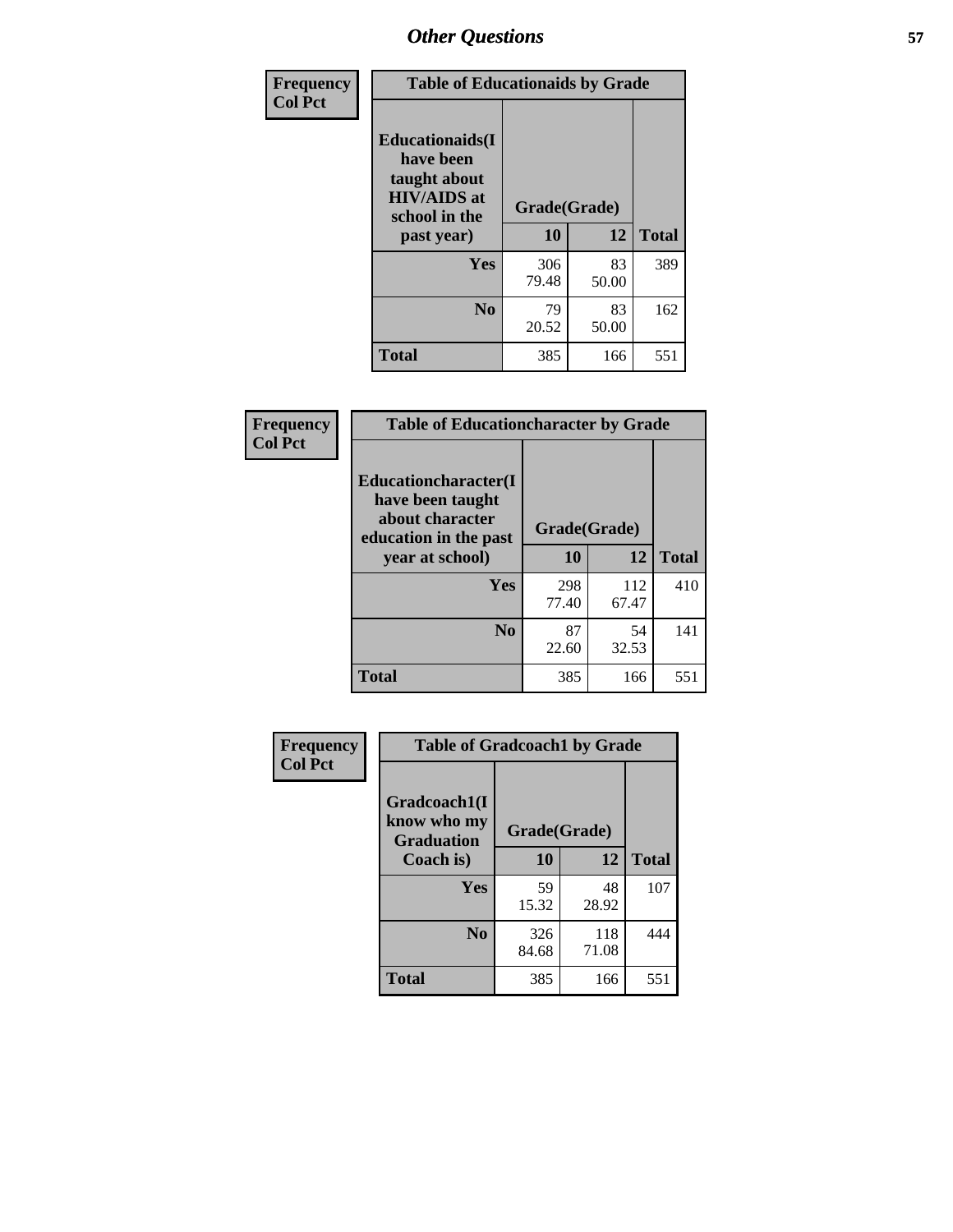| Frequency<br><b>Col Pct</b> | <b>Table of Educationaids by Grade</b>                                                                    |                    |             |              |  |
|-----------------------------|-----------------------------------------------------------------------------------------------------------|--------------------|-------------|--------------|--|
|                             | <b>Educationaids</b> (I<br>have been<br>taught about<br><b>HIV/AIDS</b> at<br>school in the<br>past year) | Grade(Grade)<br>10 | 12          | <b>Total</b> |  |
|                             | Yes                                                                                                       | 306<br>79.48       | 83<br>50.00 | 389          |  |
|                             | N <sub>0</sub>                                                                                            | 79<br>20.52        | 83<br>50.00 | 162          |  |
|                             | <b>Total</b>                                                                                              | 385                | 166         | 551          |  |

| <b>Frequency</b> | <b>Table of Educationcharacter by Grade</b>                                                                    |              |              |              |
|------------------|----------------------------------------------------------------------------------------------------------------|--------------|--------------|--------------|
| <b>Col Pct</b>   | <b>Educationcharacter(I</b><br>have been taught<br>about character<br>education in the past<br>year at school) | Grade(Grade) |              |              |
|                  |                                                                                                                | 10           | 12           | <b>Total</b> |
|                  | <b>Yes</b>                                                                                                     | 298<br>77.40 | 112<br>67.47 | 410          |
|                  | N <sub>0</sub>                                                                                                 | 87<br>22.60  | 54<br>32.53  | 141          |
|                  | <b>Total</b>                                                                                                   | 385          | 166          | 551          |

| Frequency      | <b>Table of Gradcoach1 by Grade</b>              |              |              |              |  |
|----------------|--------------------------------------------------|--------------|--------------|--------------|--|
| <b>Col Pct</b> | Gradcoach1(I<br>know who my<br><b>Graduation</b> | Grade(Grade) |              |              |  |
|                | Coach is)                                        | 10           | 12           | <b>Total</b> |  |
|                | Yes                                              | 59<br>15.32  | 48<br>28.92  | 107          |  |
|                | N <sub>0</sub>                                   | 326<br>84.68 | 118<br>71.08 | 444          |  |
|                | <b>Total</b>                                     | 385          | 166          | 551          |  |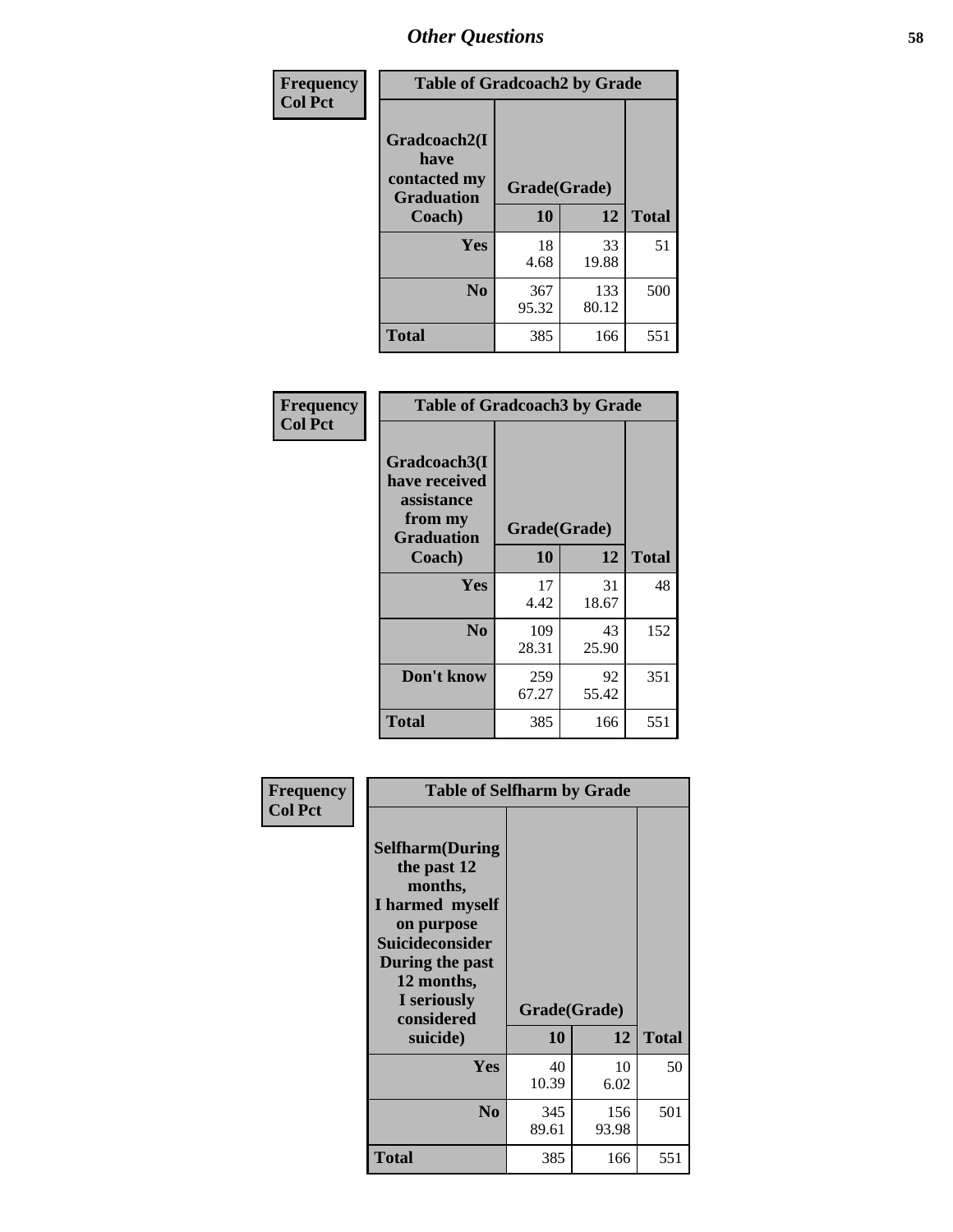| Frequency      | <b>Table of Gradcoach2 by Grade</b> |              |              |              |
|----------------|-------------------------------------|--------------|--------------|--------------|
| <b>Col Pct</b> |                                     |              |              |              |
|                | Gradcoach2(I<br>have                |              |              |              |
|                | contacted my<br><b>Graduation</b>   |              | Grade(Grade) |              |
|                | Coach)                              | 10           | 12           | <b>Total</b> |
|                | <b>Yes</b>                          | 18<br>4.68   | 33<br>19.88  | 51           |
|                | N <sub>0</sub>                      | 367<br>95.32 | 133<br>80.12 | 500          |
|                | <b>Total</b>                        | 385          | 166          | 551          |

| Frequency<br><b>Col Pct</b> | <b>Table of Gradcoach3 by Grade</b>                                         |              |             |              |
|-----------------------------|-----------------------------------------------------------------------------|--------------|-------------|--------------|
|                             | Gradcoach3(I<br>have received<br>assistance<br>from my<br><b>Graduation</b> | Grade(Grade) |             |              |
|                             | Coach)                                                                      | 10           | 12          | <b>Total</b> |
|                             | Yes                                                                         | 17<br>4.42   | 31<br>18.67 | 48           |
|                             | N <sub>0</sub>                                                              | 109<br>28.31 | 43<br>25.90 | 152          |
|                             | Don't know                                                                  | 259<br>67.27 | 92<br>55.42 | 351          |
|                             | <b>Total</b>                                                                | 385          | 166         | 551          |

| Frequency<br><b>Col Pct</b> | <b>Table of Selfharm by Grade</b>                                                                                                                                                      |                    |              |              |
|-----------------------------|----------------------------------------------------------------------------------------------------------------------------------------------------------------------------------------|--------------------|--------------|--------------|
|                             | <b>Selfharm</b> (During<br>the past 12<br>months,<br>I harmed myself<br>on purpose<br><b>Suicideconsider</b><br>During the past<br>12 months,<br>I seriously<br>considered<br>suicide) | Grade(Grade)<br>10 | 12           | <b>Total</b> |
|                             | Yes                                                                                                                                                                                    | 40<br>10.39        | 10<br>6.02   | 50           |
|                             | N <sub>0</sub>                                                                                                                                                                         | 345<br>89.61       | 156<br>93.98 | 501          |
|                             | <b>Total</b>                                                                                                                                                                           | 385                | 166          | 551          |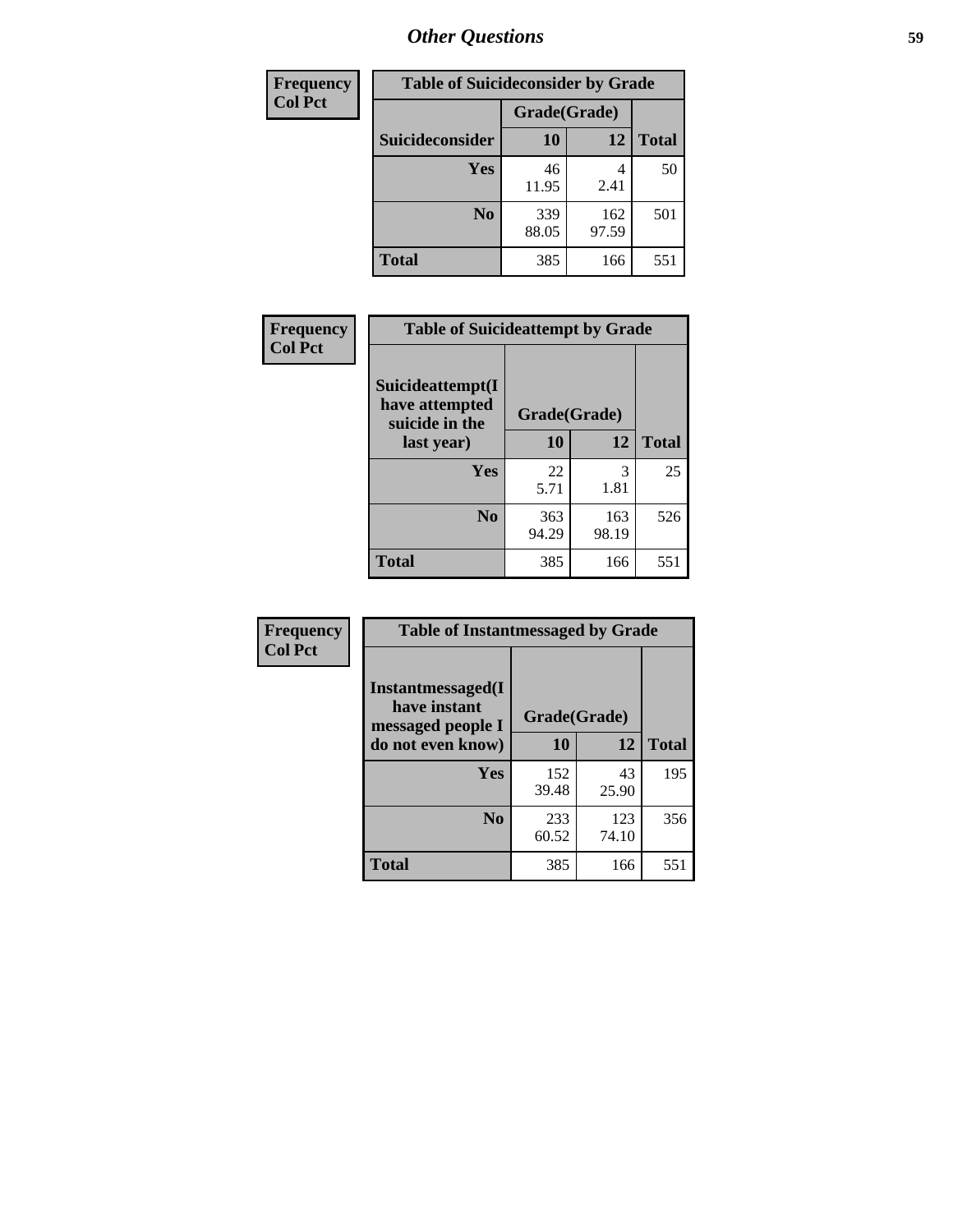| <b>Frequency</b> | <b>Table of Suicideconsider by Grade</b> |              |              |              |  |
|------------------|------------------------------------------|--------------|--------------|--------------|--|
| <b>Col Pct</b>   |                                          | Grade(Grade) |              |              |  |
|                  | Suicideconsider                          | <b>10</b>    | 12           | <b>Total</b> |  |
|                  | Yes                                      | 46<br>11.95  | 4<br>2.41    | 50           |  |
|                  | N <sub>0</sub>                           | 339<br>88.05 | 162<br>97.59 | 501          |  |
|                  | Total                                    | 385          | 166          | 551          |  |

| Frequency      | <b>Table of Suicideattempt by Grade</b>              |              |              |              |
|----------------|------------------------------------------------------|--------------|--------------|--------------|
| <b>Col Pct</b> | Suicideattempt(I<br>have attempted<br>suicide in the | Grade(Grade) |              |              |
|                | last year)                                           | 10           | 12           | <b>Total</b> |
|                | Yes                                                  | 22<br>5.71   | 3<br>1.81    | 25           |
|                | N <sub>0</sub>                                       | 363<br>94.29 | 163<br>98.19 | 526          |
|                | <b>Total</b>                                         | 385          | 166          | 551          |

| Frequency      | <b>Table of Instantmessaged by Grade</b>               |              |              |              |  |
|----------------|--------------------------------------------------------|--------------|--------------|--------------|--|
| <b>Col Pct</b> | Instantmessaged(I<br>have instant<br>messaged people I | Grade(Grade) |              |              |  |
|                | do not even know)                                      | 10           | 12           | <b>Total</b> |  |
|                | Yes                                                    | 152<br>39.48 | 43<br>25.90  | 195          |  |
|                | N <sub>0</sub>                                         | 233<br>60.52 | 123<br>74.10 | 356          |  |
|                | <b>Total</b>                                           | 385          | 166          | 551          |  |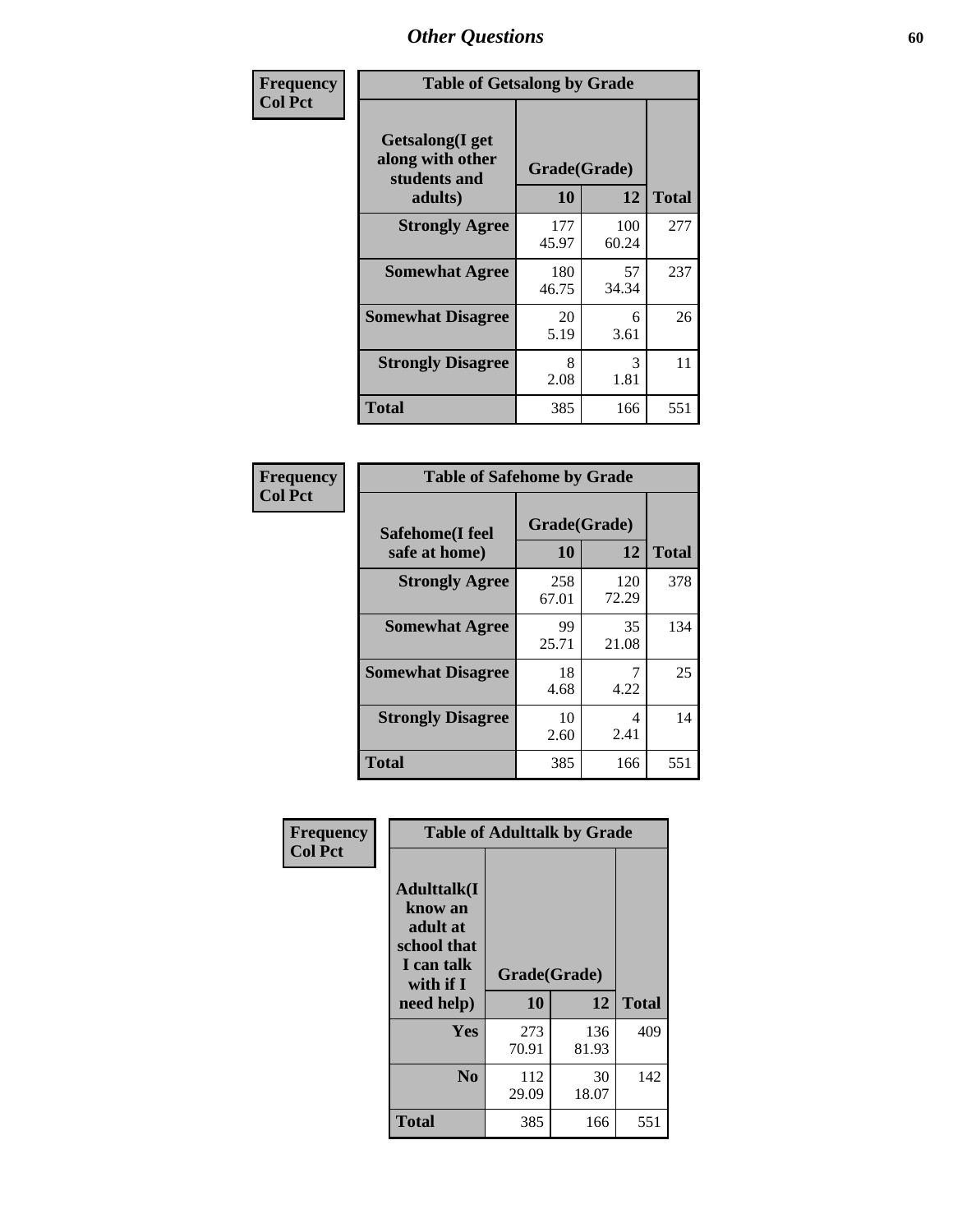| Frequency      | <b>Table of Getsalong by Grade</b>                          |              |              |              |  |  |
|----------------|-------------------------------------------------------------|--------------|--------------|--------------|--|--|
| <b>Col Pct</b> | <b>Getsalong</b> (I get<br>along with other<br>students and |              | Grade(Grade) |              |  |  |
|                | adults)                                                     | 10           | 12           | <b>Total</b> |  |  |
|                | <b>Strongly Agree</b>                                       | 177<br>45.97 | 100<br>60.24 | 277          |  |  |
|                | <b>Somewhat Agree</b>                                       | 180<br>46.75 | 57<br>34.34  | 237          |  |  |
|                | <b>Somewhat Disagree</b>                                    | 20<br>5.19   | 6<br>3.61    | 26           |  |  |
|                | <b>Strongly Disagree</b>                                    | 8<br>2.08    | 3<br>1.81    | 11           |  |  |
|                | <b>Total</b>                                                | 385          | 166          | 551          |  |  |

| Frequency      | <b>Table of Safehome by Grade</b> |                    |              |              |  |  |  |
|----------------|-----------------------------------|--------------------|--------------|--------------|--|--|--|
| <b>Col Pct</b> | Safehome(I feel<br>safe at home)  | Grade(Grade)<br>10 | 12           | <b>Total</b> |  |  |  |
|                | <b>Strongly Agree</b>             | 258<br>67.01       | 120<br>72.29 | 378          |  |  |  |
|                | <b>Somewhat Agree</b>             | 99<br>25.71        | 35<br>21.08  | 134          |  |  |  |
|                | <b>Somewhat Disagree</b>          | 18<br>4.68         | 7<br>4.22    | 25           |  |  |  |
|                | <b>Strongly Disagree</b>          | 10<br>2.60         | 4<br>2.41    | 14           |  |  |  |
|                | <b>Total</b>                      | 385                | 166          | 551          |  |  |  |

| Frequency      | <b>Table of Adulttalk by Grade</b>                                                                 |                    |              |              |  |  |  |  |
|----------------|----------------------------------------------------------------------------------------------------|--------------------|--------------|--------------|--|--|--|--|
| <b>Col Pct</b> | <b>Adulttalk</b> (I<br>know an<br>adult at<br>school that<br>I can talk<br>with if I<br>need help) | Grade(Grade)<br>10 | 12           | <b>Total</b> |  |  |  |  |
|                |                                                                                                    |                    |              |              |  |  |  |  |
|                | <b>Yes</b>                                                                                         | 273<br>70.91       | 136<br>81.93 | 409          |  |  |  |  |
|                | N <sub>0</sub>                                                                                     | 112<br>29.09       | 30<br>18.07  | 142          |  |  |  |  |
|                | <b>Total</b>                                                                                       | 385                | 166          | 551          |  |  |  |  |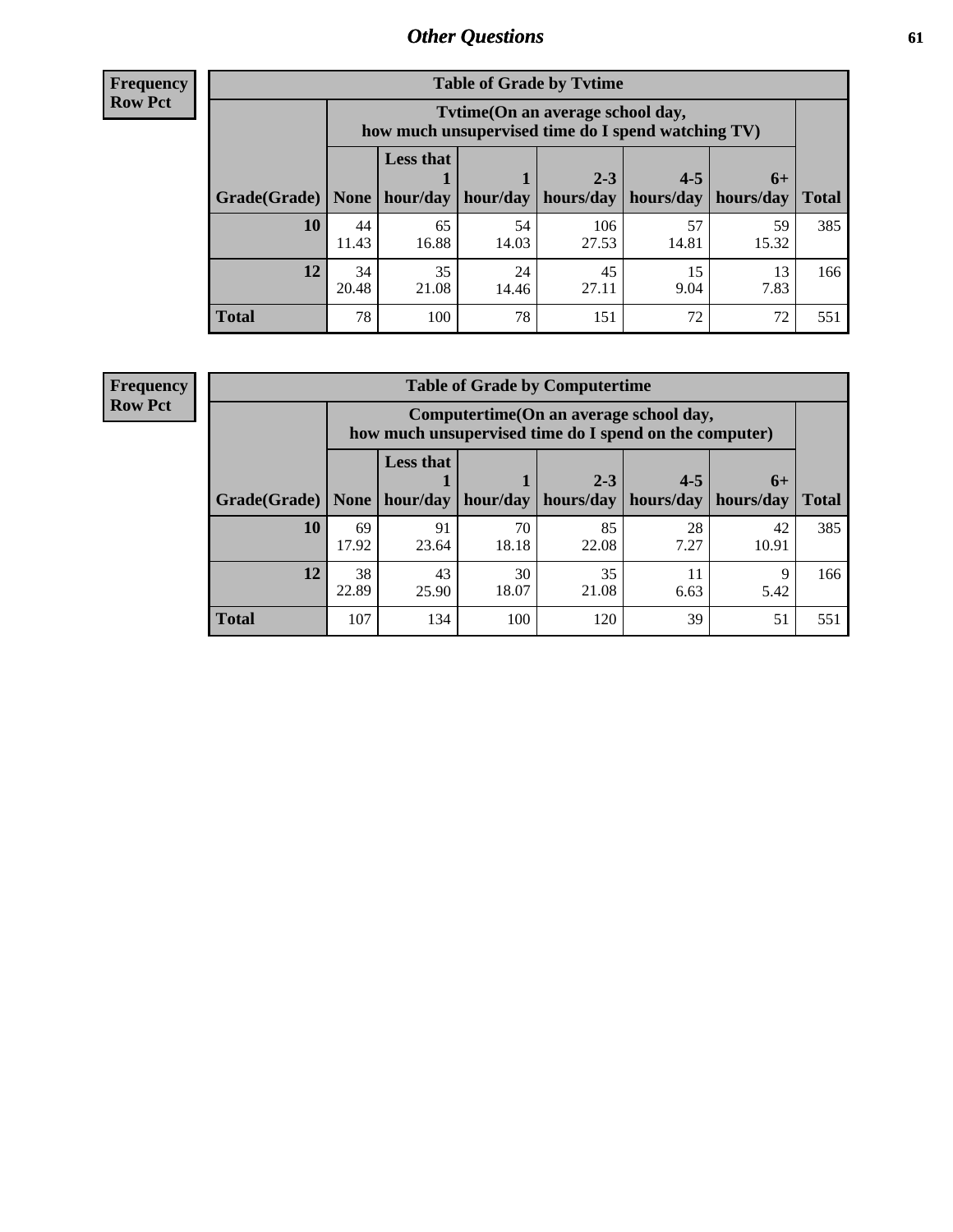**Frequency Row Pct**

| <b>Table of Grade by Tvtime</b> |             |                                                                                         |             |                      |                      |                     |              |  |  |  |
|---------------------------------|-------------|-----------------------------------------------------------------------------------------|-------------|----------------------|----------------------|---------------------|--------------|--|--|--|
|                                 |             | Tytime (On an average school day,<br>how much unsupervised time do I spend watching TV) |             |                      |                      |                     |              |  |  |  |
| $ $ Grade(Grade) $ $            | None        | <b>Less that</b><br>hour/day                                                            | hour/day    | $2 - 3$<br>hours/day | $4 - 5$<br>hours/day | $6+$<br>  hours/day | <b>Total</b> |  |  |  |
|                                 |             |                                                                                         |             |                      |                      |                     |              |  |  |  |
| 10                              | 44<br>11.43 | 65<br>16.88                                                                             | 54<br>14.03 | 106<br>27.53         | 57<br>14.81          | 59<br>15.32         | 385          |  |  |  |
| 12                              | 34<br>20.48 | 35<br>21.08                                                                             | 24<br>14.46 | 45<br>27.11          | 15<br>9.04           | 13<br>7.83          | 166          |  |  |  |
| <b>Total</b>                    | 78          | 100                                                                                     | 78          | 151                  | 72                   | 72                  | 551          |  |  |  |

**Frequency Row Pct**

| <b>Table of Grade by Computertime</b> |             |                                                                                                   |                     |                      |                      |                   |              |  |  |  |  |
|---------------------------------------|-------------|---------------------------------------------------------------------------------------------------|---------------------|----------------------|----------------------|-------------------|--------------|--|--|--|--|
|                                       |             | Computertime (On an average school day,<br>how much unsupervised time do I spend on the computer) |                     |                      |                      |                   |              |  |  |  |  |
| Grade(Grade)                          | None $ $    | <b>Less that</b>                                                                                  | hour/day   hour/day | $2 - 3$<br>hours/day | $4 - 5$<br>hours/day | $6+$<br>hours/day | <b>Total</b> |  |  |  |  |
|                                       |             |                                                                                                   |                     |                      |                      |                   |              |  |  |  |  |
| 10                                    | 69<br>17.92 | 91<br>23.64                                                                                       | 70<br>18.18         | 85<br>22.08          | 28<br>7.27           | 42<br>10.91       | 385          |  |  |  |  |
| 12                                    | 38<br>22.89 | 35<br>43<br>30<br>11<br>9<br>18.07<br>21.08<br>25.90<br>6.63<br>5.42                              |                     |                      |                      |                   |              |  |  |  |  |
| <b>Total</b>                          | 107         | 134                                                                                               | 100                 | 120                  | 39                   | 51                | 551          |  |  |  |  |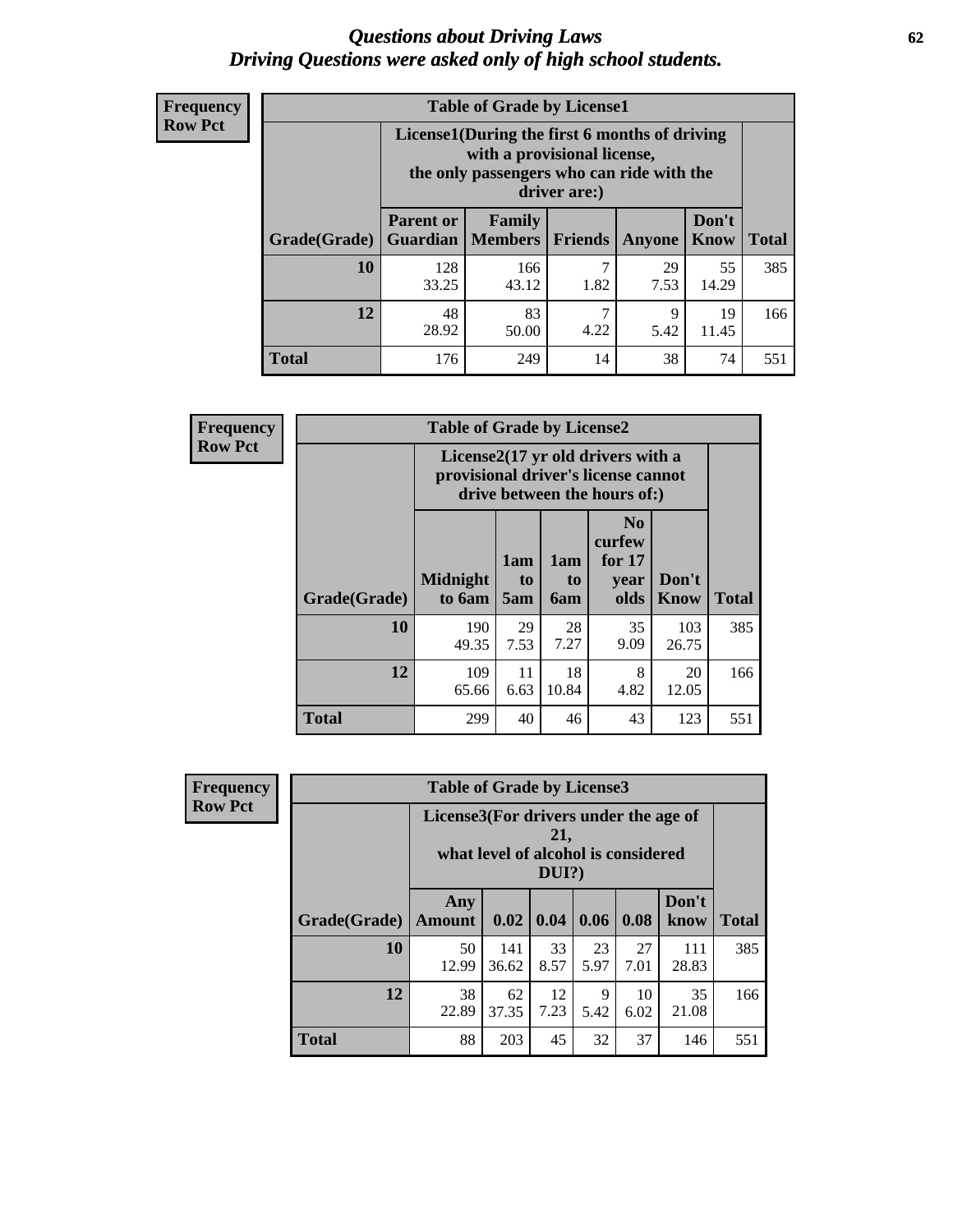#### *Questions about Driving Laws* **62** *Driving Questions were asked only of high school students.*

| <b>Frequency</b> |
|------------------|
| <b>Row Pct</b>   |

| <b>Table of Grade by License1</b> |                                     |                                                                                                                                           |                |            |                      |              |  |  |  |  |
|-----------------------------------|-------------------------------------|-------------------------------------------------------------------------------------------------------------------------------------------|----------------|------------|----------------------|--------------|--|--|--|--|
|                                   |                                     | License1(During the first 6 months of driving<br>with a provisional license,<br>the only passengers who can ride with the<br>driver are:) |                |            |                      |              |  |  |  |  |
| Grade(Grade)                      | <b>Parent or</b><br><b>Guardian</b> | Family<br><b>Members</b>                                                                                                                  | <b>Friends</b> | Anyone     | Don't<br><b>Know</b> | <b>Total</b> |  |  |  |  |
| 10                                | 128<br>33.25                        | 166<br>43.12                                                                                                                              | 7<br>1.82      | 29<br>7.53 | 55<br>14.29          | 385          |  |  |  |  |
| 12                                | 48<br>28.92                         | 7<br>83<br>19<br>9<br>4.22<br>5.42<br>11.45<br>50.00                                                                                      |                |            |                      |              |  |  |  |  |
| <b>Total</b>                      | 176                                 | 249                                                                                                                                       | 14             | 38         | 74                   | 551          |  |  |  |  |

| Frequency      |              | <b>Table of Grade by License2</b>                                                                        |                  |                  |                                                      |               |              |  |
|----------------|--------------|----------------------------------------------------------------------------------------------------------|------------------|------------------|------------------------------------------------------|---------------|--------------|--|
| <b>Row Pct</b> |              | License2(17 yr old drivers with a<br>provisional driver's license cannot<br>drive between the hours of:) |                  |                  |                                                      |               |              |  |
|                | Grade(Grade) | <b>Midnight</b><br>to 6am                                                                                | 1am<br>to<br>5am | 1am<br>to<br>6am | N <sub>0</sub><br>curfew<br>for $17$<br>vear<br>olds | Don't<br>Know | <b>Total</b> |  |
|                | 10           | 190<br>49.35                                                                                             | 29<br>7.53       | 28<br>7.27       | 35<br>9.09                                           | 103<br>26.75  | 385          |  |
|                | 12           | 109<br>65.66                                                                                             | 11<br>6.63       | 18<br>10.84      | 8<br>4.82                                            | 20<br>12.05   | 166          |  |
|                | <b>Total</b> | 299                                                                                                      | 40               | 46               | 43                                                   | 123           | 551          |  |

| Frequency      | <b>Table of Grade by License3</b> |                                                                                                 |              |            |            |            |               |              |  |  |
|----------------|-----------------------------------|-------------------------------------------------------------------------------------------------|--------------|------------|------------|------------|---------------|--------------|--|--|
| <b>Row Pct</b> |                                   | License3(For drivers under the age of<br>21,<br>what level of alcohol is considered<br>$DUI$ ?) |              |            |            |            |               |              |  |  |
|                | Grade(Grade)                      | Any<br><b>Amount</b>                                                                            | 0.02         | 0.04       | 0.06       | 0.08       | Don't<br>know | <b>Total</b> |  |  |
|                | 10                                | 50<br>12.99                                                                                     | 141<br>36.62 | 33<br>8.57 | 23<br>5.97 | 27<br>7.01 | 111<br>28.83  | 385          |  |  |
|                | 12                                | 38<br>22.89                                                                                     | 62<br>37.35  | 12<br>7.23 | 9<br>5.42  | 10<br>6.02 | 35<br>21.08   | 166          |  |  |
|                | <b>Total</b>                      | 88                                                                                              | 203          | 45         | 32         | 37         | 146           | 551          |  |  |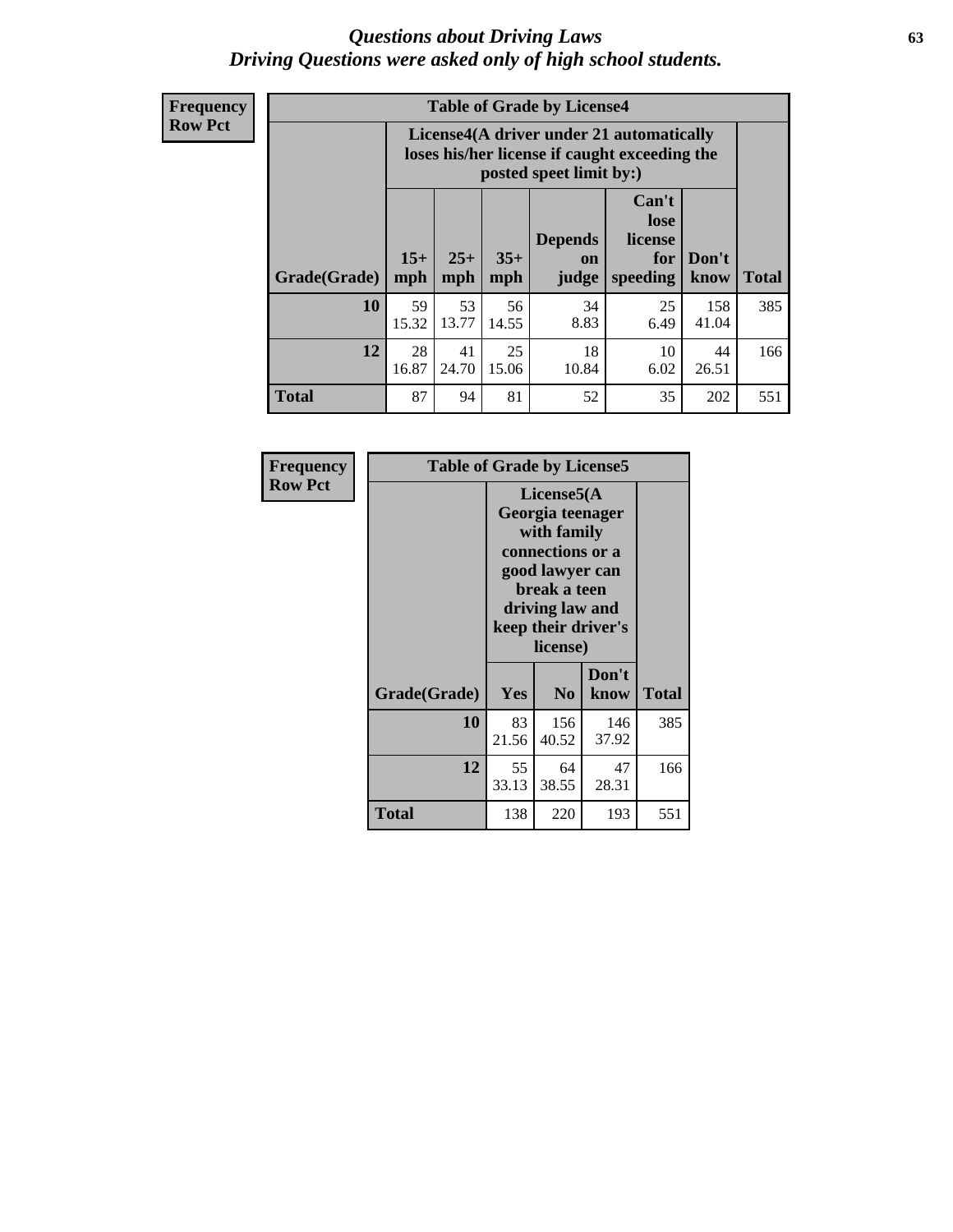#### *Questions about Driving Laws* **63** *Driving Questions were asked only of high school students.*

**Frequency Row Pct**

| <b>Table of Grade by License4</b> |             |                                                                                                                                                                                                                                                                                       |             |            |            |              |     |  |  |  |
|-----------------------------------|-------------|---------------------------------------------------------------------------------------------------------------------------------------------------------------------------------------------------------------------------------------------------------------------------------------|-------------|------------|------------|--------------|-----|--|--|--|
|                                   |             | License4(A driver under 21 automatically<br>loses his/her license if caught exceeding the<br>posted speet limit by:)<br>Can't<br>lose<br>license<br><b>Depends</b><br>$15+$<br>$35+$<br>$25+$<br>Don't<br>for<br><b>on</b><br>mph<br>speeding<br><b>Total</b><br>know<br>mph<br>judge |             |            |            |              |     |  |  |  |
| Grade(Grade)                      | mph         |                                                                                                                                                                                                                                                                                       |             |            |            |              |     |  |  |  |
| 10                                | 59<br>15.32 | 53<br>13.77                                                                                                                                                                                                                                                                           | 56<br>14.55 | 34<br>8.83 | 25<br>6.49 | 158<br>41.04 | 385 |  |  |  |
| 12                                | 28<br>16.87 | 25<br>18<br>41<br>10<br>44<br>24.70<br>15.06<br>6.02<br>26.51<br>10.84                                                                                                                                                                                                                |             |            |            |              |     |  |  |  |
| <b>Total</b>                      | 87          | 94                                                                                                                                                                                                                                                                                    | 81          | 52         | 35         | 202          | 551 |  |  |  |

| Frequency      | <b>Table of Grade by License5</b> |                                                                                                                                                             |                |               |              |  |
|----------------|-----------------------------------|-------------------------------------------------------------------------------------------------------------------------------------------------------------|----------------|---------------|--------------|--|
| <b>Row Pct</b> |                                   | License5(A)<br>Georgia teenager<br>with family<br>connections or a<br>good lawyer can<br>break a teen<br>driving law and<br>keep their driver's<br>license) |                |               |              |  |
|                | Grade(Grade)                      | <b>Yes</b>                                                                                                                                                  | N <sub>0</sub> | Don't<br>know | <b>Total</b> |  |
|                | 10                                | 83<br>21.56                                                                                                                                                 | 156<br>40.52   | 146<br>37.92  | 385          |  |
|                | 12                                | 55<br>33.13                                                                                                                                                 | 64<br>38.55    | 47<br>28.31   | 166          |  |
|                | <b>Total</b>                      | 138                                                                                                                                                         | 220            | 193           | 551          |  |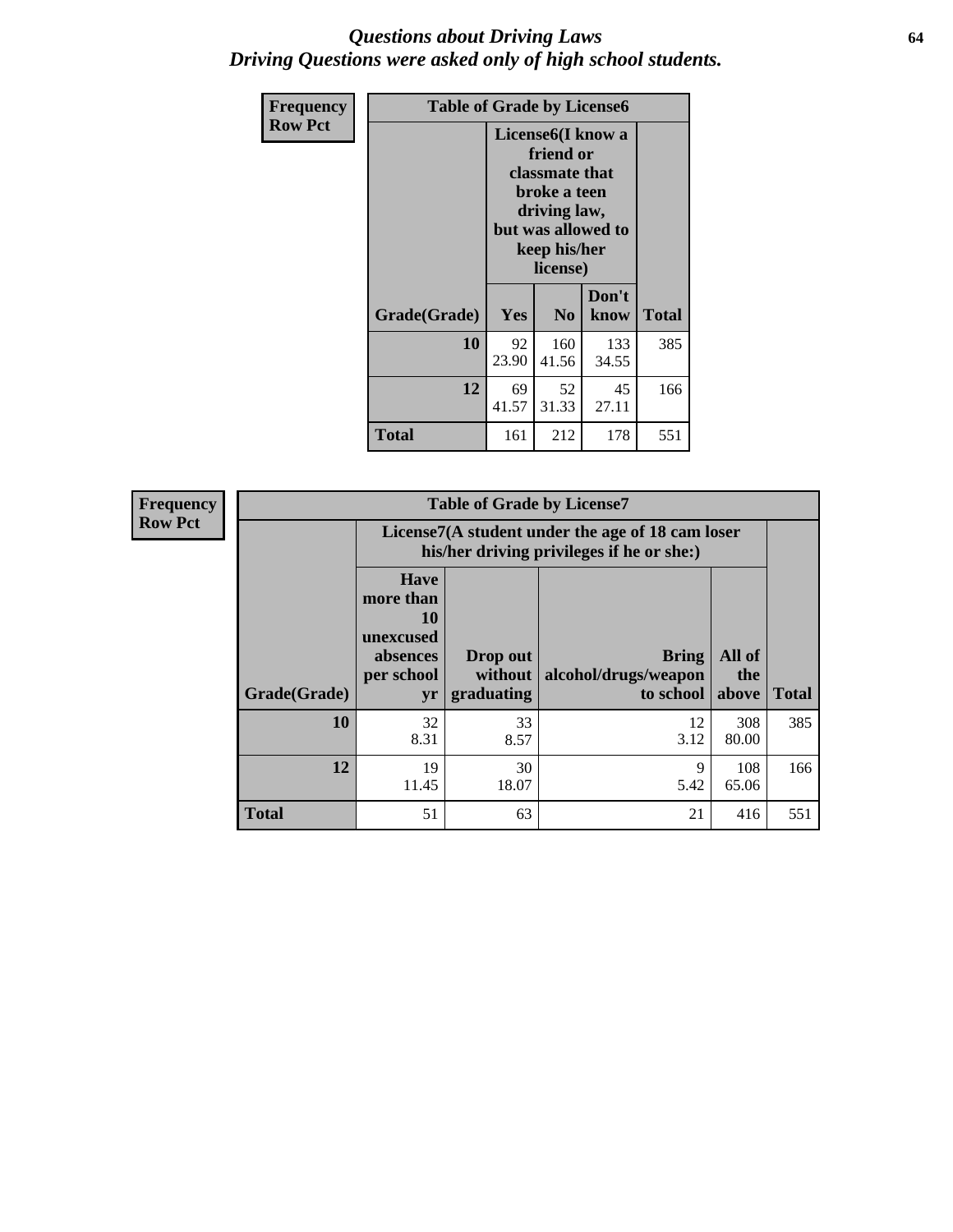#### *Questions about Driving Laws* **64** *Driving Questions were asked only of high school students.*

| <b>Frequency</b> | <b>Table of Grade by License6</b> |                                                                                                                                                 |                |               |              |
|------------------|-----------------------------------|-------------------------------------------------------------------------------------------------------------------------------------------------|----------------|---------------|--------------|
| <b>Row Pct</b>   |                                   | License <sub>6</sub> (I know a<br>friend or<br>classmate that<br>broke a teen<br>driving law,<br>but was allowed to<br>keep his/her<br>license) |                |               |              |
|                  | Grade(Grade)                      | <b>Yes</b>                                                                                                                                      | N <sub>0</sub> | Don't<br>know | <b>Total</b> |
|                  | 10                                | 92<br>23.90                                                                                                                                     | 160<br>41.56   | 133<br>34.55  | 385          |
|                  | 12                                | 69<br>41.57                                                                                                                                     | 166            |               |              |
|                  | Total                             | 161                                                                                                                                             | 212            | 178           | 551          |

| Frequency      |              |                                                                             | <b>Table of Grade by License7</b>                                                             |                                                   |                        |              |  |
|----------------|--------------|-----------------------------------------------------------------------------|-----------------------------------------------------------------------------------------------|---------------------------------------------------|------------------------|--------------|--|
| <b>Row Pct</b> |              |                                                                             | License7(A student under the age of 18 cam loser<br>his/her driving privileges if he or she:) |                                                   |                        |              |  |
|                | Grade(Grade) | <b>Have</b><br>more than<br>10<br>unexcused<br>absences<br>per school<br>yr | Drop out<br>without  <br>graduating                                                           | <b>Bring</b><br>alcohol/drugs/weapon<br>to school | All of<br>the<br>above | <b>Total</b> |  |
|                | 10           | 32<br>8.31                                                                  | 33<br>8.57                                                                                    | 12<br>3.12                                        | 308<br>80.00           | 385          |  |
|                | 12           | 19<br>11.45                                                                 | 30<br>18.07                                                                                   | 9<br>5.42                                         | 108<br>65.06           | 166          |  |
|                | <b>Total</b> | 51                                                                          | 63                                                                                            | 21                                                | 416                    | 551          |  |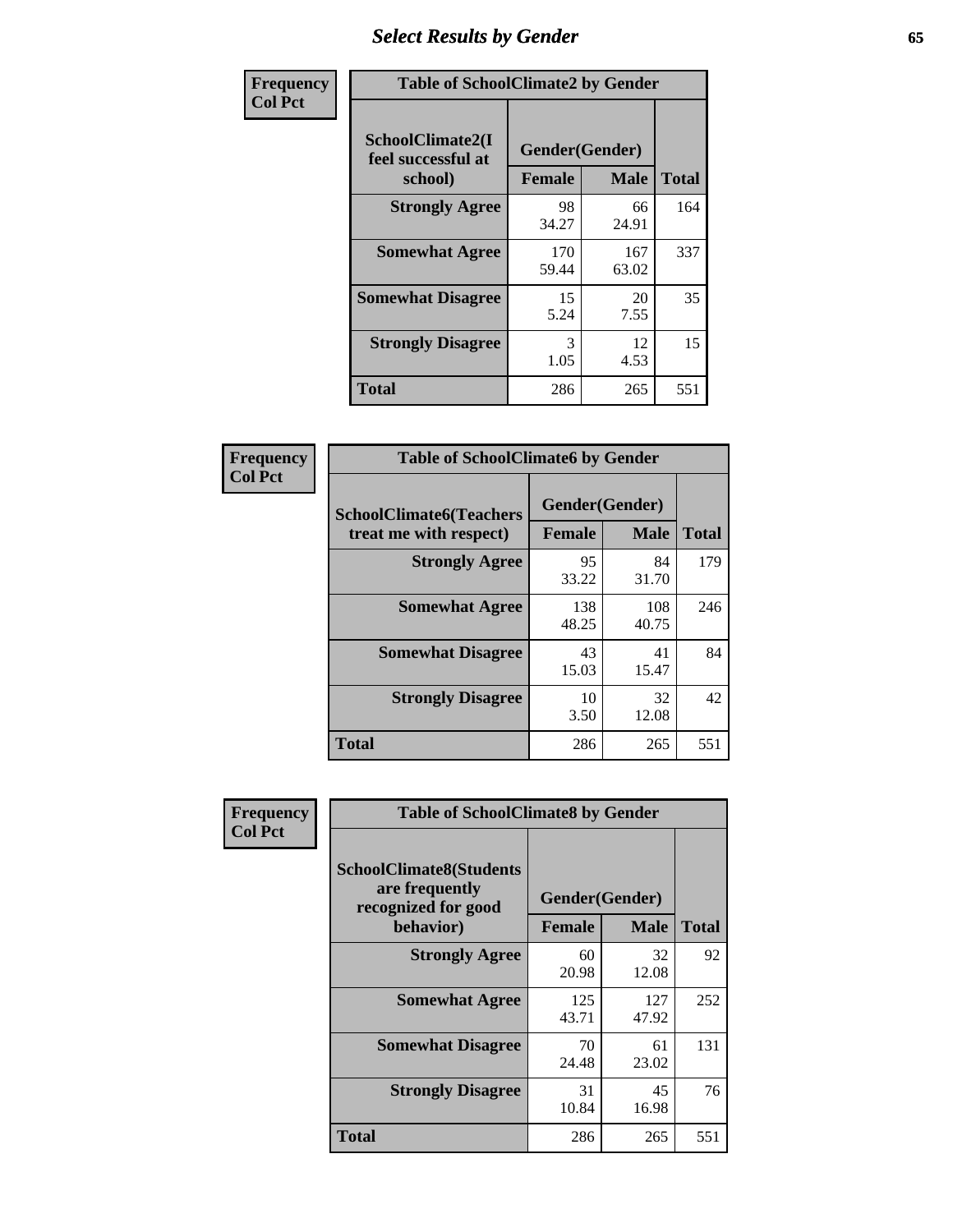# *Select Results by Gender* **65**

| Frequency      | <b>Table of SchoolClimate2 by Gender</b>          |                                 |              |              |
|----------------|---------------------------------------------------|---------------------------------|--------------|--------------|
| <b>Col Pct</b> | SchoolClimate2(I<br>feel successful at<br>school) | Gender(Gender)<br><b>Female</b> | <b>Male</b>  | <b>Total</b> |
|                | <b>Strongly Agree</b>                             | 98<br>34.27                     | 66<br>24.91  | 164          |
|                | <b>Somewhat Agree</b>                             | 170<br>59.44                    | 167<br>63.02 | 337          |
|                | <b>Somewhat Disagree</b>                          | 15<br>5.24                      | 20<br>7.55   | 35           |
|                | <b>Strongly Disagree</b>                          | 3<br>1.05                       | 12<br>4.53   | 15           |
|                | <b>Total</b>                                      | 286                             | 265          | 551          |

| Frequency      | <b>Table of SchoolClimate6 by Gender</b>                 |                                 |              |              |  |
|----------------|----------------------------------------------------------|---------------------------------|--------------|--------------|--|
| <b>Col Pct</b> | <b>SchoolClimate6(Teachers</b><br>treat me with respect) | Gender(Gender)<br><b>Female</b> | <b>Male</b>  | <b>Total</b> |  |
|                | <b>Strongly Agree</b>                                    | 95<br>33.22                     | 84<br>31.70  | 179          |  |
|                | <b>Somewhat Agree</b>                                    | 138<br>48.25                    | 108<br>40.75 | 246          |  |
|                | <b>Somewhat Disagree</b>                                 | 43<br>15.03                     | 41<br>15.47  | 84           |  |
|                | <b>Strongly Disagree</b>                                 | 10<br>3.50                      | 32<br>12.08  | 42           |  |
|                | Total                                                    | 286                             | 265          | 551          |  |

| Frequency      | <b>Table of SchoolClimate8 by Gender</b>                                             |                                 |              |              |
|----------------|--------------------------------------------------------------------------------------|---------------------------------|--------------|--------------|
| <b>Col Pct</b> | <b>SchoolClimate8(Students</b><br>are frequently<br>recognized for good<br>behavior) | Gender(Gender)<br><b>Female</b> | <b>Male</b>  | <b>Total</b> |
|                | <b>Strongly Agree</b>                                                                | 60<br>20.98                     | 32<br>12.08  | 92           |
|                | <b>Somewhat Agree</b>                                                                | 125<br>43.71                    | 127<br>47.92 | 252          |
|                | <b>Somewhat Disagree</b>                                                             | 70<br>24.48                     | 61<br>23.02  | 131          |
|                | <b>Strongly Disagree</b>                                                             | 31<br>10.84                     | 45<br>16.98  | 76           |
|                | Total                                                                                | 286                             | 265          | 551          |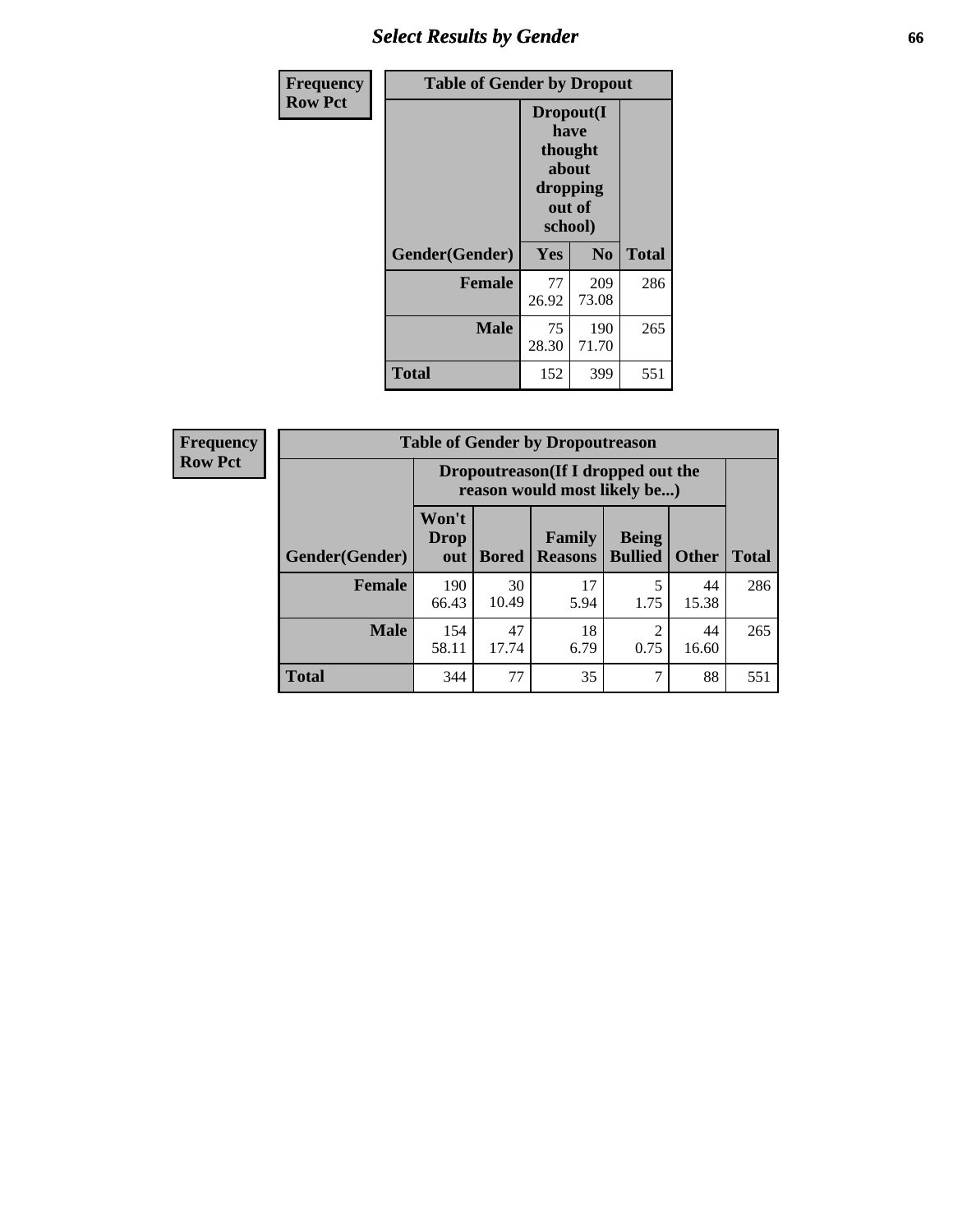# *Select Results by Gender* **66**

| Frequency      | <b>Table of Gender by Dropout</b> |                                                                        |                |              |
|----------------|-----------------------------------|------------------------------------------------------------------------|----------------|--------------|
| <b>Row Pct</b> |                                   | Dropout(I<br>have<br>thought<br>about<br>dropping<br>out of<br>school) |                |              |
|                | Gender(Gender)                    | <b>Yes</b>                                                             | N <sub>0</sub> | <b>Total</b> |
|                | <b>Female</b>                     | 77<br>26.92                                                            | 209<br>73.08   | 286          |
|                | <b>Male</b>                       | 75<br>28.30                                                            | 190<br>71.70   | 265          |
|                | <b>Total</b>                      | 152                                                                    | 399            | 551          |

| <b>Frequency</b> | <b>Table of Gender by Dropoutreason</b> |                                                                     |              |                          |                                |              |              |
|------------------|-----------------------------------------|---------------------------------------------------------------------|--------------|--------------------------|--------------------------------|--------------|--------------|
| <b>Row Pct</b>   |                                         | Dropoutreason (If I dropped out the<br>reason would most likely be) |              |                          |                                |              |              |
|                  | Gender(Gender)                          | Won't<br><b>Drop</b><br>out                                         | <b>Bored</b> | Family<br><b>Reasons</b> | <b>Being</b><br><b>Bullied</b> | <b>Other</b> | <b>Total</b> |
|                  | Female                                  | 190<br>66.43                                                        | 30<br>10.49  | 17<br>5.94               | 1.75                           | 44<br>15.38  | 286          |
|                  | <b>Male</b>                             | 154<br>58.11                                                        | 47<br>17.74  | 18<br>6.79               | 2<br>0.75                      | 44<br>16.60  | 265          |
|                  | <b>Total</b>                            | 344                                                                 | 77           | 35                       | ⇁                              | 88           | 551          |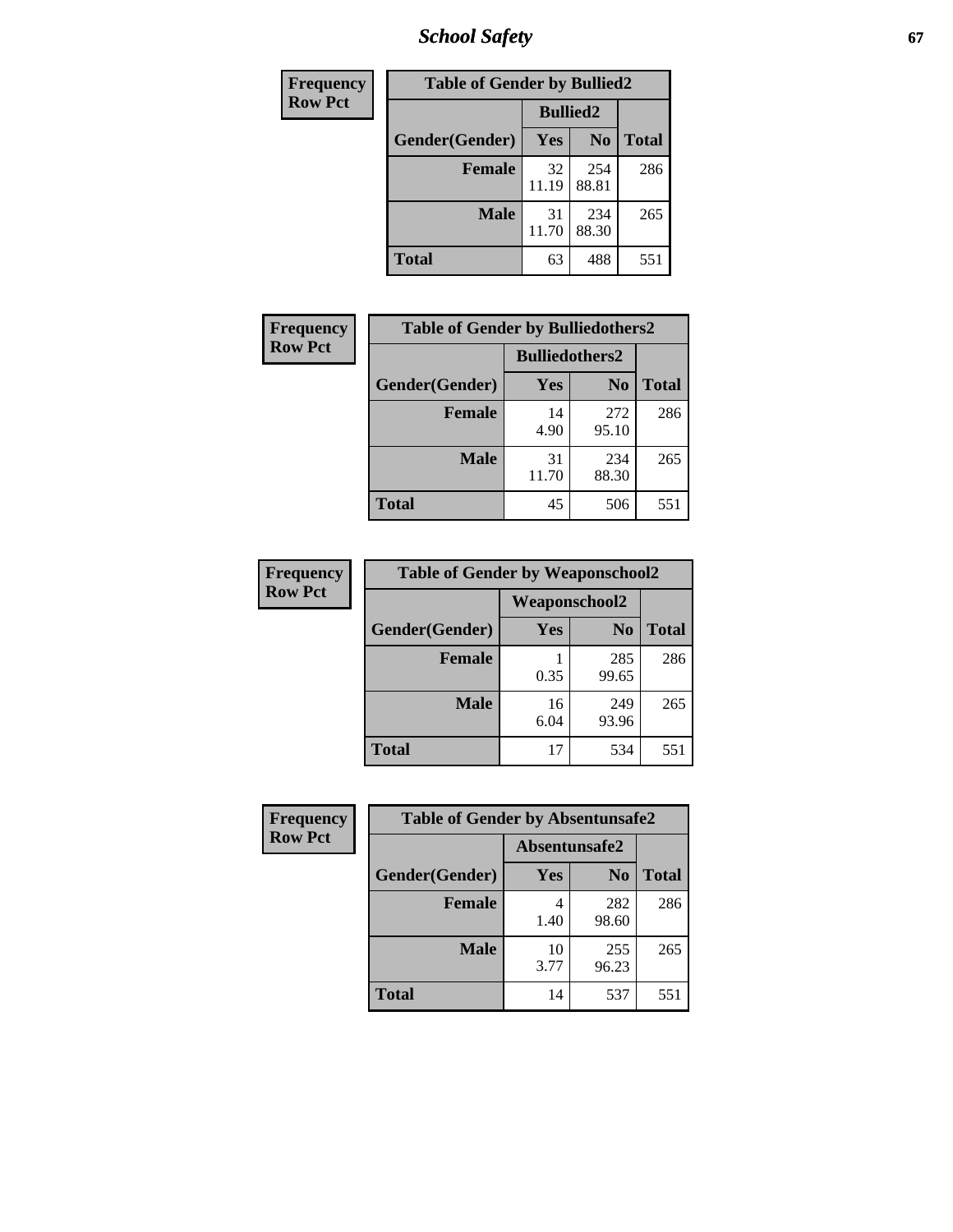*School Safety* **67**

| Frequency      | <b>Table of Gender by Bullied2</b> |                 |                |              |
|----------------|------------------------------------|-----------------|----------------|--------------|
| <b>Row Pct</b> |                                    | <b>Bullied2</b> |                |              |
|                | Gender(Gender)                     | <b>Yes</b>      | N <sub>0</sub> | <b>Total</b> |
|                | <b>Female</b>                      | 32<br>11.19     | 254<br>88.81   | 286          |
|                | <b>Male</b>                        | 31<br>11.70     | 234<br>88.30   | 265          |
|                | <b>Total</b>                       | 63              | 488            | 551          |

| Frequency      | <b>Table of Gender by Bulliedothers2</b> |                       |                |              |
|----------------|------------------------------------------|-----------------------|----------------|--------------|
| <b>Row Pct</b> |                                          | <b>Bulliedothers2</b> |                |              |
|                | Gender(Gender)                           | <b>Yes</b>            | N <sub>0</sub> | <b>Total</b> |
|                | <b>Female</b>                            | 14<br>4.90            | 272<br>95.10   | 286          |
|                | <b>Male</b>                              | 31<br>11.70           | 234<br>88.30   | 265          |
|                | <b>Total</b>                             | 45                    | 506            | 551          |

| Frequency      | <b>Table of Gender by Weaponschool2</b> |                      |                |              |
|----------------|-----------------------------------------|----------------------|----------------|--------------|
| <b>Row Pct</b> |                                         | <b>Weaponschool2</b> |                |              |
|                | Gender(Gender)                          | Yes                  | N <sub>0</sub> | <b>Total</b> |
|                | <b>Female</b>                           | 0.35                 | 285<br>99.65   | 286          |
|                | <b>Male</b>                             | 16<br>6.04           | 249<br>93.96   | 265          |
|                | <b>Total</b>                            | 17                   | 534            | 551          |

| Frequency      | <b>Table of Gender by Absentunsafe2</b> |               |                |              |
|----------------|-----------------------------------------|---------------|----------------|--------------|
| <b>Row Pct</b> |                                         | Absentunsafe2 |                |              |
|                | Gender(Gender)                          | Yes           | N <sub>0</sub> | <b>Total</b> |
|                | <b>Female</b>                           | 4<br>1.40     | 282<br>98.60   | 286          |
|                | <b>Male</b>                             | 10<br>3.77    | 255<br>96.23   | 265          |
|                | <b>Total</b>                            | 14            | 537            | 551          |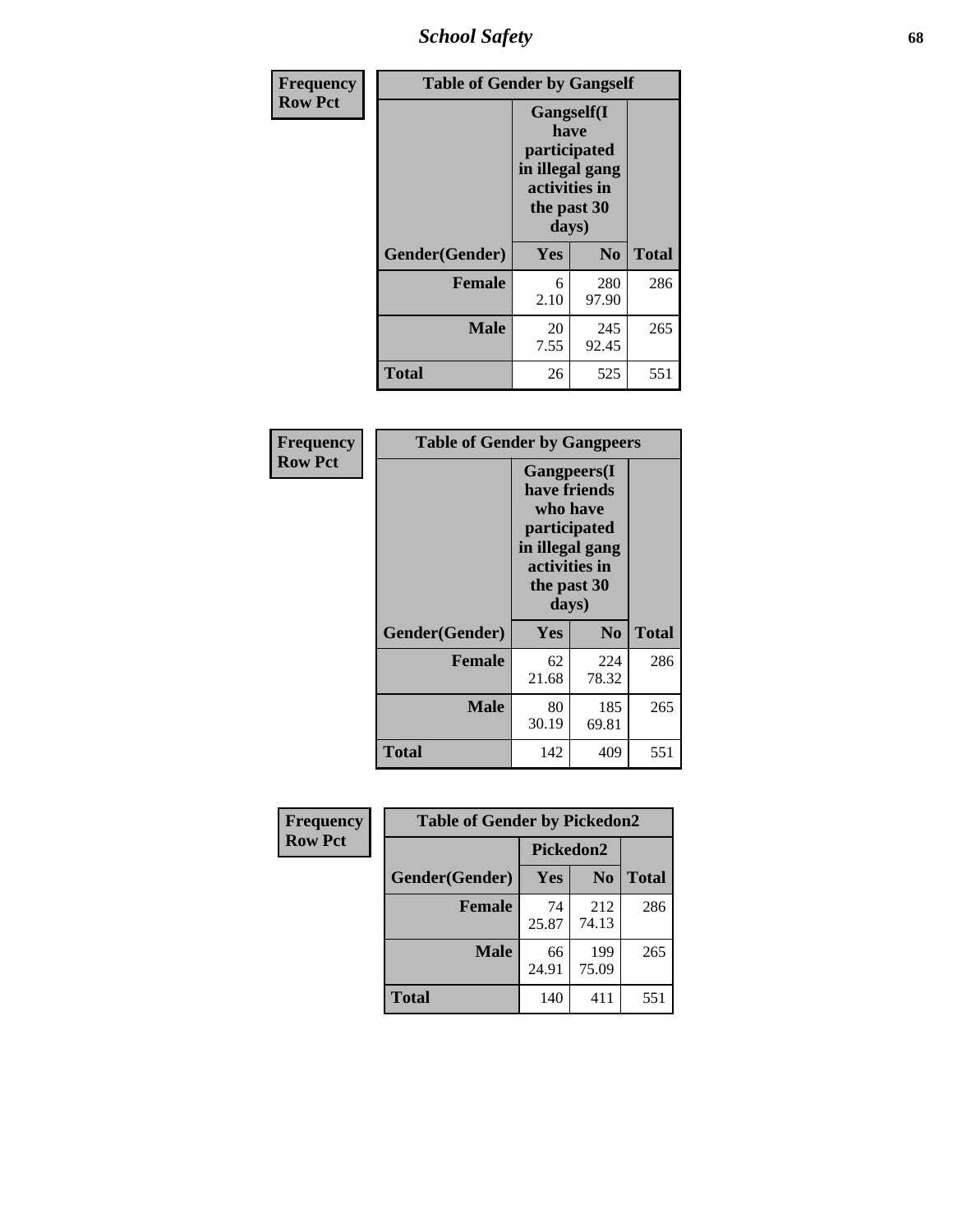*School Safety* **68**

| Frequency      | <b>Table of Gender by Gangself</b> |                                                                                                        |              |              |
|----------------|------------------------------------|--------------------------------------------------------------------------------------------------------|--------------|--------------|
| <b>Row Pct</b> |                                    | <b>Gangself</b> (I<br>have<br>participated<br>in illegal gang<br>activities in<br>the past 30<br>days) |              |              |
|                | Gender(Gender)                     | Yes                                                                                                    | No           | <b>Total</b> |
|                | <b>Female</b>                      | 6<br>2.10                                                                                              | 280<br>97.90 | 286          |
|                | <b>Male</b>                        | 20<br>7.55                                                                                             | 245<br>92.45 | 265          |
|                | <b>Total</b>                       | 26                                                                                                     | 525          | 551          |

| Frequency      | <b>Table of Gender by Gangpeers</b> |                                                                                                                             |                |              |
|----------------|-------------------------------------|-----------------------------------------------------------------------------------------------------------------------------|----------------|--------------|
| <b>Row Pct</b> |                                     | <b>Gangpeers</b> (I<br>have friends<br>who have<br>participated<br>in illegal gang<br>activities in<br>the past 30<br>days) |                |              |
|                | Gender(Gender)                      | <b>Yes</b>                                                                                                                  | N <sub>0</sub> | <b>Total</b> |
|                | <b>Female</b>                       | 62<br>21.68                                                                                                                 | 224<br>78.32   | 286          |
|                | <b>Male</b>                         | 80<br>30.19                                                                                                                 | 185<br>69.81   | 265          |
|                | <b>Total</b>                        | 142                                                                                                                         | 409            | 551          |

| Frequency      | <b>Table of Gender by Pickedon2</b> |             |                |              |
|----------------|-------------------------------------|-------------|----------------|--------------|
| <b>Row Pct</b> |                                     | Pickedon2   |                |              |
|                | Gender(Gender)                      | Yes         | N <sub>0</sub> | <b>Total</b> |
|                | <b>Female</b>                       | 74<br>25.87 | 212<br>74.13   | 286          |
|                | <b>Male</b>                         | 66<br>24.91 | 199<br>75.09   | 265          |
|                | <b>Total</b>                        | 140         | 411            | 551          |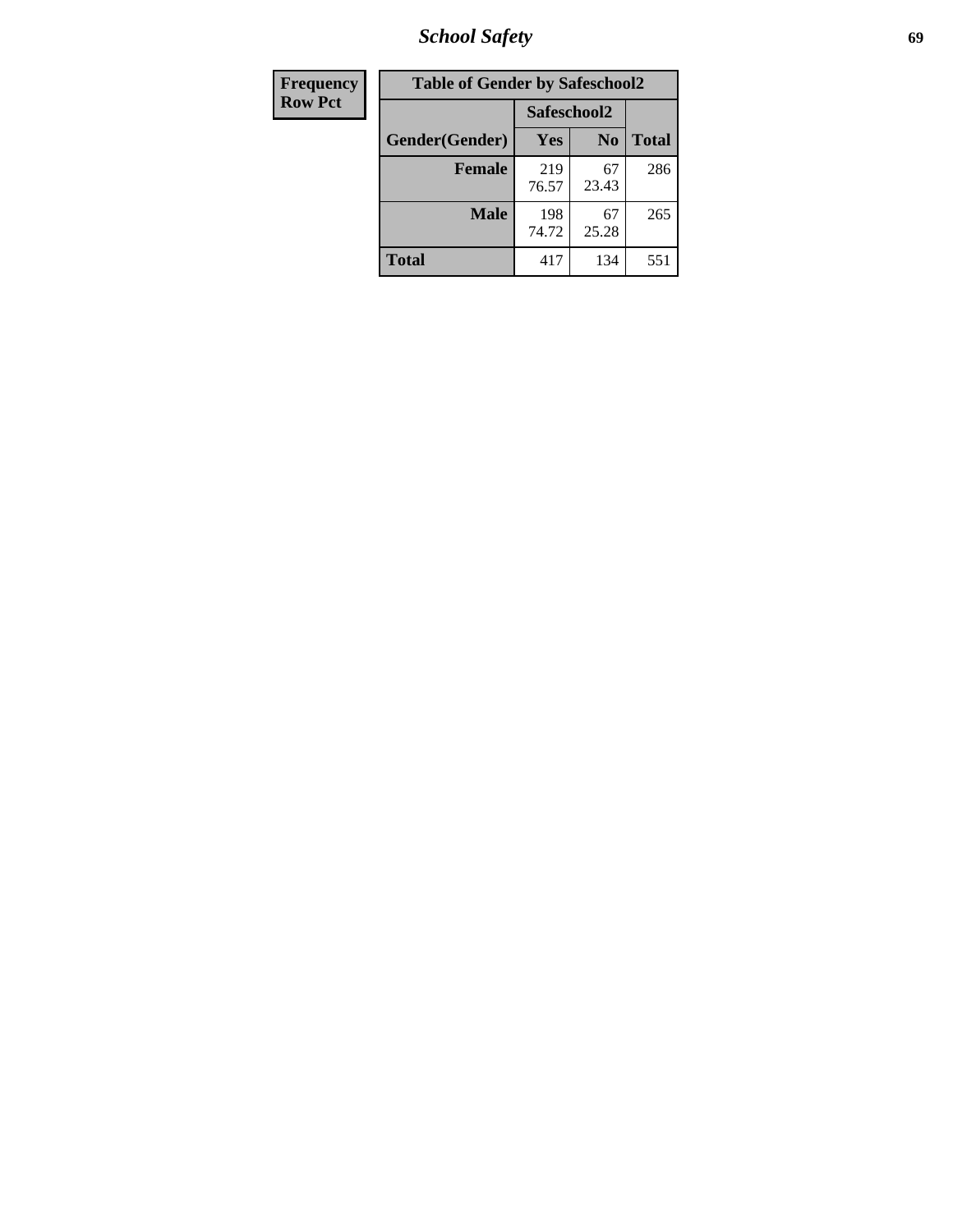*School Safety* **69**

| Frequency      | <b>Table of Gender by Safeschool2</b> |              |                |              |
|----------------|---------------------------------------|--------------|----------------|--------------|
| <b>Row Pct</b> |                                       |              | Safeschool2    |              |
|                | Gender(Gender)                        | Yes          | N <sub>0</sub> | <b>Total</b> |
|                | <b>Female</b>                         | 219<br>76.57 | 67<br>23.43    | 286          |
|                | <b>Male</b>                           | 198<br>74.72 | 67<br>25.28    | 265          |
|                | <b>Total</b>                          | 417          | 134            | 551          |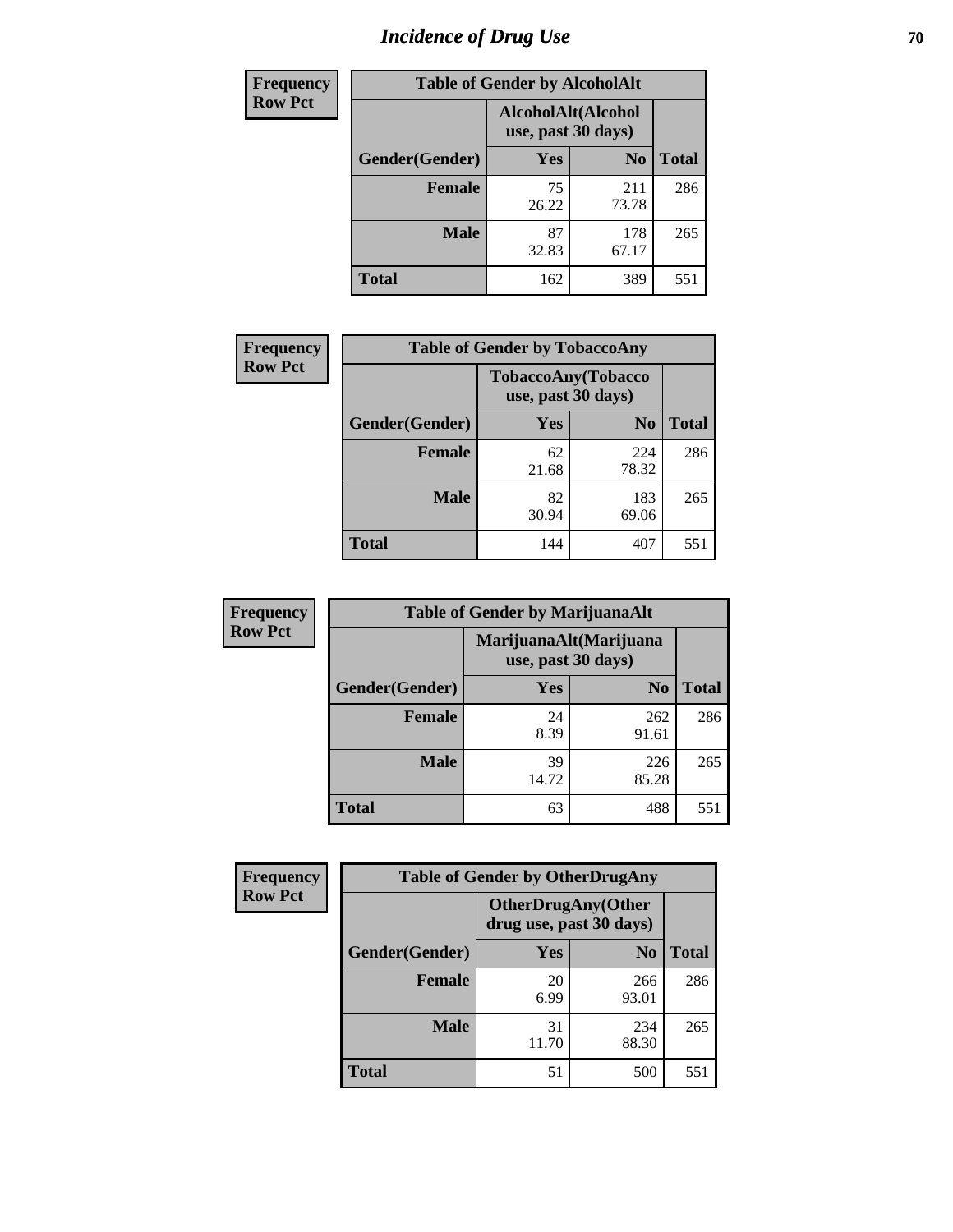# *Incidence of Drug Use* **70**

| <b>Frequency</b> | <b>Table of Gender by AlcoholAlt</b> |             |                                          |              |  |
|------------------|--------------------------------------|-------------|------------------------------------------|--------------|--|
| <b>Row Pct</b>   |                                      |             | AlcoholAlt(Alcohol<br>use, past 30 days) |              |  |
|                  | Gender(Gender)                       | <b>Yes</b>  | N <sub>0</sub>                           | <b>Total</b> |  |
|                  | <b>Female</b>                        | 75<br>26.22 | 211<br>73.78                             | 286          |  |
|                  | <b>Male</b>                          | 87<br>32.83 | 178<br>67.17                             | 265          |  |
|                  | <b>Total</b>                         | 162         | 389                                      | 551          |  |

| Frequency      | <b>Table of Gender by TobaccoAny</b> |                                          |                |              |  |
|----------------|--------------------------------------|------------------------------------------|----------------|--------------|--|
| <b>Row Pct</b> |                                      | TobaccoAny(Tobacco<br>use, past 30 days) |                |              |  |
|                | Gender(Gender)                       | Yes                                      | N <sub>0</sub> | <b>Total</b> |  |
|                | <b>Female</b>                        | 62<br>21.68                              | 224<br>78.32   | 286          |  |
|                | <b>Male</b>                          | 82<br>30.94                              | 183<br>69.06   | 265          |  |
|                | <b>Total</b>                         | 144                                      | 407            | 551          |  |

| <b>Frequency</b> |                | <b>Table of Gender by MarijuanaAlt</b> |                                              |              |
|------------------|----------------|----------------------------------------|----------------------------------------------|--------------|
| <b>Row Pct</b>   |                |                                        | MarijuanaAlt(Marijuana<br>use, past 30 days) |              |
|                  | Gender(Gender) | <b>Yes</b>                             | N <sub>0</sub>                               | <b>Total</b> |
|                  | <b>Female</b>  | 24<br>8.39                             | 262<br>91.61                                 | 286          |
|                  | <b>Male</b>    | 39<br>14.72                            | 226<br>85.28                                 | 265          |
|                  | <b>Total</b>   | 63                                     | 488                                          | 551          |

| <b>Frequency</b> | <b>Table of Gender by OtherDrugAny</b> |                                                       |                |              |
|------------------|----------------------------------------|-------------------------------------------------------|----------------|--------------|
| <b>Row Pct</b>   |                                        | <b>OtherDrugAny</b> (Other<br>drug use, past 30 days) |                |              |
|                  | Gender(Gender)                         | <b>Yes</b>                                            | N <sub>0</sub> | <b>Total</b> |
|                  | <b>Female</b>                          | 20<br>6.99                                            | 266<br>93.01   | 286          |
|                  | <b>Male</b>                            | 31<br>11.70                                           | 234<br>88.30   | 265          |
|                  | <b>Total</b>                           | 51                                                    | 500            | 551          |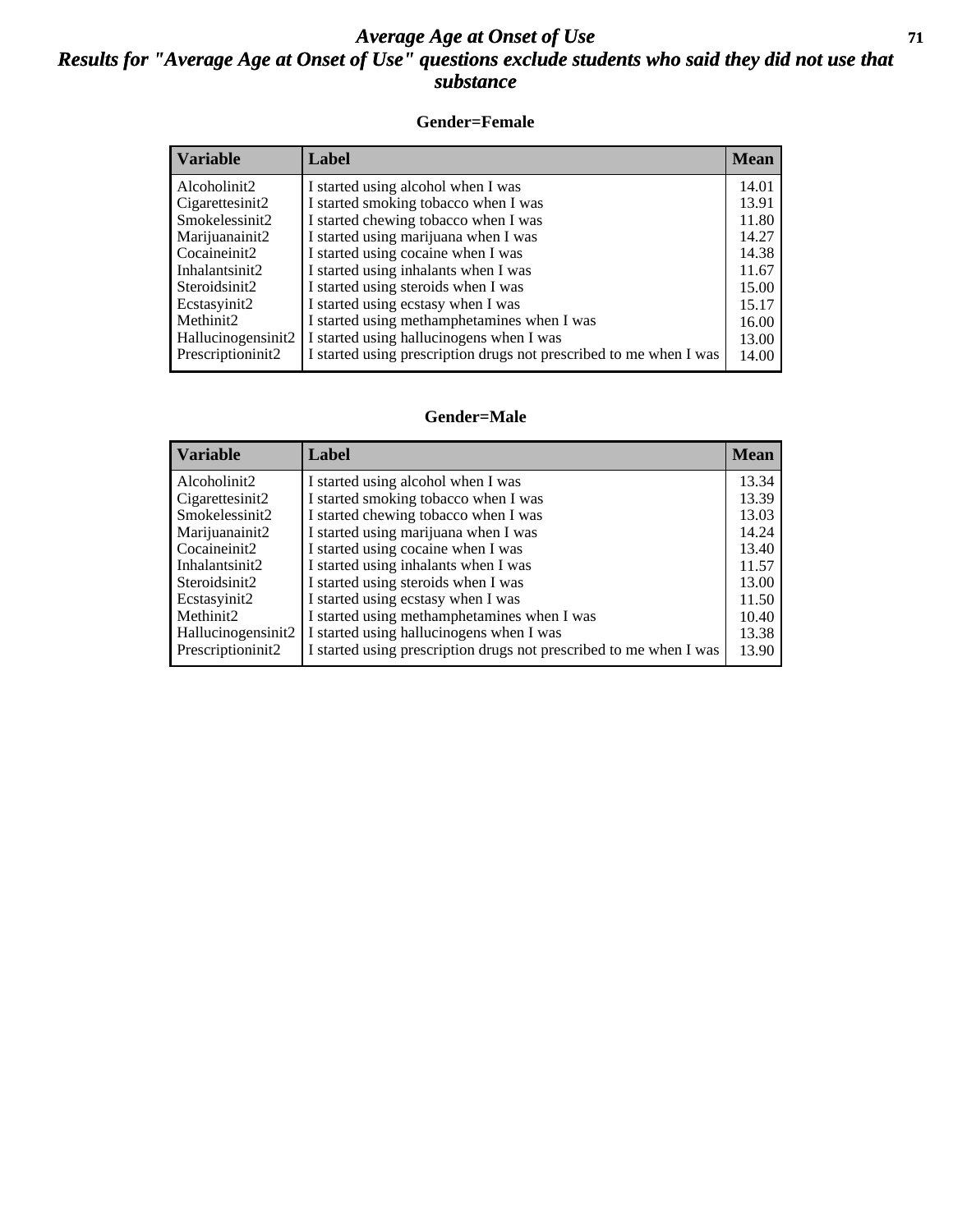#### *Average Age at Onset of Use* **71** *Results for "Average Age at Onset of Use" questions exclude students who said they did not use that substance*

#### **Gender=Female**

| <b>Variable</b>    | <b>Label</b>                                                       | <b>Mean</b> |
|--------------------|--------------------------------------------------------------------|-------------|
| Alcoholinit2       | I started using alcohol when I was                                 | 14.01       |
| Cigarettesinit2    | I started smoking tobacco when I was                               | 13.91       |
| Smokelessinit2     | I started chewing tobacco when I was                               | 11.80       |
| Marijuanainit2     | I started using marijuana when I was                               | 14.27       |
| Cocaineinit2       | I started using cocaine when I was                                 | 14.38       |
| Inhalantsinit2     | I started using inhalants when I was                               | 11.67       |
| Steroidsinit2      | I started using steroids when I was                                | 15.00       |
| Ecstasyinit2       | I started using ecstasy when I was                                 | 15.17       |
| Methinit2          | I started using methamphetamines when I was                        | 16.00       |
| Hallucinogensinit2 | I started using hallucinogens when I was                           | 13.00       |
| Prescription in t2 | I started using prescription drugs not prescribed to me when I was | 14.00       |

#### **Gender=Male**

| <b>Variable</b>                   | Label                                                                        | <b>Mean</b>    |
|-----------------------------------|------------------------------------------------------------------------------|----------------|
| Alcoholinit2                      | I started using alcohol when I was                                           | 13.34          |
| Cigarettesinit2<br>Smokelessinit2 | I started smoking tobacco when I was<br>I started chewing tobacco when I was | 13.39<br>13.03 |
| Marijuanainit2                    | I started using marijuana when I was                                         | 14.24          |
| Cocaineinit2                      | I started using cocaine when I was                                           | 13.40          |
| Inhalantsinit2                    | I started using inhalants when I was                                         | 11.57          |
| Steroidsinit2                     | I started using steroids when I was                                          | 13.00          |
| Ecstasyinit2                      | I started using ecstasy when I was                                           | 11.50          |
| Methinit2                         | I started using methamphetamines when I was                                  | 10.40          |
| Hallucinogensinit2                | I started using hallucinogens when I was                                     | 13.38          |
| Prescription in it <sub>2</sub>   | I started using prescription drugs not prescribed to me when I was           | 13.90          |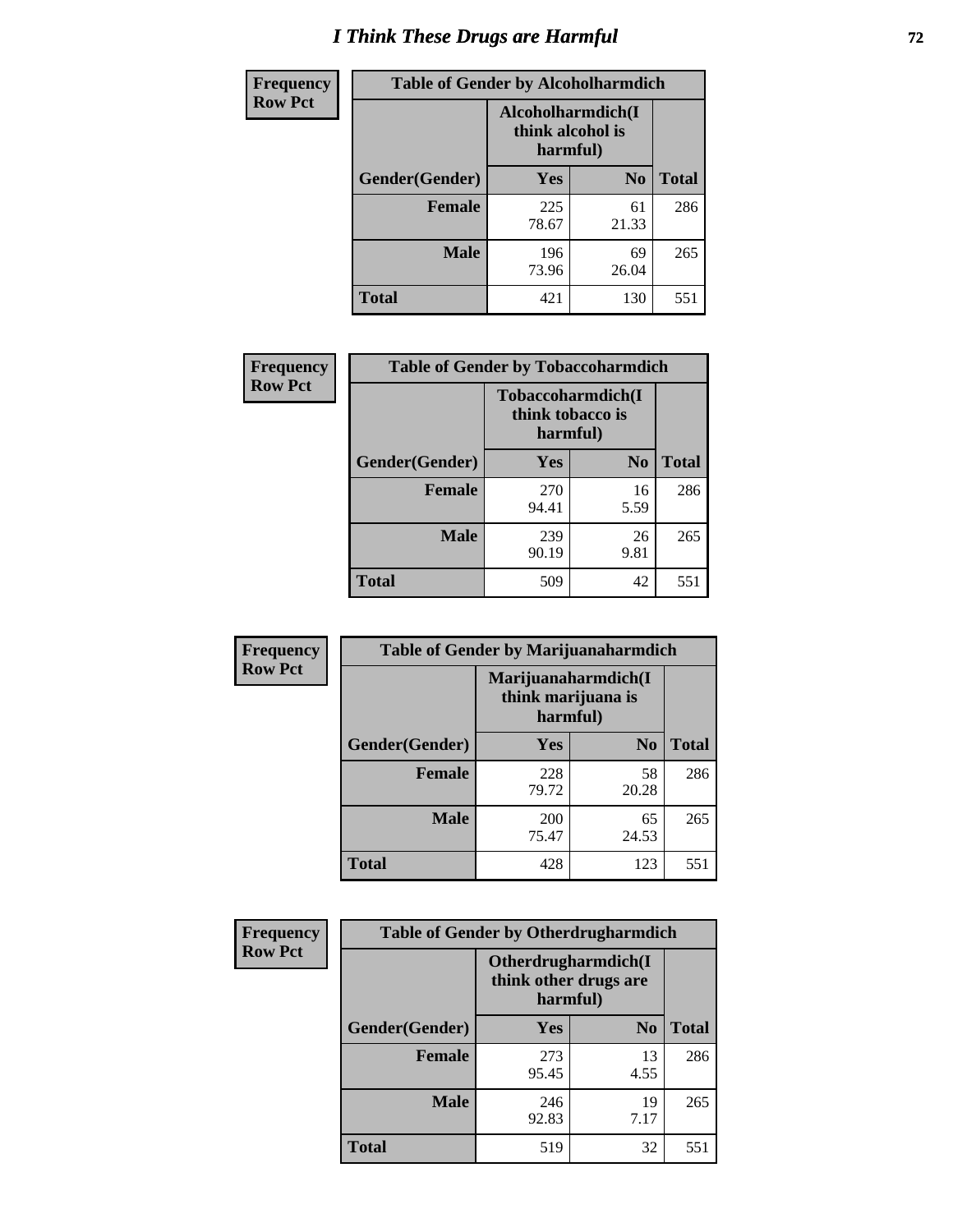# *I Think These Drugs are Harmful* **72**

| <b>Frequency</b> | <b>Table of Gender by Alcoholharmdich</b> |                  |                               |              |
|------------------|-------------------------------------------|------------------|-------------------------------|--------------|
| <b>Row Pct</b>   |                                           | think alcohol is | Alcoholharmdich(I<br>harmful) |              |
|                  | Gender(Gender)                            | Yes              | N <sub>0</sub>                | <b>Total</b> |
|                  | <b>Female</b>                             | 225<br>78.67     | 61<br>21.33                   | 286          |
|                  | <b>Male</b>                               | 196<br>73.96     | 69<br>26.04                   | 265          |
|                  | <b>Total</b>                              | 421              | 130                           | 551          |

| Frequency      | <b>Table of Gender by Tobaccoharmdich</b> |                              |                   |              |
|----------------|-------------------------------------------|------------------------------|-------------------|--------------|
| <b>Row Pct</b> |                                           | think tobacco is<br>harmful) | Tobaccoharmdich(I |              |
|                | Gender(Gender)                            | Yes                          | $\bf N_0$         | <b>Total</b> |
|                | <b>Female</b>                             | 270<br>94.41                 | 16<br>5.59        | 286          |
|                | <b>Male</b>                               | 239<br>90.19                 | 26<br>9.81        | 265          |
|                | <b>Total</b>                              | 509                          | 42                | 551          |

| Frequency      | <b>Table of Gender by Marijuanaharmdich</b> |                                                       |                |              |  |
|----------------|---------------------------------------------|-------------------------------------------------------|----------------|--------------|--|
| <b>Row Pct</b> |                                             | Marijuanaharmdich(I<br>think marijuana is<br>harmful) |                |              |  |
|                | Gender(Gender)                              | <b>Yes</b>                                            | N <sub>0</sub> | <b>Total</b> |  |
|                | <b>Female</b>                               | 228<br>79.72                                          | 58<br>20.28    | 286          |  |
|                | <b>Male</b>                                 | 200<br>75.47                                          | 65<br>24.53    | 265          |  |
|                | <b>Total</b>                                | 428                                                   | 123            | 551          |  |

| Frequency      | <b>Table of Gender by Otherdrugharmdich</b> |                                   |                     |              |  |
|----------------|---------------------------------------------|-----------------------------------|---------------------|--------------|--|
| <b>Row Pct</b> |                                             | think other drugs are<br>harmful) | Otherdrugharmdich(I |              |  |
|                | Gender(Gender)                              | <b>Yes</b>                        | N <sub>0</sub>      | <b>Total</b> |  |
|                | <b>Female</b>                               | 273<br>95.45                      | 13<br>4.55          | 286          |  |
|                | <b>Male</b>                                 | 246<br>92.83                      | 19<br>7.17          | 265          |  |
|                | <b>Total</b>                                | 519                               | 32                  | 551          |  |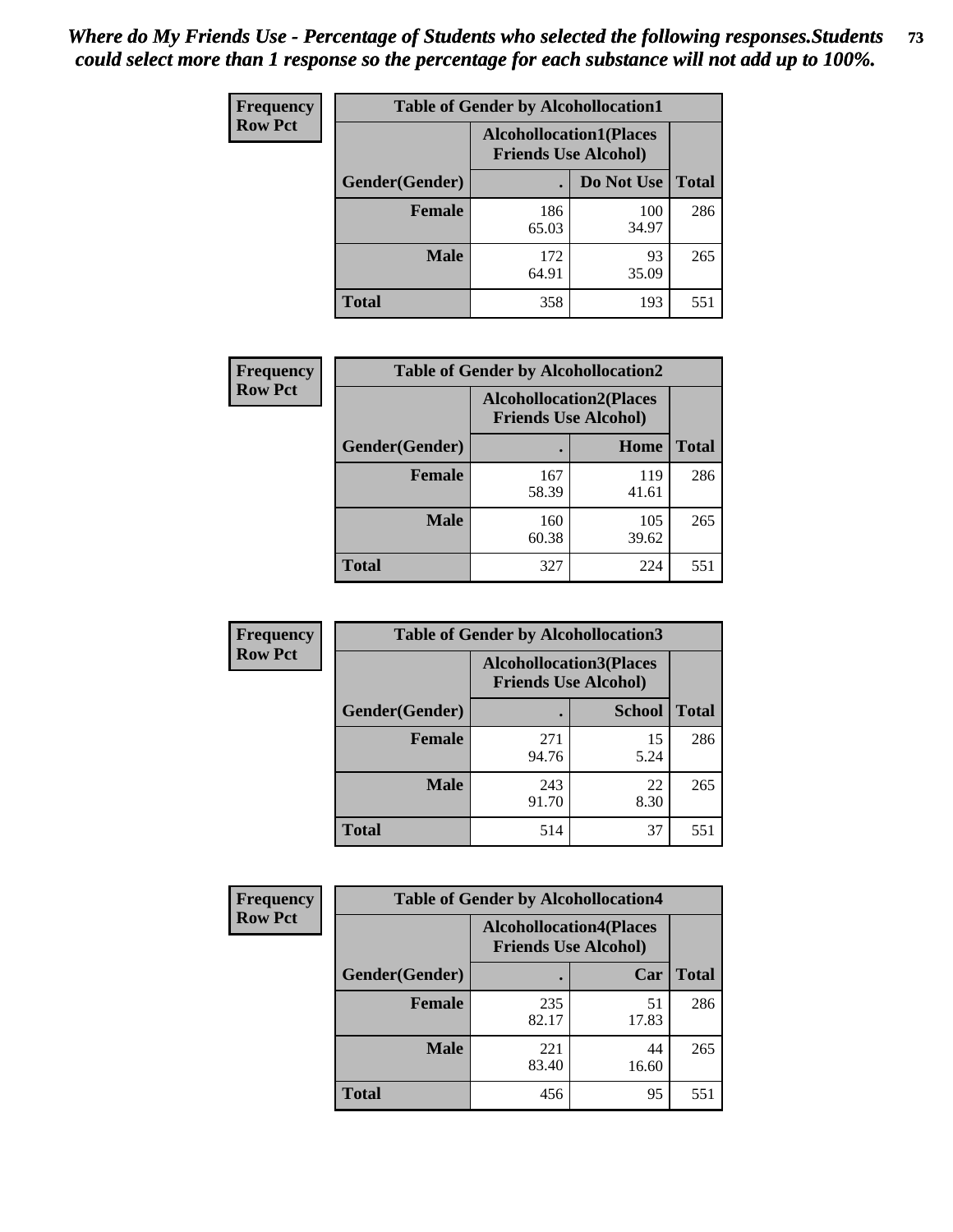| <b>Frequency</b> | <b>Table of Gender by Alcohollocation1</b> |                                                               |              |              |
|------------------|--------------------------------------------|---------------------------------------------------------------|--------------|--------------|
| <b>Row Pct</b>   |                                            | <b>Alcohollocation1(Places</b><br><b>Friends Use Alcohol)</b> |              |              |
|                  | Gender(Gender)                             |                                                               | Do Not Use   | <b>Total</b> |
|                  | <b>Female</b>                              | 186<br>65.03                                                  | 100<br>34.97 | 286          |
|                  | <b>Male</b>                                | 172<br>64.91                                                  | 93<br>35.09  | 265          |
|                  | <b>Total</b>                               | 358                                                           | 193          | 551          |

| <b>Frequency</b> | <b>Table of Gender by Alcohollocation2</b> |              |                                                               |              |
|------------------|--------------------------------------------|--------------|---------------------------------------------------------------|--------------|
| <b>Row Pct</b>   |                                            |              | <b>Alcohollocation2(Places</b><br><b>Friends Use Alcohol)</b> |              |
|                  | Gender(Gender)                             |              | Home                                                          | <b>Total</b> |
|                  | <b>Female</b>                              | 167<br>58.39 | 119<br>41.61                                                  | 286          |
|                  | <b>Male</b>                                | 160<br>60.38 | 105<br>39.62                                                  | 265          |
|                  | <b>Total</b>                               | 327          | 224                                                           | 551          |

| Frequency      | <b>Table of Gender by Alcohollocation3</b> |                                                               |               |              |
|----------------|--------------------------------------------|---------------------------------------------------------------|---------------|--------------|
| <b>Row Pct</b> |                                            | <b>Alcohollocation3(Places</b><br><b>Friends Use Alcohol)</b> |               |              |
|                | Gender(Gender)                             |                                                               | <b>School</b> | <b>Total</b> |
|                | <b>Female</b>                              | 271<br>94.76                                                  | 15<br>5.24    | 286          |
|                | <b>Male</b>                                | 243<br>91.70                                                  | 22<br>8.30    | 265          |
|                | <b>Total</b>                               | 514                                                           | 37            | 551          |

| Frequency      |                | <b>Table of Gender by Alcohollocation4</b>                    |             |              |  |  |
|----------------|----------------|---------------------------------------------------------------|-------------|--------------|--|--|
| <b>Row Pct</b> |                | <b>Alcohollocation4(Places</b><br><b>Friends Use Alcohol)</b> |             |              |  |  |
|                | Gender(Gender) |                                                               | Car         | <b>Total</b> |  |  |
|                | <b>Female</b>  | 235<br>82.17                                                  | 51<br>17.83 | 286          |  |  |
|                | <b>Male</b>    | 221<br>83.40                                                  | 44<br>16.60 | 265          |  |  |
|                | <b>Total</b>   | 456                                                           | 95          | 551          |  |  |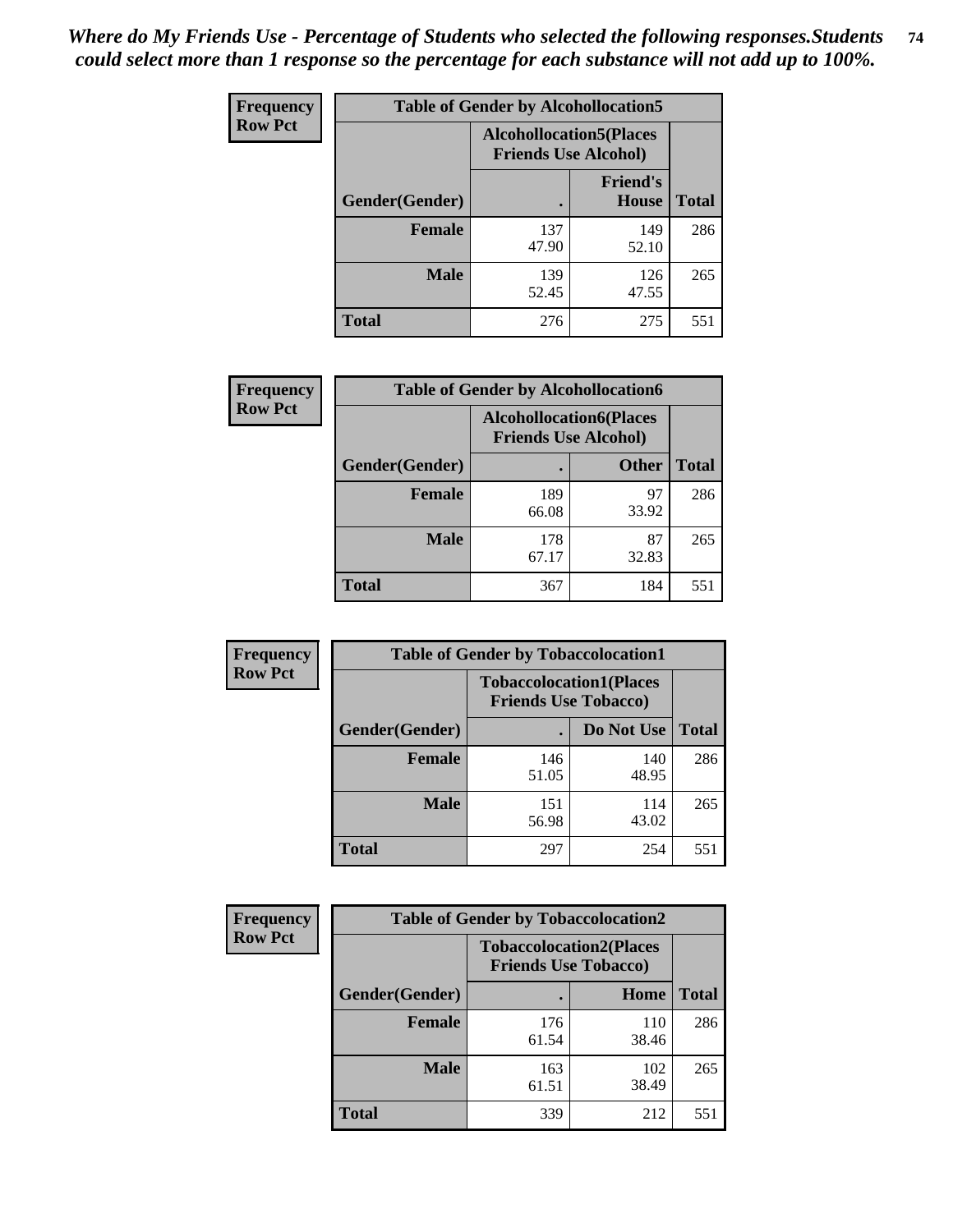| <b>Frequency</b> | <b>Table of Gender by Alcohollocation5</b> |                                                                |                                 |              |
|------------------|--------------------------------------------|----------------------------------------------------------------|---------------------------------|--------------|
| <b>Row Pct</b>   |                                            | <b>Alcohollocation5</b> (Places<br><b>Friends Use Alcohol)</b> |                                 |              |
|                  | Gender(Gender)                             |                                                                | <b>Friend's</b><br><b>House</b> | <b>Total</b> |
|                  | <b>Female</b>                              | 137<br>47.90                                                   | 149<br>52.10                    | 286          |
|                  | <b>Male</b>                                | 139<br>52.45                                                   | 126<br>47.55                    | 265          |
|                  | <b>Total</b>                               | 276                                                            | 275                             | 551          |

| <b>Frequency</b> | <b>Table of Gender by Alcohollocation6</b> |                                                               |              |              |
|------------------|--------------------------------------------|---------------------------------------------------------------|--------------|--------------|
| <b>Row Pct</b>   |                                            | <b>Alcohollocation6(Places</b><br><b>Friends Use Alcohol)</b> |              |              |
|                  | <b>Gender</b> (Gender)                     |                                                               | <b>Other</b> | <b>Total</b> |
|                  | <b>Female</b>                              | 189<br>66.08                                                  | 97<br>33.92  | 286          |
|                  | <b>Male</b>                                | 178<br>67.17                                                  | 87<br>32.83  | 265          |
|                  | <b>Total</b>                               | 367                                                           | 184          | 551          |

| Frequency      | <b>Table of Gender by Tobaccolocation1</b> |                                                               |              |              |  |
|----------------|--------------------------------------------|---------------------------------------------------------------|--------------|--------------|--|
| <b>Row Pct</b> |                                            | <b>Tobaccolocation1(Places</b><br><b>Friends Use Tobacco)</b> |              |              |  |
|                | Gender(Gender)                             |                                                               | Do Not Use   | <b>Total</b> |  |
|                | <b>Female</b>                              | 146<br>51.05                                                  | 140<br>48.95 | 286          |  |
|                | <b>Male</b>                                | 151<br>56.98                                                  | 114<br>43.02 | 265          |  |
|                | <b>Total</b>                               | 297                                                           | 254          | 551          |  |

| <b>Frequency</b> | <b>Table of Gender by Tobaccolocation2</b> |                                                               |              |              |
|------------------|--------------------------------------------|---------------------------------------------------------------|--------------|--------------|
| <b>Row Pct</b>   |                                            | <b>Tobaccolocation2(Places</b><br><b>Friends Use Tobacco)</b> |              |              |
|                  | Gender(Gender)                             |                                                               | Home         | <b>Total</b> |
|                  | <b>Female</b>                              | 176<br>61.54                                                  | 110<br>38.46 | 286          |
|                  | <b>Male</b>                                | 163<br>61.51                                                  | 102<br>38.49 | 265          |
|                  | <b>Total</b>                               | 339                                                           | 212          | 551          |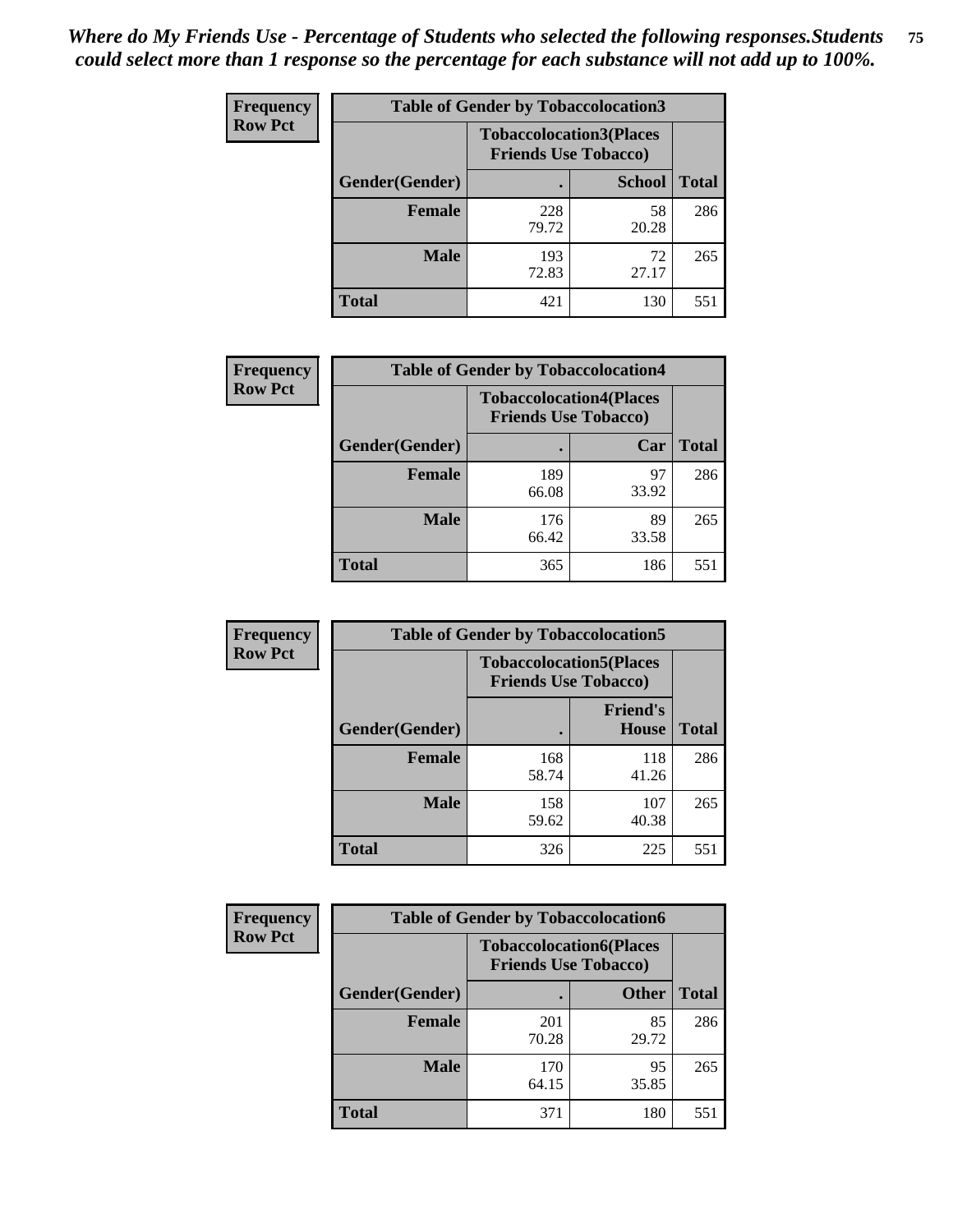| <b>Frequency</b> | <b>Table of Gender by Tobaccolocation3</b> |                                                               |               |              |
|------------------|--------------------------------------------|---------------------------------------------------------------|---------------|--------------|
| <b>Row Pct</b>   |                                            | <b>Tobaccolocation3(Places</b><br><b>Friends Use Tobacco)</b> |               |              |
|                  | Gender(Gender)                             |                                                               | <b>School</b> | <b>Total</b> |
|                  | Female                                     | 228<br>79.72                                                  | 58<br>20.28   | 286          |
|                  | <b>Male</b>                                | 193<br>72.83                                                  | 72<br>27.17   | 265          |
|                  | <b>Total</b>                               | 421                                                           | 130           | 551          |

| <b>Frequency</b> | <b>Table of Gender by Tobaccolocation4</b> |                                                               |             |              |
|------------------|--------------------------------------------|---------------------------------------------------------------|-------------|--------------|
| <b>Row Pct</b>   |                                            | <b>Tobaccolocation4(Places</b><br><b>Friends Use Tobacco)</b> |             |              |
|                  | Gender(Gender)                             |                                                               | Car         | <b>Total</b> |
|                  | <b>Female</b>                              | 189<br>66.08                                                  | 97<br>33.92 | 286          |
|                  | <b>Male</b>                                | 176<br>66.42                                                  | 89<br>33.58 | 265          |
|                  | <b>Total</b>                               | 365                                                           | 186         | 551          |

| Frequency      | <b>Table of Gender by Tobaccolocation5</b> |                                                               |                                 |              |  |
|----------------|--------------------------------------------|---------------------------------------------------------------|---------------------------------|--------------|--|
| <b>Row Pct</b> |                                            | <b>Tobaccolocation5(Places</b><br><b>Friends Use Tobacco)</b> |                                 |              |  |
|                | Gender(Gender)                             |                                                               | <b>Friend's</b><br><b>House</b> | <b>Total</b> |  |
|                | <b>Female</b>                              | 168<br>58.74                                                  | 118<br>41.26                    | 286          |  |
|                | <b>Male</b>                                | 158<br>59.62                                                  | 107<br>40.38                    | 265          |  |
|                | <b>Total</b>                               | 326                                                           | 225                             | 551          |  |

| <b>Frequency</b> | <b>Table of Gender by Tobaccolocation6</b> |                                                               |              |              |
|------------------|--------------------------------------------|---------------------------------------------------------------|--------------|--------------|
| <b>Row Pct</b>   |                                            | <b>Tobaccolocation6(Places</b><br><b>Friends Use Tobacco)</b> |              |              |
|                  | Gender(Gender)                             |                                                               | <b>Other</b> | <b>Total</b> |
|                  | Female                                     | 201<br>70.28                                                  | 85<br>29.72  | 286          |
|                  | <b>Male</b>                                | 170<br>64.15                                                  | 95<br>35.85  | 265          |
|                  | <b>Total</b>                               | 371                                                           | 180          | 551          |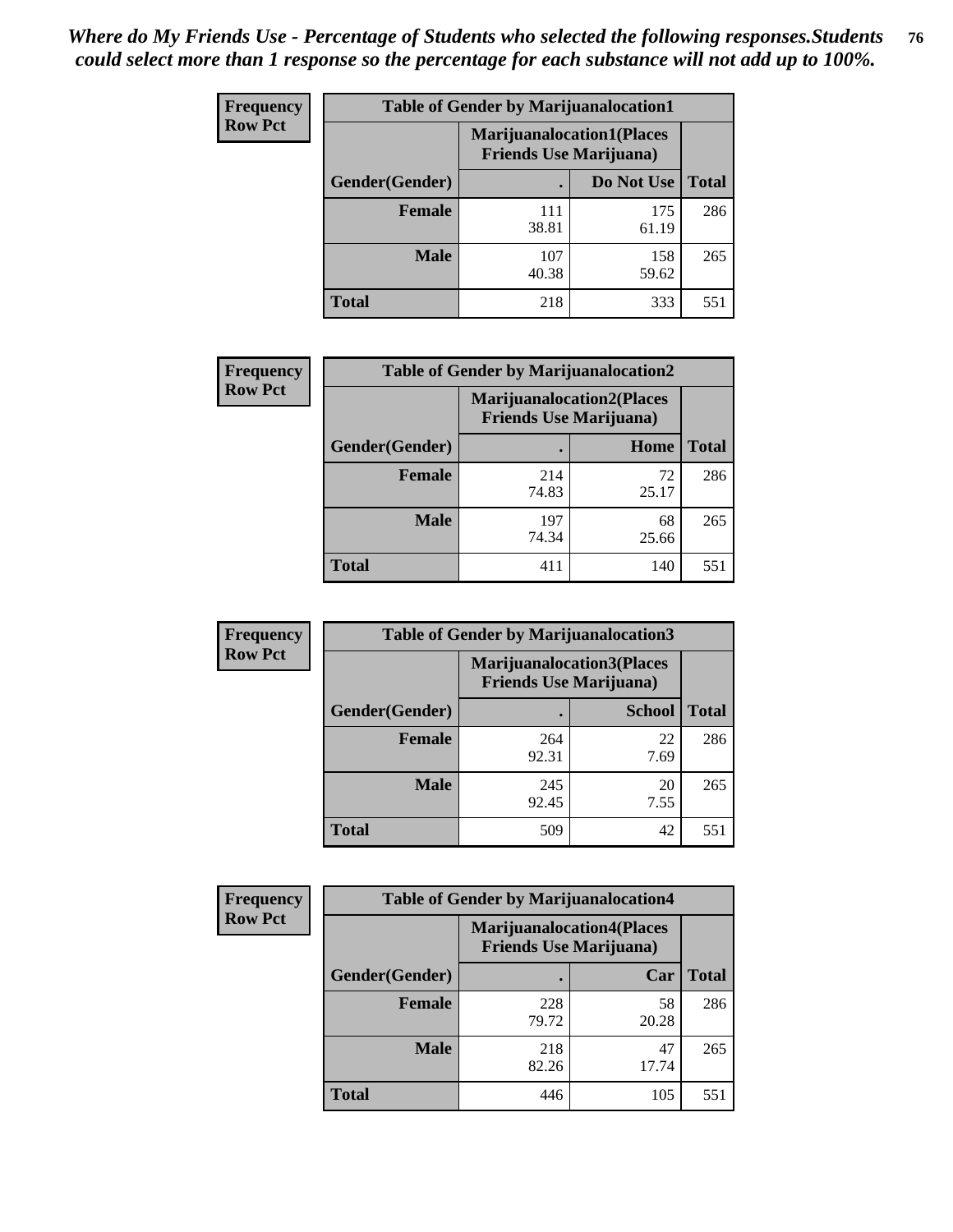| <b>Frequency</b> | <b>Table of Gender by Marijuanalocation1</b> |                                                                    |              |              |
|------------------|----------------------------------------------|--------------------------------------------------------------------|--------------|--------------|
| <b>Row Pct</b>   |                                              | <b>Marijuanalocation1(Places</b><br><b>Friends Use Marijuana</b> ) |              |              |
|                  | Gender(Gender)                               |                                                                    | Do Not Use   | <b>Total</b> |
|                  | <b>Female</b>                                | 111<br>38.81                                                       | 175<br>61.19 | 286          |
|                  | <b>Male</b>                                  | 107<br>40.38                                                       | 158<br>59.62 | 265          |
|                  | <b>Total</b>                                 | 218                                                                | 333          | 551          |

| <b>Frequency</b> | <b>Table of Gender by Marijuanalocation2</b> |                                                                    |             |              |  |
|------------------|----------------------------------------------|--------------------------------------------------------------------|-------------|--------------|--|
| <b>Row Pct</b>   |                                              | <b>Marijuanalocation2(Places</b><br><b>Friends Use Marijuana</b> ) |             |              |  |
|                  | Gender(Gender)                               |                                                                    | Home        | <b>Total</b> |  |
|                  | <b>Female</b>                                | 214<br>74.83                                                       | 72<br>25.17 | 286          |  |
|                  | <b>Male</b>                                  | 197<br>74.34                                                       | 68<br>25.66 | 265          |  |
|                  | Total                                        | 411                                                                | 140         | 551          |  |

| Frequency      | <b>Table of Gender by Marijuanalocation3</b> |                                                                    |               |              |  |
|----------------|----------------------------------------------|--------------------------------------------------------------------|---------------|--------------|--|
| <b>Row Pct</b> |                                              | <b>Marijuanalocation3(Places</b><br><b>Friends Use Marijuana</b> ) |               |              |  |
|                | Gender(Gender)                               |                                                                    | <b>School</b> | <b>Total</b> |  |
|                | <b>Female</b>                                | 264<br>92.31                                                       | 22<br>7.69    | 286          |  |
|                | <b>Male</b>                                  | 245<br>92.45                                                       | 20<br>7.55    | 265          |  |
|                | <b>Total</b>                                 | 509                                                                | 42            | 551          |  |

| <b>Frequency</b> | <b>Table of Gender by Marijuanalocation4</b> |                                |                                  |              |  |
|------------------|----------------------------------------------|--------------------------------|----------------------------------|--------------|--|
| <b>Row Pct</b>   |                                              | <b>Friends Use Marijuana</b> ) | <b>Marijuanalocation4(Places</b> |              |  |
|                  | Gender(Gender)                               |                                | Car                              | <b>Total</b> |  |
|                  | Female                                       | 228<br>79.72                   | 58<br>20.28                      | 286          |  |
|                  | <b>Male</b>                                  | 218<br>82.26                   | 47<br>17.74                      | 265          |  |
|                  | <b>Total</b>                                 | 446                            | 105                              | 551          |  |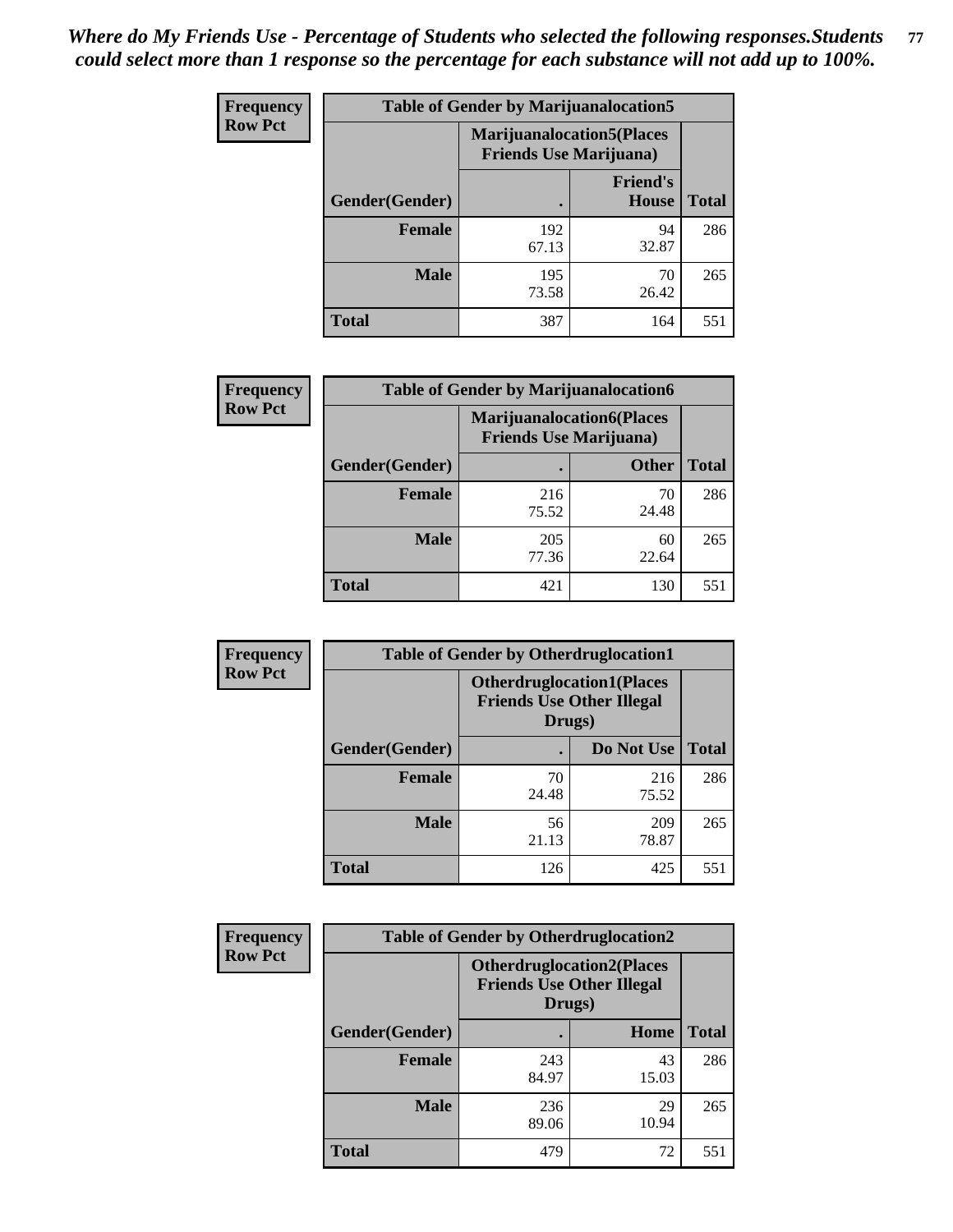| <b>Frequency</b> | <b>Table of Gender by Marijuanalocation5</b> |                                                                    |                                 |              |
|------------------|----------------------------------------------|--------------------------------------------------------------------|---------------------------------|--------------|
| <b>Row Pct</b>   |                                              | <b>Marijuanalocation5(Places</b><br><b>Friends Use Marijuana</b> ) |                                 |              |
|                  | Gender(Gender)                               |                                                                    | <b>Friend's</b><br><b>House</b> | <b>Total</b> |
|                  | <b>Female</b>                                | 192<br>67.13                                                       | 94<br>32.87                     | 286          |
|                  | <b>Male</b>                                  | 195<br>73.58                                                       | 70<br>26.42                     | 265          |
|                  | <b>Total</b>                                 | 387                                                                | 164                             | 551          |

| <b>Frequency</b> | <b>Table of Gender by Marijuanalocation6</b> |                                |                                   |              |
|------------------|----------------------------------------------|--------------------------------|-----------------------------------|--------------|
| <b>Row Pct</b>   |                                              | <b>Friends Use Marijuana</b> ) | <b>Marijuanalocation6(Places)</b> |              |
|                  | <b>Gender</b> (Gender)                       |                                | <b>Other</b>                      | <b>Total</b> |
|                  | <b>Female</b>                                | 216<br>75.52                   | 70<br>24.48                       | 286          |
|                  | <b>Male</b>                                  | 205<br>77.36                   | 60<br>22.64                       | 265          |
|                  | <b>Total</b>                                 | 421                            | 130                               | 551          |

| <b>Frequency</b> | <b>Table of Gender by Otherdruglocation1</b> |                                                                                |              |              |
|------------------|----------------------------------------------|--------------------------------------------------------------------------------|--------------|--------------|
| <b>Row Pct</b>   |                                              | <b>Otherdruglocation1(Places</b><br><b>Friends Use Other Illegal</b><br>Drugs) |              |              |
|                  | Gender(Gender)                               |                                                                                | Do Not Use   | <b>Total</b> |
|                  | Female                                       | 70<br>24.48                                                                    | 216<br>75.52 | 286          |
|                  | <b>Male</b>                                  | 56<br>21.13                                                                    | 209<br>78.87 | 265          |
|                  | <b>Total</b>                                 | 126                                                                            | 425          | 551          |

| <b>Frequency</b> | <b>Table of Gender by Otherdruglocation2</b> |                                            |                                  |              |
|------------------|----------------------------------------------|--------------------------------------------|----------------------------------|--------------|
| <b>Row Pct</b>   |                                              | <b>Friends Use Other Illegal</b><br>Drugs) | <b>Otherdruglocation2(Places</b> |              |
|                  | Gender(Gender)                               |                                            | Home                             | <b>Total</b> |
|                  | Female                                       | 243<br>84.97                               | 43<br>15.03                      | 286          |
|                  | <b>Male</b>                                  | 236<br>89.06                               | 29<br>10.94                      | 265          |
|                  | <b>Total</b>                                 | 479                                        | 72                               | 551          |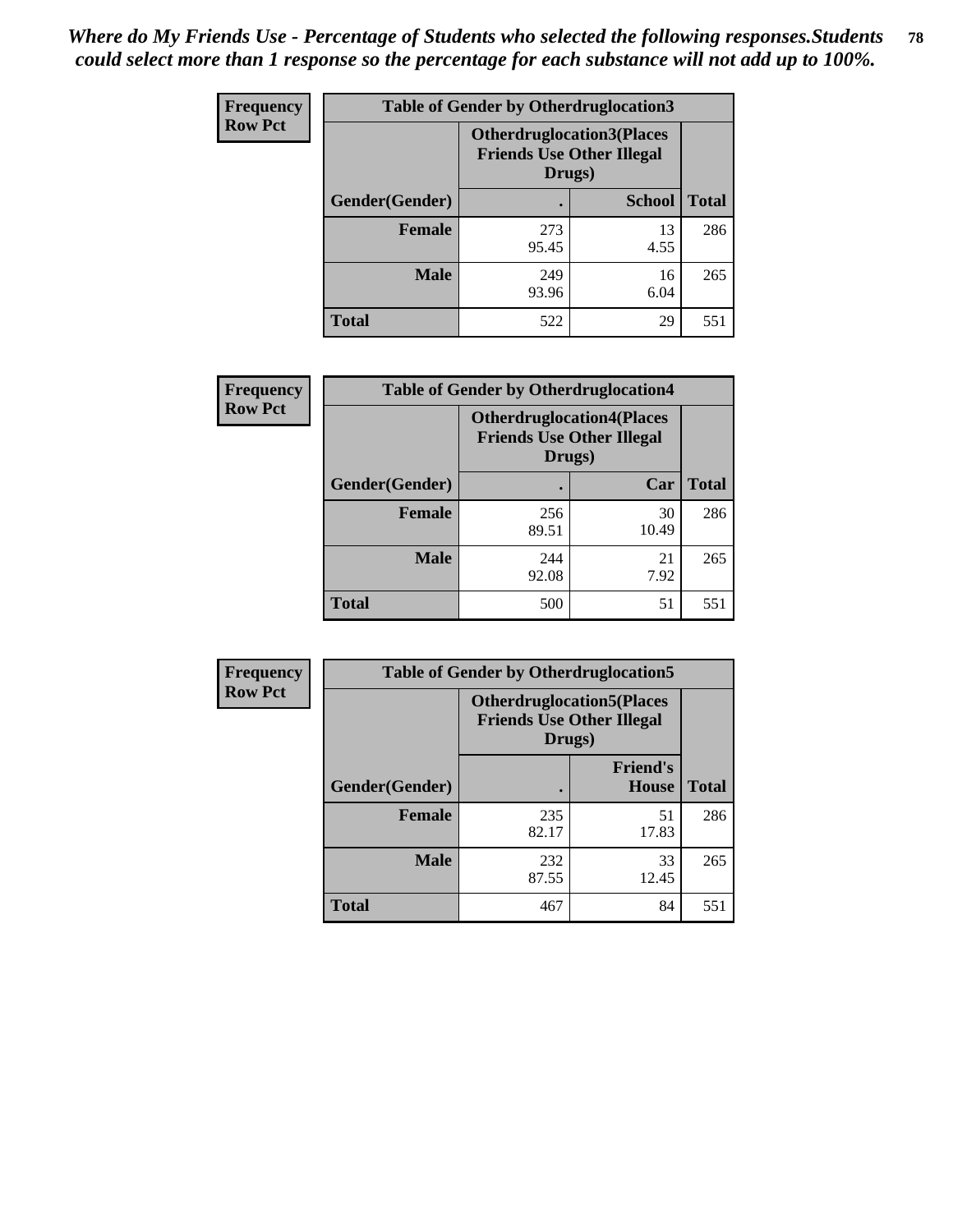| <b>Frequency</b> | <b>Table of Gender by Otherdruglocation3</b> |                                                                                |               |              |
|------------------|----------------------------------------------|--------------------------------------------------------------------------------|---------------|--------------|
| <b>Row Pct</b>   |                                              | <b>Otherdruglocation3(Places</b><br><b>Friends Use Other Illegal</b><br>Drugs) |               |              |
|                  | Gender(Gender)                               |                                                                                | <b>School</b> | <b>Total</b> |
|                  | <b>Female</b>                                | 273<br>95.45                                                                   | 13<br>4.55    | 286          |
|                  | <b>Male</b>                                  | 249<br>93.96                                                                   | 16<br>6.04    | 265          |
|                  | <b>Total</b>                                 | 522                                                                            | 29            | 551          |

| Frequency      | <b>Table of Gender by Otherdruglocation4</b> |                                                                                |             |              |
|----------------|----------------------------------------------|--------------------------------------------------------------------------------|-------------|--------------|
| <b>Row Pct</b> |                                              | <b>Otherdruglocation4(Places</b><br><b>Friends Use Other Illegal</b><br>Drugs) |             |              |
|                | Gender(Gender)                               |                                                                                | Car         | <b>Total</b> |
|                | <b>Female</b>                                | 256<br>89.51                                                                   | 30<br>10.49 | 286          |
|                | <b>Male</b>                                  | 244<br>92.08                                                                   | 21<br>7.92  | 265          |
|                | <b>Total</b>                                 | 500                                                                            | 51          | 551          |

| Frequency      | <b>Table of Gender by Otherdruglocation5</b> |                                            |                                  |              |
|----------------|----------------------------------------------|--------------------------------------------|----------------------------------|--------------|
| <b>Row Pct</b> |                                              | <b>Friends Use Other Illegal</b><br>Drugs) | <b>Otherdruglocation5(Places</b> |              |
|                | Gender(Gender)                               |                                            | <b>Friend's</b><br><b>House</b>  | <b>Total</b> |
|                | <b>Female</b>                                | 235<br>82.17                               | 51<br>17.83                      | 286          |
|                | <b>Male</b>                                  | 232<br>87.55                               | 33<br>12.45                      | 265          |
|                | <b>Total</b>                                 | 467                                        | 84                               | 551          |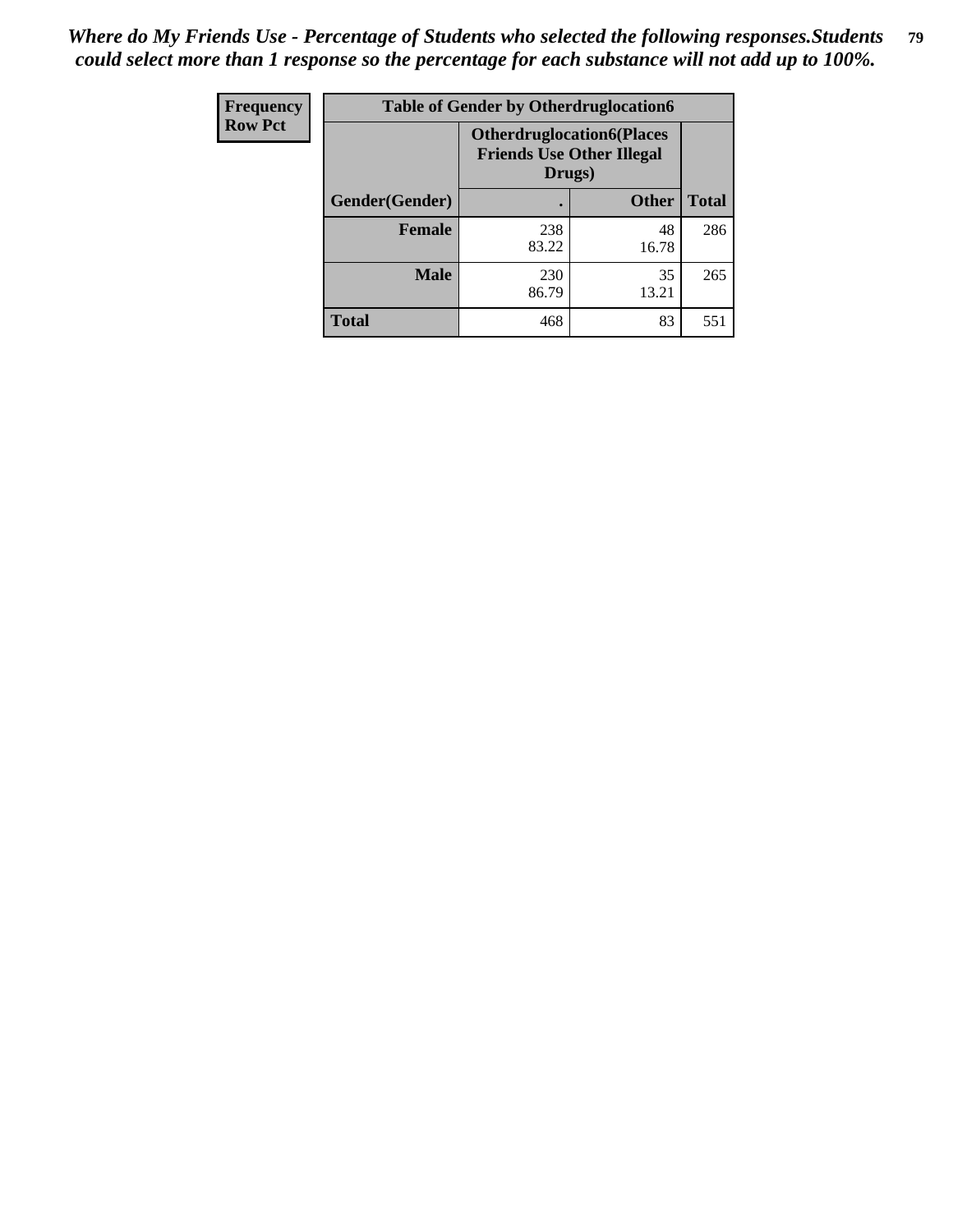| <b>Frequency</b> | <b>Table of Gender by Otherdruglocation6</b> |                                                                                |              |              |
|------------------|----------------------------------------------|--------------------------------------------------------------------------------|--------------|--------------|
| <b>Row Pct</b>   |                                              | <b>Otherdruglocation6(Places</b><br><b>Friends Use Other Illegal</b><br>Drugs) |              |              |
|                  | Gender(Gender)                               |                                                                                | <b>Other</b> | <b>Total</b> |
|                  | <b>Female</b>                                | 238<br>83.22                                                                   | 48<br>16.78  | 286          |
|                  | <b>Male</b>                                  | 230<br>86.79                                                                   | 35<br>13.21  | 265          |
|                  | <b>Total</b>                                 | 468                                                                            | 83           | 551          |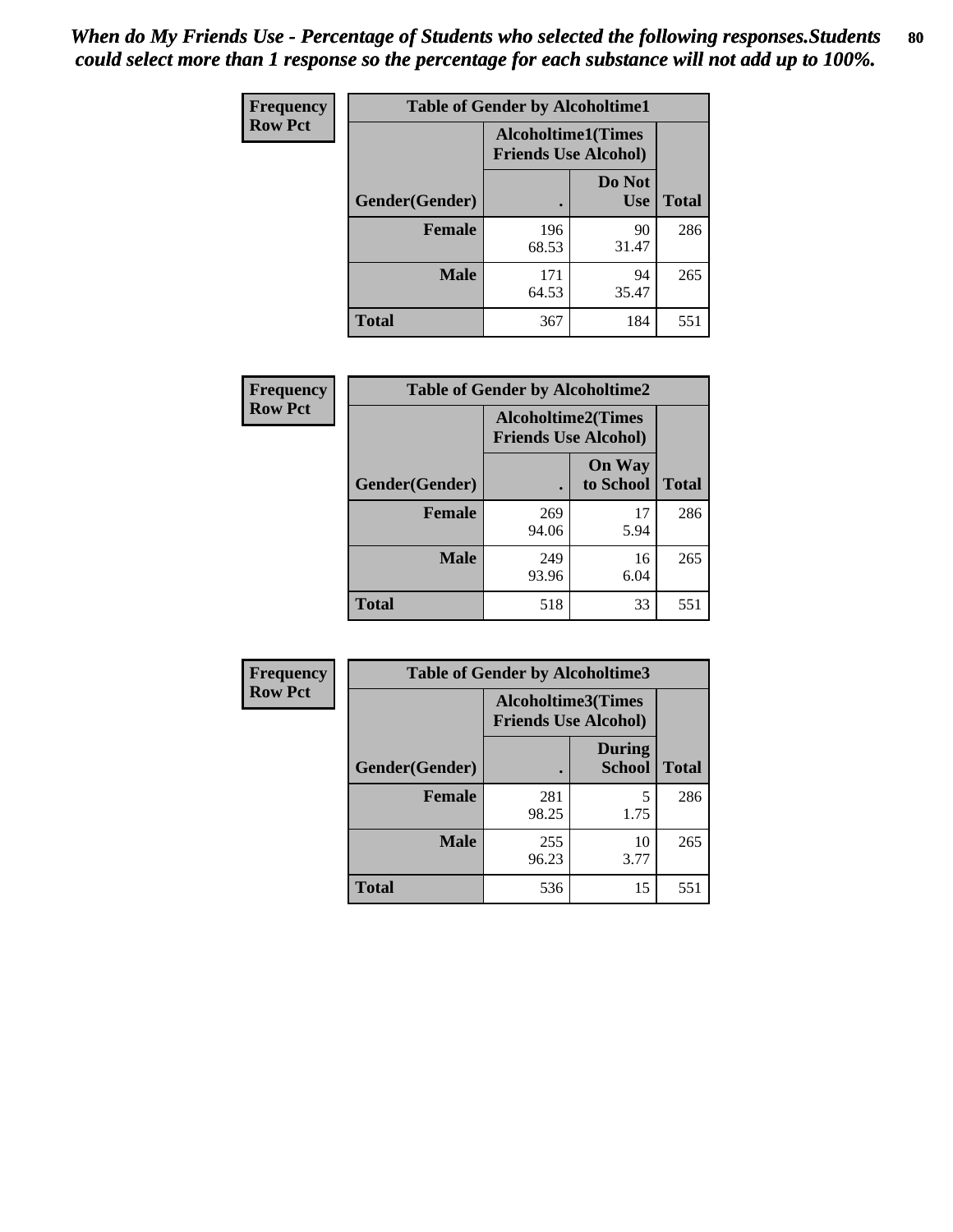| <b>Frequency</b> | <b>Table of Gender by Alcoholtime1</b> |                                                          |                      |              |
|------------------|----------------------------------------|----------------------------------------------------------|----------------------|--------------|
| <b>Row Pct</b>   |                                        | <b>Alcoholtime1(Times</b><br><b>Friends Use Alcohol)</b> |                      |              |
|                  | Gender(Gender)                         | $\bullet$                                                | Do Not<br><b>Use</b> | <b>Total</b> |
|                  | <b>Female</b>                          | 196<br>68.53                                             | 90<br>31.47          | 286          |
|                  | <b>Male</b>                            | 171<br>64.53                                             | 94<br>35.47          | 265          |
|                  | <b>Total</b>                           | 367                                                      | 184                  | 551          |

| Frequency      | <b>Table of Gender by Alcoholtime2</b> |                                                          |                            |              |
|----------------|----------------------------------------|----------------------------------------------------------|----------------------------|--------------|
| <b>Row Pct</b> |                                        | <b>Alcoholtime2(Times</b><br><b>Friends Use Alcohol)</b> |                            |              |
|                | Gender(Gender)                         |                                                          | <b>On Way</b><br>to School | <b>Total</b> |
|                | <b>Female</b>                          | 269<br>94.06                                             | 17<br>5.94                 | 286          |
|                | <b>Male</b>                            | 249<br>93.96                                             | 16<br>6.04                 | 265          |
|                | Total                                  | 518                                                      | 33                         | 551          |

| <b>Frequency</b> | <b>Table of Gender by Alcoholtime3</b> |                                                          |                                |              |
|------------------|----------------------------------------|----------------------------------------------------------|--------------------------------|--------------|
| <b>Row Pct</b>   |                                        | <b>Alcoholtime3(Times</b><br><b>Friends Use Alcohol)</b> |                                |              |
|                  | Gender(Gender)                         |                                                          | <b>During</b><br><b>School</b> | <b>Total</b> |
|                  | <b>Female</b>                          | 281<br>98.25                                             | 5<br>1.75                      | 286          |
|                  | <b>Male</b>                            | 255<br>96.23                                             | 10<br>3.77                     | 265          |
|                  | <b>Total</b>                           | 536                                                      | 15                             | 551          |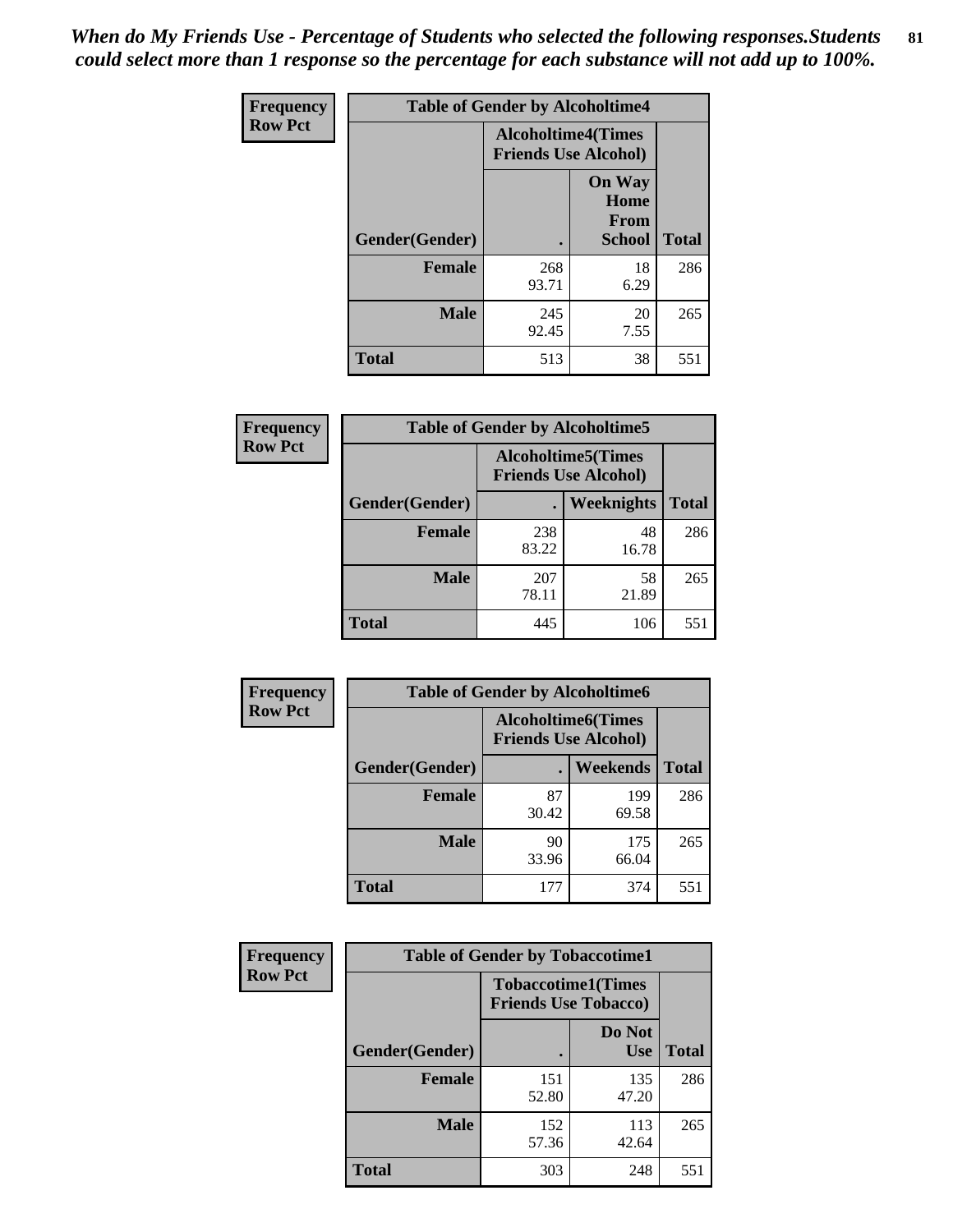*When do My Friends Use - Percentage of Students who selected the following responses.Students could select more than 1 response so the percentage for each substance will not add up to 100%.* **81**

| <b>Frequency</b> | <b>Table of Gender by Alcoholtime4</b> |                                                          |                                                |              |
|------------------|----------------------------------------|----------------------------------------------------------|------------------------------------------------|--------------|
| <b>Row Pct</b>   |                                        | <b>Alcoholtime4(Times</b><br><b>Friends Use Alcohol)</b> |                                                |              |
|                  | Gender(Gender)                         |                                                          | <b>On Way</b><br>Home<br>From<br><b>School</b> | <b>Total</b> |
|                  | <b>Female</b>                          | 268<br>93.71                                             | 18<br>6.29                                     | 286          |
|                  | <b>Male</b>                            | 245<br>92.45                                             | 20<br>7.55                                     | 265          |
|                  | <b>Total</b>                           | 513                                                      | 38                                             | 551          |

| <b>Frequency</b> | <b>Table of Gender by Alcoholtime5</b> |              |                                                           |              |
|------------------|----------------------------------------|--------------|-----------------------------------------------------------|--------------|
| <b>Row Pct</b>   |                                        |              | <b>Alcoholtime5</b> (Times<br><b>Friends Use Alcohol)</b> |              |
|                  | Gender(Gender)                         |              | Weeknights                                                | <b>Total</b> |
|                  | <b>Female</b>                          | 238<br>83.22 | 48<br>16.78                                               | 286          |
|                  | <b>Male</b>                            | 207<br>78.11 | 58<br>21.89                                               | 265          |
|                  | <b>Total</b>                           | 445          | 106                                                       | 551          |

| <b>Frequency</b> | <b>Table of Gender by Alcoholtime6</b> |                                                           |              |              |
|------------------|----------------------------------------|-----------------------------------------------------------|--------------|--------------|
| <b>Row Pct</b>   |                                        | <b>Alcoholtime6</b> (Times<br><b>Friends Use Alcohol)</b> |              |              |
|                  | Gender(Gender)                         |                                                           | Weekends     | <b>Total</b> |
|                  | <b>Female</b>                          | 87<br>30.42                                               | 199<br>69.58 | 286          |
|                  | <b>Male</b>                            | 90<br>33.96                                               | 175<br>66.04 | 265          |
|                  | <b>Total</b>                           | 177                                                       | 374          | 551          |

| Frequency      | <b>Table of Gender by Tobaccotime1</b> |                                                          |                      |              |
|----------------|----------------------------------------|----------------------------------------------------------|----------------------|--------------|
| <b>Row Pct</b> |                                        | <b>Tobaccotime1(Times</b><br><b>Friends Use Tobacco)</b> |                      |              |
|                | Gender(Gender)                         |                                                          | Do Not<br><b>Use</b> | <b>Total</b> |
|                | Female                                 | 151<br>52.80                                             | 135<br>47.20         | 286          |
|                | <b>Male</b>                            | 152<br>57.36                                             | 113<br>42.64         | 265          |
|                | <b>Total</b>                           | 303                                                      | 248                  | 551          |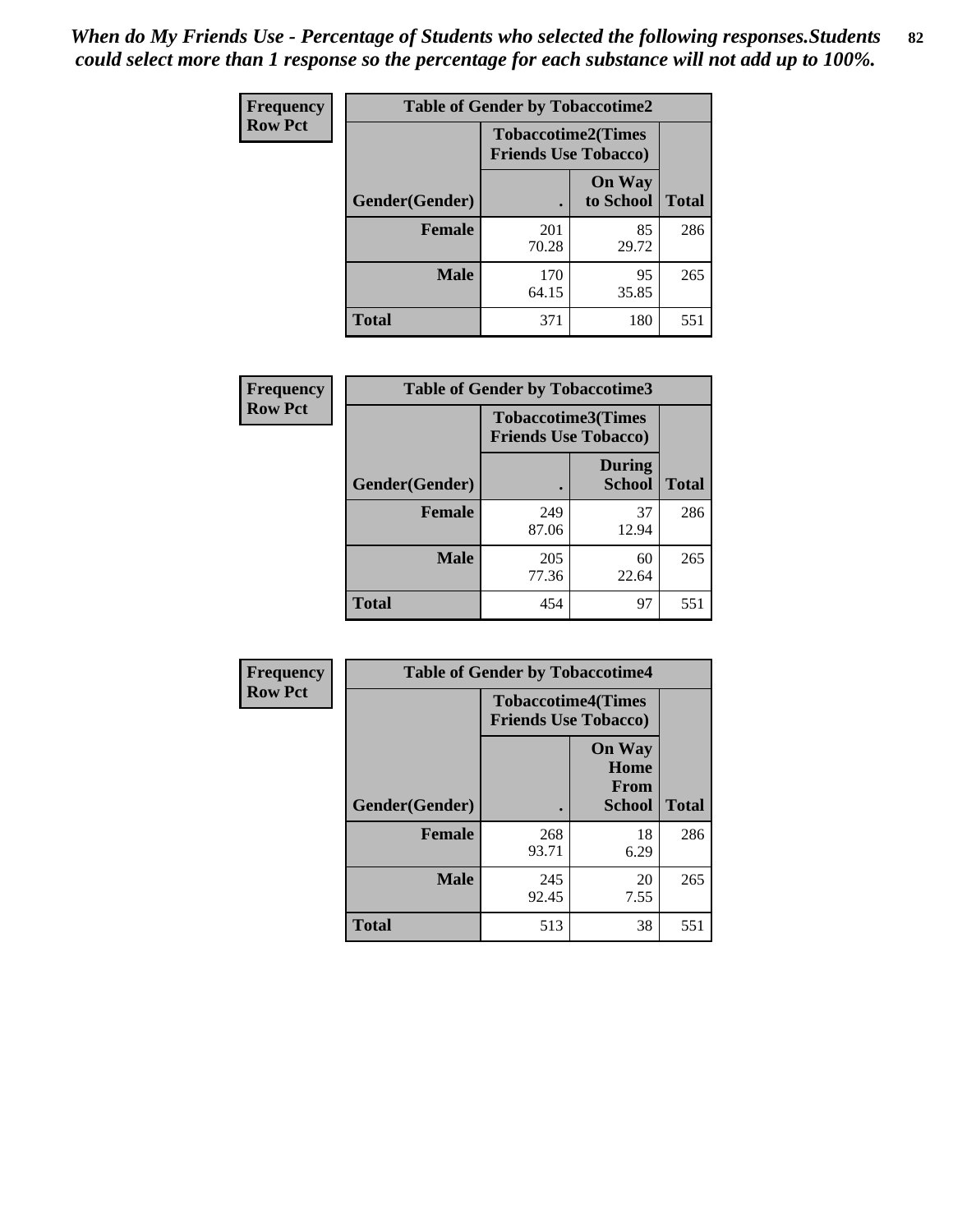*When do My Friends Use - Percentage of Students who selected the following responses.Students could select more than 1 response so the percentage for each substance will not add up to 100%.* **82**

| Frequency      | <b>Table of Gender by Tobaccotime2</b> |                                                          |                            |              |
|----------------|----------------------------------------|----------------------------------------------------------|----------------------------|--------------|
| <b>Row Pct</b> |                                        | <b>Tobaccotime2(Times</b><br><b>Friends Use Tobacco)</b> |                            |              |
|                | Gender(Gender)                         | $\bullet$                                                | <b>On Way</b><br>to School | <b>Total</b> |
|                | Female                                 | 201<br>70.28                                             | 85<br>29.72                | 286          |
|                | <b>Male</b>                            | 170<br>64.15                                             | 95<br>35.85                | 265          |
|                | <b>Total</b>                           | 371                                                      | 180                        | 551          |

| <b>Frequency</b> | <b>Table of Gender by Tobaccotime3</b> |                             |                                |              |
|------------------|----------------------------------------|-----------------------------|--------------------------------|--------------|
| <b>Row Pct</b>   |                                        | <b>Friends Use Tobacco)</b> | <b>Tobaccotime3(Times</b>      |              |
|                  | Gender(Gender)                         |                             | <b>During</b><br><b>School</b> | <b>Total</b> |
|                  | <b>Female</b>                          | 249<br>87.06                | 37<br>12.94                    | 286          |
|                  | <b>Male</b>                            | 205<br>77.36                | 60<br>22.64                    | 265          |
|                  | <b>Total</b>                           | 454                         | 97                             | 551          |

| <b>Frequency</b> | <b>Table of Gender by Tobaccotime4</b> |                                                          |                                                |              |
|------------------|----------------------------------------|----------------------------------------------------------|------------------------------------------------|--------------|
| <b>Row Pct</b>   |                                        | <b>Tobaccotime4(Times</b><br><b>Friends Use Tobacco)</b> |                                                |              |
|                  | Gender(Gender)                         |                                                          | <b>On Way</b><br>Home<br><b>From</b><br>School | <b>Total</b> |
|                  | <b>Female</b>                          | 268<br>93.71                                             | 18<br>6.29                                     | 286          |
|                  | <b>Male</b>                            | 245<br>92.45                                             | 20<br>7.55                                     | 265          |
|                  | <b>Total</b>                           | 513                                                      | 38                                             | 551          |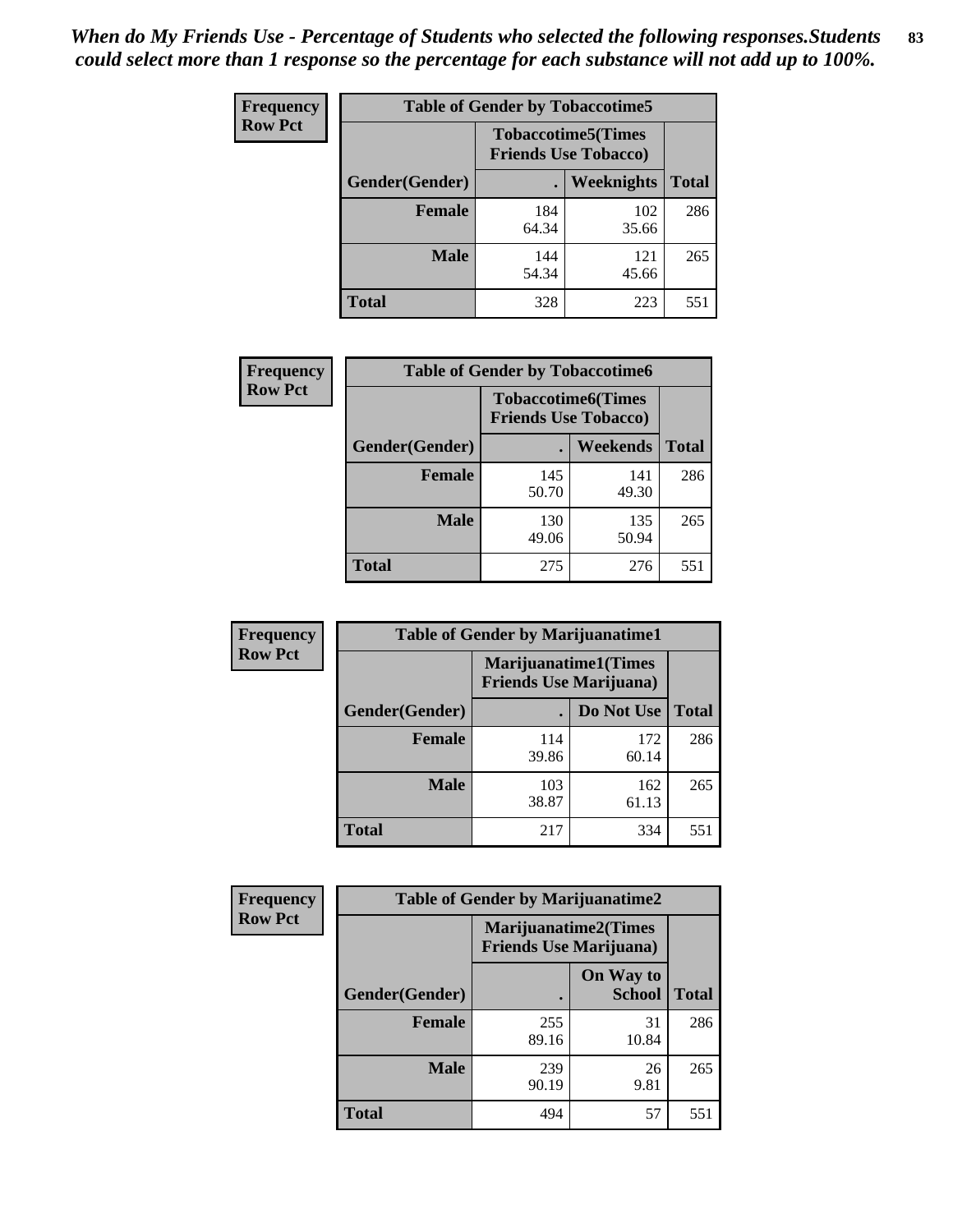| <b>Frequency</b> | <b>Table of Gender by Tobaccotime5</b> |              |                                                          |              |  |
|------------------|----------------------------------------|--------------|----------------------------------------------------------|--------------|--|
| <b>Row Pct</b>   |                                        |              | <b>Tobaccotime5(Times</b><br><b>Friends Use Tobacco)</b> |              |  |
|                  | Gender(Gender)                         |              | Weeknights                                               | <b>Total</b> |  |
|                  | <b>Female</b>                          | 184<br>64.34 | 102<br>35.66                                             | 286          |  |
|                  | <b>Male</b>                            | 144<br>54.34 | 121<br>45.66                                             | 265          |  |
|                  | <b>Total</b>                           | 328          | 223                                                      | 551          |  |

| Frequency      | <b>Table of Gender by Tobaccotime6</b> |                                                          |                 |              |
|----------------|----------------------------------------|----------------------------------------------------------|-----------------|--------------|
| <b>Row Pct</b> |                                        | <b>Tobaccotime6(Times</b><br><b>Friends Use Tobacco)</b> |                 |              |
|                | Gender(Gender)                         |                                                          | <b>Weekends</b> | <b>Total</b> |
|                | Female                                 | 145<br>50.70                                             | 141<br>49.30    | 286          |
|                | <b>Male</b>                            | 130<br>49.06                                             | 135<br>50.94    | 265          |
|                | <b>Total</b>                           | 275                                                      | 276             | 551          |

| Frequency      | <b>Table of Gender by Marijuanatime1</b> |                                                        |              |              |
|----------------|------------------------------------------|--------------------------------------------------------|--------------|--------------|
| <b>Row Pct</b> |                                          | Marijuanatime1(Times<br><b>Friends Use Marijuana</b> ) |              |              |
|                | Gender(Gender)                           |                                                        | Do Not Use   | <b>Total</b> |
|                | <b>Female</b>                            | 114<br>39.86                                           | 172<br>60.14 | 286          |
|                | <b>Male</b>                              | 103<br>38.87                                           | 162<br>61.13 | 265          |
|                | <b>Total</b>                             | 217                                                    | 334          | 551          |

| <b>Frequency</b> | <b>Table of Gender by Marijuanatime2</b> |                                                               |                            |              |
|------------------|------------------------------------------|---------------------------------------------------------------|----------------------------|--------------|
| <b>Row Pct</b>   |                                          | <b>Marijuanatime2(Times</b><br><b>Friends Use Marijuana</b> ) |                            |              |
|                  | Gender(Gender)                           |                                                               | On Way to<br><b>School</b> | <b>Total</b> |
|                  | Female                                   | 255<br>89.16                                                  | 31<br>10.84                | 286          |
|                  | <b>Male</b>                              | 239<br>90.19                                                  | 26<br>9.81                 | 265          |
|                  | <b>Total</b>                             | 494                                                           | 57                         | 551          |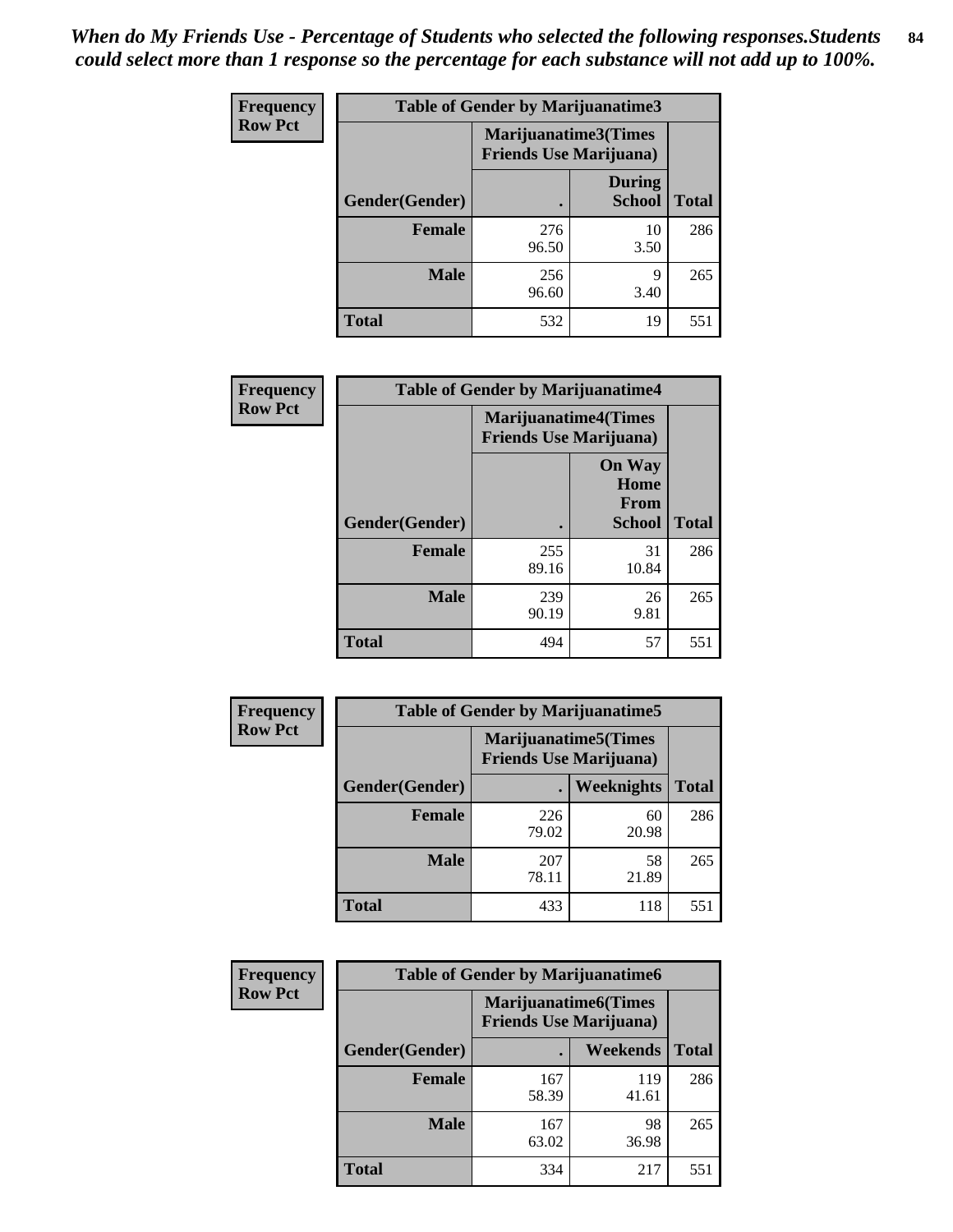| Frequency      | Table of Gender by Marijuanatime3 |                                                        |                                |              |
|----------------|-----------------------------------|--------------------------------------------------------|--------------------------------|--------------|
| <b>Row Pct</b> |                                   | Marijuanatime3(Times<br><b>Friends Use Marijuana</b> ) |                                |              |
|                | Gender(Gender)                    |                                                        | <b>During</b><br><b>School</b> | <b>Total</b> |
|                | <b>Female</b>                     | 276<br>96.50                                           | 10<br>3.50                     | 286          |
|                | <b>Male</b>                       | 256<br>96.60                                           | Q<br>3.40                      | 265          |
|                | <b>Total</b>                      | 532                                                    | 19                             | 551          |

| Frequency      | <b>Table of Gender by Marijuanatime4</b> |                                |                                                       |              |
|----------------|------------------------------------------|--------------------------------|-------------------------------------------------------|--------------|
| <b>Row Pct</b> |                                          | <b>Friends Use Marijuana</b> ) | <b>Marijuanatime4</b> (Times                          |              |
|                | Gender(Gender)                           |                                | <b>On Way</b><br>Home<br><b>From</b><br><b>School</b> | <b>Total</b> |
|                | <b>Female</b>                            | 255<br>89.16                   | 31<br>10.84                                           | 286          |
|                | <b>Male</b>                              | 239<br>90.19                   | 26<br>9.81                                            | 265          |
|                | <b>Total</b>                             | 494                            | 57                                                    | 551          |

| Frequency      | <b>Table of Gender by Marijuanatime5</b> |                                                                |             |              |  |
|----------------|------------------------------------------|----------------------------------------------------------------|-------------|--------------|--|
| <b>Row Pct</b> |                                          | <b>Marijuanatime5</b> (Times<br><b>Friends Use Marijuana</b> ) |             |              |  |
|                | Gender(Gender)                           | ٠                                                              | Weeknights  | <b>Total</b> |  |
|                | <b>Female</b>                            | 226<br>79.02                                                   | 60<br>20.98 | 286          |  |
|                | <b>Male</b>                              | 207<br>78.11                                                   | 58<br>21.89 | 265          |  |
|                | <b>Total</b>                             | 433                                                            | 118         | 551          |  |

| <b>Frequency</b> | <b>Table of Gender by Marijuanatime6</b> |                                                                |                 |              |
|------------------|------------------------------------------|----------------------------------------------------------------|-----------------|--------------|
| <b>Row Pct</b>   |                                          | <b>Marijuanatime6</b> (Times<br><b>Friends Use Marijuana</b> ) |                 |              |
|                  | Gender(Gender)                           |                                                                | <b>Weekends</b> | <b>Total</b> |
|                  | <b>Female</b>                            | 167<br>58.39                                                   | 119<br>41.61    | 286          |
|                  | <b>Male</b>                              | 167<br>63.02                                                   | 98<br>36.98     | 265          |
|                  | <b>Total</b>                             | 334                                                            | 217             | 551          |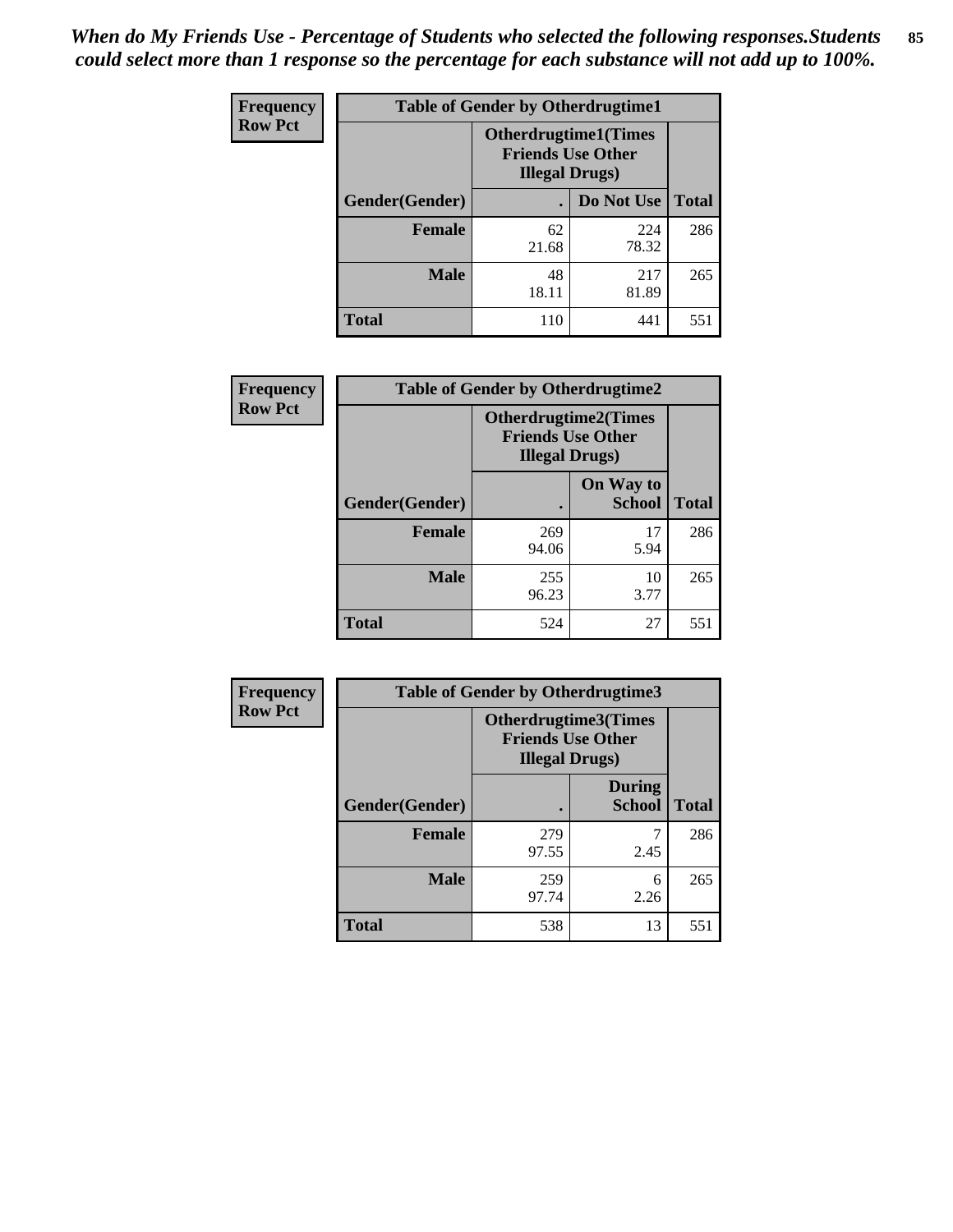*When do My Friends Use - Percentage of Students who selected the following responses.Students could select more than 1 response so the percentage for each substance will not add up to 100%.* **85**

| <b>Frequency</b> | <b>Table of Gender by Otherdrugtime1</b> |                                                    |                              |              |  |
|------------------|------------------------------------------|----------------------------------------------------|------------------------------|--------------|--|
| <b>Row Pct</b>   |                                          | <b>Friends Use Other</b><br><b>Illegal Drugs</b> ) | <b>Otherdrugtime1</b> (Times |              |  |
|                  | Gender(Gender)                           |                                                    | Do Not Use                   | <b>Total</b> |  |
|                  | <b>Female</b>                            | 62<br>21.68                                        | 224<br>78.32                 | 286          |  |
|                  | <b>Male</b>                              | 48<br>18.11                                        | 217<br>81.89                 | 265          |  |
|                  | <b>Total</b>                             | 110                                                | 441                          | 551          |  |

| Frequency      | <b>Table of Gender by Otherdrugtime2</b> |                                                                                   |                            |              |
|----------------|------------------------------------------|-----------------------------------------------------------------------------------|----------------------------|--------------|
| <b>Row Pct</b> |                                          | <b>Otherdrugtime2(Times</b><br><b>Friends Use Other</b><br><b>Illegal Drugs</b> ) |                            |              |
|                | Gender(Gender)                           |                                                                                   | On Way to<br><b>School</b> | <b>Total</b> |
|                | <b>Female</b>                            | 269<br>94.06                                                                      | 17<br>5.94                 | 286          |
|                | <b>Male</b>                              | 255<br>96.23                                                                      | 10<br>3.77                 | 265          |
|                | <b>Total</b>                             | 524                                                                               | 27                         | 551          |

| <b>Frequency</b> | <b>Table of Gender by Otherdrugtime3</b> |                        |                                                  |              |
|------------------|------------------------------------------|------------------------|--------------------------------------------------|--------------|
| <b>Row Pct</b>   |                                          | <b>Illegal Drugs</b> ) | Otherdrugtime3(Times<br><b>Friends Use Other</b> |              |
|                  | Gender(Gender)                           |                        | <b>During</b><br><b>School</b>                   | <b>Total</b> |
|                  | <b>Female</b>                            | 279<br>97.55           | 2.45                                             | 286          |
|                  | <b>Male</b>                              | 259<br>97.74           | 6<br>2.26                                        | 265          |
|                  | <b>Total</b>                             | 538                    | 13                                               | 551          |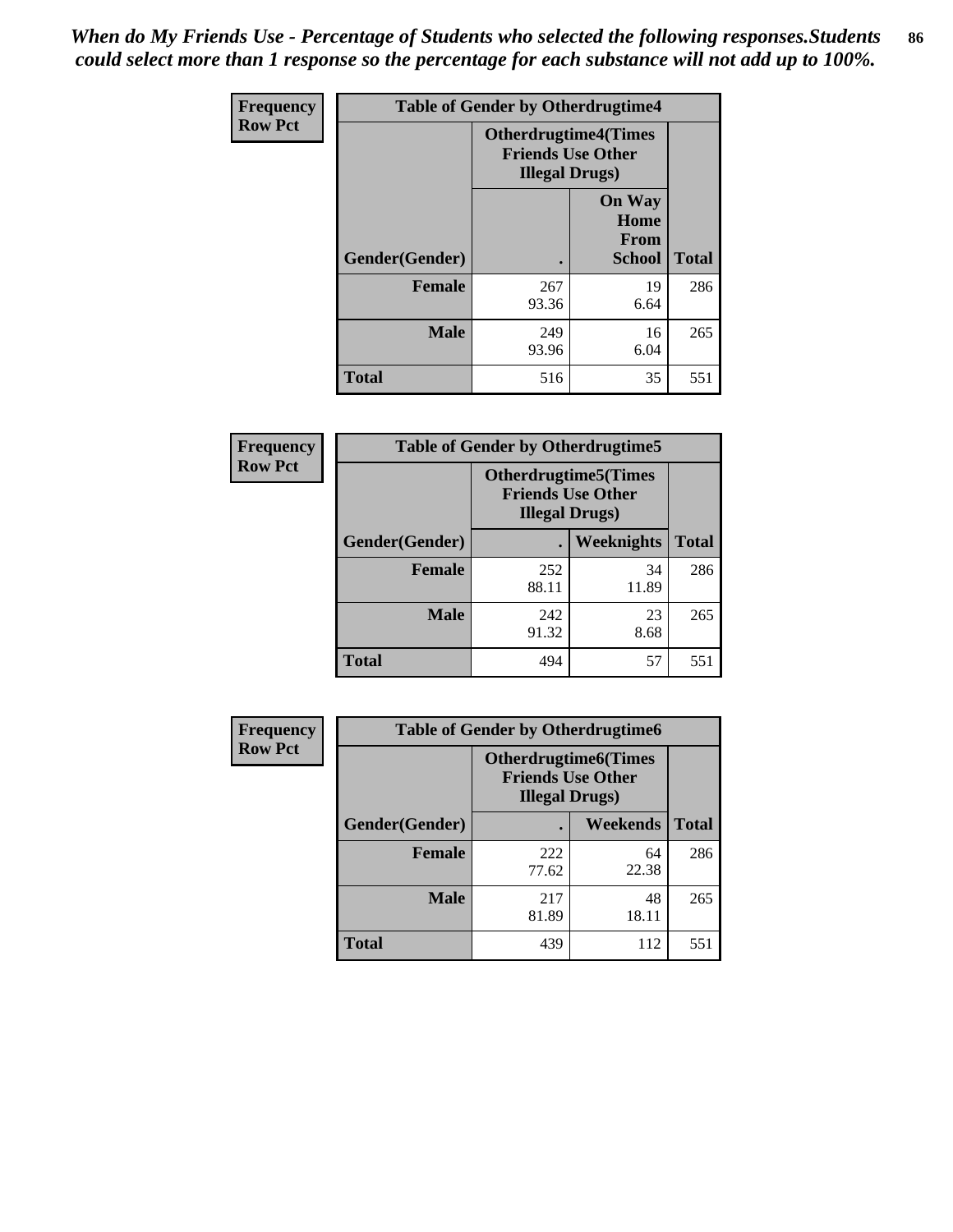*When do My Friends Use - Percentage of Students who selected the following responses.Students could select more than 1 response so the percentage for each substance will not add up to 100%.* **86**

| <b>Frequency</b> | <b>Table of Gender by Otherdrugtime4</b> |                                                    |                                         |              |
|------------------|------------------------------------------|----------------------------------------------------|-----------------------------------------|--------------|
| <b>Row Pct</b>   |                                          | <b>Friends Use Other</b><br><b>Illegal Drugs</b> ) | <b>Otherdrugtime4(Times</b>             |              |
|                  | Gender(Gender)                           |                                                    | <b>On Way</b><br>Home<br>From<br>School | <b>Total</b> |
|                  | <b>Female</b>                            | 267<br>93.36                                       | 19<br>6.64                              | 286          |
|                  | <b>Male</b>                              | 249<br>93.96                                       | 16<br>6.04                              | 265          |
|                  | <b>Total</b>                             | 516                                                | 35                                      | 551          |

| Frequency      | <b>Table of Gender by Otherdrugtime5</b> |                                                                                    |             |              |
|----------------|------------------------------------------|------------------------------------------------------------------------------------|-------------|--------------|
| <b>Row Pct</b> |                                          | <b>Otherdrugtime5</b> (Times<br><b>Friends Use Other</b><br><b>Illegal Drugs</b> ) |             |              |
|                | Gender(Gender)                           |                                                                                    | Weeknights  | <b>Total</b> |
|                | <b>Female</b>                            | 252<br>88.11                                                                       | 34<br>11.89 | 286          |
|                | <b>Male</b>                              | 242<br>91.32                                                                       | 23<br>8.68  | 265          |
|                | <b>Total</b>                             | 494                                                                                | 57          | 551          |

| <b>Frequency</b> | <b>Table of Gender by Otherdrugtime6</b> |                                                                                   |             |              |
|------------------|------------------------------------------|-----------------------------------------------------------------------------------|-------------|--------------|
| <b>Row Pct</b>   |                                          | <b>Otherdrugtime6(Times</b><br><b>Friends Use Other</b><br><b>Illegal Drugs</b> ) |             |              |
|                  | Gender(Gender)                           |                                                                                   | Weekends    | <b>Total</b> |
|                  | <b>Female</b>                            | 222<br>77.62                                                                      | 64<br>22.38 | 286          |
|                  | <b>Male</b>                              | 217<br>81.89                                                                      | 48<br>18.11 | 265          |
|                  | <b>Total</b>                             | 439                                                                               | 112         | 551          |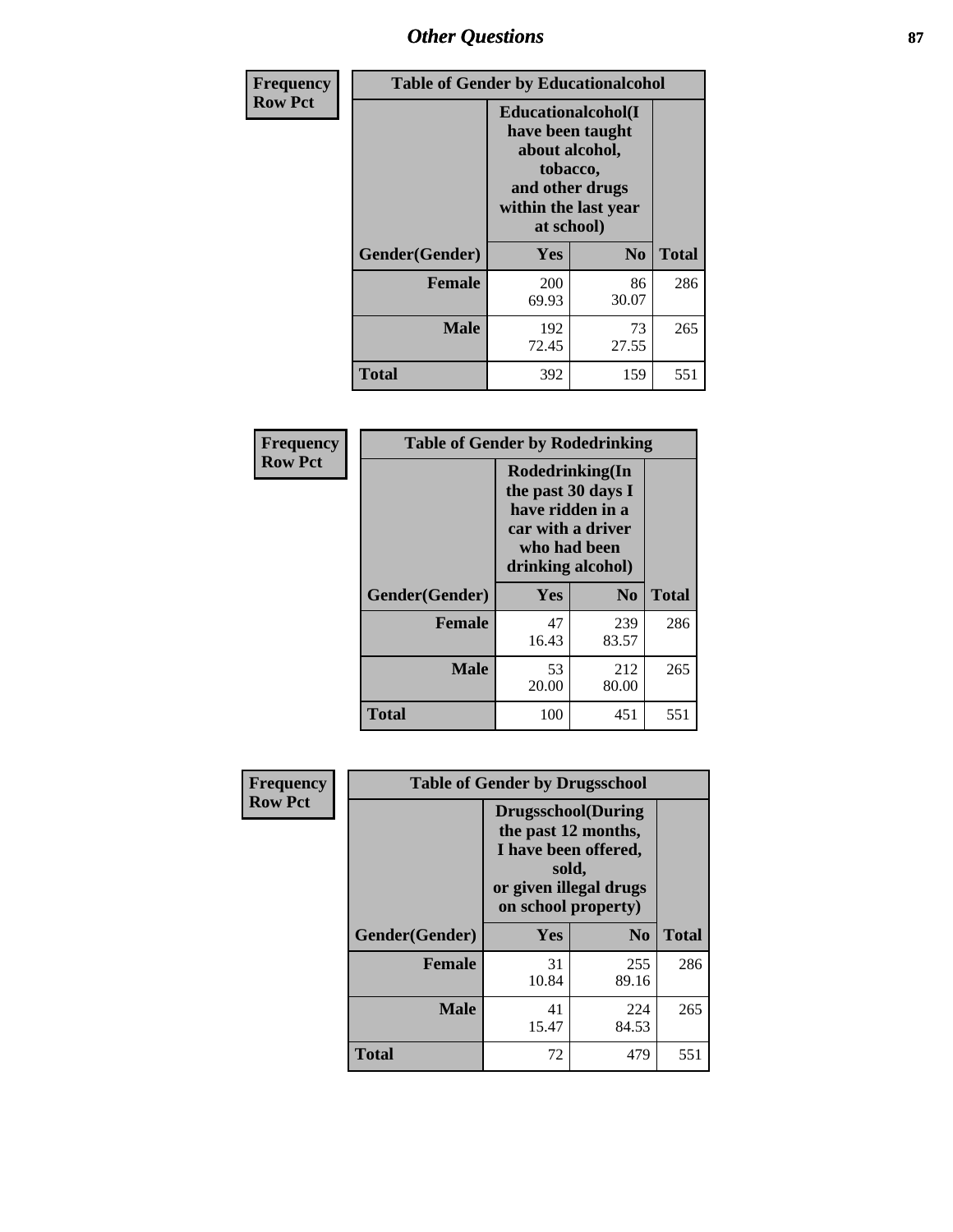# *Other Questions* **87**

| <b>Frequency</b> | <b>Table of Gender by Educationalcohol</b> |                                                                                                                               |                |              |  |
|------------------|--------------------------------------------|-------------------------------------------------------------------------------------------------------------------------------|----------------|--------------|--|
| <b>Row Pct</b>   |                                            | Educationalcohol(I<br>have been taught<br>about alcohol,<br>tobacco,<br>and other drugs<br>within the last year<br>at school) |                |              |  |
|                  | Gender(Gender)                             | <b>Yes</b>                                                                                                                    | N <sub>0</sub> | <b>Total</b> |  |
|                  | <b>Female</b>                              | <b>200</b><br>69.93                                                                                                           | 86<br>30.07    | 286          |  |
|                  | <b>Male</b>                                | 192<br>72.45                                                                                                                  | 73<br>27.55    | 265          |  |
|                  | <b>Total</b>                               | 392                                                                                                                           | 159            | 551          |  |

| Frequency      | <b>Table of Gender by Rodedrinking</b>                                                                              |             |                |              |  |
|----------------|---------------------------------------------------------------------------------------------------------------------|-------------|----------------|--------------|--|
| <b>Row Pct</b> | Rodedrinking(In<br>the past 30 days I<br>have ridden in a<br>car with a driver<br>who had been<br>drinking alcohol) |             |                |              |  |
|                | Gender(Gender)                                                                                                      | Yes         | N <sub>0</sub> | <b>Total</b> |  |
|                | <b>Female</b>                                                                                                       | 47<br>16.43 | 239<br>83.57   | 286          |  |
|                | <b>Male</b>                                                                                                         | 53<br>20.00 | 212<br>80.00   | 265          |  |
|                | <b>Total</b>                                                                                                        | 100         | 451            | 551          |  |

| Frequency      | <b>Table of Gender by Drugsschool</b> |                                                                                                                                     |                |              |  |
|----------------|---------------------------------------|-------------------------------------------------------------------------------------------------------------------------------------|----------------|--------------|--|
| <b>Row Pct</b> |                                       | <b>Drugsschool</b> (During<br>the past 12 months,<br>I have been offered,<br>sold,<br>or given illegal drugs<br>on school property) |                |              |  |
|                | Gender(Gender)                        | <b>Yes</b>                                                                                                                          | N <sub>0</sub> | <b>Total</b> |  |
|                | <b>Female</b>                         | 31<br>10.84                                                                                                                         | 255<br>89.16   | 286          |  |
|                | <b>Male</b>                           | 41<br>15.47                                                                                                                         | 224<br>84.53   | 265          |  |
|                | <b>Total</b>                          | 72                                                                                                                                  | 479            | 551          |  |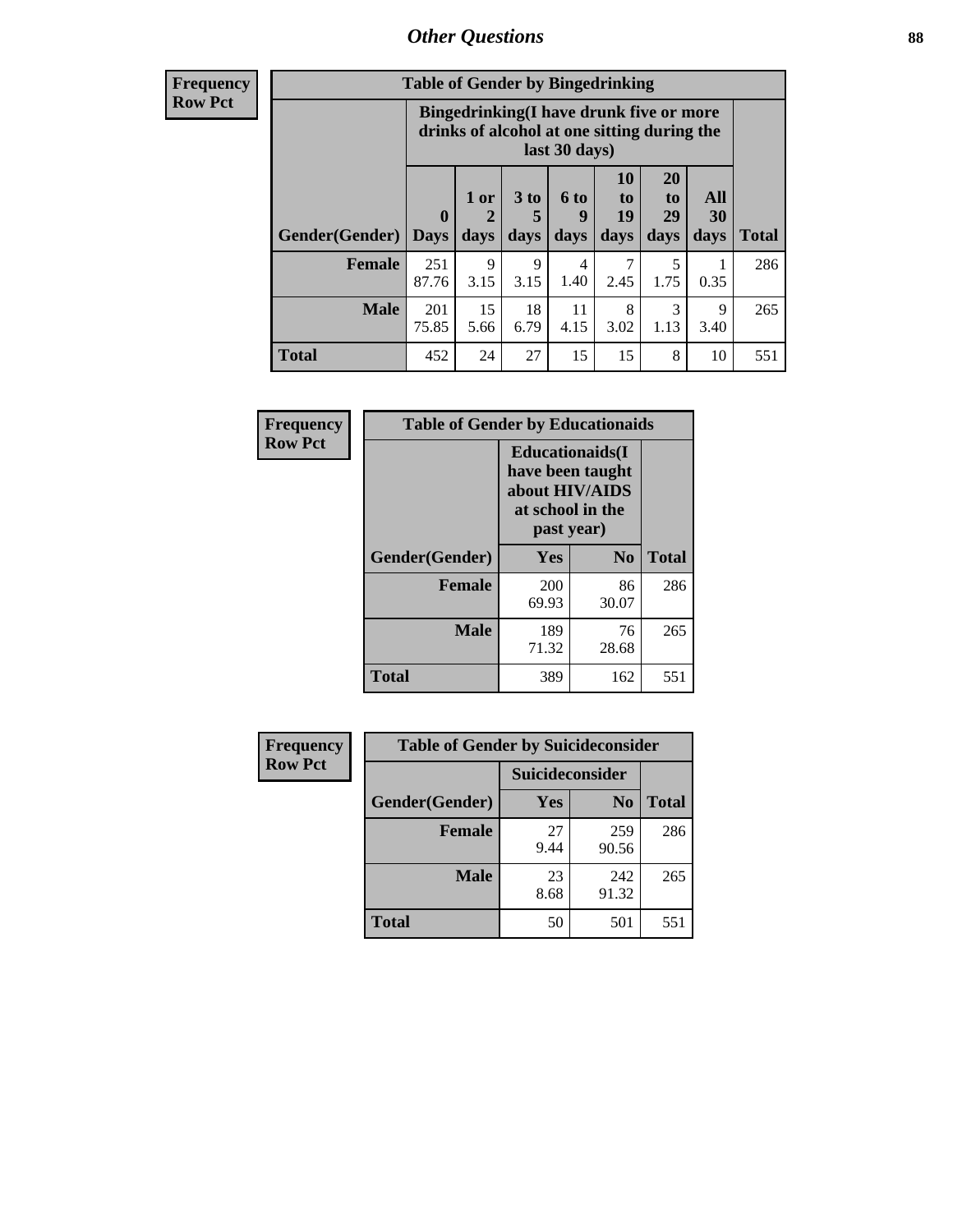# *Other Questions* **88**

**Frequency Row Pct**

| <b>Table of Gender by Bingedrinking</b> |                         |                                                                                                         |                   |                   |                        |                               |                   |              |
|-----------------------------------------|-------------------------|---------------------------------------------------------------------------------------------------------|-------------------|-------------------|------------------------|-------------------------------|-------------------|--------------|
|                                         |                         | Bingedrinking(I have drunk five or more<br>drinks of alcohol at one sitting during the<br>last 30 days) |                   |                   |                        |                               |                   |              |
| <b>Gender</b> (Gender)                  | $\bf{0}$<br><b>Days</b> | 1 or<br>days                                                                                            | 3 to<br>5<br>days | 6 to<br>9<br>days | 10<br>to<br>19<br>days | <b>20</b><br>to<br>29<br>days | All<br>30<br>days | <b>Total</b> |
| <b>Female</b>                           | 251<br>87.76            | 9<br>3.15                                                                                               | 9<br>3.15         | 4<br>1.40         | 7<br>2.45              | 5<br>1.75                     | 0.35              | 286          |
|                                         |                         |                                                                                                         |                   |                   |                        |                               |                   |              |
| <b>Male</b>                             | 201<br>75.85            | 15<br>5.66                                                                                              | 18<br>6.79        | 11<br>4.15        | 8<br>3.02              | 3<br>1.13                     | 9<br>3.40         | 265          |

| Frequency      | <b>Table of Gender by Educationaids</b> |                                                                                                 |                |              |  |
|----------------|-----------------------------------------|-------------------------------------------------------------------------------------------------|----------------|--------------|--|
| <b>Row Pct</b> |                                         | <b>Educationaids</b> (I<br>have been taught<br>about HIV/AIDS<br>at school in the<br>past year) |                |              |  |
|                | Gender(Gender)                          | Yes                                                                                             | N <sub>0</sub> | <b>Total</b> |  |
|                | <b>Female</b>                           | 200<br>69.93                                                                                    | 86<br>30.07    | 286          |  |
|                | <b>Male</b>                             | 189<br>71.32                                                                                    | 76<br>28.68    | 265          |  |
|                | <b>Total</b>                            | 389                                                                                             | 162            | 551          |  |

| <b>Frequency</b> | <b>Table of Gender by Suicideconsider</b> |                 |                |              |  |
|------------------|-------------------------------------------|-----------------|----------------|--------------|--|
| <b>Row Pct</b>   |                                           | Suicideconsider |                |              |  |
|                  | Gender(Gender)                            | Yes             | N <sub>0</sub> | <b>Total</b> |  |
|                  | <b>Female</b>                             | 27<br>9.44      | 259<br>90.56   | 286          |  |
|                  | <b>Male</b>                               | 23<br>8.68      | 242<br>91.32   | 265          |  |
|                  | Total                                     | 50              | 501            | 551          |  |